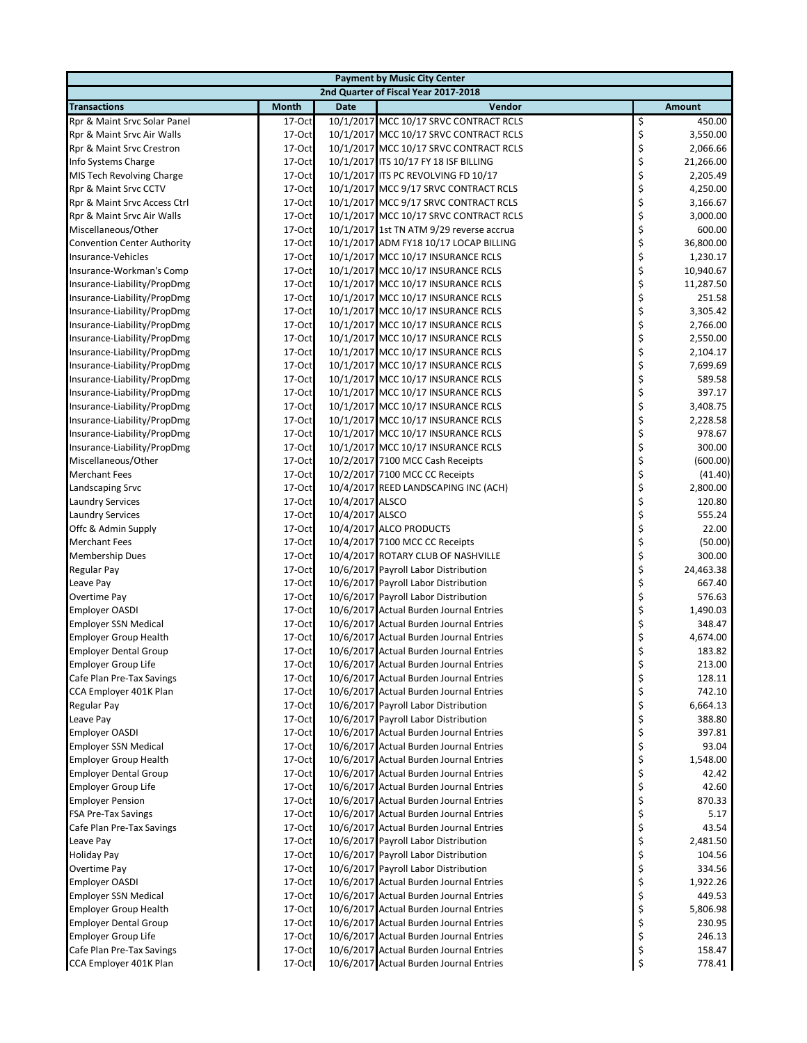| 2nd Quarter of Fiscal Year 2017-2018<br><b>Transactions</b><br><b>Month</b><br>Vendor<br><b>Date</b><br>Rpr & Maint Srvc Solar Panel<br>17-Oct<br>10/1/2017 MCC 10/17 SRVC CONTRACT RCLS<br>\$<br>\$<br>10/1/2017 MCC 10/17 SRVC CONTRACT RCLS<br>Rpr & Maint Srvc Air Walls<br>17-Oct<br>\$<br>17-Oct<br>10/1/2017 MCC 10/17 SRVC CONTRACT RCLS<br>Rpr & Maint Srvc Crestron<br>\$<br>17-Oct<br>10/1/2017 ITS 10/17 FY 18 ISF BILLING<br>Info Systems Charge<br>\$<br>17-Oct<br>10/1/2017 ITS PC REVOLVING FD 10/17<br>MIS Tech Revolving Charge<br>\$<br>Rpr & Maint Srvc CCTV<br>17-Oct<br>10/1/2017 MCC 9/17 SRVC CONTRACT RCLS<br>\$<br>17-Oct<br>10/1/2017 MCC 9/17 SRVC CONTRACT RCLS<br>Rpr & Maint Srvc Access Ctrl | Amount<br>450.00<br>3,550.00<br>2,066.66<br>21,266.00 |
|------------------------------------------------------------------------------------------------------------------------------------------------------------------------------------------------------------------------------------------------------------------------------------------------------------------------------------------------------------------------------------------------------------------------------------------------------------------------------------------------------------------------------------------------------------------------------------------------------------------------------------------------------------------------------------------------------------------------------|-------------------------------------------------------|
|                                                                                                                                                                                                                                                                                                                                                                                                                                                                                                                                                                                                                                                                                                                              |                                                       |
|                                                                                                                                                                                                                                                                                                                                                                                                                                                                                                                                                                                                                                                                                                                              |                                                       |
|                                                                                                                                                                                                                                                                                                                                                                                                                                                                                                                                                                                                                                                                                                                              |                                                       |
|                                                                                                                                                                                                                                                                                                                                                                                                                                                                                                                                                                                                                                                                                                                              |                                                       |
|                                                                                                                                                                                                                                                                                                                                                                                                                                                                                                                                                                                                                                                                                                                              |                                                       |
|                                                                                                                                                                                                                                                                                                                                                                                                                                                                                                                                                                                                                                                                                                                              |                                                       |
|                                                                                                                                                                                                                                                                                                                                                                                                                                                                                                                                                                                                                                                                                                                              | 2,205.49                                              |
|                                                                                                                                                                                                                                                                                                                                                                                                                                                                                                                                                                                                                                                                                                                              | 4,250.00                                              |
|                                                                                                                                                                                                                                                                                                                                                                                                                                                                                                                                                                                                                                                                                                                              | 3,166.67                                              |
| \$<br>Rpr & Maint Srvc Air Walls<br>17-Oct<br>10/1/2017 MCC 10/17 SRVC CONTRACT RCLS                                                                                                                                                                                                                                                                                                                                                                                                                                                                                                                                                                                                                                         | 3,000.00                                              |
| \$<br>17-Oct<br>10/1/2017 1st TN ATM 9/29 reverse accrua<br>Miscellaneous/Other                                                                                                                                                                                                                                                                                                                                                                                                                                                                                                                                                                                                                                              | 600.00                                                |
| \$<br>17-Oct<br>10/1/2017 ADM FY18 10/17 LOCAP BILLING<br><b>Convention Center Authority</b>                                                                                                                                                                                                                                                                                                                                                                                                                                                                                                                                                                                                                                 | 36,800.00                                             |
| \$<br>17-Oct<br>10/1/2017 MCC 10/17 INSURANCE RCLS<br>Insurance-Vehicles                                                                                                                                                                                                                                                                                                                                                                                                                                                                                                                                                                                                                                                     | 1,230.17                                              |
| \$<br>17-Oct<br>10/1/2017 MCC 10/17 INSURANCE RCLS<br>Insurance-Workman's Comp                                                                                                                                                                                                                                                                                                                                                                                                                                                                                                                                                                                                                                               | 10,940.67                                             |
| \$<br>17-Oct<br>10/1/2017 MCC 10/17 INSURANCE RCLS<br>Insurance-Liability/PropDmg                                                                                                                                                                                                                                                                                                                                                                                                                                                                                                                                                                                                                                            | 11,287.50                                             |
| \$<br>17-Oct<br>10/1/2017 MCC 10/17 INSURANCE RCLS<br>Insurance-Liability/PropDmg                                                                                                                                                                                                                                                                                                                                                                                                                                                                                                                                                                                                                                            | 251.58                                                |
| \$<br>17-Oct<br>10/1/2017 MCC 10/17 INSURANCE RCLS<br>Insurance-Liability/PropDmg                                                                                                                                                                                                                                                                                                                                                                                                                                                                                                                                                                                                                                            | 3,305.42                                              |
| \$<br>Insurance-Liability/PropDmg<br>17-Oct<br>10/1/2017 MCC 10/17 INSURANCE RCLS                                                                                                                                                                                                                                                                                                                                                                                                                                                                                                                                                                                                                                            | 2,766.00                                              |
| \$<br>17-Oct<br>10/1/2017 MCC 10/17 INSURANCE RCLS<br>Insurance-Liability/PropDmg                                                                                                                                                                                                                                                                                                                                                                                                                                                                                                                                                                                                                                            | 2,550.00                                              |
| \$<br>17-Oct<br>10/1/2017 MCC 10/17 INSURANCE RCLS<br>Insurance-Liability/PropDmg                                                                                                                                                                                                                                                                                                                                                                                                                                                                                                                                                                                                                                            | 2,104.17                                              |
| \$<br>17-Oct<br>10/1/2017 MCC 10/17 INSURANCE RCLS<br>Insurance-Liability/PropDmg<br>\$<br>17-Oct<br>10/1/2017 MCC 10/17 INSURANCE RCLS<br>Insurance-Liability/PropDmg                                                                                                                                                                                                                                                                                                                                                                                                                                                                                                                                                       | 7,699.69<br>589.58                                    |
| \$<br>17-Oct<br>10/1/2017 MCC 10/17 INSURANCE RCLS<br>Insurance-Liability/PropDmg                                                                                                                                                                                                                                                                                                                                                                                                                                                                                                                                                                                                                                            | 397.17                                                |
| \$<br>17-Oct<br>10/1/2017 MCC 10/17 INSURANCE RCLS<br>Insurance-Liability/PropDmg                                                                                                                                                                                                                                                                                                                                                                                                                                                                                                                                                                                                                                            | 3,408.75                                              |
| \$<br>17-Oct<br>10/1/2017 MCC 10/17 INSURANCE RCLS<br>Insurance-Liability/PropDmg                                                                                                                                                                                                                                                                                                                                                                                                                                                                                                                                                                                                                                            | 2,228.58                                              |
| \$<br>17-Oct<br>10/1/2017 MCC 10/17 INSURANCE RCLS<br>Insurance-Liability/PropDmg                                                                                                                                                                                                                                                                                                                                                                                                                                                                                                                                                                                                                                            | 978.67                                                |
| \$<br>Insurance-Liability/PropDmg<br>17-Oct<br>10/1/2017 MCC 10/17 INSURANCE RCLS                                                                                                                                                                                                                                                                                                                                                                                                                                                                                                                                                                                                                                            | 300.00                                                |
| \$<br>17-Oct<br>Miscellaneous/Other<br>10/2/2017 7100 MCC Cash Receipts                                                                                                                                                                                                                                                                                                                                                                                                                                                                                                                                                                                                                                                      | (600.00)                                              |
| \$<br><b>Merchant Fees</b><br>17-Oct<br>10/2/2017 7100 MCC CC Receipts                                                                                                                                                                                                                                                                                                                                                                                                                                                                                                                                                                                                                                                       | (41.40)                                               |
| \$<br>17-Oct<br>Landscaping Srvc<br>10/4/2017 REED LANDSCAPING INC (ACH)                                                                                                                                                                                                                                                                                                                                                                                                                                                                                                                                                                                                                                                     | 2,800.00                                              |
| \$<br>17-Oct<br>10/4/2017 ALSCO<br><b>Laundry Services</b>                                                                                                                                                                                                                                                                                                                                                                                                                                                                                                                                                                                                                                                                   | 120.80                                                |
| \$<br>17-Oct<br>10/4/2017 ALSCO<br><b>Laundry Services</b>                                                                                                                                                                                                                                                                                                                                                                                                                                                                                                                                                                                                                                                                   | 555.24                                                |
| \$<br>Offc & Admin Supply<br>17-Oct<br>10/4/2017 ALCO PRODUCTS                                                                                                                                                                                                                                                                                                                                                                                                                                                                                                                                                                                                                                                               | 22.00                                                 |
| \$<br><b>Merchant Fees</b><br>17-Oct<br>10/4/2017 7100 MCC CC Receipts                                                                                                                                                                                                                                                                                                                                                                                                                                                                                                                                                                                                                                                       | (50.00)                                               |
| \$<br>Membership Dues<br>17-Oct<br>10/4/2017 ROTARY CLUB OF NASHVILLE                                                                                                                                                                                                                                                                                                                                                                                                                                                                                                                                                                                                                                                        | 300.00                                                |
| \$<br>17-Oct<br>10/6/2017 Payroll Labor Distribution<br>Regular Pay                                                                                                                                                                                                                                                                                                                                                                                                                                                                                                                                                                                                                                                          | 24,463.38                                             |
| \$<br>17-Oct<br>10/6/2017 Payroll Labor Distribution<br>Leave Pay                                                                                                                                                                                                                                                                                                                                                                                                                                                                                                                                                                                                                                                            | 667.40                                                |
| \$<br>17-Oct<br>10/6/2017 Payroll Labor Distribution<br>Overtime Pay                                                                                                                                                                                                                                                                                                                                                                                                                                                                                                                                                                                                                                                         | 576.63                                                |
| \$<br>17-Oct<br>10/6/2017 Actual Burden Journal Entries<br><b>Employer OASDI</b>                                                                                                                                                                                                                                                                                                                                                                                                                                                                                                                                                                                                                                             | 1,490.03                                              |
| \$<br>17-Oct<br>10/6/2017 Actual Burden Journal Entries<br><b>Employer SSN Medical</b><br>\$<br>17-Oct<br><b>Employer Group Health</b>                                                                                                                                                                                                                                                                                                                                                                                                                                                                                                                                                                                       | 348.47<br>4,674.00                                    |
| 10/6/2017 Actual Burden Journal Entries<br>\$<br>17-Oct<br>10/6/2017 Actual Burden Journal Entries<br><b>Employer Dental Group</b>                                                                                                                                                                                                                                                                                                                                                                                                                                                                                                                                                                                           | 183.82                                                |
| 10/6/2017 Actual Burden Journal Entries<br><b>Employer Group Life</b><br>17-Oct                                                                                                                                                                                                                                                                                                                                                                                                                                                                                                                                                                                                                                              | 213.00                                                |
| Ş<br>\$<br>Cafe Plan Pre-Tax Savings<br>17-Oct<br>10/6/2017 Actual Burden Journal Entries                                                                                                                                                                                                                                                                                                                                                                                                                                                                                                                                                                                                                                    | 128.11                                                |
| \$<br>10/6/2017 Actual Burden Journal Entries<br>CCA Employer 401K Plan<br>$17-Oct$                                                                                                                                                                                                                                                                                                                                                                                                                                                                                                                                                                                                                                          | 742.10                                                |
| \$<br>10/6/2017 Payroll Labor Distribution<br>Regular Pay<br>$17-Oct$                                                                                                                                                                                                                                                                                                                                                                                                                                                                                                                                                                                                                                                        | 6,664.13                                              |
| \$<br>10/6/2017 Payroll Labor Distribution<br>Leave Pay<br>$17-Oct$                                                                                                                                                                                                                                                                                                                                                                                                                                                                                                                                                                                                                                                          | 388.80                                                |
| \$<br>17-Oct<br><b>Employer OASDI</b><br>10/6/2017 Actual Burden Journal Entries                                                                                                                                                                                                                                                                                                                                                                                                                                                                                                                                                                                                                                             | 397.81                                                |
| \$<br><b>Employer SSN Medical</b><br>10/6/2017 Actual Burden Journal Entries<br>$17-Oct$                                                                                                                                                                                                                                                                                                                                                                                                                                                                                                                                                                                                                                     | 93.04                                                 |
| \$<br>17-Oct<br>10/6/2017 Actual Burden Journal Entries<br><b>Employer Group Health</b>                                                                                                                                                                                                                                                                                                                                                                                                                                                                                                                                                                                                                                      | 1,548.00                                              |
| \$<br>17-Oct<br><b>Employer Dental Group</b><br>10/6/2017 Actual Burden Journal Entries                                                                                                                                                                                                                                                                                                                                                                                                                                                                                                                                                                                                                                      | 42.42                                                 |
| \$<br>17-Oct<br>10/6/2017 Actual Burden Journal Entries<br>Employer Group Life                                                                                                                                                                                                                                                                                                                                                                                                                                                                                                                                                                                                                                               | 42.60                                                 |
| \$<br><b>Employer Pension</b><br>$17-Oct$<br>10/6/2017 Actual Burden Journal Entries                                                                                                                                                                                                                                                                                                                                                                                                                                                                                                                                                                                                                                         | 870.33                                                |
| \$<br>17-Oct<br>10/6/2017 Actual Burden Journal Entries<br><b>FSA Pre-Tax Savings</b>                                                                                                                                                                                                                                                                                                                                                                                                                                                                                                                                                                                                                                        | 5.17                                                  |
| \$<br>17-Oct<br>Cafe Plan Pre-Tax Savings<br>10/6/2017 Actual Burden Journal Entries                                                                                                                                                                                                                                                                                                                                                                                                                                                                                                                                                                                                                                         | 43.54                                                 |
| \$<br>10/6/2017 Payroll Labor Distribution<br>Leave Pay<br>$17-Oct$                                                                                                                                                                                                                                                                                                                                                                                                                                                                                                                                                                                                                                                          | 2,481.50                                              |
| \$<br>10/6/2017 Payroll Labor Distribution<br><b>Holiday Pay</b><br>$17-Oct$                                                                                                                                                                                                                                                                                                                                                                                                                                                                                                                                                                                                                                                 | 104.56                                                |
| \$<br>17-Oct<br>10/6/2017 Payroll Labor Distribution<br>Overtime Pay                                                                                                                                                                                                                                                                                                                                                                                                                                                                                                                                                                                                                                                         | 334.56                                                |
| \$<br>17-Oct<br>10/6/2017 Actual Burden Journal Entries<br><b>Employer OASDI</b>                                                                                                                                                                                                                                                                                                                                                                                                                                                                                                                                                                                                                                             | 1,922.26                                              |
| \$<br>17-Oct<br>10/6/2017 Actual Burden Journal Entries<br><b>Employer SSN Medical</b><br>17-Oct<br>10/6/2017 Actual Burden Journal Entries                                                                                                                                                                                                                                                                                                                                                                                                                                                                                                                                                                                  | 449.53                                                |
| \$<br><b>Employer Group Health</b><br>\$<br><b>Employer Dental Group</b><br>17-Oct<br>10/6/2017 Actual Burden Journal Entries                                                                                                                                                                                                                                                                                                                                                                                                                                                                                                                                                                                                | 5,806.98<br>230.95                                    |
| \$<br>10/6/2017 Actual Burden Journal Entries<br>Employer Group Life<br>$17-Oct$                                                                                                                                                                                                                                                                                                                                                                                                                                                                                                                                                                                                                                             | 246.13                                                |
| \$<br>Cafe Plan Pre-Tax Savings<br>10/6/2017 Actual Burden Journal Entries<br>17-Oct                                                                                                                                                                                                                                                                                                                                                                                                                                                                                                                                                                                                                                         | 158.47                                                |
| \$<br>CCA Employer 401K Plan<br>17-Oct<br>10/6/2017 Actual Burden Journal Entries                                                                                                                                                                                                                                                                                                                                                                                                                                                                                                                                                                                                                                            | 778.41                                                |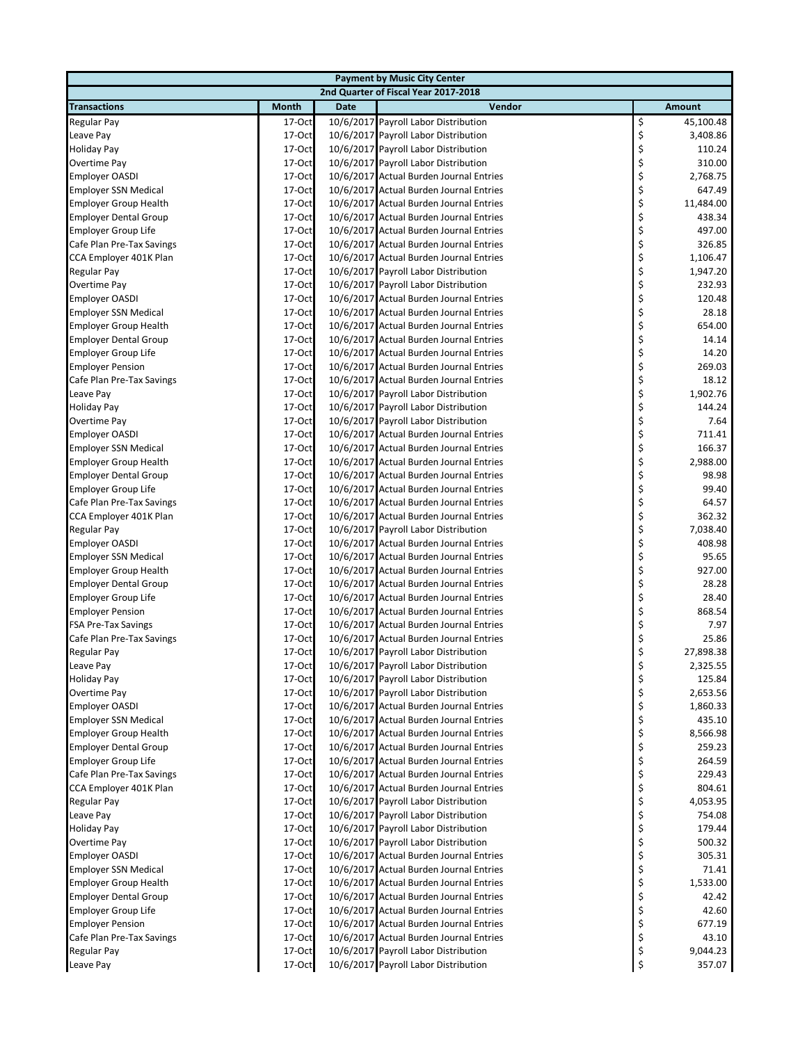| <b>Payment by Music City Center</b> |                    |             |                                         |    |           |  |  |
|-------------------------------------|--------------------|-------------|-----------------------------------------|----|-----------|--|--|
|                                     |                    |             | 2nd Quarter of Fiscal Year 2017-2018    |    |           |  |  |
| <b>Transactions</b>                 | Month              | <b>Date</b> | Vendor                                  |    | Amount    |  |  |
| <b>Regular Pay</b>                  | 17-Oct             |             | 10/6/2017 Payroll Labor Distribution    | \$ | 45,100.48 |  |  |
| Leave Pay                           | 17-Oct             |             | 10/6/2017 Payroll Labor Distribution    | \$ | 3,408.86  |  |  |
| <b>Holiday Pay</b>                  | 17-Oct             |             | 10/6/2017 Payroll Labor Distribution    | \$ | 110.24    |  |  |
| Overtime Pay                        | 17-Oct             |             | 10/6/2017 Payroll Labor Distribution    | \$ | 310.00    |  |  |
| <b>Employer OASDI</b>               | 17-Oct             |             | 10/6/2017 Actual Burden Journal Entries | \$ | 2,768.75  |  |  |
| <b>Employer SSN Medical</b>         | 17-Oct             |             | 10/6/2017 Actual Burden Journal Entries | \$ | 647.49    |  |  |
| <b>Employer Group Health</b>        | 17-Oct             |             | 10/6/2017 Actual Burden Journal Entries | \$ | 11,484.00 |  |  |
| <b>Employer Dental Group</b>        | 17-Oct             |             | 10/6/2017 Actual Burden Journal Entries | \$ | 438.34    |  |  |
| Employer Group Life                 | 17-Oct             |             | 10/6/2017 Actual Burden Journal Entries | \$ | 497.00    |  |  |
| Cafe Plan Pre-Tax Savings           | 17-Oct             |             | 10/6/2017 Actual Burden Journal Entries | \$ | 326.85    |  |  |
| CCA Employer 401K Plan              | 17-Oct             |             | 10/6/2017 Actual Burden Journal Entries | \$ | 1,106.47  |  |  |
| Regular Pay                         | $17-Oct$           |             | 10/6/2017 Payroll Labor Distribution    | \$ | 1,947.20  |  |  |
| Overtime Pay                        | 17-Oct             |             | 10/6/2017 Payroll Labor Distribution    | \$ | 232.93    |  |  |
| <b>Employer OASDI</b>               | 17-Oct             |             | 10/6/2017 Actual Burden Journal Entries | \$ | 120.48    |  |  |
| <b>Employer SSN Medical</b>         | 17-Oct             |             | 10/6/2017 Actual Burden Journal Entries | \$ | 28.18     |  |  |
| <b>Employer Group Health</b>        | 17-Oct             |             | 10/6/2017 Actual Burden Journal Entries | \$ | 654.00    |  |  |
| <b>Employer Dental Group</b>        | 17-Oct             |             | 10/6/2017 Actual Burden Journal Entries | \$ | 14.14     |  |  |
| Employer Group Life                 | 17-Oct             |             | 10/6/2017 Actual Burden Journal Entries | \$ | 14.20     |  |  |
|                                     |                    |             |                                         | \$ | 269.03    |  |  |
| <b>Employer Pension</b>             | $17-Oct$<br>17-Oct |             | 10/6/2017 Actual Burden Journal Entries |    |           |  |  |
| Cafe Plan Pre-Tax Savings           |                    |             | 10/6/2017 Actual Burden Journal Entries | \$ | 18.12     |  |  |
| Leave Pay                           | 17-Oct             |             | 10/6/2017 Payroll Labor Distribution    | \$ | 1,902.76  |  |  |
| <b>Holiday Pay</b>                  | 17-Oct             |             | 10/6/2017 Payroll Labor Distribution    | \$ | 144.24    |  |  |
| Overtime Pay                        | 17-Oct             |             | 10/6/2017 Payroll Labor Distribution    | \$ | 7.64      |  |  |
| <b>Employer OASDI</b>               | 17-Oct             |             | 10/6/2017 Actual Burden Journal Entries | \$ | 711.41    |  |  |
| <b>Employer SSN Medical</b>         | 17-Oct             |             | 10/6/2017 Actual Burden Journal Entries | \$ | 166.37    |  |  |
| <b>Employer Group Health</b>        | 17-Oct             |             | 10/6/2017 Actual Burden Journal Entries | \$ | 2,988.00  |  |  |
| <b>Employer Dental Group</b>        | 17-Oct             |             | 10/6/2017 Actual Burden Journal Entries | \$ | 98.98     |  |  |
| Employer Group Life                 | 17-Oct             |             | 10/6/2017 Actual Burden Journal Entries | \$ | 99.40     |  |  |
| Cafe Plan Pre-Tax Savings           | 17-Oct             |             | 10/6/2017 Actual Burden Journal Entries | \$ | 64.57     |  |  |
| CCA Employer 401K Plan              | $17-Oct$           |             | 10/6/2017 Actual Burden Journal Entries | \$ | 362.32    |  |  |
| Regular Pay                         | 17-Oct             |             | 10/6/2017 Payroll Labor Distribution    | \$ | 7,038.40  |  |  |
| <b>Employer OASDI</b>               | 17-Oct             |             | 10/6/2017 Actual Burden Journal Entries | \$ | 408.98    |  |  |
| <b>Employer SSN Medical</b>         | 17-Oct             |             | 10/6/2017 Actual Burden Journal Entries | \$ | 95.65     |  |  |
| <b>Employer Group Health</b>        | 17-Oct             |             | 10/6/2017 Actual Burden Journal Entries | \$ | 927.00    |  |  |
| <b>Employer Dental Group</b>        | 17-Oct             |             | 10/6/2017 Actual Burden Journal Entries | \$ | 28.28     |  |  |
| <b>Employer Group Life</b>          | 17-Oct             |             | 10/6/2017 Actual Burden Journal Entries | \$ | 28.40     |  |  |
| <b>Employer Pension</b>             | $17-Oct$           |             | 10/6/2017 Actual Burden Journal Entries | \$ | 868.54    |  |  |
| FSA Pre-Tax Savings                 | 17-Oct             |             | 10/6/2017 Actual Burden Journal Entries | \$ | 7.97      |  |  |
| Cafe Plan Pre-Tax Savings           | 17-Oct             |             | 10/6/2017 Actual Burden Journal Entries | \$ | 25.86     |  |  |
| Regular Pay                         | 17-Oct             |             | 10/6/2017 Payroll Labor Distribution    | \$ | 27,898.38 |  |  |
| Leave Pay                           | 17-Oct             |             | 10/6/2017 Payroll Labor Distribution    | Ş  | 2,325.55  |  |  |
| <b>Holiday Pay</b>                  | 17-Oct             |             | 10/6/2017 Payroll Labor Distribution    | \$ | 125.84    |  |  |
| Overtime Pay                        | 17-Oct             |             | 10/6/2017 Payroll Labor Distribution    | \$ | 2,653.56  |  |  |
| <b>Employer OASDI</b>               | $17-Oct$           |             | 10/6/2017 Actual Burden Journal Entries | \$ | 1,860.33  |  |  |
| <b>Employer SSN Medical</b>         | $17-Oct$           |             | 10/6/2017 Actual Burden Journal Entries | \$ | 435.10    |  |  |
| <b>Employer Group Health</b>        | 17-Oct             |             | 10/6/2017 Actual Burden Journal Entries | \$ | 8,566.98  |  |  |
| <b>Employer Dental Group</b>        | $17-Oct$           |             | 10/6/2017 Actual Burden Journal Entries | \$ | 259.23    |  |  |
| <b>Employer Group Life</b>          | $17-Oct$           |             | 10/6/2017 Actual Burden Journal Entries | \$ | 264.59    |  |  |
| Cafe Plan Pre-Tax Savings           | 17-Oct             |             | 10/6/2017 Actual Burden Journal Entries | \$ | 229.43    |  |  |
| CCA Employer 401K Plan              | 17-Oct             |             | 10/6/2017 Actual Burden Journal Entries | \$ | 804.61    |  |  |
| Regular Pay                         | $17-Oct$           |             | 10/6/2017 Payroll Labor Distribution    | \$ | 4,053.95  |  |  |
| Leave Pay                           | 17-Oct             |             | 10/6/2017 Payroll Labor Distribution    | \$ | 754.08    |  |  |
| <b>Holiday Pay</b>                  | 17-Oct             |             | 10/6/2017 Payroll Labor Distribution    | \$ | 179.44    |  |  |
|                                     | 17-Oct             |             | 10/6/2017 Payroll Labor Distribution    | \$ | 500.32    |  |  |
| Overtime Pay                        |                    |             |                                         |    |           |  |  |
| <b>Employer OASDI</b>               | $17-Oct$           |             | 10/6/2017 Actual Burden Journal Entries | \$ | 305.31    |  |  |
| <b>Employer SSN Medical</b>         | 17-Oct             |             | 10/6/2017 Actual Burden Journal Entries | \$ | 71.41     |  |  |
| <b>Employer Group Health</b>        | 17-Oct             |             | 10/6/2017 Actual Burden Journal Entries | \$ | 1,533.00  |  |  |
| <b>Employer Dental Group</b>        | 17-Oct             |             | 10/6/2017 Actual Burden Journal Entries | \$ | 42.42     |  |  |
| Employer Group Life                 | 17-Oct             |             | 10/6/2017 Actual Burden Journal Entries | \$ | 42.60     |  |  |
| <b>Employer Pension</b>             | 17-Oct             |             | 10/6/2017 Actual Burden Journal Entries | \$ | 677.19    |  |  |
| Cafe Plan Pre-Tax Savings           | $17-Oct$           |             | 10/6/2017 Actual Burden Journal Entries | \$ | 43.10     |  |  |
| Regular Pay                         | 17-Oct             |             | 10/6/2017 Payroll Labor Distribution    | \$ | 9,044.23  |  |  |
| Leave Pay                           | 17-Oct             |             | 10/6/2017 Payroll Labor Distribution    | \$ | 357.07    |  |  |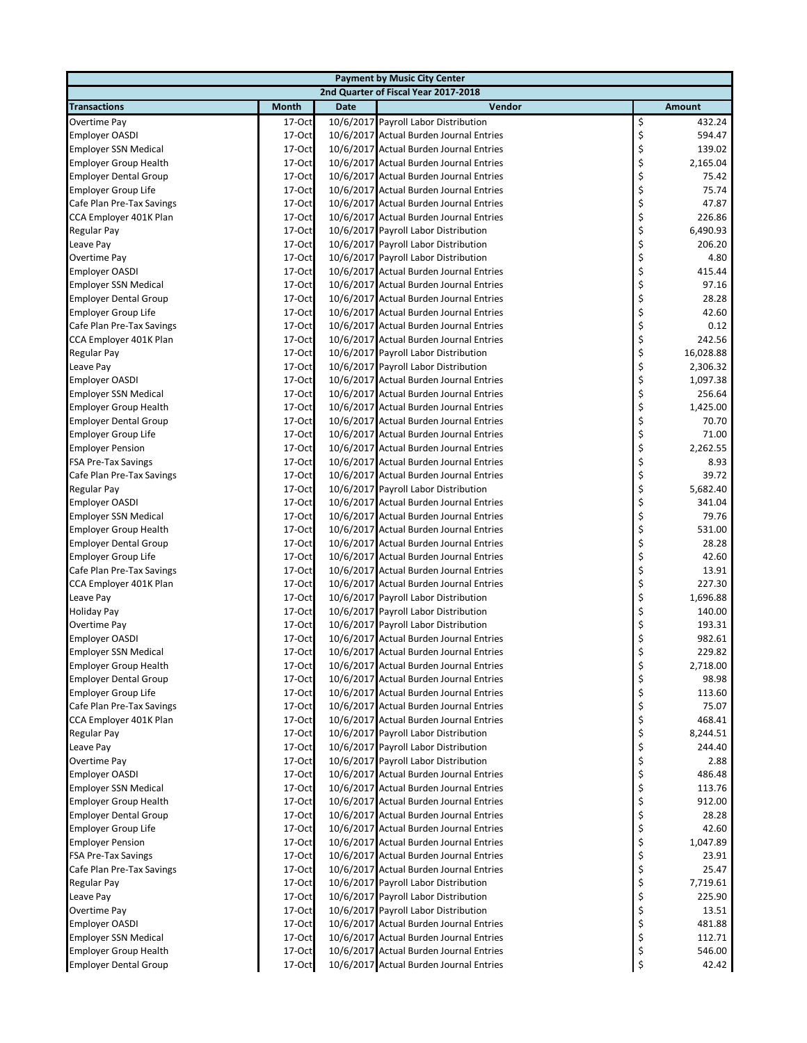| <b>Payment by Music City Center</b> |              |             |                                         |    |           |  |  |
|-------------------------------------|--------------|-------------|-----------------------------------------|----|-----------|--|--|
|                                     |              |             | 2nd Quarter of Fiscal Year 2017-2018    |    |           |  |  |
| <b>Transactions</b>                 | <b>Month</b> | <b>Date</b> | Vendor                                  |    | Amount    |  |  |
| Overtime Pay                        | 17-Oct       |             | 10/6/2017 Payroll Labor Distribution    | \$ | 432.24    |  |  |
| <b>Employer OASDI</b>               | 17-Oct       |             | 10/6/2017 Actual Burden Journal Entries | \$ | 594.47    |  |  |
| <b>Employer SSN Medical</b>         | 17-Oct       |             | 10/6/2017 Actual Burden Journal Entries | \$ | 139.02    |  |  |
| <b>Employer Group Health</b>        | 17-Oct       |             | 10/6/2017 Actual Burden Journal Entries | \$ | 2,165.04  |  |  |
| <b>Employer Dental Group</b>        | 17-Oct       |             | 10/6/2017 Actual Burden Journal Entries | \$ | 75.42     |  |  |
| Employer Group Life                 | 17-Oct       |             | 10/6/2017 Actual Burden Journal Entries | \$ | 75.74     |  |  |
| Cafe Plan Pre-Tax Savings           | 17-Oct       |             | 10/6/2017 Actual Burden Journal Entries | \$ | 47.87     |  |  |
| CCA Employer 401K Plan              | 17-Oct       |             | 10/6/2017 Actual Burden Journal Entries | \$ | 226.86    |  |  |
| Regular Pay                         | 17-Oct       |             | 10/6/2017 Payroll Labor Distribution    | \$ | 6,490.93  |  |  |
| Leave Pay                           | 17-Oct       |             | 10/6/2017 Payroll Labor Distribution    | \$ | 206.20    |  |  |
| Overtime Pay                        | 17-Oct       |             | 10/6/2017 Payroll Labor Distribution    | \$ | 4.80      |  |  |
| <b>Employer OASDI</b>               | 17-Oct       |             | 10/6/2017 Actual Burden Journal Entries | \$ | 415.44    |  |  |
| <b>Employer SSN Medical</b>         | 17-Oct       |             | 10/6/2017 Actual Burden Journal Entries | \$ | 97.16     |  |  |
| <b>Employer Dental Group</b>        | 17-Oct       |             | 10/6/2017 Actual Burden Journal Entries | \$ | 28.28     |  |  |
| Employer Group Life                 | 17-Oct       |             | 10/6/2017 Actual Burden Journal Entries | \$ | 42.60     |  |  |
| Cafe Plan Pre-Tax Savings           | 17-Oct       |             | 10/6/2017 Actual Burden Journal Entries | \$ | 0.12      |  |  |
| CCA Employer 401K Plan              | 17-Oct       |             | 10/6/2017 Actual Burden Journal Entries | \$ | 242.56    |  |  |
| Regular Pay                         | 17-Oct       |             | 10/6/2017 Payroll Labor Distribution    | \$ | 16,028.88 |  |  |
| Leave Pay                           | 17-Oct       |             | 10/6/2017 Payroll Labor Distribution    | \$ | 2,306.32  |  |  |
| <b>Employer OASDI</b>               | 17-Oct       |             | 10/6/2017 Actual Burden Journal Entries | \$ | 1,097.38  |  |  |
| <b>Employer SSN Medical</b>         | 17-Oct       |             | 10/6/2017 Actual Burden Journal Entries | \$ | 256.64    |  |  |
| <b>Employer Group Health</b>        | 17-Oct       |             | 10/6/2017 Actual Burden Journal Entries | \$ | 1,425.00  |  |  |
| <b>Employer Dental Group</b>        | 17-Oct       |             | 10/6/2017 Actual Burden Journal Entries | \$ | 70.70     |  |  |
| Employer Group Life                 | 17-Oct       |             | 10/6/2017 Actual Burden Journal Entries | \$ | 71.00     |  |  |
|                                     | 17-Oct       |             | 10/6/2017 Actual Burden Journal Entries | \$ |           |  |  |
| <b>Employer Pension</b>             |              |             |                                         | \$ | 2,262.55  |  |  |
| <b>FSA Pre-Tax Savings</b>          | 17-Oct       |             | 10/6/2017 Actual Burden Journal Entries |    | 8.93      |  |  |
| Cafe Plan Pre-Tax Savings           | 17-Oct       |             | 10/6/2017 Actual Burden Journal Entries | \$ | 39.72     |  |  |
| Regular Pay                         | 17-Oct       |             | 10/6/2017 Payroll Labor Distribution    | \$ | 5,682.40  |  |  |
| <b>Employer OASDI</b>               | 17-Oct       |             | 10/6/2017 Actual Burden Journal Entries | \$ | 341.04    |  |  |
| <b>Employer SSN Medical</b>         | 17-Oct       |             | 10/6/2017 Actual Burden Journal Entries | \$ | 79.76     |  |  |
| <b>Employer Group Health</b>        | 17-Oct       |             | 10/6/2017 Actual Burden Journal Entries | \$ | 531.00    |  |  |
| <b>Employer Dental Group</b>        | 17-Oct       |             | 10/6/2017 Actual Burden Journal Entries | \$ | 28.28     |  |  |
| Employer Group Life                 | 17-Oct       |             | 10/6/2017 Actual Burden Journal Entries | \$ | 42.60     |  |  |
| Cafe Plan Pre-Tax Savings           | 17-Oct       |             | 10/6/2017 Actual Burden Journal Entries | \$ | 13.91     |  |  |
| CCA Employer 401K Plan              | 17-Oct       |             | 10/6/2017 Actual Burden Journal Entries | \$ | 227.30    |  |  |
| Leave Pay                           | 17-Oct       |             | 10/6/2017 Payroll Labor Distribution    | \$ | 1,696.88  |  |  |
| <b>Holiday Pay</b>                  | 17-Oct       |             | 10/6/2017 Payroll Labor Distribution    | \$ | 140.00    |  |  |
| Overtime Pay                        | 17-Oct       |             | 10/6/2017 Payroll Labor Distribution    | \$ | 193.31    |  |  |
| <b>Employer OASDI</b>               | 17-Oct       |             | 10/6/2017 Actual Burden Journal Entries | \$ | 982.61    |  |  |
| <b>Employer SSN Medical</b>         | 17-Oct       |             | 10/6/2017 Actual Burden Journal Entries | \$ | 229.82    |  |  |
| Employer Group Health               | 17-Oct       |             | 10/6/2017 Actual Burden Journal Entries | Ş  | 2,718.00  |  |  |
| <b>Employer Dental Group</b>        | 17-Oct       |             | 10/6/2017 Actual Burden Journal Entries | \$ | 98.98     |  |  |
| <b>Employer Group Life</b>          | 17-Oct       |             | 10/6/2017 Actual Burden Journal Entries | \$ | 113.60    |  |  |
| Cafe Plan Pre-Tax Savings           | 17-Oct       |             | 10/6/2017 Actual Burden Journal Entries | \$ | 75.07     |  |  |
| CCA Employer 401K Plan              | 17-Oct       |             | 10/6/2017 Actual Burden Journal Entries | \$ | 468.41    |  |  |
| Regular Pay                         | 17-Oct       |             | 10/6/2017 Payroll Labor Distribution    | \$ | 8,244.51  |  |  |
| Leave Pay                           | $17-Oct$     |             | 10/6/2017 Payroll Labor Distribution    | \$ | 244.40    |  |  |
| Overtime Pay                        | $17-Oct$     |             | 10/6/2017 Payroll Labor Distribution    | \$ | 2.88      |  |  |
| <b>Employer OASDI</b>               | 17-Oct       |             | 10/6/2017 Actual Burden Journal Entries | \$ | 486.48    |  |  |
| <b>Employer SSN Medical</b>         | 17-Oct       |             | 10/6/2017 Actual Burden Journal Entries | \$ | 113.76    |  |  |
| <b>Employer Group Health</b>        | 17-Oct       |             | 10/6/2017 Actual Burden Journal Entries | \$ | 912.00    |  |  |
| <b>Employer Dental Group</b>        | 17-Oct       |             | 10/6/2017 Actual Burden Journal Entries | \$ | 28.28     |  |  |
| Employer Group Life                 | 17-Oct       |             | 10/6/2017 Actual Burden Journal Entries | \$ | 42.60     |  |  |
| <b>Employer Pension</b>             | 17-Oct       |             | 10/6/2017 Actual Burden Journal Entries | \$ | 1,047.89  |  |  |
| FSA Pre-Tax Savings                 | 17-Oct       |             | 10/6/2017 Actual Burden Journal Entries | \$ | 23.91     |  |  |
| Cafe Plan Pre-Tax Savings           | 17-Oct       |             | 10/6/2017 Actual Burden Journal Entries | \$ | 25.47     |  |  |
| Regular Pay                         | 17-Oct       |             | 10/6/2017 Payroll Labor Distribution    | \$ | 7,719.61  |  |  |
| Leave Pay                           | 17-Oct       |             | 10/6/2017 Payroll Labor Distribution    | \$ | 225.90    |  |  |
| Overtime Pay                        | 17-Oct       |             | 10/6/2017 Payroll Labor Distribution    | \$ | 13.51     |  |  |
| <b>Employer OASDI</b>               | 17-Oct       |             | 10/6/2017 Actual Burden Journal Entries | \$ | 481.88    |  |  |
| <b>Employer SSN Medical</b>         | 17-Oct       |             | 10/6/2017 Actual Burden Journal Entries | \$ | 112.71    |  |  |
| <b>Employer Group Health</b>        | 17-Oct       |             | 10/6/2017 Actual Burden Journal Entries | \$ | 546.00    |  |  |
| <b>Employer Dental Group</b>        | 17-Oct       |             | 10/6/2017 Actual Burden Journal Entries | \$ | 42.42     |  |  |
|                                     |              |             |                                         |    |           |  |  |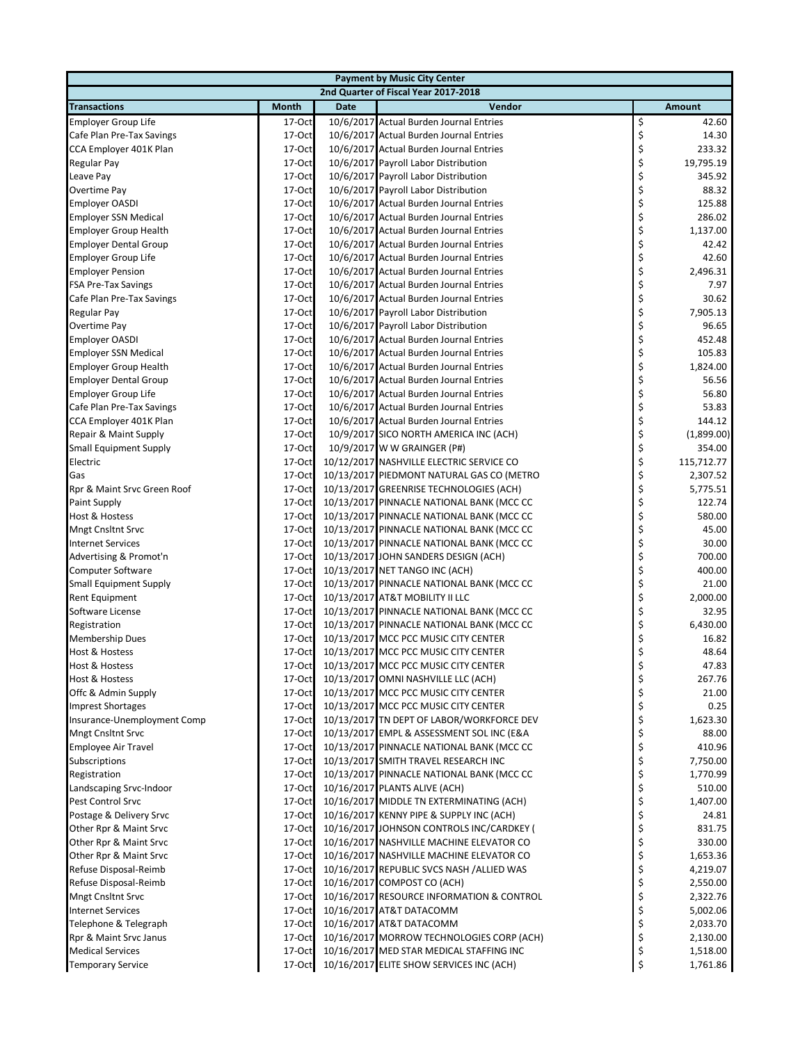| <b>Payment by Music City Center</b>         |                    |             |                                                                        |          |                  |  |  |
|---------------------------------------------|--------------------|-------------|------------------------------------------------------------------------|----------|------------------|--|--|
|                                             |                    |             | 2nd Quarter of Fiscal Year 2017-2018                                   |          |                  |  |  |
| <b>Transactions</b>                         | <b>Month</b>       | <b>Date</b> | Vendor                                                                 |          | Amount           |  |  |
| <b>Employer Group Life</b>                  | 17-Oct             |             | 10/6/2017 Actual Burden Journal Entries                                | \$       | 42.60            |  |  |
| Cafe Plan Pre-Tax Savings                   | 17-Oct             |             | 10/6/2017 Actual Burden Journal Entries                                | \$       | 14.30            |  |  |
| CCA Employer 401K Plan                      | 17-Oct             |             | 10/6/2017 Actual Burden Journal Entries                                | \$       | 233.32           |  |  |
| Regular Pay                                 | 17-Oct             |             | 10/6/2017 Payroll Labor Distribution                                   | \$       | 19,795.19        |  |  |
| Leave Pay                                   | 17-Oct             |             | 10/6/2017 Payroll Labor Distribution                                   | \$       | 345.92           |  |  |
| Overtime Pay                                | 17-Oct             |             | 10/6/2017 Payroll Labor Distribution                                   | \$       | 88.32            |  |  |
| <b>Employer OASDI</b>                       | 17-Oct             |             | 10/6/2017 Actual Burden Journal Entries                                | \$       | 125.88           |  |  |
| <b>Employer SSN Medical</b>                 | 17-Oct             |             | 10/6/2017 Actual Burden Journal Entries                                | \$       | 286.02           |  |  |
| <b>Employer Group Health</b>                | 17-Oct             |             | 10/6/2017 Actual Burden Journal Entries                                | \$       | 1,137.00         |  |  |
| <b>Employer Dental Group</b>                | 17-Oct             |             | 10/6/2017 Actual Burden Journal Entries                                | \$       | 42.42            |  |  |
| Employer Group Life                         | 17-Oct             |             | 10/6/2017 Actual Burden Journal Entries                                | \$       | 42.60            |  |  |
| <b>Employer Pension</b>                     | 17-Oct             |             | 10/6/2017 Actual Burden Journal Entries                                | \$       | 2,496.31         |  |  |
| <b>FSA Pre-Tax Savings</b>                  | 17-Oct             |             | 10/6/2017 Actual Burden Journal Entries                                | \$       | 7.97             |  |  |
| Cafe Plan Pre-Tax Savings                   | 17-Oct             |             | 10/6/2017 Actual Burden Journal Entries                                | \$       | 30.62            |  |  |
| Regular Pay                                 | 17-Oct             |             | 10/6/2017 Payroll Labor Distribution                                   | \$       | 7,905.13         |  |  |
| Overtime Pay                                | 17-Oct             |             | 10/6/2017 Payroll Labor Distribution                                   | \$       | 96.65            |  |  |
| <b>Employer OASDI</b>                       | 17-Oct             |             | 10/6/2017 Actual Burden Journal Entries                                | \$       | 452.48           |  |  |
| <b>Employer SSN Medical</b>                 | 17-Oct             |             | 10/6/2017 Actual Burden Journal Entries                                | \$       | 105.83           |  |  |
| <b>Employer Group Health</b>                | 17-Oct             |             | 10/6/2017 Actual Burden Journal Entries                                | \$       | 1,824.00         |  |  |
| <b>Employer Dental Group</b>                | 17-Oct             |             | 10/6/2017 Actual Burden Journal Entries                                | \$       | 56.56            |  |  |
| <b>Employer Group Life</b>                  | 17-Oct             |             | 10/6/2017 Actual Burden Journal Entries                                | \$       | 56.80            |  |  |
| Cafe Plan Pre-Tax Savings                   | 17-Oct             |             | 10/6/2017 Actual Burden Journal Entries                                | \$       | 53.83            |  |  |
| CCA Employer 401K Plan                      | 17-Oct             |             | 10/6/2017 Actual Burden Journal Entries                                | \$       | 144.12           |  |  |
| Repair & Maint Supply                       | 17-Oct             |             | 10/9/2017 SICO NORTH AMERICA INC (ACH)                                 | \$       | (1,899.00)       |  |  |
| <b>Small Equipment Supply</b>               | 17-Oct             |             | 10/9/2017 W W GRAINGER (P#)                                            | \$       | 354.00           |  |  |
| Electric                                    | 17-Oct             |             | 10/12/2017 NASHVILLE ELECTRIC SERVICE CO                               | \$       | 115,712.77       |  |  |
| Gas                                         | 17-Oct             |             | 10/13/2017 PIEDMONT NATURAL GAS CO (METRO                              | \$       | 2,307.52         |  |  |
| Rpr & Maint Srvc Green Roof                 | 17-Oct             |             | 10/13/2017 GREENRISE TECHNOLOGIES (ACH)                                | \$       | 5,775.51         |  |  |
| Paint Supply                                | 17-Oct             |             | 10/13/2017 PINNACLE NATIONAL BANK (MCC CC                              | \$       | 122.74           |  |  |
| Host & Hostess                              | 17-Oct             |             | 10/13/2017 PINNACLE NATIONAL BANK (MCC CC                              | \$       | 580.00           |  |  |
| <b>Mngt Cnsltnt Srvc</b>                    | 17-Oct             |             | 10/13/2017 PINNACLE NATIONAL BANK (MCC CC                              | \$       | 45.00<br>30.00   |  |  |
| <b>Internet Services</b>                    | 17-Oct             |             | 10/13/2017 PINNACLE NATIONAL BANK (MCC CC                              | \$<br>\$ |                  |  |  |
| Advertising & Promot'n<br>Computer Software | $17-Oct$<br>17-Oct |             | 10/13/2017 JOHN SANDERS DESIGN (ACH)<br>10/13/2017 NET TANGO INC (ACH) | \$       | 700.00<br>400.00 |  |  |
| <b>Small Equipment Supply</b>               | 17-Oct             |             | 10/13/2017 PINNACLE NATIONAL BANK (MCC CC                              | \$       | 21.00            |  |  |
| <b>Rent Equipment</b>                       | 17-Oct             |             | 10/13/2017 AT&T MOBILITY II LLC                                        | \$       | 2,000.00         |  |  |
| Software License                            | 17-Oct             |             | 10/13/2017 PINNACLE NATIONAL BANK (MCC CC                              | \$       | 32.95            |  |  |
| Registration                                | 17-Oct             |             | 10/13/2017 PINNACLE NATIONAL BANK (MCC CC                              | \$       | 6,430.00         |  |  |
| <b>Membership Dues</b>                      | 17-Oct             |             | 10/13/2017 MCC PCC MUSIC CITY CENTER                                   | \$       | 16.82            |  |  |
| <b>Host &amp; Hostess</b>                   | 17-Oct             |             | 10/13/2017 MCC PCC MUSIC CITY CENTER                                   | \$       | 48.64            |  |  |
| Host & Hostess                              | 17-Oct             |             | 10/13/2017 MCC PCC MUSIC CITY CENTER                                   | Ş        | 47.83            |  |  |
| Host & Hostess                              | 17-Oct             |             | 10/13/2017 OMNI NASHVILLE LLC (ACH)                                    | \$       | 267.76           |  |  |
| Offc & Admin Supply                         | 17-Oct             |             | 10/13/2017 MCC PCC MUSIC CITY CENTER                                   | \$       | 21.00            |  |  |
| <b>Imprest Shortages</b>                    | 17-Oct             |             | 10/13/2017 MCC PCC MUSIC CITY CENTER                                   | \$       | 0.25             |  |  |
| Insurance-Unemployment Comp                 | 17-Oct             |             | 10/13/2017 TN DEPT OF LABOR/WORKFORCE DEV                              | \$       | 1,623.30         |  |  |
| <b>Mngt Cnsltnt Srvc</b>                    | 17-Oct             |             | 10/13/2017 EMPL & ASSESSMENT SOL INC (E&A                              | \$       | 88.00            |  |  |
| <b>Employee Air Travel</b>                  | 17-Oct             |             | 10/13/2017 PINNACLE NATIONAL BANK (MCC CC                              | \$       | 410.96           |  |  |
| Subscriptions                               | 17-Oct             |             | 10/13/2017 SMITH TRAVEL RESEARCH INC                                   | \$       | 7,750.00         |  |  |
| Registration                                | $17-Oct$           |             | 10/13/2017 PINNACLE NATIONAL BANK (MCC CC                              | \$       | 1,770.99         |  |  |
| Landscaping Srvc-Indoor                     | $17-Oct$           |             | 10/16/2017 PLANTS ALIVE (ACH)                                          | \$       | 510.00           |  |  |
| Pest Control Srvc                           | 17-Oct             |             | 10/16/2017 MIDDLE TN EXTERMINATING (ACH)                               | \$       | 1,407.00         |  |  |
| Postage & Delivery Srvc                     | 17-Oct             |             | 10/16/2017 KENNY PIPE & SUPPLY INC (ACH)                               | \$       | 24.81            |  |  |
| Other Rpr & Maint Srvc                      | 17-Oct             |             | 10/16/2017 JOHNSON CONTROLS INC/CARDKEY (                              | \$       | 831.75           |  |  |
| Other Rpr & Maint Srvc                      | 17-Oct             |             | 10/16/2017 NASHVILLE MACHINE ELEVATOR CO                               | \$       | 330.00           |  |  |
| Other Rpr & Maint Srvc                      | $17-Oct$           |             | 10/16/2017 NASHVILLE MACHINE ELEVATOR CO                               | \$       | 1,653.36         |  |  |
| Refuse Disposal-Reimb                       | 17-Oct             |             | 10/16/2017 REPUBLIC SVCS NASH /ALLIED WAS                              | \$       | 4,219.07         |  |  |
| Refuse Disposal-Reimb                       | $17-Oct$           |             | 10/16/2017 COMPOST CO (ACH)                                            | \$       | 2,550.00         |  |  |
| <b>Mngt Cnsltnt Srvc</b>                    | 17-Oct             |             | 10/16/2017 RESOURCE INFORMATION & CONTROL                              | \$       | 2,322.76         |  |  |
| <b>Internet Services</b>                    | 17-Oct             |             | 10/16/2017 AT&T DATACOMM                                               | \$       | 5,002.06         |  |  |
| Telephone & Telegraph                       | 17-Oct             |             | 10/16/2017 AT&T DATACOMM                                               | \$       | 2,033.70         |  |  |
| Rpr & Maint Srvc Janus                      | 17-Oct             |             | 10/16/2017 MORROW TECHNOLOGIES CORP (ACH)                              | \$       | 2,130.00         |  |  |
| <b>Medical Services</b>                     | 17-Oct             |             | 10/16/2017 MED STAR MEDICAL STAFFING INC                               | \$       | 1,518.00         |  |  |
| <b>Temporary Service</b>                    | 17-Oct             |             | 10/16/2017 ELITE SHOW SERVICES INC (ACH)                               | \$       | 1,761.86         |  |  |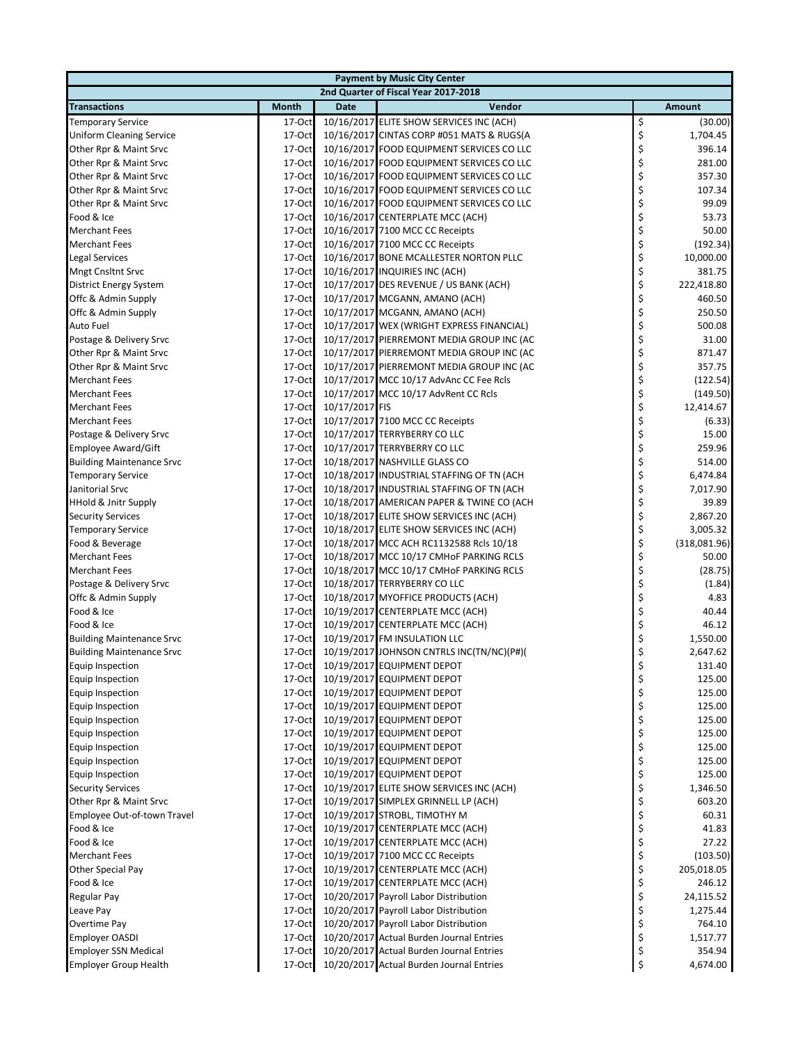| <b>Payment by Music City Center</b>  |              |                |                                           |    |               |  |  |  |
|--------------------------------------|--------------|----------------|-------------------------------------------|----|---------------|--|--|--|
| 2nd Quarter of Fiscal Year 2017-2018 |              |                |                                           |    |               |  |  |  |
| <b>Transactions</b>                  | <b>Month</b> | <b>Date</b>    | Vendor                                    |    | <b>Amount</b> |  |  |  |
| <b>Temporary Service</b>             | 17-Oct       |                | 10/16/2017 ELITE SHOW SERVICES INC (ACH)  | \$ | (30.00)       |  |  |  |
| <b>Uniform Cleaning Service</b>      | $17-Oct$     |                | 10/16/2017 CINTAS CORP #051 MATS & RUGS(A | \$ | 1,704.45      |  |  |  |
| Other Rpr & Maint Srvc               | 17-Oct       |                | 10/16/2017 FOOD EQUIPMENT SERVICES CO LLC | \$ | 396.14        |  |  |  |
| Other Rpr & Maint Srvc               | 17-Oct       |                | 10/16/2017 FOOD EQUIPMENT SERVICES CO LLC | \$ | 281.00        |  |  |  |
| Other Rpr & Maint Srvc               | 17-Oct       |                | 10/16/2017 FOOD EQUIPMENT SERVICES CO LLC | \$ | 357.30        |  |  |  |
| Other Rpr & Maint Srvc               | 17-Oct       |                | 10/16/2017 FOOD EQUIPMENT SERVICES CO LLC | \$ | 107.34        |  |  |  |
| Other Rpr & Maint Srvc               | 17-Oct       |                | 10/16/2017 FOOD EQUIPMENT SERVICES CO LLC | \$ | 99.09         |  |  |  |
| Food & Ice                           | 17-Oct       |                | 10/16/2017 CENTERPLATE MCC (ACH)          | \$ | 53.73         |  |  |  |
| <b>Merchant Fees</b>                 | 17-Oct       |                | 10/16/2017 7100 MCC CC Receipts           | \$ | 50.00         |  |  |  |
| <b>Merchant Fees</b>                 | 17-Oct       |                | 10/16/2017 7100 MCC CC Receipts           | \$ | (192.34)      |  |  |  |
| <b>Legal Services</b>                | 17-Oct       |                | 10/16/2017 BONE MCALLESTER NORTON PLLC    | \$ | 10,000.00     |  |  |  |
| <b>Mngt Cnsltnt Srvc</b>             | 17-Oct       |                | 10/16/2017 INQUIRIES INC (ACH)            | \$ | 381.75        |  |  |  |
| District Energy System               | 17-Oct       |                | 10/17/2017 DES REVENUE / US BANK (ACH)    | \$ | 222,418.80    |  |  |  |
| Offc & Admin Supply                  | 17-Oct       |                | 10/17/2017 MCGANN, AMANO (ACH)            | \$ | 460.50        |  |  |  |
| Offc & Admin Supply                  | 17-Oct       |                | 10/17/2017 MCGANN, AMANO (ACH)            | \$ | 250.50        |  |  |  |
| Auto Fuel                            | 17-Oct       |                | 10/17/2017 WEX (WRIGHT EXPRESS FINANCIAL) | \$ | 500.08        |  |  |  |
| Postage & Delivery Srvc              | 17-Oct       |                | 10/17/2017 PIERREMONT MEDIA GROUP INC (AC | \$ | 31.00         |  |  |  |
| Other Rpr & Maint Srvc               | 17-Oct       |                | 10/17/2017 PIERREMONT MEDIA GROUP INC (AC | \$ | 871.47        |  |  |  |
| Other Rpr & Maint Srvc               | 17-Oct       |                | 10/17/2017 PIERREMONT MEDIA GROUP INC (AC | \$ | 357.75        |  |  |  |
| <b>Merchant Fees</b>                 | 17-Oct       |                | 10/17/2017 MCC 10/17 AdvAnc CC Fee Rcls   | \$ | (122.54)      |  |  |  |
| <b>Merchant Fees</b>                 | 17-Oct       |                | 10/17/2017 MCC 10/17 AdvRent CC Rcls      | \$ | (149.50)      |  |  |  |
| <b>Merchant Fees</b>                 | 17-Oct       | 10/17/2017 FIS |                                           | \$ | 12,414.67     |  |  |  |
| <b>Merchant Fees</b>                 | 17-Oct       |                | 10/17/2017 7100 MCC CC Receipts           | \$ | (6.33)        |  |  |  |
| Postage & Delivery Srvc              | 17-Oct       |                | 10/17/2017 TERRYBERRY CO LLC              | \$ | 15.00         |  |  |  |
| Employee Award/Gift                  | 17-Oct       |                | 10/17/2017 TERRYBERRY CO LLC              | \$ | 259.96        |  |  |  |
| <b>Building Maintenance Srvc</b>     | 17-Oct       |                | 10/18/2017 NASHVILLE GLASS CO             | \$ | 514.00        |  |  |  |
| <b>Temporary Service</b>             | $17-Oct$     |                | 10/18/2017 INDUSTRIAL STAFFING OF TN (ACH | \$ | 6,474.84      |  |  |  |
| Janitorial Srvc                      | 17-Oct       |                | 10/18/2017 INDUSTRIAL STAFFING OF TN (ACH | \$ | 7,017.90      |  |  |  |
| <b>HHold &amp; Jnitr Supply</b>      | 17-Oct       |                | 10/18/2017 AMERICAN PAPER & TWINE CO (ACH | \$ | 39.89         |  |  |  |
| <b>Security Services</b>             | 17-Oct       |                | 10/18/2017 ELITE SHOW SERVICES INC (ACH)  | \$ | 2,867.20      |  |  |  |
| <b>Temporary Service</b>             | 17-Oct       |                | 10/18/2017 ELITE SHOW SERVICES INC (ACH)  | \$ | 3,005.32      |  |  |  |
| Food & Beverage                      | 17-Oct       |                | 10/18/2017 MCC ACH RC1132588 Rcls 10/18   | \$ | (318,081.96)  |  |  |  |
| <b>Merchant Fees</b>                 | 17-Oct       |                | 10/18/2017 MCC 10/17 CMHoF PARKING RCLS   | \$ | 50.00         |  |  |  |
| <b>Merchant Fees</b>                 | 17-Oct       |                | 10/18/2017 MCC 10/17 CMHoF PARKING RCLS   | \$ | (28.75)       |  |  |  |
| Postage & Delivery Srvc              | 17-Oct       |                | 10/18/2017 TERRYBERRY CO LLC              | \$ | (1.84)        |  |  |  |
| Offc & Admin Supply                  | 17-Oct       |                | 10/18/2017 MYOFFICE PRODUCTS (ACH)        | \$ | 4.83          |  |  |  |
| Food & Ice                           | 17-Oct       |                | 10/19/2017 CENTERPLATE MCC (ACH)          | \$ | 40.44         |  |  |  |
| Food & Ice                           | 17-Oct       |                | 10/19/2017 CENTERPLATE MCC (ACH)          | \$ | 46.12         |  |  |  |
| <b>Building Maintenance Srvc</b>     | 17-Oct       |                | 10/19/2017 FM INSULATION LLC              | \$ | 1,550.00      |  |  |  |
| <b>Building Maintenance Srvc</b>     | 17-Oct       |                | 10/19/2017 JOHNSON CNTRLS INC(TN/NC)(P#)( | \$ | 2,647.62      |  |  |  |
| Equip Inspection                     | 17-Oct       |                | 10/19/2017 EQUIPMENT DEPOT                | Ş  | 131.40        |  |  |  |
| Equip Inspection                     | 17-Oct       |                | 10/19/2017 EQUIPMENT DEPOT                | \$ | 125.00        |  |  |  |
| Equip Inspection                     | 17-Oct       |                | 10/19/2017 EQUIPMENT DEPOT                | \$ | 125.00        |  |  |  |
| Equip Inspection                     | 17-Oct       |                | 10/19/2017 EQUIPMENT DEPOT                | \$ | 125.00        |  |  |  |
| Equip Inspection                     | 17-Oct       |                | 10/19/2017 EQUIPMENT DEPOT                | \$ | 125.00        |  |  |  |
| Equip Inspection                     | 17-Oct       |                | 10/19/2017 EQUIPMENT DEPOT                | \$ | 125.00        |  |  |  |
| Equip Inspection                     | 17-Oct       |                | 10/19/2017 EQUIPMENT DEPOT                | \$ | 125.00        |  |  |  |
| Equip Inspection                     | 17-Oct       |                | 10/19/2017 EQUIPMENT DEPOT                | \$ | 125.00        |  |  |  |
| Equip Inspection                     | 17-Oct       |                | 10/19/2017 EQUIPMENT DEPOT                | \$ | 125.00        |  |  |  |
| <b>Security Services</b>             | 17-Oct       |                | 10/19/2017 ELITE SHOW SERVICES INC (ACH)  | \$ | 1,346.50      |  |  |  |
| Other Rpr & Maint Srvc               | 17-Oct       |                | 10/19/2017 SIMPLEX GRINNELL LP (ACH)      | \$ | 603.20        |  |  |  |
| Employee Out-of-town Travel          | 17-Oct       |                | 10/19/2017 STROBL, TIMOTHY M              | \$ | 60.31         |  |  |  |
| Food & Ice                           | 17-Oct       |                | 10/19/2017 CENTERPLATE MCC (ACH)          | \$ | 41.83         |  |  |  |
| Food & Ice                           | 17-Oct       |                | 10/19/2017 CENTERPLATE MCC (ACH)          | \$ | 27.22         |  |  |  |
| <b>Merchant Fees</b>                 | 17-Oct       |                | 10/19/2017 7100 MCC CC Receipts           | \$ | (103.50)      |  |  |  |
| Other Special Pay                    | 17-Oct       |                | 10/19/2017 CENTERPLATE MCC (ACH)          | \$ | 205,018.05    |  |  |  |
| Food & Ice                           | 17-Oct       |                | 10/19/2017 CENTERPLATE MCC (ACH)          | \$ | 246.12        |  |  |  |
| Regular Pay                          | 17-Oct       |                | 10/20/2017 Payroll Labor Distribution     | \$ | 24,115.52     |  |  |  |
| Leave Pay                            | $17-Oct$     |                | 10/20/2017 Payroll Labor Distribution     | \$ | 1,275.44      |  |  |  |
| Overtime Pay                         | 17-Oct       |                | 10/20/2017 Payroll Labor Distribution     | \$ | 764.10        |  |  |  |
| <b>Employer OASDI</b>                | 17-Oct       |                | 10/20/2017 Actual Burden Journal Entries  | \$ | 1,517.77      |  |  |  |
| <b>Employer SSN Medical</b>          | 17-Oct       |                | 10/20/2017 Actual Burden Journal Entries  | \$ | 354.94        |  |  |  |
| <b>Employer Group Health</b>         | 17-Oct       |                | 10/20/2017 Actual Burden Journal Entries  | \$ | 4,674.00      |  |  |  |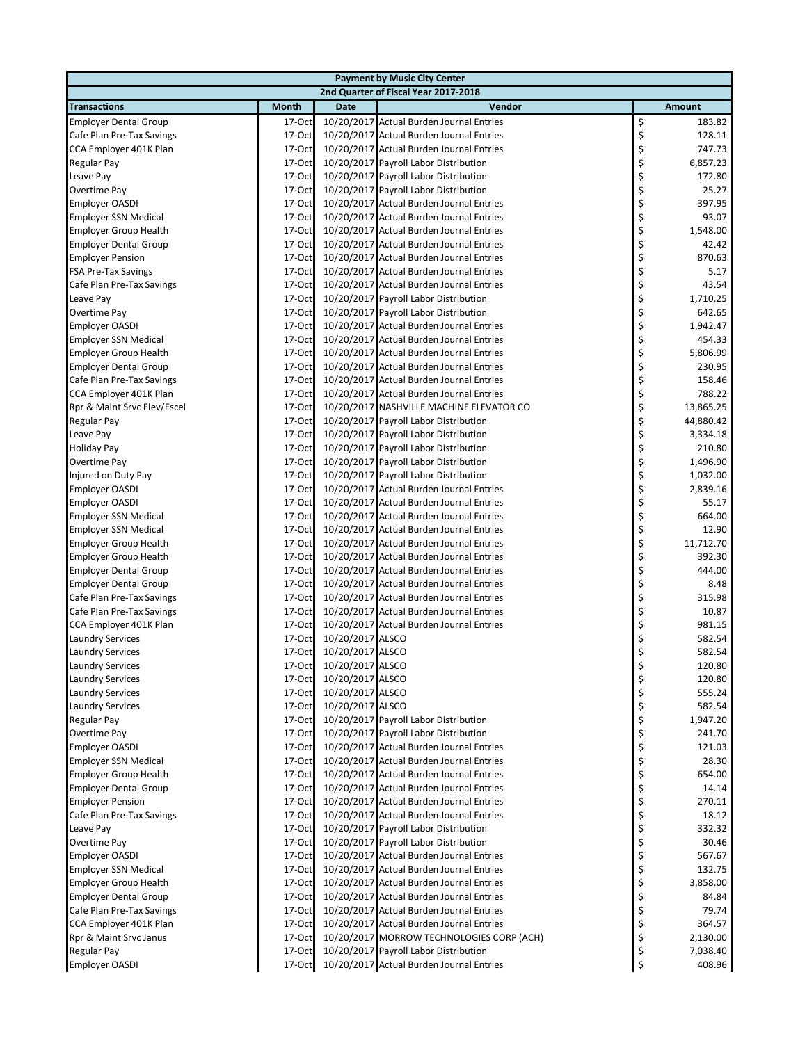| <b>Payment by Music City Center</b> |              |                  |                                           |    |           |  |  |
|-------------------------------------|--------------|------------------|-------------------------------------------|----|-----------|--|--|
|                                     |              |                  | 2nd Quarter of Fiscal Year 2017-2018      |    |           |  |  |
| <b>Transactions</b>                 | <b>Month</b> | <b>Date</b>      | Vendor                                    |    | Amount    |  |  |
| <b>Employer Dental Group</b>        | 17-Oct       |                  | 10/20/2017 Actual Burden Journal Entries  | \$ | 183.82    |  |  |
| Cafe Plan Pre-Tax Savings           | 17-Oct       |                  | 10/20/2017 Actual Burden Journal Entries  | \$ | 128.11    |  |  |
| CCA Employer 401K Plan              | 17-Oct       |                  | 10/20/2017 Actual Burden Journal Entries  | \$ | 747.73    |  |  |
| Regular Pay                         | 17-Oct       |                  | 10/20/2017 Payroll Labor Distribution     | \$ | 6,857.23  |  |  |
| Leave Pay                           | 17-Oct       |                  | 10/20/2017 Payroll Labor Distribution     | \$ | 172.80    |  |  |
| Overtime Pay                        | 17-Oct       |                  | 10/20/2017 Payroll Labor Distribution     | \$ | 25.27     |  |  |
| <b>Employer OASDI</b>               | 17-Oct       |                  | 10/20/2017 Actual Burden Journal Entries  | \$ | 397.95    |  |  |
| <b>Employer SSN Medical</b>         | 17-Oct       |                  | 10/20/2017 Actual Burden Journal Entries  | \$ | 93.07     |  |  |
| <b>Employer Group Health</b>        | 17-Oct       |                  | 10/20/2017 Actual Burden Journal Entries  | \$ | 1,548.00  |  |  |
| <b>Employer Dental Group</b>        | 17-Oct       |                  | 10/20/2017 Actual Burden Journal Entries  | \$ | 42.42     |  |  |
| <b>Employer Pension</b>             | 17-Oct       |                  | 10/20/2017 Actual Burden Journal Entries  | \$ | 870.63    |  |  |
| <b>FSA Pre-Tax Savings</b>          | 17-Oct       |                  | 10/20/2017 Actual Burden Journal Entries  | \$ | 5.17      |  |  |
| Cafe Plan Pre-Tax Savings           | 17-Oct       |                  | 10/20/2017 Actual Burden Journal Entries  | \$ | 43.54     |  |  |
| Leave Pay                           | 17-Oct       |                  | 10/20/2017 Payroll Labor Distribution     | \$ | 1,710.25  |  |  |
| Overtime Pay                        | 17-Oct       |                  | 10/20/2017 Payroll Labor Distribution     | \$ | 642.65    |  |  |
| <b>Employer OASDI</b>               | 17-Oct       |                  | 10/20/2017 Actual Burden Journal Entries  | \$ | 1,942.47  |  |  |
| <b>Employer SSN Medical</b>         | 17-Oct       |                  | 10/20/2017 Actual Burden Journal Entries  | \$ | 454.33    |  |  |
| <b>Employer Group Health</b>        | 17-Oct       |                  | 10/20/2017 Actual Burden Journal Entries  | \$ | 5,806.99  |  |  |
| <b>Employer Dental Group</b>        | $17-Oct$     |                  | 10/20/2017 Actual Burden Journal Entries  | \$ | 230.95    |  |  |
| Cafe Plan Pre-Tax Savings           | 17-Oct       |                  | 10/20/2017 Actual Burden Journal Entries  | \$ | 158.46    |  |  |
| CCA Employer 401K Plan              | 17-Oct       |                  | 10/20/2017 Actual Burden Journal Entries  | \$ | 788.22    |  |  |
| Rpr & Maint Srvc Elev/Escel         | 17-Oct       |                  | 10/20/2017 NASHVILLE MACHINE ELEVATOR CO  | \$ | 13,865.25 |  |  |
| Regular Pay                         | 17-Oct       |                  | 10/20/2017 Payroll Labor Distribution     | \$ | 44,880.42 |  |  |
| Leave Pay                           | 17-Oct       |                  | 10/20/2017 Payroll Labor Distribution     | \$ | 3,334.18  |  |  |
| <b>Holiday Pay</b>                  | 17-Oct       |                  | 10/20/2017 Payroll Labor Distribution     | \$ | 210.80    |  |  |
| Overtime Pay                        | 17-Oct       |                  | 10/20/2017 Payroll Labor Distribution     | \$ | 1,496.90  |  |  |
| Injured on Duty Pay                 | 17-Oct       |                  | 10/20/2017 Payroll Labor Distribution     | \$ | 1,032.00  |  |  |
| <b>Employer OASDI</b>               | 17-Oct       |                  | 10/20/2017 Actual Burden Journal Entries  | \$ | 2,839.16  |  |  |
| <b>Employer OASDI</b>               | 17-Oct       |                  | 10/20/2017 Actual Burden Journal Entries  | \$ | 55.17     |  |  |
| <b>Employer SSN Medical</b>         | $17-Oct$     |                  | 10/20/2017 Actual Burden Journal Entries  | \$ | 664.00    |  |  |
| <b>Employer SSN Medical</b>         | 17-Oct       |                  | 10/20/2017 Actual Burden Journal Entries  | \$ | 12.90     |  |  |
| <b>Employer Group Health</b>        | 17-Oct       |                  | 10/20/2017 Actual Burden Journal Entries  | \$ | 11,712.70 |  |  |
| <b>Employer Group Health</b>        | 17-Oct       |                  | 10/20/2017 Actual Burden Journal Entries  | \$ | 392.30    |  |  |
| <b>Employer Dental Group</b>        | 17-Oct       |                  | 10/20/2017 Actual Burden Journal Entries  | \$ | 444.00    |  |  |
| <b>Employer Dental Group</b>        | 17-Oct       |                  | 10/20/2017 Actual Burden Journal Entries  | \$ | 8.48      |  |  |
| Cafe Plan Pre-Tax Savings           | 17-Oct       |                  | 10/20/2017 Actual Burden Journal Entries  | \$ | 315.98    |  |  |
| Cafe Plan Pre-Tax Savings           | $17-Oct$     |                  | 10/20/2017 Actual Burden Journal Entries  | \$ | 10.87     |  |  |
| CCA Employer 401K Plan              | 17-Oct       |                  | 10/20/2017 Actual Burden Journal Entries  | \$ | 981.15    |  |  |
| <b>Laundry Services</b>             | 17-Oct       | 10/20/2017 ALSCO |                                           | \$ | 582.54    |  |  |
| <b>Laundry Services</b>             | 17-Oct       | 10/20/2017 ALSCO |                                           | \$ | 582.54    |  |  |
| <b>Laundry Services</b>             | 17-Oct       | 10/20/2017 ALSCO |                                           | Ş  | 120.80    |  |  |
| <b>Laundry Services</b>             | 17-Oct       | 10/20/2017 ALSCO |                                           | \$ | 120.80    |  |  |
| <b>Laundry Services</b>             | 17-Oct       | 10/20/2017 ALSCO |                                           | \$ | 555.24    |  |  |
| <b>Laundry Services</b>             | $17-Oct$     | 10/20/2017 ALSCO |                                           | \$ | 582.54    |  |  |
| <b>Regular Pay</b>                  | 17-Oct       |                  | 10/20/2017 Payroll Labor Distribution     | \$ | 1,947.20  |  |  |
| Overtime Pay                        | 17-Oct       |                  | 10/20/2017 Payroll Labor Distribution     | \$ | 241.70    |  |  |
| <b>Employer OASDI</b>               | 17-Oct       |                  | 10/20/2017 Actual Burden Journal Entries  | \$ | 121.03    |  |  |
| <b>Employer SSN Medical</b>         | 17-Oct       |                  | 10/20/2017 Actual Burden Journal Entries  | \$ | 28.30     |  |  |
| <b>Employer Group Health</b>        | 17-Oct       |                  | 10/20/2017 Actual Burden Journal Entries  | \$ | 654.00    |  |  |
| <b>Employer Dental Group</b>        | 17-Oct       |                  | 10/20/2017 Actual Burden Journal Entries  | \$ | 14.14     |  |  |
| <b>Employer Pension</b>             | 17-Oct       |                  | 10/20/2017 Actual Burden Journal Entries  | \$ | 270.11    |  |  |
| Cafe Plan Pre-Tax Savings           | 17-Oct       |                  | 10/20/2017 Actual Burden Journal Entries  | \$ | 18.12     |  |  |
| Leave Pay                           | 17-Oct       |                  | 10/20/2017 Payroll Labor Distribution     | \$ | 332.32    |  |  |
| Overtime Pay                        | 17-Oct       |                  | 10/20/2017 Payroll Labor Distribution     | \$ | 30.46     |  |  |
| <b>Employer OASDI</b>               | 17-Oct       |                  | 10/20/2017 Actual Burden Journal Entries  | \$ | 567.67    |  |  |
| <b>Employer SSN Medical</b>         | 17-Oct       |                  | 10/20/2017 Actual Burden Journal Entries  | \$ | 132.75    |  |  |
| <b>Employer Group Health</b>        | 17-Oct       |                  | 10/20/2017 Actual Burden Journal Entries  | \$ | 3,858.00  |  |  |
| <b>Employer Dental Group</b>        | 17-Oct       |                  | 10/20/2017 Actual Burden Journal Entries  | \$ | 84.84     |  |  |
| Cafe Plan Pre-Tax Savings           | 17-Oct       |                  | 10/20/2017 Actual Burden Journal Entries  | \$ | 79.74     |  |  |
| CCA Employer 401K Plan              | 17-Oct       |                  | 10/20/2017 Actual Burden Journal Entries  | \$ | 364.57    |  |  |
| Rpr & Maint Srvc Janus              | 17-Oct       |                  | 10/20/2017 MORROW TECHNOLOGIES CORP (ACH) | \$ | 2,130.00  |  |  |
| <b>Regular Pay</b>                  | 17-Oct       |                  | 10/20/2017 Payroll Labor Distribution     | \$ | 7,038.40  |  |  |
| <b>Employer OASDI</b>               | 17-Oct       |                  | 10/20/2017 Actual Burden Journal Entries  | \$ | 408.96    |  |  |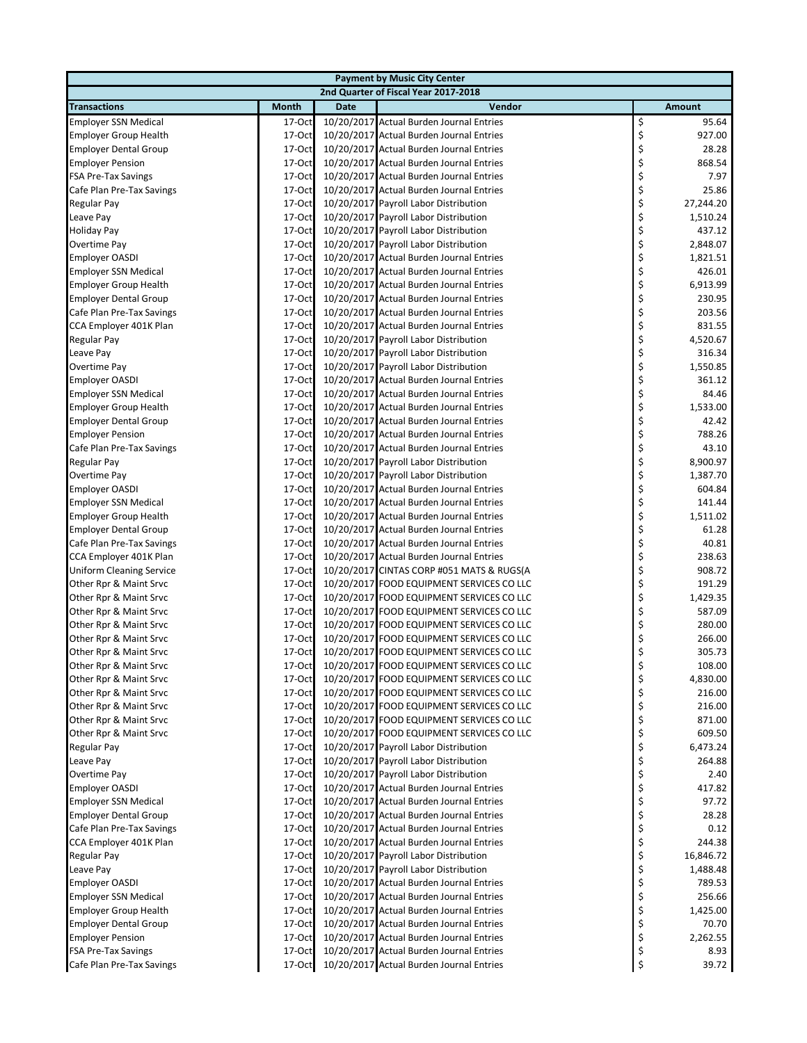|                                 | <b>Payment by Music City Center</b> |             |                                           |    |               |  |  |  |
|---------------------------------|-------------------------------------|-------------|-------------------------------------------|----|---------------|--|--|--|
|                                 |                                     |             | 2nd Quarter of Fiscal Year 2017-2018      |    |               |  |  |  |
| <b>Transactions</b>             | <b>Month</b>                        | <b>Date</b> | Vendor                                    |    | <b>Amount</b> |  |  |  |
| <b>Employer SSN Medical</b>     | 17-Oct                              |             | 10/20/2017 Actual Burden Journal Entries  | \$ | 95.64         |  |  |  |
| <b>Employer Group Health</b>    | 17-Oct                              |             | 10/20/2017 Actual Burden Journal Entries  | \$ | 927.00        |  |  |  |
| <b>Employer Dental Group</b>    | 17-Oct                              |             | 10/20/2017 Actual Burden Journal Entries  | \$ | 28.28         |  |  |  |
| <b>Employer Pension</b>         | 17-Oct                              |             | 10/20/2017 Actual Burden Journal Entries  | \$ | 868.54        |  |  |  |
| FSA Pre-Tax Savings             | 17-Oct                              |             | 10/20/2017 Actual Burden Journal Entries  | \$ | 7.97          |  |  |  |
| Cafe Plan Pre-Tax Savings       | 17-Oct                              |             | 10/20/2017 Actual Burden Journal Entries  | \$ | 25.86         |  |  |  |
| Regular Pay                     | 17-Oct                              |             | 10/20/2017 Payroll Labor Distribution     | \$ | 27,244.20     |  |  |  |
| Leave Pay                       | 17-Oct                              |             | 10/20/2017 Payroll Labor Distribution     | \$ | 1,510.24      |  |  |  |
| <b>Holiday Pay</b>              | 17-Oct                              |             | 10/20/2017 Payroll Labor Distribution     | \$ | 437.12        |  |  |  |
| Overtime Pay                    | 17-Oct                              |             | 10/20/2017 Payroll Labor Distribution     | \$ | 2,848.07      |  |  |  |
| <b>Employer OASDI</b>           | $17-Oct$                            |             | 10/20/2017 Actual Burden Journal Entries  | \$ | 1,821.51      |  |  |  |
| <b>Employer SSN Medical</b>     | 17-Oct                              |             | 10/20/2017 Actual Burden Journal Entries  | \$ | 426.01        |  |  |  |
| <b>Employer Group Health</b>    | 17-Oct                              |             | 10/20/2017 Actual Burden Journal Entries  | \$ | 6,913.99      |  |  |  |
| <b>Employer Dental Group</b>    | 17-Oct                              |             | 10/20/2017 Actual Burden Journal Entries  | \$ | 230.95        |  |  |  |
| Cafe Plan Pre-Tax Savings       | 17-Oct                              |             | 10/20/2017 Actual Burden Journal Entries  | \$ | 203.56        |  |  |  |
| CCA Employer 401K Plan          | 17-Oct                              |             | 10/20/2017 Actual Burden Journal Entries  | \$ | 831.55        |  |  |  |
| Regular Pay                     | 17-Oct                              |             | 10/20/2017 Payroll Labor Distribution     | \$ | 4,520.67      |  |  |  |
| Leave Pay                       | 17-Oct                              |             | 10/20/2017 Payroll Labor Distribution     | \$ | 316.34        |  |  |  |
| Overtime Pay                    | $17-Oct$                            |             | 10/20/2017 Payroll Labor Distribution     | \$ | 1,550.85      |  |  |  |
| <b>Employer OASDI</b>           | 17-Oct                              |             | 10/20/2017 Actual Burden Journal Entries  | \$ | 361.12        |  |  |  |
| <b>Employer SSN Medical</b>     | 17-Oct                              |             | 10/20/2017 Actual Burden Journal Entries  | \$ | 84.46         |  |  |  |
| <b>Employer Group Health</b>    | 17-Oct                              |             | 10/20/2017 Actual Burden Journal Entries  | \$ | 1,533.00      |  |  |  |
| <b>Employer Dental Group</b>    | 17-Oct                              |             | 10/20/2017 Actual Burden Journal Entries  | \$ | 42.42         |  |  |  |
| <b>Employer Pension</b>         | 17-Oct                              |             | 10/20/2017 Actual Burden Journal Entries  | \$ | 788.26        |  |  |  |
| Cafe Plan Pre-Tax Savings       | 17-Oct                              |             | 10/20/2017 Actual Burden Journal Entries  | \$ | 43.10         |  |  |  |
| Regular Pay                     | 17-Oct                              |             | 10/20/2017 Payroll Labor Distribution     | \$ | 8,900.97      |  |  |  |
| Overtime Pay                    | 17-Oct                              |             | 10/20/2017 Payroll Labor Distribution     | \$ | 1,387.70      |  |  |  |
| <b>Employer OASDI</b>           | 17-Oct                              |             | 10/20/2017 Actual Burden Journal Entries  | \$ | 604.84        |  |  |  |
| <b>Employer SSN Medical</b>     | 17-Oct                              |             | 10/20/2017 Actual Burden Journal Entries  | \$ | 141.44        |  |  |  |
| <b>Employer Group Health</b>    | 17-Oct                              |             | 10/20/2017 Actual Burden Journal Entries  | \$ | 1,511.02      |  |  |  |
| <b>Employer Dental Group</b>    | 17-Oct                              |             | 10/20/2017 Actual Burden Journal Entries  | \$ | 61.28         |  |  |  |
| Cafe Plan Pre-Tax Savings       | 17-Oct                              |             | 10/20/2017 Actual Burden Journal Entries  | \$ | 40.81         |  |  |  |
| CCA Employer 401K Plan          | 17-Oct                              |             | 10/20/2017 Actual Burden Journal Entries  | \$ | 238.63        |  |  |  |
| <b>Uniform Cleaning Service</b> | 17-Oct                              |             | 10/20/2017 CINTAS CORP #051 MATS & RUGS(A | \$ | 908.72        |  |  |  |
| Other Rpr & Maint Srvc          | 17-Oct                              |             | 10/20/2017 FOOD EQUIPMENT SERVICES CO LLC | \$ | 191.29        |  |  |  |
| Other Rpr & Maint Srvc          | 17-Oct                              |             | 10/20/2017 FOOD EQUIPMENT SERVICES CO LLC | \$ | 1,429.35      |  |  |  |
| Other Rpr & Maint Srvc          | 17-Oct                              |             | 10/20/2017 FOOD EQUIPMENT SERVICES CO LLC | \$ | 587.09        |  |  |  |
| Other Rpr & Maint Srvc          | 17-Oct                              |             | 10/20/2017 FOOD EQUIPMENT SERVICES CO LLC | \$ | 280.00        |  |  |  |
| Other Rpr & Maint Srvc          | 17-Oct                              |             | 10/20/2017 FOOD EQUIPMENT SERVICES CO LLC | \$ | 266.00        |  |  |  |
| Other Rpr & Maint Srvc          | 17-Oct                              |             | 10/20/2017 FOOD EQUIPMENT SERVICES CO LLC | \$ | 305.73        |  |  |  |
| Other Rpr & Maint Srvc          | 17-Oct                              |             | 10/20/2017 FOOD EQUIPMENT SERVICES CO LLC | Ş  | 108.00        |  |  |  |
| Other Rpr & Maint Srvc          | 17-Oct                              |             | 10/20/2017 FOOD EQUIPMENT SERVICES CO LLC | \$ | 4,830.00      |  |  |  |
| Other Rpr & Maint Srvc          | 17-Oct                              |             | 10/20/2017 FOOD EQUIPMENT SERVICES CO LLC | \$ | 216.00        |  |  |  |
| Other Rpr & Maint Srvc          | 17-Oct                              |             | 10/20/2017 FOOD EQUIPMENT SERVICES CO LLC | \$ | 216.00        |  |  |  |
| Other Rpr & Maint Srvc          | 17-Oct                              |             | 10/20/2017 FOOD EQUIPMENT SERVICES CO LLC | \$ | 871.00        |  |  |  |
| Other Rpr & Maint Srvc          | 17-Oct                              |             | 10/20/2017 FOOD EQUIPMENT SERVICES CO LLC | \$ | 609.50        |  |  |  |
| Regular Pay                     | 17-Oct                              |             | 10/20/2017 Payroll Labor Distribution     | \$ | 6,473.24      |  |  |  |
| Leave Pay                       | 17-Oct                              |             | 10/20/2017 Payroll Labor Distribution     | \$ | 264.88        |  |  |  |
| Overtime Pay                    | 17-Oct                              |             | 10/20/2017 Payroll Labor Distribution     | \$ | 2.40          |  |  |  |
| <b>Employer OASDI</b>           | 17-Oct                              |             | 10/20/2017 Actual Burden Journal Entries  | \$ | 417.82        |  |  |  |
| <b>Employer SSN Medical</b>     | 17-Oct                              |             | 10/20/2017 Actual Burden Journal Entries  | \$ | 97.72         |  |  |  |
| <b>Employer Dental Group</b>    | 17-Oct                              |             | 10/20/2017 Actual Burden Journal Entries  | \$ | 28.28         |  |  |  |
| Cafe Plan Pre-Tax Savings       | 17-Oct                              |             | 10/20/2017 Actual Burden Journal Entries  | \$ | 0.12          |  |  |  |
| CCA Employer 401K Plan          | $17-Oct$                            |             | 10/20/2017 Actual Burden Journal Entries  | \$ | 244.38        |  |  |  |
| Regular Pay                     | 17-Oct                              |             | 10/20/2017 Payroll Labor Distribution     | \$ | 16,846.72     |  |  |  |
| Leave Pay                       | $17$ -Oct                           |             | 10/20/2017 Payroll Labor Distribution     | \$ | 1,488.48      |  |  |  |
| <b>Employer OASDI</b>           | 17-Oct                              |             | 10/20/2017 Actual Burden Journal Entries  | \$ | 789.53        |  |  |  |
| <b>Employer SSN Medical</b>     | 17-Oct                              |             | 10/20/2017 Actual Burden Journal Entries  | \$ | 256.66        |  |  |  |
| <b>Employer Group Health</b>    | 17-Oct                              |             | 10/20/2017 Actual Burden Journal Entries  | \$ | 1,425.00      |  |  |  |
| <b>Employer Dental Group</b>    | 17-Oct                              |             | 10/20/2017 Actual Burden Journal Entries  | \$ | 70.70         |  |  |  |
| <b>Employer Pension</b>         | 17-Oct                              |             | 10/20/2017 Actual Burden Journal Entries  | \$ | 2,262.55      |  |  |  |
| <b>FSA Pre-Tax Savings</b>      | 17-Oct                              |             | 10/20/2017 Actual Burden Journal Entries  | \$ | 8.93          |  |  |  |
| Cafe Plan Pre-Tax Savings       | 17-Oct                              |             | 10/20/2017 Actual Burden Journal Entries  | \$ | 39.72         |  |  |  |
|                                 |                                     |             |                                           |    |               |  |  |  |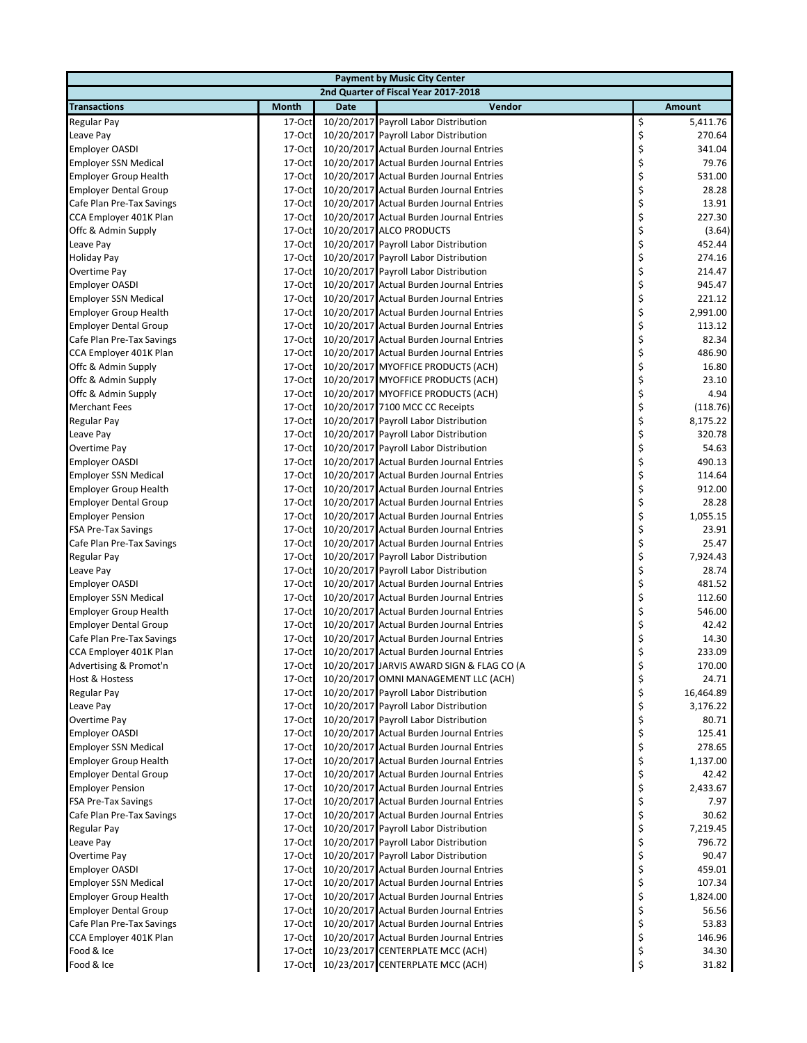| <b>Payment by Music City Center</b>  |              |             |                                           |    |               |  |  |
|--------------------------------------|--------------|-------------|-------------------------------------------|----|---------------|--|--|
| 2nd Quarter of Fiscal Year 2017-2018 |              |             |                                           |    |               |  |  |
| <b>Transactions</b>                  | <b>Month</b> | <b>Date</b> | Vendor                                    |    | <b>Amount</b> |  |  |
| <b>Regular Pay</b>                   | 17-Oct       |             | 10/20/2017 Payroll Labor Distribution     | \$ | 5,411.76      |  |  |
| Leave Pay                            | 17-Oct       |             | 10/20/2017 Payroll Labor Distribution     | \$ | 270.64        |  |  |
| <b>Employer OASDI</b>                | 17-Oct       |             | 10/20/2017 Actual Burden Journal Entries  | \$ | 341.04        |  |  |
| <b>Employer SSN Medical</b>          | 17-Oct       |             | 10/20/2017 Actual Burden Journal Entries  | \$ | 79.76         |  |  |
| <b>Employer Group Health</b>         | $17-Oct$     |             | 10/20/2017 Actual Burden Journal Entries  | \$ | 531.00        |  |  |
| <b>Employer Dental Group</b>         | 17-Oct       |             | 10/20/2017 Actual Burden Journal Entries  | \$ | 28.28         |  |  |
| Cafe Plan Pre-Tax Savings            | 17-Oct       |             | 10/20/2017 Actual Burden Journal Entries  | \$ | 13.91         |  |  |
| CCA Employer 401K Plan               | $17-Oct$     |             | 10/20/2017 Actual Burden Journal Entries  | \$ | 227.30        |  |  |
| Offc & Admin Supply                  | 17-Oct       |             | 10/20/2017 ALCO PRODUCTS                  | \$ | (3.64)        |  |  |
| Leave Pay                            | 17-Oct       |             | 10/20/2017 Payroll Labor Distribution     | \$ | 452.44        |  |  |
| <b>Holiday Pay</b>                   | 17-Oct       |             | 10/20/2017 Payroll Labor Distribution     | \$ | 274.16        |  |  |
| Overtime Pay                         | 17-Oct       |             | 10/20/2017 Payroll Labor Distribution     | \$ | 214.47        |  |  |
| <b>Employer OASDI</b>                | 17-Oct       |             | 10/20/2017 Actual Burden Journal Entries  | \$ | 945.47        |  |  |
| <b>Employer SSN Medical</b>          | 17-Oct       |             | 10/20/2017 Actual Burden Journal Entries  | \$ | 221.12        |  |  |
| <b>Employer Group Health</b>         | 17-Oct       |             | 10/20/2017 Actual Burden Journal Entries  | \$ | 2,991.00      |  |  |
| <b>Employer Dental Group</b>         | 17-Oct       |             | 10/20/2017 Actual Burden Journal Entries  | \$ | 113.12        |  |  |
| Cafe Plan Pre-Tax Savings            | 17-Oct       |             | 10/20/2017 Actual Burden Journal Entries  | \$ | 82.34         |  |  |
| CCA Employer 401K Plan               | 17-Oct       |             | 10/20/2017 Actual Burden Journal Entries  | \$ | 486.90        |  |  |
| Offc & Admin Supply                  | 17-Oct       |             | 10/20/2017 MYOFFICE PRODUCTS (ACH)        | \$ | 16.80         |  |  |
| Offc & Admin Supply                  | 17-Oct       |             | 10/20/2017 MYOFFICE PRODUCTS (ACH)        | \$ | 23.10         |  |  |
| Offc & Admin Supply                  | 17-Oct       |             | 10/20/2017 MYOFFICE PRODUCTS (ACH)        | \$ | 4.94          |  |  |
| <b>Merchant Fees</b>                 | 17-Oct       |             | 10/20/2017 7100 MCC CC Receipts           | \$ | (118.76)      |  |  |
| Regular Pay                          | 17-Oct       |             | 10/20/2017 Payroll Labor Distribution     | \$ | 8,175.22      |  |  |
| Leave Pay                            | 17-Oct       |             | 10/20/2017 Payroll Labor Distribution     | \$ | 320.78        |  |  |
| Overtime Pay                         | 17-Oct       |             | 10/20/2017 Payroll Labor Distribution     | \$ | 54.63         |  |  |
| <b>Employer OASDI</b>                | 17-Oct       |             | 10/20/2017 Actual Burden Journal Entries  | \$ | 490.13        |  |  |
| <b>Employer SSN Medical</b>          | 17-Oct       |             | 10/20/2017 Actual Burden Journal Entries  | \$ | 114.64        |  |  |
| <b>Employer Group Health</b>         | 17-Oct       |             | 10/20/2017 Actual Burden Journal Entries  | \$ | 912.00        |  |  |
| <b>Employer Dental Group</b>         | 17-Oct       |             | 10/20/2017 Actual Burden Journal Entries  | \$ | 28.28         |  |  |
| <b>Employer Pension</b>              | $17-Oct$     |             | 10/20/2017 Actual Burden Journal Entries  | \$ | 1,055.15      |  |  |
| <b>FSA Pre-Tax Savings</b>           | 17-Oct       |             | 10/20/2017 Actual Burden Journal Entries  | \$ | 23.91         |  |  |
| Cafe Plan Pre-Tax Savings            | 17-Oct       |             | 10/20/2017 Actual Burden Journal Entries  | \$ | 25.47         |  |  |
| Regular Pay                          | $17-Oct$     |             | 10/20/2017 Payroll Labor Distribution     | \$ | 7,924.43      |  |  |
| Leave Pay                            | 17-Oct       |             | 10/20/2017 Payroll Labor Distribution     | \$ | 28.74         |  |  |
| <b>Employer OASDI</b>                | 17-Oct       |             | 10/20/2017 Actual Burden Journal Entries  | \$ | 481.52        |  |  |
| <b>Employer SSN Medical</b>          | 17-Oct       |             | 10/20/2017 Actual Burden Journal Entries  | \$ | 112.60        |  |  |
| <b>Employer Group Health</b>         | 17-Oct       |             | 10/20/2017 Actual Burden Journal Entries  | \$ | 546.00        |  |  |
| <b>Employer Dental Group</b>         | 17-Oct       |             | 10/20/2017 Actual Burden Journal Entries  | \$ | 42.42         |  |  |
| Cafe Plan Pre-Tax Savings            | 17-Oct       |             | 10/20/2017 Actual Burden Journal Entries  | \$ | 14.30         |  |  |
| CCA Employer 401K Plan               | 17-Oct       |             | 10/20/2017 Actual Burden Journal Entries  | \$ | 233.09        |  |  |
| Advertising & Promot'n               | 17-Oct       |             | 10/20/2017 JARVIS AWARD SIGN & FLAG CO (A | Ļ  | 170.00        |  |  |
| <b>Host &amp; Hostess</b>            | 17-Oct       |             | 10/20/2017 OMNI MANAGEMENT LLC (ACH)      | \$ | 24.71         |  |  |
| <b>Regular Pay</b>                   | 17-Oct       |             | 10/20/2017 Payroll Labor Distribution     | \$ | 16,464.89     |  |  |
| Leave Pay                            | 17-Oct       |             | 10/20/2017 Payroll Labor Distribution     | \$ | 3,176.22      |  |  |
| Overtime Pay                         | 17-Oct       |             | 10/20/2017 Payroll Labor Distribution     | \$ | 80.71         |  |  |
| <b>Employer OASDI</b>                | 17-Oct       |             | 10/20/2017 Actual Burden Journal Entries  | \$ | 125.41        |  |  |
| <b>Employer SSN Medical</b>          | $17-Oct$     |             | 10/20/2017 Actual Burden Journal Entries  | \$ | 278.65        |  |  |
| <b>Employer Group Health</b>         | $17-Oct$     |             | 10/20/2017 Actual Burden Journal Entries  | \$ | 1,137.00      |  |  |
| <b>Employer Dental Group</b>         | 17-Oct       |             | 10/20/2017 Actual Burden Journal Entries  | \$ | 42.42         |  |  |
| <b>Employer Pension</b>              | 17-Oct       |             | 10/20/2017 Actual Burden Journal Entries  | \$ | 2,433.67      |  |  |
| FSA Pre-Tax Savings                  | 17-Oct       |             | 10/20/2017 Actual Burden Journal Entries  | \$ | 7.97          |  |  |
| Cafe Plan Pre-Tax Savings            | 17-Oct       |             | 10/20/2017 Actual Burden Journal Entries  | \$ | 30.62         |  |  |
| Regular Pay                          | 17-Oct       |             | 10/20/2017 Payroll Labor Distribution     | \$ | 7,219.45      |  |  |
| Leave Pay                            | 17-Oct       |             | 10/20/2017 Payroll Labor Distribution     | \$ | 796.72        |  |  |
| Overtime Pay                         | $17-Oct$     |             | 10/20/2017 Payroll Labor Distribution     | \$ | 90.47         |  |  |
| <b>Employer OASDI</b>                | 17-Oct       |             | 10/20/2017 Actual Burden Journal Entries  | \$ | 459.01        |  |  |
| <b>Employer SSN Medical</b>          | 17-Oct       |             | 10/20/2017 Actual Burden Journal Entries  | \$ | 107.34        |  |  |
| <b>Employer Group Health</b>         | 17-Oct       |             | 10/20/2017 Actual Burden Journal Entries  | \$ | 1,824.00      |  |  |
| <b>Employer Dental Group</b>         | 17-Oct       |             | 10/20/2017 Actual Burden Journal Entries  | \$ | 56.56         |  |  |
| Cafe Plan Pre-Tax Savings            | 17-Oct       |             | 10/20/2017 Actual Burden Journal Entries  | \$ | 53.83         |  |  |
| CCA Employer 401K Plan               | 17-Oct       |             | 10/20/2017 Actual Burden Journal Entries  | \$ | 146.96        |  |  |
| Food & Ice                           | 17-Oct       |             | 10/23/2017 CENTERPLATE MCC (ACH)          | \$ | 34.30         |  |  |
| Food & Ice                           | 17-Oct       |             | 10/23/2017 CENTERPLATE MCC (ACH)          | \$ | 31.82         |  |  |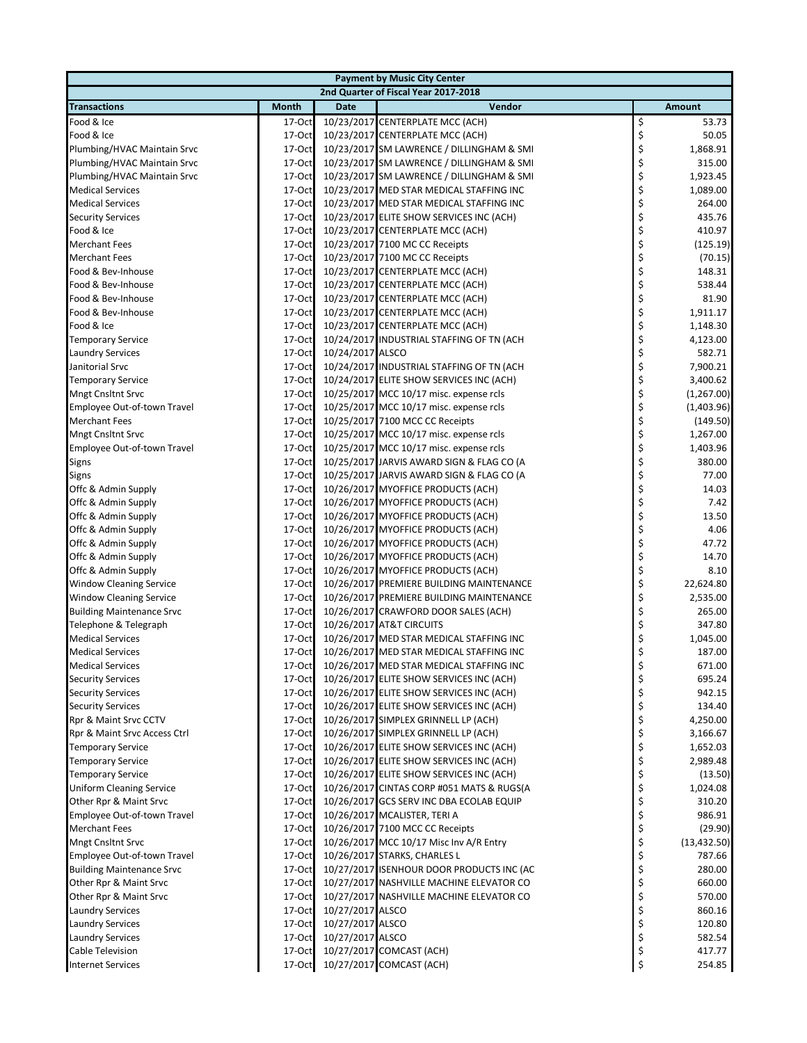| <b>Payment by Music City Center</b> |              |                  |                                           |    |               |  |  |
|-------------------------------------|--------------|------------------|-------------------------------------------|----|---------------|--|--|
|                                     |              |                  | 2nd Quarter of Fiscal Year 2017-2018      |    |               |  |  |
| <b>Transactions</b>                 | <b>Month</b> | <b>Date</b>      | Vendor                                    |    | <b>Amount</b> |  |  |
| Food & Ice                          | 17-Oct       |                  | 10/23/2017 CENTERPLATE MCC (ACH)          | \$ | 53.73         |  |  |
| Food & Ice                          | 17-Oct       |                  | 10/23/2017 CENTERPLATE MCC (ACH)          | \$ | 50.05         |  |  |
| Plumbing/HVAC Maintain Srvc         | 17-Oct       |                  | 10/23/2017 SM LAWRENCE / DILLINGHAM & SMI | \$ | 1,868.91      |  |  |
| Plumbing/HVAC Maintain Srvc         | 17-Oct       |                  | 10/23/2017 SM LAWRENCE / DILLINGHAM & SMI | \$ | 315.00        |  |  |
| Plumbing/HVAC Maintain Srvc         | 17-Oct       |                  | 10/23/2017 SM LAWRENCE / DILLINGHAM & SMI | \$ | 1,923.45      |  |  |
| <b>Medical Services</b>             | 17-Oct       |                  | 10/23/2017 MED STAR MEDICAL STAFFING INC  | \$ | 1,089.00      |  |  |
| <b>Medical Services</b>             | 17-Oct       |                  | 10/23/2017 MED STAR MEDICAL STAFFING INC  | \$ | 264.00        |  |  |
| <b>Security Services</b>            | 17-Oct       |                  | 10/23/2017 ELITE SHOW SERVICES INC (ACH)  | \$ | 435.76        |  |  |
| Food & Ice                          | 17-Oct       |                  | 10/23/2017 CENTERPLATE MCC (ACH)          | \$ | 410.97        |  |  |
| <b>Merchant Fees</b>                | 17-Oct       |                  | 10/23/2017 7100 MC CC Receipts            | \$ | (125.19)      |  |  |
| <b>Merchant Fees</b>                | 17-Oct       |                  | 10/23/2017 7100 MC CC Receipts            | \$ | (70.15)       |  |  |
| Food & Bev-Inhouse                  | 17-Oct       |                  | 10/23/2017 CENTERPLATE MCC (ACH)          | \$ | 148.31        |  |  |
| Food & Bev-Inhouse                  | 17-Oct       |                  | 10/23/2017 CENTERPLATE MCC (ACH)          | \$ | 538.44        |  |  |
| Food & Bev-Inhouse                  | 17-Oct       |                  | 10/23/2017 CENTERPLATE MCC (ACH)          | \$ | 81.90         |  |  |
| Food & Bev-Inhouse                  | 17-Oct       |                  | 10/23/2017 CENTERPLATE MCC (ACH)          | \$ | 1,911.17      |  |  |
| Food & Ice                          | 17-Oct       |                  | 10/23/2017 CENTERPLATE MCC (ACH)          | \$ | 1,148.30      |  |  |
| <b>Temporary Service</b>            | 17-Oct       |                  | 10/24/2017 INDUSTRIAL STAFFING OF TN (ACH | \$ | 4,123.00      |  |  |
| <b>Laundry Services</b>             | 17-Oct       | 10/24/2017 ALSCO |                                           | \$ | 582.71        |  |  |
| Janitorial Srvc                     | 17-Oct       |                  | 10/24/2017 INDUSTRIAL STAFFING OF TN (ACH | \$ | 7,900.21      |  |  |
| <b>Temporary Service</b>            | 17-Oct       |                  | 10/24/2017 ELITE SHOW SERVICES INC (ACH)  | \$ | 3,400.62      |  |  |
| <b>Mngt Cnsltnt Srvc</b>            | 17-Oct       |                  | 10/25/2017 MCC 10/17 misc. expense rcls   | \$ | (1,267.00)    |  |  |
| Employee Out-of-town Travel         | 17-Oct       |                  | 10/25/2017 MCC 10/17 misc. expense rcls   | \$ | (1,403.96)    |  |  |
| <b>Merchant Fees</b>                | 17-Oct       |                  | 10/25/2017 7100 MCC CC Receipts           | \$ | (149.50)      |  |  |
| <b>Mngt Cnsltnt Srvc</b>            | 17-Oct       |                  | 10/25/2017 MCC 10/17 misc. expense rcls   | \$ | 1,267.00      |  |  |
| Employee Out-of-town Travel         | 17-Oct       |                  | 10/25/2017 MCC 10/17 misc. expense rcls   | \$ | 1,403.96      |  |  |
| <b>Signs</b>                        | 17-Oct       |                  | 10/25/2017 JARVIS AWARD SIGN & FLAG CO (A | \$ | 380.00        |  |  |
| Signs                               | 17-Oct       |                  | 10/25/2017 JARVIS AWARD SIGN & FLAG CO (A | \$ | 77.00         |  |  |
| Offc & Admin Supply                 | 17-Oct       |                  | 10/26/2017 MYOFFICE PRODUCTS (ACH)        | \$ | 14.03         |  |  |
| Offc & Admin Supply                 | 17-Oct       |                  | 10/26/2017 MYOFFICE PRODUCTS (ACH)        | \$ | 7.42          |  |  |
| Offc & Admin Supply                 | 17-Oct       |                  | 10/26/2017 MYOFFICE PRODUCTS (ACH)        | \$ | 13.50         |  |  |
| Offc & Admin Supply                 | 17-Oct       |                  | 10/26/2017 MYOFFICE PRODUCTS (ACH)        | \$ | 4.06          |  |  |
| Offc & Admin Supply                 | 17-Oct       |                  | 10/26/2017 MYOFFICE PRODUCTS (ACH)        | \$ | 47.72         |  |  |
| Offc & Admin Supply                 | 17-Oct       |                  | 10/26/2017 MYOFFICE PRODUCTS (ACH)        | \$ | 14.70         |  |  |
| Offc & Admin Supply                 | 17-Oct       |                  | 10/26/2017 MYOFFICE PRODUCTS (ACH)        | \$ | 8.10          |  |  |
| <b>Window Cleaning Service</b>      | 17-Oct       |                  | 10/26/2017 PREMIERE BUILDING MAINTENANCE  | \$ | 22,624.80     |  |  |
| <b>Window Cleaning Service</b>      | 17-Oct       |                  | 10/26/2017 PREMIERE BUILDING MAINTENANCE  | \$ | 2,535.00      |  |  |
| <b>Building Maintenance Srvc</b>    | $17-Oct$     |                  | 10/26/2017 CRAWFORD DOOR SALES (ACH)      | \$ | 265.00        |  |  |
| Telephone & Telegraph               | 17-Oct       |                  | 10/26/2017 AT&T CIRCUITS                  | \$ | 347.80        |  |  |
| <b>Medical Services</b>             | 17-Oct       |                  | 10/26/2017 MED STAR MEDICAL STAFFING INC  | \$ | 1,045.00      |  |  |
| <b>Medical Services</b>             | 17-Oct       |                  | 10/26/2017 MED STAR MEDICAL STAFFING INC  | \$ | 187.00        |  |  |
| <b>Medical Services</b>             | 17-Oct       |                  | 10/26/2017 MED STAR MEDICAL STAFFING INC  | Ş  | 671.00        |  |  |
| <b>Security Services</b>            | 17-Oct       |                  | 10/26/2017 ELITE SHOW SERVICES INC (ACH)  | \$ | 695.24        |  |  |
| <b>Security Services</b>            | 17-Oct       |                  | 10/26/2017 ELITE SHOW SERVICES INC (ACH)  | \$ | 942.15        |  |  |
| <b>Security Services</b>            | 17-Oct       |                  | 10/26/2017 ELITE SHOW SERVICES INC (ACH)  | \$ | 134.40        |  |  |
| Rpr & Maint Srvc CCTV               | $17-Oct$     |                  | 10/26/2017 SIMPLEX GRINNELL LP (ACH)      | \$ | 4,250.00      |  |  |
| Rpr & Maint Srvc Access Ctrl        | 17-Oct       |                  | 10/26/2017 SIMPLEX GRINNELL LP (ACH)      | \$ | 3,166.67      |  |  |
| <b>Temporary Service</b>            | 17-Oct       |                  | 10/26/2017 ELITE SHOW SERVICES INC (ACH)  | \$ | 1,652.03      |  |  |
| <b>Temporary Service</b>            | 17-Oct       |                  | 10/26/2017 ELITE SHOW SERVICES INC (ACH)  | \$ | 2,989.48      |  |  |
| <b>Temporary Service</b>            | 17-Oct       |                  | 10/26/2017 ELITE SHOW SERVICES INC (ACH)  | \$ | (13.50)       |  |  |
| <b>Uniform Cleaning Service</b>     | 17-Oct       |                  | 10/26/2017 CINTAS CORP #051 MATS & RUGS(A | \$ | 1,024.08      |  |  |
| Other Rpr & Maint Srvc              | 17-Oct       |                  | 10/26/2017 GCS SERV INC DBA ECOLAB EQUIP  | \$ | 310.20        |  |  |
| Employee Out-of-town Travel         | 17-Oct       |                  | 10/26/2017 MCALISTER, TERI A              | \$ | 986.91        |  |  |
| <b>Merchant Fees</b>                | 17-Oct       |                  | 10/26/2017 7100 MCC CC Receipts           | \$ | (29.90)       |  |  |
| <b>Mngt Cnsltnt Srvc</b>            | 17-Oct       |                  | 10/26/2017 MCC 10/17 Misc Inv A/R Entry   | \$ | (13, 432.50)  |  |  |
| Employee Out-of-town Travel         | 17-Oct       |                  | 10/26/2017 STARKS, CHARLES L              | \$ | 787.66        |  |  |
| <b>Building Maintenance Srvc</b>    | 17-Oct       |                  | 10/27/2017 ISENHOUR DOOR PRODUCTS INC (AC | \$ | 280.00        |  |  |
| Other Rpr & Maint Srvc              | 17-Oct       |                  | 10/27/2017 NASHVILLE MACHINE ELEVATOR CO  | \$ | 660.00        |  |  |
| Other Rpr & Maint Srvc              | 17-Oct       |                  | 10/27/2017 NASHVILLE MACHINE ELEVATOR CO  | \$ | 570.00        |  |  |
| <b>Laundry Services</b>             | 17-Oct       | 10/27/2017 ALSCO |                                           | \$ | 860.16        |  |  |
| <b>Laundry Services</b>             | 17-Oct       | 10/27/2017 ALSCO |                                           | \$ | 120.80        |  |  |
| <b>Laundry Services</b>             | 17-Oct       | 10/27/2017 ALSCO |                                           | \$ | 582.54        |  |  |
| Cable Television                    | 17-Oct       |                  | 10/27/2017 COMCAST (ACH)                  | \$ | 417.77        |  |  |
| <b>Internet Services</b>            | 17-Oct       |                  | 10/27/2017 COMCAST (ACH)                  | \$ | 254.85        |  |  |
|                                     |              |                  |                                           |    |               |  |  |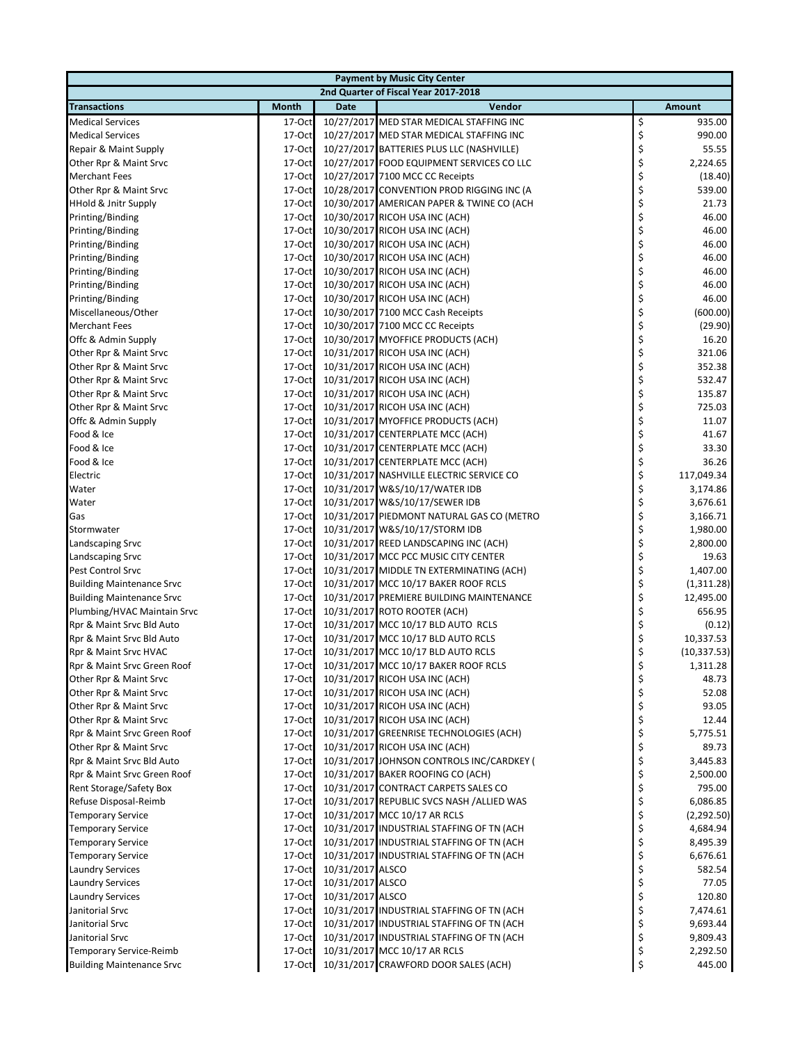| <b>Payment by Music City Center</b>  |              |                  |                                           |    |               |  |  |
|--------------------------------------|--------------|------------------|-------------------------------------------|----|---------------|--|--|
| 2nd Quarter of Fiscal Year 2017-2018 |              |                  |                                           |    |               |  |  |
| <b>Transactions</b>                  | <b>Month</b> | <b>Date</b>      | Vendor                                    |    | <b>Amount</b> |  |  |
| <b>Medical Services</b>              | 17-Oct       |                  | 10/27/2017 MED STAR MEDICAL STAFFING INC  | \$ | 935.00        |  |  |
| <b>Medical Services</b>              | 17-Oct       |                  | 10/27/2017 MED STAR MEDICAL STAFFING INC  | \$ | 990.00        |  |  |
| Repair & Maint Supply                | 17-Oct       |                  | 10/27/2017 BATTERIES PLUS LLC (NASHVILLE) | \$ | 55.55         |  |  |
| Other Rpr & Maint Srvc               | 17-Oct       |                  | 10/27/2017 FOOD EQUIPMENT SERVICES CO LLC | \$ | 2,224.65      |  |  |
| <b>Merchant Fees</b>                 | 17-Oct       |                  | 10/27/2017 7100 MCC CC Receipts           | \$ | (18.40)       |  |  |
| Other Rpr & Maint Srvc               | 17-Oct       |                  | 10/28/2017 CONVENTION PROD RIGGING INC (A | \$ | 539.00        |  |  |
| <b>HHold &amp; Jnitr Supply</b>      | 17-Oct       |                  | 10/30/2017 AMERICAN PAPER & TWINE CO (ACH | \$ | 21.73         |  |  |
| Printing/Binding                     | 17-Oct       |                  | 10/30/2017 RICOH USA INC (ACH)            | \$ | 46.00         |  |  |
| Printing/Binding                     | 17-Oct       |                  | 10/30/2017 RICOH USA INC (ACH)            | \$ | 46.00         |  |  |
| Printing/Binding                     | $17$ -Oct    |                  | 10/30/2017 RICOH USA INC (ACH)            | \$ | 46.00         |  |  |
| Printing/Binding                     | 17-Oct       |                  | 10/30/2017 RICOH USA INC (ACH)            | \$ | 46.00         |  |  |
| Printing/Binding                     | 17-Oct       |                  | 10/30/2017 RICOH USA INC (ACH)            | \$ | 46.00         |  |  |
| Printing/Binding                     | 17-Oct       |                  | 10/30/2017 RICOH USA INC (ACH)            | \$ | 46.00         |  |  |
| Printing/Binding                     | 17-Oct       |                  | 10/30/2017 RICOH USA INC (ACH)            | \$ | 46.00         |  |  |
| Miscellaneous/Other                  | 17-Oct       |                  | 10/30/2017 7100 MCC Cash Receipts         | \$ | (600.00)      |  |  |
| <b>Merchant Fees</b>                 | 17-Oct       |                  | 10/30/2017 7100 MCC CC Receipts           | \$ | (29.90)       |  |  |
| Offc & Admin Supply                  | 17-Oct       |                  | 10/30/2017 MYOFFICE PRODUCTS (ACH)        | \$ | 16.20         |  |  |
| Other Rpr & Maint Srvc               | 17-Oct       |                  | 10/31/2017 RICOH USA INC (ACH)            | \$ | 321.06        |  |  |
| Other Rpr & Maint Srvc               | 17-Oct       |                  | 10/31/2017 RICOH USA INC (ACH)            | \$ | 352.38        |  |  |
| Other Rpr & Maint Srvc               | 17-Oct       |                  | 10/31/2017 RICOH USA INC (ACH)            | \$ | 532.47        |  |  |
| Other Rpr & Maint Srvc               | 17-Oct       |                  | 10/31/2017 RICOH USA INC (ACH)            | \$ | 135.87        |  |  |
| Other Rpr & Maint Srvc               | 17-Oct       |                  | 10/31/2017 RICOH USA INC (ACH)            | \$ | 725.03        |  |  |
| Offc & Admin Supply                  | 17-Oct       |                  | 10/31/2017 MYOFFICE PRODUCTS (ACH)        | \$ | 11.07         |  |  |
| Food & Ice                           | 17-Oct       |                  | 10/31/2017 CENTERPLATE MCC (ACH)          | \$ | 41.67         |  |  |
| Food & Ice                           | 17-Oct       |                  | 10/31/2017 CENTERPLATE MCC (ACH)          | \$ | 33.30         |  |  |
| Food & Ice                           | 17-Oct       |                  | 10/31/2017 CENTERPLATE MCC (ACH)          | \$ | 36.26         |  |  |
| Electric                             | 17-Oct       |                  | 10/31/2017 NASHVILLE ELECTRIC SERVICE CO  | \$ | 117,049.34    |  |  |
| Water                                | 17-Oct       |                  | 10/31/2017 W&S/10/17/WATER IDB            | \$ | 3,174.86      |  |  |
| Water                                | 17-Oct       |                  | 10/31/2017 W&S/10/17/SEWER IDB            | \$ | 3,676.61      |  |  |
| Gas                                  | 17-Oct       |                  | 10/31/2017 PIEDMONT NATURAL GAS CO (METRO | \$ | 3,166.71      |  |  |
| Stormwater                           | 17-Oct       |                  | 10/31/2017 W&S/10/17/STORM IDB            | \$ | 1,980.00      |  |  |
| Landscaping Srvc                     | 17-Oct       |                  | 10/31/2017 REED LANDSCAPING INC (ACH)     | \$ | 2,800.00      |  |  |
| Landscaping Srvc                     | 17-Oct       |                  | 10/31/2017 MCC PCC MUSIC CITY CENTER      | \$ | 19.63         |  |  |
| Pest Control Srvc                    | 17-Oct       |                  | 10/31/2017 MIDDLE TN EXTERMINATING (ACH)  | \$ | 1,407.00      |  |  |
| <b>Building Maintenance Srvc</b>     | 17-Oct       |                  | 10/31/2017 MCC 10/17 BAKER ROOF RCLS      | \$ | (1,311.28)    |  |  |
| <b>Building Maintenance Srvc</b>     | 17-Oct       |                  | 10/31/2017 PREMIERE BUILDING MAINTENANCE  | \$ | 12,495.00     |  |  |
| Plumbing/HVAC Maintain Srvc          | 17-Oct       |                  | 10/31/2017 ROTO ROOTER (ACH)              | \$ | 656.95        |  |  |
| Rpr & Maint Srvc Bld Auto            | 17-Oct       |                  | 10/31/2017 MCC 10/17 BLD AUTO RCLS        | \$ | (0.12)        |  |  |
| Rpr & Maint Srvc Bld Auto            | 17-Oct       |                  | 10/31/2017 MCC 10/17 BLD AUTO RCLS        | \$ | 10,337.53     |  |  |
| Rpr & Maint Srvc HVAC                | 17-Oct       |                  | 10/31/2017 MCC 10/17 BLD AUTO RCLS        | \$ | (10, 337.53)  |  |  |
| Rpr & Maint Srvc Green Roof          | $17 - Oct$   |                  | 10/31/2017 MCC 10/17 BAKER ROOF RCLS      | Ş  | 1,311.28      |  |  |
| Other Rpr & Maint Srvc               | $17$ -Oct    |                  | 10/31/2017 RICOH USA INC (ACH)            | \$ | 48.73         |  |  |
| Other Rpr & Maint Srvc               | 17-Oct       |                  | 10/31/2017 RICOH USA INC (ACH)            | \$ | 52.08         |  |  |
| Other Rpr & Maint Srvc               | 17-Oct       |                  | 10/31/2017 RICOH USA INC (ACH)            | \$ | 93.05         |  |  |
| Other Rpr & Maint Srvc               | 17-Oct       |                  | 10/31/2017 RICOH USA INC (ACH)            | \$ | 12.44         |  |  |
| Rpr & Maint Srvc Green Roof          | 17-Oct       |                  | 10/31/2017 GREENRISE TECHNOLOGIES (ACH)   | \$ | 5,775.51      |  |  |
| Other Rpr & Maint Srvc               | 17-Oct       |                  | 10/31/2017 RICOH USA INC (ACH)            | \$ | 89.73         |  |  |
| Rpr & Maint Srvc Bld Auto            | 17-Oct       |                  | 10/31/2017 JOHNSON CONTROLS INC/CARDKEY ( | \$ | 3,445.83      |  |  |
| Rpr & Maint Srvc Green Roof          | 17-Oct       |                  | 10/31/2017 BAKER ROOFING CO (ACH)         | \$ | 2,500.00      |  |  |
| Rent Storage/Safety Box              | 17-Oct       |                  | 10/31/2017 CONTRACT CARPETS SALES CO      | \$ | 795.00        |  |  |
| Refuse Disposal-Reimb                | 17-Oct       |                  | 10/31/2017 REPUBLIC SVCS NASH /ALLIED WAS | \$ | 6,086.85      |  |  |
| <b>Temporary Service</b>             | 17-Oct       |                  | 10/31/2017 MCC 10/17 AR RCLS              | \$ | (2,292.50)    |  |  |
| <b>Temporary Service</b>             | 17-Oct       |                  | 10/31/2017 INDUSTRIAL STAFFING OF TN (ACH | \$ | 4,684.94      |  |  |
| <b>Temporary Service</b>             | 17-Oct       |                  | 10/31/2017 INDUSTRIAL STAFFING OF TN (ACH | \$ | 8,495.39      |  |  |
| <b>Temporary Service</b>             | 17-Oct       |                  | 10/31/2017 INDUSTRIAL STAFFING OF TN (ACH | \$ | 6,676.61      |  |  |
| <b>Laundry Services</b>              | 17-Oct       | 10/31/2017 ALSCO |                                           | \$ | 582.54        |  |  |
| <b>Laundry Services</b>              | 17-Oct       | 10/31/2017 ALSCO |                                           | \$ | 77.05         |  |  |
| <b>Laundry Services</b>              | 17-Oct       | 10/31/2017 ALSCO |                                           | \$ | 120.80        |  |  |
| Janitorial Srvc                      | 17-Oct       |                  | 10/31/2017 INDUSTRIAL STAFFING OF TN (ACH | \$ | 7,474.61      |  |  |
| Janitorial Srvc                      | $17$ -Oct    |                  | 10/31/2017 INDUSTRIAL STAFFING OF TN (ACH | \$ | 9,693.44      |  |  |
| Janitorial Srvc                      | 17-Oct       |                  | 10/31/2017 INDUSTRIAL STAFFING OF TN (ACH | \$ | 9,809.43      |  |  |
| Temporary Service-Reimb              | 17-Oct       |                  | 10/31/2017 MCC 10/17 AR RCLS              | \$ | 2,292.50      |  |  |
| <b>Building Maintenance Srvc</b>     | 17-Oct       |                  | 10/31/2017 CRAWFORD DOOR SALES (ACH)      | \$ | 445.00        |  |  |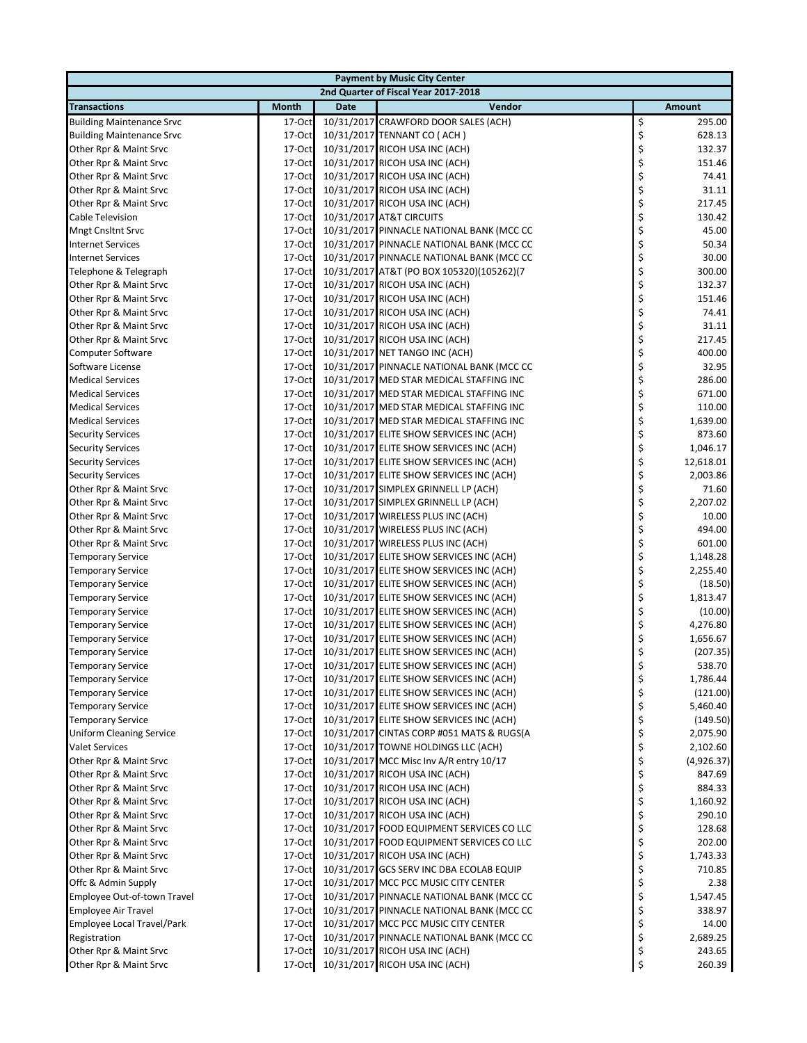| <b>Payment by Music City Center</b> |              |             |                                           |    |            |  |  |
|-------------------------------------|--------------|-------------|-------------------------------------------|----|------------|--|--|
|                                     |              |             | 2nd Quarter of Fiscal Year 2017-2018      |    |            |  |  |
| <b>Transactions</b>                 | <b>Month</b> | <b>Date</b> | Vendor                                    |    | Amount     |  |  |
| <b>Building Maintenance Srvc</b>    | 17-Oct       |             | 10/31/2017 CRAWFORD DOOR SALES (ACH)      | \$ | 295.00     |  |  |
| <b>Building Maintenance Srvc</b>    | 17-Oct       |             | 10/31/2017 TENNANT CO (ACH)               | \$ | 628.13     |  |  |
| Other Rpr & Maint Srvc              | 17-Oct       |             | 10/31/2017 RICOH USA INC (ACH)            | \$ | 132.37     |  |  |
| Other Rpr & Maint Srvc              | 17-Oct       |             | 10/31/2017 RICOH USA INC (ACH)            | \$ | 151.46     |  |  |
| Other Rpr & Maint Srvc              | $17-Oct$     |             | 10/31/2017 RICOH USA INC (ACH)            | \$ | 74.41      |  |  |
| Other Rpr & Maint Srvc              | 17-Oct       |             | 10/31/2017 RICOH USA INC (ACH)            | \$ | 31.11      |  |  |
| Other Rpr & Maint Srvc              | 17-Oct       |             | 10/31/2017 RICOH USA INC (ACH)            | \$ | 217.45     |  |  |
| Cable Television                    | $17-Oct$     |             | 10/31/2017 AT&T CIRCUITS                  | \$ | 130.42     |  |  |
| <b>Mngt Cnsltnt Srvc</b>            | 17-Oct       |             | 10/31/2017 PINNACLE NATIONAL BANK (MCC CC | \$ | 45.00      |  |  |
| <b>Internet Services</b>            | 17-Oct       |             | 10/31/2017 PINNACLE NATIONAL BANK (MCC CC | \$ | 50.34      |  |  |
| <b>Internet Services</b>            | 17-Oct       |             | 10/31/2017 PINNACLE NATIONAL BANK (MCC CC | \$ | 30.00      |  |  |
| Telephone & Telegraph               | 17-Oct       |             | 10/31/2017 AT&T (PO BOX 105320)(105262)(7 | \$ | 300.00     |  |  |
| Other Rpr & Maint Srvc              | $17-Oct$     |             | 10/31/2017 RICOH USA INC (ACH)            | \$ | 132.37     |  |  |
| Other Rpr & Maint Srvc              | 17-Oct       |             | 10/31/2017 RICOH USA INC (ACH)            | \$ | 151.46     |  |  |
| Other Rpr & Maint Srvc              | $17-Oct$     |             | 10/31/2017 RICOH USA INC (ACH)            | \$ | 74.41      |  |  |
| Other Rpr & Maint Srvc              | 17-Oct       |             | 10/31/2017 RICOH USA INC (ACH)            | \$ | 31.11      |  |  |
| Other Rpr & Maint Srvc              | 17-Oct       |             | 10/31/2017 RICOH USA INC (ACH)            | \$ | 217.45     |  |  |
| Computer Software                   | 17-Oct       |             | 10/31/2017 NET TANGO INC (ACH)            | \$ | 400.00     |  |  |
| Software License                    | 17-Oct       |             | 10/31/2017 PINNACLE NATIONAL BANK (MCC CC | \$ | 32.95      |  |  |
| <b>Medical Services</b>             | 17-Oct       |             | 10/31/2017 MED STAR MEDICAL STAFFING INC  | \$ | 286.00     |  |  |
| <b>Medical Services</b>             | 17-Oct       |             | 10/31/2017 MED STAR MEDICAL STAFFING INC  | \$ | 671.00     |  |  |
| <b>Medical Services</b>             | $17-Oct$     |             | 10/31/2017 MED STAR MEDICAL STAFFING INC  | \$ | 110.00     |  |  |
| <b>Medical Services</b>             | $17-Oct$     |             | 10/31/2017 MED STAR MEDICAL STAFFING INC  | \$ | 1,639.00   |  |  |
| <b>Security Services</b>            | 17-Oct       |             | 10/31/2017 ELITE SHOW SERVICES INC (ACH)  | \$ | 873.60     |  |  |
|                                     | 17-Oct       |             | 10/31/2017 ELITE SHOW SERVICES INC (ACH)  | \$ | 1,046.17   |  |  |
| <b>Security Services</b>            | 17-Oct       |             | 10/31/2017 ELITE SHOW SERVICES INC (ACH)  | \$ | 12,618.01  |  |  |
| <b>Security Services</b>            |              |             |                                           |    |            |  |  |
| <b>Security Services</b>            | 17-Oct       |             | 10/31/2017 ELITE SHOW SERVICES INC (ACH)  | \$ | 2,003.86   |  |  |
| Other Rpr & Maint Srvc              | 17-Oct       |             | 10/31/2017 SIMPLEX GRINNELL LP (ACH)      | \$ | 71.60      |  |  |
| Other Rpr & Maint Srvc              | 17-Oct       |             | 10/31/2017 SIMPLEX GRINNELL LP (ACH)      | \$ | 2,207.02   |  |  |
| Other Rpr & Maint Srvc              | $17-Oct$     |             | 10/31/2017 WIRELESS PLUS INC (ACH)        | \$ | 10.00      |  |  |
| Other Rpr & Maint Srvc              | 17-Oct       |             | 10/31/2017 WIRELESS PLUS INC (ACH)        | \$ | 494.00     |  |  |
| Other Rpr & Maint Srvc              | 17-Oct       |             | 10/31/2017 WIRELESS PLUS INC (ACH)        | \$ | 601.00     |  |  |
| <b>Temporary Service</b>            | $17-Oct$     |             | 10/31/2017 ELITE SHOW SERVICES INC (ACH)  | \$ | 1,148.28   |  |  |
| <b>Temporary Service</b>            | 17-Oct       |             | 10/31/2017 ELITE SHOW SERVICES INC (ACH)  | \$ | 2,255.40   |  |  |
| <b>Temporary Service</b>            | 17-Oct       |             | 10/31/2017 ELITE SHOW SERVICES INC (ACH)  | \$ | (18.50)    |  |  |
| <b>Temporary Service</b>            | 17-Oct       |             | 10/31/2017 ELITE SHOW SERVICES INC (ACH)  | \$ | 1,813.47   |  |  |
| <b>Temporary Service</b>            | 17-Oct       |             | 10/31/2017 ELITE SHOW SERVICES INC (ACH)  | \$ | (10.00)    |  |  |
| <b>Temporary Service</b>            | $17-Oct$     |             | 10/31/2017 ELITE SHOW SERVICES INC (ACH)  | \$ | 4,276.80   |  |  |
| <b>Temporary Service</b>            | 17-Oct       |             | 10/31/2017 ELITE SHOW SERVICES INC (ACH)  | \$ | 1,656.67   |  |  |
| <b>Temporary Service</b>            | $17-Oct$     |             | 10/31/2017 ELITE SHOW SERVICES INC (ACH)  | \$ | (207.35)   |  |  |
| <b>Temporary Service</b>            | $17 - Oct$   |             | 10/31/2017 ELITE SHOW SERVICES INC (ACH)  | Ş  | 538.70     |  |  |
| <b>Temporary Service</b>            | 17-Oct       |             | 10/31/2017 ELITE SHOW SERVICES INC (ACH)  | \$ | 1,786.44   |  |  |
| <b>Temporary Service</b>            | 17-Oct       |             | 10/31/2017 ELITE SHOW SERVICES INC (ACH)  | \$ | (121.00)   |  |  |
| <b>Temporary Service</b>            | $17-Oct$     |             | 10/31/2017 ELITE SHOW SERVICES INC (ACH)  | \$ | 5,460.40   |  |  |
| <b>Temporary Service</b>            | $17-Oct$     |             | 10/31/2017 ELITE SHOW SERVICES INC (ACH)  | \$ | (149.50)   |  |  |
| Uniform Cleaning Service            | 17-Oct       |             | 10/31/2017 CINTAS CORP #051 MATS & RUGS(A | \$ | 2,075.90   |  |  |
| <b>Valet Services</b>               | $17-Oct$     |             | 10/31/2017 TOWNE HOLDINGS LLC (ACH)       | \$ | 2,102.60   |  |  |
| Other Rpr & Maint Srvc              | $17-Oct$     |             | 10/31/2017 MCC Misc Inv A/R entry 10/17   | \$ | (4,926.37) |  |  |
| Other Rpr & Maint Srvc              | 17-Oct       |             | 10/31/2017 RICOH USA INC (ACH)            | \$ | 847.69     |  |  |
| Other Rpr & Maint Srvc              | 17-Oct       |             | 10/31/2017 RICOH USA INC (ACH)            | \$ | 884.33     |  |  |
| Other Rpr & Maint Srvc              | 17-Oct       |             | 10/31/2017 RICOH USA INC (ACH)            | \$ | 1,160.92   |  |  |
| Other Rpr & Maint Srvc              | 17-Oct       |             | 10/31/2017 RICOH USA INC (ACH)            | \$ | 290.10     |  |  |
| Other Rpr & Maint Srvc              | 17-Oct       |             | 10/31/2017 FOOD EQUIPMENT SERVICES CO LLC | \$ | 128.68     |  |  |
| Other Rpr & Maint Srvc              | 17-Oct       |             | 10/31/2017 FOOD EQUIPMENT SERVICES CO LLC | \$ | 202.00     |  |  |
| Other Rpr & Maint Srvc              | $17-Oct$     |             | 10/31/2017 RICOH USA INC (ACH)            | \$ | 1,743.33   |  |  |
| Other Rpr & Maint Srvc              | $17-Oct$     |             | 10/31/2017 GCS SERV INC DBA ECOLAB EQUIP  | \$ | 710.85     |  |  |
| Offc & Admin Supply                 | 17-Oct       |             | 10/31/2017 MCC PCC MUSIC CITY CENTER      | \$ | 2.38       |  |  |
| Employee Out-of-town Travel         | 17-Oct       |             | 10/31/2017 PINNACLE NATIONAL BANK (MCC CC | \$ | 1,547.45   |  |  |
| Employee Air Travel                 | 17-Oct       |             | 10/31/2017 PINNACLE NATIONAL BANK (MCC CC | \$ | 338.97     |  |  |
| Employee Local Travel/Park          | 17-Oct       |             | 10/31/2017 MCC PCC MUSIC CITY CENTER      | \$ | 14.00      |  |  |
| Registration                        | 17-Oct       |             | 10/31/2017 PINNACLE NATIONAL BANK (MCC CC | \$ | 2,689.25   |  |  |
| Other Rpr & Maint Srvc              | 17-Oct       |             | 10/31/2017 RICOH USA INC (ACH)            | \$ | 243.65     |  |  |
| Other Rpr & Maint Srvc              | 17-Oct       |             | 10/31/2017 RICOH USA INC (ACH)            | \$ | 260.39     |  |  |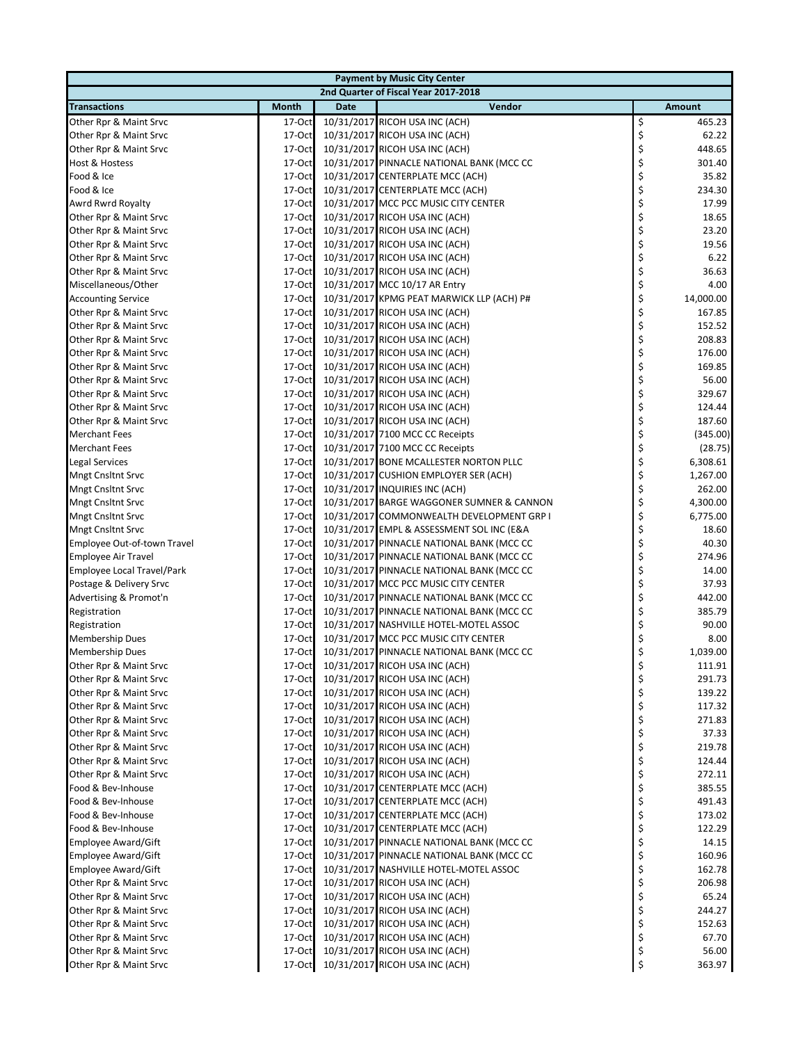| <b>Payment by Music City Center</b>              |                      |             |                                                                                     |          |                  |  |  |
|--------------------------------------------------|----------------------|-------------|-------------------------------------------------------------------------------------|----------|------------------|--|--|
|                                                  |                      |             | 2nd Quarter of Fiscal Year 2017-2018                                                |          |                  |  |  |
| <b>Transactions</b>                              | <b>Month</b>         | <b>Date</b> | Vendor                                                                              |          | <b>Amount</b>    |  |  |
| Other Rpr & Maint Srvc                           | 17-Oct               |             | 10/31/2017 RICOH USA INC (ACH)                                                      | \$       | 465.23           |  |  |
| Other Rpr & Maint Srvc                           | 17-Oct               |             | 10/31/2017 RICOH USA INC (ACH)                                                      | \$       | 62.22            |  |  |
| Other Rpr & Maint Srvc                           | 17-Oct               |             | 10/31/2017 RICOH USA INC (ACH)                                                      | \$       | 448.65           |  |  |
| Host & Hostess                                   | $17-Oct$             |             | 10/31/2017 PINNACLE NATIONAL BANK (MCC CC                                           | \$       | 301.40           |  |  |
| Food & Ice                                       | 17-Oct               |             | 10/31/2017 CENTERPLATE MCC (ACH)                                                    | \$       | 35.82            |  |  |
| Food & Ice                                       | 17-Oct               |             | 10/31/2017 CENTERPLATE MCC (ACH)                                                    | \$       | 234.30           |  |  |
| Awrd Rwrd Royalty                                | 17-Oct               |             | 10/31/2017 MCC PCC MUSIC CITY CENTER                                                | \$       | 17.99            |  |  |
| Other Rpr & Maint Srvc                           | 17-Oct               |             | 10/31/2017 RICOH USA INC (ACH)                                                      | \$       | 18.65            |  |  |
| Other Rpr & Maint Srvc                           | 17-Oct               |             | 10/31/2017 RICOH USA INC (ACH)                                                      | \$       | 23.20            |  |  |
| Other Rpr & Maint Srvc                           | 17-Oct               |             | 10/31/2017 RICOH USA INC (ACH)                                                      | \$       | 19.56            |  |  |
| Other Rpr & Maint Srvc                           | 17-Oct               |             | 10/31/2017 RICOH USA INC (ACH)                                                      | \$       | 6.22             |  |  |
| Other Rpr & Maint Srvc                           | $17-Oct$             |             | 10/31/2017 RICOH USA INC (ACH)                                                      | \$       | 36.63            |  |  |
| Miscellaneous/Other                              | 17-Oct               |             | 10/31/2017 MCC 10/17 AR Entry                                                       | \$       | 4.00             |  |  |
| <b>Accounting Service</b>                        | 17-Oct               |             | 10/31/2017 KPMG PEAT MARWICK LLP (ACH) P#                                           | \$       | 14,000.00        |  |  |
| Other Rpr & Maint Srvc                           | 17-Oct               |             | 10/31/2017 RICOH USA INC (ACH)                                                      | \$       | 167.85           |  |  |
| Other Rpr & Maint Srvc                           | 17-Oct               |             | 10/31/2017 RICOH USA INC (ACH)                                                      | \$       | 152.52           |  |  |
| Other Rpr & Maint Srvc                           | 17-Oct               |             | 10/31/2017 RICOH USA INC (ACH)                                                      | \$       | 208.83           |  |  |
| Other Rpr & Maint Srvc                           | 17-Oct               |             | 10/31/2017 RICOH USA INC (ACH)                                                      | \$       | 176.00           |  |  |
| Other Rpr & Maint Srvc                           | $17-Oct$             |             | 10/31/2017 RICOH USA INC (ACH)                                                      | \$       | 169.85           |  |  |
| Other Rpr & Maint Srvc                           | 17-Oct               |             | 10/31/2017 RICOH USA INC (ACH)                                                      | \$       | 56.00            |  |  |
| Other Rpr & Maint Srvc                           | 17-Oct               |             | 10/31/2017 RICOH USA INC (ACH)                                                      | \$       | 329.67           |  |  |
| Other Rpr & Maint Srvc                           | 17-Oct               |             | 10/31/2017 RICOH USA INC (ACH)                                                      | \$       | 124.44           |  |  |
| Other Rpr & Maint Srvc                           | 17-Oct               |             | 10/31/2017 RICOH USA INC (ACH)                                                      | \$       | 187.60           |  |  |
| <b>Merchant Fees</b>                             | 17-Oct               |             | 10/31/2017 7100 MCC CC Receipts                                                     | \$       | (345.00)         |  |  |
| <b>Merchant Fees</b>                             | 17-Oct               |             | 10/31/2017 7100 MCC CC Receipts                                                     | \$       | (28.75)          |  |  |
| Legal Services                                   | 17-Oct               |             | 10/31/2017 BONE MCALLESTER NORTON PLLC                                              | \$       | 6,308.61         |  |  |
| <b>Mngt Cnsltnt Srvc</b>                         | 17-Oct               |             | 10/31/2017 CUSHION EMPLOYER SER (ACH)                                               | \$       | 1,267.00         |  |  |
| <b>Mngt Cnsltnt Srvc</b>                         | 17-Oct               |             | 10/31/2017 INQUIRIES INC (ACH)                                                      | \$       | 262.00           |  |  |
| <b>Mngt Cnsltnt Srvc</b>                         | 17-Oct               |             | 10/31/2017 BARGE WAGGONER SUMNER & CANNON                                           | \$       | 4,300.00         |  |  |
| <b>Mngt Cnsltnt Srvc</b>                         | 17-Oct               |             | 10/31/2017 COMMONWEALTH DEVELOPMENT GRP I                                           | \$       | 6,775.00         |  |  |
| <b>Mngt Cnsltnt Srvc</b>                         | 17-Oct               |             | 10/31/2017 EMPL & ASSESSMENT SOL INC (E&A                                           | \$       | 18.60            |  |  |
| Employee Out-of-town Travel                      | 17-Oct               |             | 10/31/2017 PINNACLE NATIONAL BANK (MCC CC                                           | \$       | 40.30            |  |  |
| <b>Employee Air Travel</b>                       | 17-Oct               |             | 10/31/2017 PINNACLE NATIONAL BANK (MCC CC                                           | \$       | 274.96           |  |  |
| Employee Local Travel/Park                       | 17-Oct               |             | 10/31/2017 PINNACLE NATIONAL BANK (MCC CC                                           | \$       | 14.00            |  |  |
| Postage & Delivery Srvc                          | 17-Oct               |             | 10/31/2017 MCC PCC MUSIC CITY CENTER                                                | \$       | 37.93            |  |  |
| Advertising & Promot'n                           | 17-Oct               |             | 10/31/2017 PINNACLE NATIONAL BANK (MCC CC                                           | \$       | 442.00           |  |  |
| Registration                                     | $17-Oct$             |             | 10/31/2017 PINNACLE NATIONAL BANK (MCC CC                                           | \$       | 385.79           |  |  |
| Registration                                     | 17-Oct               |             | 10/31/2017 NASHVILLE HOTEL-MOTEL ASSOC                                              | \$       | 90.00            |  |  |
| <b>Membership Dues</b>                           | 17-Oct               |             | 10/31/2017 MCC PCC MUSIC CITY CENTER                                                | \$       | 8.00             |  |  |
| <b>Membership Dues</b>                           | 17-Oct               |             | 10/31/2017 PINNACLE NATIONAL BANK (MCC CC                                           | \$       | 1,039.00         |  |  |
| Other Rpr & Maint Srvc                           | 17-Octl              |             | 10/31/2017 RICOH USA INC (ACH)                                                      | Ş        | 111.91           |  |  |
| Other Rpr & Maint Srvc                           | 17-Oct               |             | 10/31/2017 RICOH USA INC (ACH)                                                      | \$       | 291.73           |  |  |
| Other Rpr & Maint Srvc                           | $17-Oct$             |             | 10/31/2017 RICOH USA INC (ACH)                                                      | \$       | 139.22           |  |  |
| Other Rpr & Maint Srvc                           | $17-Oct$             |             | 10/31/2017 RICOH USA INC (ACH)                                                      | \$       | 117.32           |  |  |
| Other Rpr & Maint Srvc                           | $17-Oct$             |             | 10/31/2017 RICOH USA INC (ACH)                                                      | \$       | 271.83           |  |  |
| Other Rpr & Maint Srvc                           | 17-Oct               |             | 10/31/2017 RICOH USA INC (ACH)                                                      | \$<br>\$ | 37.33            |  |  |
| Other Rpr & Maint Srvc                           | $17-Oct$             |             | 10/31/2017 RICOH USA INC (ACH)                                                      |          | 219.78           |  |  |
| Other Rpr & Maint Srvc<br>Other Rpr & Maint Srvc | $17-Oct$             |             | 10/31/2017 RICOH USA INC (ACH)                                                      | \$       | 124.44           |  |  |
| Food & Bev-Inhouse                               | 17-Oct               |             | 10/31/2017 RICOH USA INC (ACH)                                                      | \$<br>\$ | 272.11<br>385.55 |  |  |
| Food & Bev-Inhouse                               | 17-Oct<br>$17-Oct$   |             | 10/31/2017 CENTERPLATE MCC (ACH)<br>10/31/2017 CENTERPLATE MCC (ACH)                | \$       | 491.43           |  |  |
| Food & Bev-Inhouse                               |                      |             | 10/31/2017 CENTERPLATE MCC (ACH)                                                    | \$       |                  |  |  |
| Food & Bev-Inhouse                               | $17-Oct$<br>$17-Oct$ |             | 10/31/2017 CENTERPLATE MCC (ACH)                                                    | \$       | 173.02<br>122.29 |  |  |
| Employee Award/Gift                              | $17-Oct$             |             | 10/31/2017 PINNACLE NATIONAL BANK (MCC CC                                           | \$       | 14.15            |  |  |
|                                                  |                      |             |                                                                                     | \$       |                  |  |  |
| Employee Award/Gift<br>Employee Award/Gift       | $17-Oct$<br>17-Oct   |             | 10/31/2017 PINNACLE NATIONAL BANK (MCC CC<br>10/31/2017 NASHVILLE HOTEL-MOTEL ASSOC | \$       | 160.96<br>162.78 |  |  |
| Other Rpr & Maint Srvc                           | 17-Oct               |             | 10/31/2017 RICOH USA INC (ACH)                                                      | \$       | 206.98           |  |  |
| Other Rpr & Maint Srvc                           | 17-Oct               |             | 10/31/2017 RICOH USA INC (ACH)                                                      | \$       | 65.24            |  |  |
| Other Rpr & Maint Srvc                           | $17-Oct$             |             | 10/31/2017 RICOH USA INC (ACH)                                                      | \$       | 244.27           |  |  |
| Other Rpr & Maint Srvc                           | 17-Oct               |             | 10/31/2017 RICOH USA INC (ACH)                                                      | \$       | 152.63           |  |  |
| Other Rpr & Maint Srvc                           | $17-Oct$             |             | 10/31/2017 RICOH USA INC (ACH)                                                      | \$       | 67.70            |  |  |
| Other Rpr & Maint Srvc                           | 17-Oct               |             | 10/31/2017 RICOH USA INC (ACH)                                                      | \$       | 56.00            |  |  |
| Other Rpr & Maint Srvc                           | 17-Oct               |             | 10/31/2017 RICOH USA INC (ACH)                                                      | \$       | 363.97           |  |  |
|                                                  |                      |             |                                                                                     |          |                  |  |  |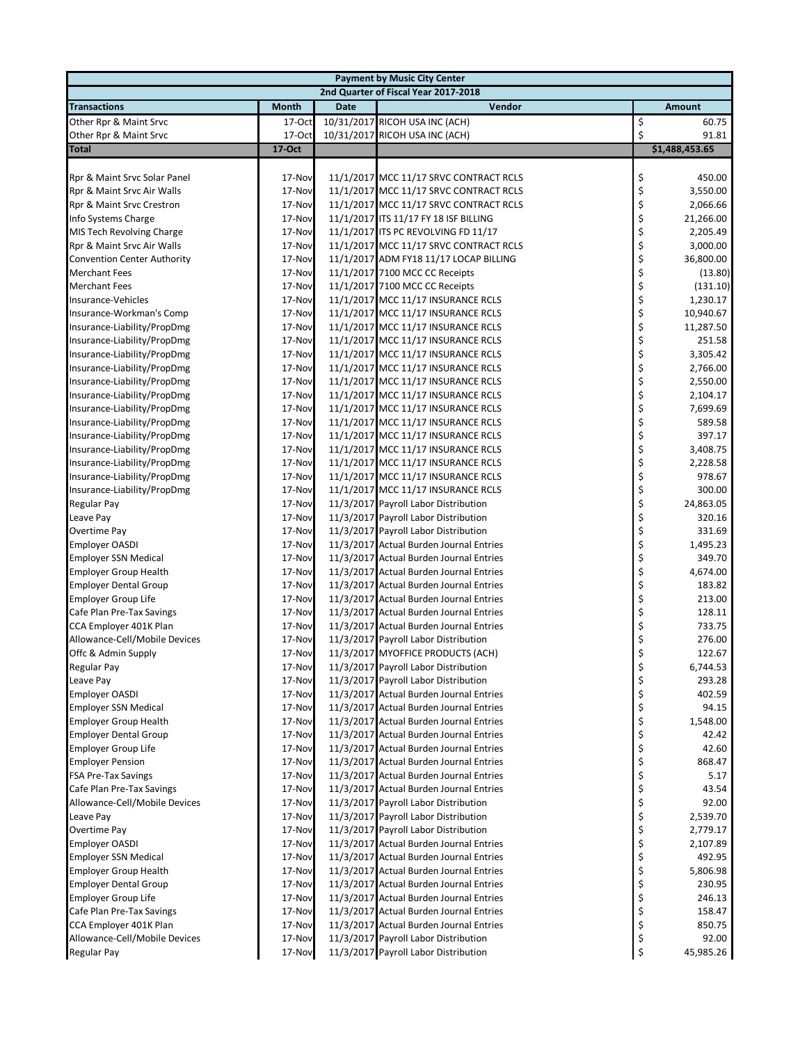| <b>Payment by Music City Center</b>                        |                  |             |                                                                                    |          |                      |  |  |  |
|------------------------------------------------------------|------------------|-------------|------------------------------------------------------------------------------------|----------|----------------------|--|--|--|
|                                                            |                  |             | 2nd Quarter of Fiscal Year 2017-2018                                               |          |                      |  |  |  |
| <b>Transactions</b>                                        | <b>Month</b>     | <b>Date</b> | Vendor                                                                             |          | <b>Amount</b>        |  |  |  |
| Other Rpr & Maint Srvc                                     | 17-Oct           |             | 10/31/2017 RICOH USA INC (ACH)                                                     | \$       | 60.75                |  |  |  |
| Other Rpr & Maint Srvc                                     | 17-Oct           |             | 10/31/2017 RICOH USA INC (ACH)                                                     | \$       | 91.81                |  |  |  |
| <b>Total</b>                                               | 17-Oct           |             |                                                                                    |          | \$1,488,453.65       |  |  |  |
|                                                            |                  |             |                                                                                    |          |                      |  |  |  |
| Rpr & Maint Srvc Solar Panel                               | 17-Nov           |             | 11/1/2017 MCC 11/17 SRVC CONTRACT RCLS                                             | \$       | 450.00               |  |  |  |
| Rpr & Maint Srvc Air Walls                                 | 17-Nov           |             | 11/1/2017 MCC 11/17 SRVC CONTRACT RCLS                                             | \$       | 3,550.00             |  |  |  |
| Rpr & Maint Srvc Crestron                                  | 17-Nov           |             | 11/1/2017 MCC 11/17 SRVC CONTRACT RCLS                                             | \$       | 2,066.66             |  |  |  |
| Info Systems Charge                                        | 17-Nov           |             | 11/1/2017 ITS 11/17 FY 18 ISF BILLING                                              | \$       | 21,266.00            |  |  |  |
| MIS Tech Revolving Charge                                  | 17-Nov           |             | 11/1/2017 ITS PC REVOLVING FD 11/17                                                | \$       | 2,205.49             |  |  |  |
| Rpr & Maint Srvc Air Walls                                 | 17-Nov           |             | 11/1/2017 MCC 11/17 SRVC CONTRACT RCLS                                             | \$       | 3,000.00             |  |  |  |
| <b>Convention Center Authority</b><br><b>Merchant Fees</b> | 17-Nov<br>17-Nov |             | 11/1/2017 ADM FY18 11/17 LOCAP BILLING<br>11/1/2017 7100 MCC CC Receipts           | \$<br>\$ | 36,800.00<br>(13.80) |  |  |  |
| <b>Merchant Fees</b>                                       | 17-Nov           |             | 11/1/2017 7100 MCC CC Receipts                                                     | \$       | (131.10)             |  |  |  |
| Insurance-Vehicles                                         | 17-Nov           |             | 11/1/2017 MCC 11/17 INSURANCE RCLS                                                 | \$       | 1,230.17             |  |  |  |
| Insurance-Workman's Comp                                   | 17-Nov           |             | 11/1/2017 MCC 11/17 INSURANCE RCLS                                                 | \$       | 10,940.67            |  |  |  |
| Insurance-Liability/PropDmg                                | 17-Nov           |             | 11/1/2017 MCC 11/17 INSURANCE RCLS                                                 | \$       | 11,287.50            |  |  |  |
| Insurance-Liability/PropDmg                                | 17-Nov           |             | 11/1/2017 MCC 11/17 INSURANCE RCLS                                                 | \$       | 251.58               |  |  |  |
| Insurance-Liability/PropDmg                                | 17-Nov           |             | 11/1/2017 MCC 11/17 INSURANCE RCLS                                                 | \$       | 3,305.42             |  |  |  |
| Insurance-Liability/PropDmg                                | 17-Nov           |             | 11/1/2017 MCC 11/17 INSURANCE RCLS                                                 | \$       | 2,766.00             |  |  |  |
| Insurance-Liability/PropDmg                                | 17-Nov           |             | 11/1/2017 MCC 11/17 INSURANCE RCLS                                                 | \$       | 2,550.00             |  |  |  |
| Insurance-Liability/PropDmg                                | 17-Nov           |             | 11/1/2017 MCC 11/17 INSURANCE RCLS                                                 | \$       | 2,104.17             |  |  |  |
| Insurance-Liability/PropDmg                                | 17-Nov           |             | 11/1/2017 MCC 11/17 INSURANCE RCLS                                                 | \$       | 7,699.69             |  |  |  |
| Insurance-Liability/PropDmg                                | 17-Nov           |             | 11/1/2017 MCC 11/17 INSURANCE RCLS                                                 | \$       | 589.58               |  |  |  |
| Insurance-Liability/PropDmg                                | 17-Nov           |             | 11/1/2017 MCC 11/17 INSURANCE RCLS                                                 | \$       | 397.17               |  |  |  |
| Insurance-Liability/PropDmg                                | 17-Nov           |             | 11/1/2017 MCC 11/17 INSURANCE RCLS                                                 | \$       | 3,408.75             |  |  |  |
| Insurance-Liability/PropDmg                                | 17-Nov           |             | 11/1/2017 MCC 11/17 INSURANCE RCLS                                                 | \$       | 2,228.58             |  |  |  |
| Insurance-Liability/PropDmg                                | 17-Nov           |             | 11/1/2017 MCC 11/17 INSURANCE RCLS                                                 | \$       | 978.67               |  |  |  |
| Insurance-Liability/PropDmg                                | 17-Nov           |             | 11/1/2017 MCC 11/17 INSURANCE RCLS                                                 | \$       | 300.00               |  |  |  |
| Regular Pay                                                | 17-Nov           |             | 11/3/2017 Payroll Labor Distribution                                               | \$       | 24,863.05            |  |  |  |
| Leave Pay<br>Overtime Pay                                  | 17-Nov           |             | 11/3/2017 Payroll Labor Distribution<br>11/3/2017 Payroll Labor Distribution       | \$<br>\$ | 320.16<br>331.69     |  |  |  |
| <b>Employer OASDI</b>                                      | 17-Nov<br>17-Nov |             | 11/3/2017 Actual Burden Journal Entries                                            | \$       | 1,495.23             |  |  |  |
| <b>Employer SSN Medical</b>                                | 17-Nov           |             | 11/3/2017 Actual Burden Journal Entries                                            | \$       | 349.70               |  |  |  |
| <b>Employer Group Health</b>                               | 17-Nov           |             | 11/3/2017 Actual Burden Journal Entries                                            | \$       | 4,674.00             |  |  |  |
| <b>Employer Dental Group</b>                               | 17-Nov           |             | 11/3/2017 Actual Burden Journal Entries                                            | \$       | 183.82               |  |  |  |
| <b>Employer Group Life</b>                                 | 17-Nov           |             | 11/3/2017 Actual Burden Journal Entries                                            | \$       | 213.00               |  |  |  |
| Cafe Plan Pre-Tax Savings                                  | 17-Nov           |             | 11/3/2017 Actual Burden Journal Entries                                            | \$       | 128.11               |  |  |  |
| CCA Employer 401K Plan                                     | 17-Nov           |             | 11/3/2017 Actual Burden Journal Entries                                            | \$       | 733.75               |  |  |  |
| Allowance-Cell/Mobile Devices                              | 17-Nov           |             | 11/3/2017 Payroll Labor Distribution                                               | \$       | 276.00               |  |  |  |
| Offc & Admin Supply                                        | 17-Nov           |             | 11/3/2017 MYOFFICE PRODUCTS (ACH)                                                  | \$       | 122.67               |  |  |  |
| Regular Pay                                                | 17-Nov           |             | 11/3/2017 Payroll Labor Distribution                                               | Ş        | 6,744.53             |  |  |  |
| Leave Pay                                                  | 17-Nov           |             | 11/3/2017 Payroll Labor Distribution                                               | \$       | 293.28               |  |  |  |
| <b>Employer OASDI</b>                                      | 17-Nov           |             | 11/3/2017 Actual Burden Journal Entries                                            | \$       | 402.59               |  |  |  |
| <b>Employer SSN Medical</b>                                | 17-Nov           |             | 11/3/2017 Actual Burden Journal Entries                                            | \$       | 94.15                |  |  |  |
| <b>Employer Group Health</b>                               | 17-Nov           |             | 11/3/2017 Actual Burden Journal Entries                                            | \$       | 1,548.00             |  |  |  |
| <b>Employer Dental Group</b>                               | 17-Nov           |             | 11/3/2017 Actual Burden Journal Entries                                            | \$       | 42.42                |  |  |  |
| Employer Group Life                                        | 17-Nov           |             | 11/3/2017 Actual Burden Journal Entries                                            | \$       | 42.60                |  |  |  |
| <b>Employer Pension</b>                                    | 17-Nov           |             | 11/3/2017 Actual Burden Journal Entries<br>11/3/2017 Actual Burden Journal Entries | \$<br>\$ | 868.47<br>5.17       |  |  |  |
| <b>FSA Pre-Tax Savings</b><br>Cafe Plan Pre-Tax Savings    | 17-Nov<br>17-Nov |             | 11/3/2017 Actual Burden Journal Entries                                            | \$       | 43.54                |  |  |  |
| Allowance-Cell/Mobile Devices                              | 17-Nov           |             | 11/3/2017 Payroll Labor Distribution                                               | \$       | 92.00                |  |  |  |
| Leave Pay                                                  | 17-Nov           |             | 11/3/2017 Payroll Labor Distribution                                               | \$       | 2,539.70             |  |  |  |
| Overtime Pay                                               | 17-Nov           |             | 11/3/2017 Payroll Labor Distribution                                               | \$       | 2,779.17             |  |  |  |
| <b>Employer OASDI</b>                                      | 17-Nov           |             | 11/3/2017 Actual Burden Journal Entries                                            | \$       | 2,107.89             |  |  |  |
| <b>Employer SSN Medical</b>                                | 17-Nov           |             | 11/3/2017 Actual Burden Journal Entries                                            | \$       | 492.95               |  |  |  |
| <b>Employer Group Health</b>                               | 17-Nov           |             | 11/3/2017 Actual Burden Journal Entries                                            | \$       | 5,806.98             |  |  |  |
| <b>Employer Dental Group</b>                               | 17-Nov           |             | 11/3/2017 Actual Burden Journal Entries                                            | \$       | 230.95               |  |  |  |
| <b>Employer Group Life</b>                                 | 17-Nov           |             | 11/3/2017 Actual Burden Journal Entries                                            | \$       | 246.13               |  |  |  |
| Cafe Plan Pre-Tax Savings                                  | 17-Nov           |             | 11/3/2017 Actual Burden Journal Entries                                            | \$       | 158.47               |  |  |  |
| CCA Employer 401K Plan                                     | 17-Nov           |             | 11/3/2017 Actual Burden Journal Entries                                            | \$       | 850.75               |  |  |  |
| Allowance-Cell/Mobile Devices                              | 17-Nov           |             | 11/3/2017 Payroll Labor Distribution                                               | \$       | 92.00                |  |  |  |
| <b>Regular Pay</b>                                         | 17-Nov           |             | 11/3/2017 Payroll Labor Distribution                                               | \$       | 45,985.26            |  |  |  |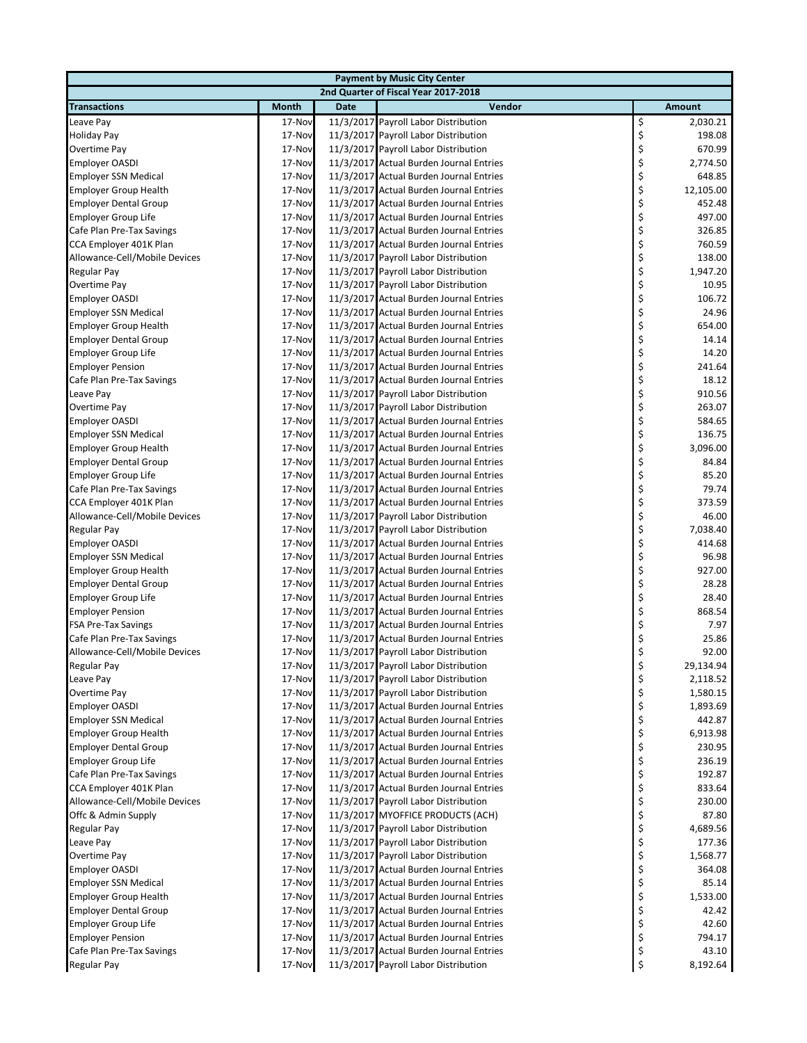| <b>Payment by Music City Center</b> |              |             |                                         |    |           |  |  |  |
|-------------------------------------|--------------|-------------|-----------------------------------------|----|-----------|--|--|--|
|                                     |              |             | 2nd Quarter of Fiscal Year 2017-2018    |    |           |  |  |  |
| <b>Transactions</b>                 | <b>Month</b> | <b>Date</b> | Vendor                                  |    | Amount    |  |  |  |
| Leave Pay                           | 17-Nov       |             | 11/3/2017 Payroll Labor Distribution    | \$ | 2,030.21  |  |  |  |
| <b>Holiday Pay</b>                  | 17-Nov       |             | 11/3/2017 Payroll Labor Distribution    | \$ | 198.08    |  |  |  |
| Overtime Pay                        | 17-Nov       |             | 11/3/2017 Payroll Labor Distribution    | \$ | 670.99    |  |  |  |
| <b>Employer OASDI</b>               | 17-Nov       |             | 11/3/2017 Actual Burden Journal Entries | \$ | 2,774.50  |  |  |  |
| <b>Employer SSN Medical</b>         | 17-Nov       |             | 11/3/2017 Actual Burden Journal Entries | \$ | 648.85    |  |  |  |
| <b>Employer Group Health</b>        | 17-Nov       |             | 11/3/2017 Actual Burden Journal Entries | \$ | 12,105.00 |  |  |  |
| <b>Employer Dental Group</b>        | 17-Nov       |             | 11/3/2017 Actual Burden Journal Entries | \$ | 452.48    |  |  |  |
| Employer Group Life                 | 17-Nov       |             | 11/3/2017 Actual Burden Journal Entries | \$ | 497.00    |  |  |  |
| Cafe Plan Pre-Tax Savings           | 17-Nov       |             | 11/3/2017 Actual Burden Journal Entries | \$ | 326.85    |  |  |  |
| CCA Employer 401K Plan              | 17-Nov       |             | 11/3/2017 Actual Burden Journal Entries | \$ | 760.59    |  |  |  |
| Allowance-Cell/Mobile Devices       | 17-Nov       |             | 11/3/2017 Payroll Labor Distribution    | \$ | 138.00    |  |  |  |
| Regular Pay                         | 17-Nov       |             | 11/3/2017 Payroll Labor Distribution    | \$ | 1,947.20  |  |  |  |
| Overtime Pay                        | 17-Nov       |             | 11/3/2017 Payroll Labor Distribution    | \$ | 10.95     |  |  |  |
| <b>Employer OASDI</b>               | 17-Nov       |             | 11/3/2017 Actual Burden Journal Entries | \$ | 106.72    |  |  |  |
| <b>Employer SSN Medical</b>         | 17-Nov       |             | 11/3/2017 Actual Burden Journal Entries | \$ | 24.96     |  |  |  |
| <b>Employer Group Health</b>        | 17-Nov       |             | 11/3/2017 Actual Burden Journal Entries | \$ | 654.00    |  |  |  |
| <b>Employer Dental Group</b>        | 17-Nov       |             | 11/3/2017 Actual Burden Journal Entries | \$ | 14.14     |  |  |  |
| <b>Employer Group Life</b>          | 17-Nov       |             | 11/3/2017 Actual Burden Journal Entries | \$ | 14.20     |  |  |  |
| <b>Employer Pension</b>             | 17-Nov       |             | 11/3/2017 Actual Burden Journal Entries | \$ | 241.64    |  |  |  |
| Cafe Plan Pre-Tax Savings           | 17-Nov       |             | 11/3/2017 Actual Burden Journal Entries | \$ | 18.12     |  |  |  |
| Leave Pay                           | 17-Nov       |             | 11/3/2017 Payroll Labor Distribution    | \$ | 910.56    |  |  |  |
| Overtime Pay                        | 17-Nov       |             | 11/3/2017 Payroll Labor Distribution    | \$ | 263.07    |  |  |  |
| <b>Employer OASDI</b>               | 17-Nov       |             | 11/3/2017 Actual Burden Journal Entries | \$ | 584.65    |  |  |  |
| <b>Employer SSN Medical</b>         | 17-Nov       |             | 11/3/2017 Actual Burden Journal Entries | \$ | 136.75    |  |  |  |
| <b>Employer Group Health</b>        | 17-Nov       |             | 11/3/2017 Actual Burden Journal Entries | \$ | 3,096.00  |  |  |  |
| <b>Employer Dental Group</b>        | 17-Nov       |             | 11/3/2017 Actual Burden Journal Entries | \$ | 84.84     |  |  |  |
| <b>Employer Group Life</b>          | 17-Nov       |             | 11/3/2017 Actual Burden Journal Entries | \$ | 85.20     |  |  |  |
| Cafe Plan Pre-Tax Savings           | 17-Nov       |             | 11/3/2017 Actual Burden Journal Entries | \$ | 79.74     |  |  |  |
| CCA Employer 401K Plan              | 17-Nov       |             | 11/3/2017 Actual Burden Journal Entries | \$ | 373.59    |  |  |  |
| Allowance-Cell/Mobile Devices       | 17-Nov       |             | 11/3/2017 Payroll Labor Distribution    | \$ | 46.00     |  |  |  |
| Regular Pay                         | 17-Nov       |             | 11/3/2017 Payroll Labor Distribution    | \$ | 7,038.40  |  |  |  |
| <b>Employer OASDI</b>               | 17-Nov       |             | 11/3/2017 Actual Burden Journal Entries | \$ | 414.68    |  |  |  |
| <b>Employer SSN Medical</b>         | 17-Nov       |             | 11/3/2017 Actual Burden Journal Entries | \$ | 96.98     |  |  |  |
| <b>Employer Group Health</b>        | 17-Nov       |             | 11/3/2017 Actual Burden Journal Entries | \$ | 927.00    |  |  |  |
| <b>Employer Dental Group</b>        | 17-Nov       |             | 11/3/2017 Actual Burden Journal Entries | \$ | 28.28     |  |  |  |
| Employer Group Life                 | 17-Nov       |             | 11/3/2017 Actual Burden Journal Entries | \$ | 28.40     |  |  |  |
| <b>Employer Pension</b>             | 17-Nov       |             | 11/3/2017 Actual Burden Journal Entries | \$ | 868.54    |  |  |  |
| FSA Pre-Tax Savings                 | 17-Nov       |             | 11/3/2017 Actual Burden Journal Entries | \$ | 7.97      |  |  |  |
| Cafe Plan Pre-Tax Savings           | 17-Nov       |             | 11/3/2017 Actual Burden Journal Entries | \$ | 25.86     |  |  |  |
| Allowance-Cell/Mobile Devices       | 17-Nov       |             | 11/3/2017 Payroll Labor Distribution    | \$ | 92.00     |  |  |  |
| Regular Pay                         | 17-Nov       |             | 11/3/2017 Payroll Labor Distribution    | Ş  | 29,134.94 |  |  |  |
| Leave Pay                           | 17-Nov       |             | 11/3/2017 Payroll Labor Distribution    | \$ | 2,118.52  |  |  |  |
| Overtime Pay                        | 17-Nov       |             | 11/3/2017 Payroll Labor Distribution    | \$ | 1,580.15  |  |  |  |
| <b>Employer OASDI</b>               | 17-Nov       |             | 11/3/2017 Actual Burden Journal Entries | \$ | 1,893.69  |  |  |  |
| <b>Employer SSN Medical</b>         | 17-Nov       |             | 11/3/2017 Actual Burden Journal Entries | \$ | 442.87    |  |  |  |
| <b>Employer Group Health</b>        | 17-Nov       |             | 11/3/2017 Actual Burden Journal Entries | \$ | 6,913.98  |  |  |  |
| <b>Employer Dental Group</b>        | 17-Nov       |             | 11/3/2017 Actual Burden Journal Entries | \$ | 230.95    |  |  |  |
| <b>Employer Group Life</b>          | 17-Nov       |             | 11/3/2017 Actual Burden Journal Entries | \$ | 236.19    |  |  |  |
| Cafe Plan Pre-Tax Savings           | 17-Nov       |             | 11/3/2017 Actual Burden Journal Entries | \$ | 192.87    |  |  |  |
| CCA Employer 401K Plan              | 17-Nov       |             | 11/3/2017 Actual Burden Journal Entries | \$ | 833.64    |  |  |  |
| Allowance-Cell/Mobile Devices       | 17-Nov       |             | 11/3/2017 Payroll Labor Distribution    | \$ | 230.00    |  |  |  |
| Offc & Admin Supply                 | 17-Nov       |             | 11/3/2017 MYOFFICE PRODUCTS (ACH)       | \$ | 87.80     |  |  |  |
| Regular Pay                         | 17-Nov       |             | 11/3/2017 Payroll Labor Distribution    | \$ | 4,689.56  |  |  |  |
| Leave Pay                           | 17-Nov       |             | 11/3/2017 Payroll Labor Distribution    | \$ | 177.36    |  |  |  |
| Overtime Pay                        | 17-Nov       |             | 11/3/2017 Payroll Labor Distribution    | \$ | 1,568.77  |  |  |  |
| <b>Employer OASDI</b>               | 17-Nov       |             | 11/3/2017 Actual Burden Journal Entries | \$ | 364.08    |  |  |  |
| <b>Employer SSN Medical</b>         | 17-Nov       |             | 11/3/2017 Actual Burden Journal Entries | \$ | 85.14     |  |  |  |
| <b>Employer Group Health</b>        | 17-Nov       |             | 11/3/2017 Actual Burden Journal Entries | \$ | 1,533.00  |  |  |  |
| <b>Employer Dental Group</b>        | 17-Nov       |             | 11/3/2017 Actual Burden Journal Entries | \$ | 42.42     |  |  |  |
| Employer Group Life                 | 17-Nov       |             | 11/3/2017 Actual Burden Journal Entries | \$ | 42.60     |  |  |  |
| <b>Employer Pension</b>             | 17-Nov       |             | 11/3/2017 Actual Burden Journal Entries | \$ | 794.17    |  |  |  |
| Cafe Plan Pre-Tax Savings           | 17-Nov       |             | 11/3/2017 Actual Burden Journal Entries | \$ | 43.10     |  |  |  |
| Regular Pay                         | 17-Nov       |             | 11/3/2017 Payroll Labor Distribution    | \$ | 8,192.64  |  |  |  |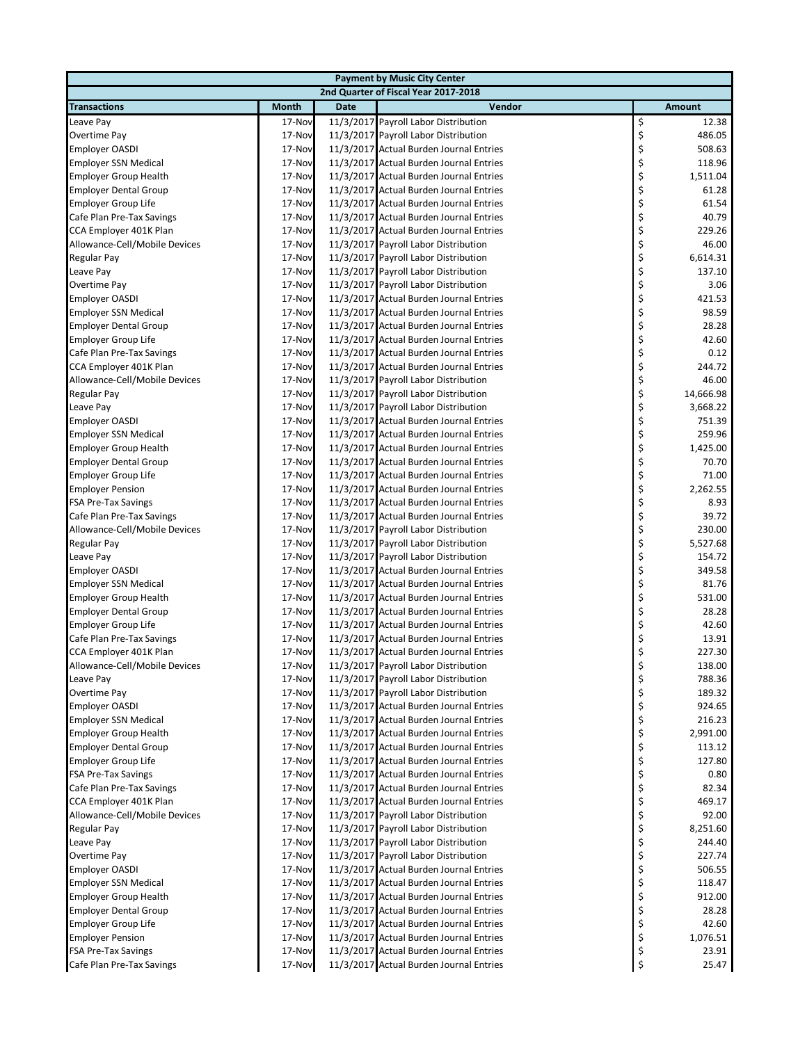| <b>Payment by Music City Center</b> |        |             |                                         |    |               |  |  |  |
|-------------------------------------|--------|-------------|-----------------------------------------|----|---------------|--|--|--|
|                                     |        |             | 2nd Quarter of Fiscal Year 2017-2018    |    |               |  |  |  |
| <b>Transactions</b>                 | Month  | <b>Date</b> | Vendor                                  |    | <b>Amount</b> |  |  |  |
| Leave Pay                           | 17-Nov |             | 11/3/2017 Payroll Labor Distribution    | \$ | 12.38         |  |  |  |
| Overtime Pay                        | 17-Nov |             | 11/3/2017 Payroll Labor Distribution    | \$ | 486.05        |  |  |  |
| <b>Employer OASDI</b>               | 17-Nov |             | 11/3/2017 Actual Burden Journal Entries | \$ | 508.63        |  |  |  |
| <b>Employer SSN Medical</b>         | 17-Nov |             | 11/3/2017 Actual Burden Journal Entries | \$ | 118.96        |  |  |  |
| <b>Employer Group Health</b>        | 17-Nov |             | 11/3/2017 Actual Burden Journal Entries | \$ | 1,511.04      |  |  |  |
| <b>Employer Dental Group</b>        | 17-Nov |             | 11/3/2017 Actual Burden Journal Entries | \$ | 61.28         |  |  |  |
| Employer Group Life                 | 17-Nov |             | 11/3/2017 Actual Burden Journal Entries | \$ | 61.54         |  |  |  |
| Cafe Plan Pre-Tax Savings           | 17-Nov |             | 11/3/2017 Actual Burden Journal Entries | \$ | 40.79         |  |  |  |
| CCA Employer 401K Plan              | 17-Nov |             | 11/3/2017 Actual Burden Journal Entries | \$ | 229.26        |  |  |  |
| Allowance-Cell/Mobile Devices       | 17-Nov |             | 11/3/2017 Payroll Labor Distribution    | \$ | 46.00         |  |  |  |
| Regular Pay                         | 17-Nov |             | 11/3/2017 Payroll Labor Distribution    | \$ | 6,614.31      |  |  |  |
| Leave Pay                           | 17-Nov |             | 11/3/2017 Payroll Labor Distribution    | \$ | 137.10        |  |  |  |
| Overtime Pay                        | 17-Nov |             | 11/3/2017 Payroll Labor Distribution    | \$ | 3.06          |  |  |  |
| <b>Employer OASDI</b>               | 17-Nov |             | 11/3/2017 Actual Burden Journal Entries | \$ | 421.53        |  |  |  |
| <b>Employer SSN Medical</b>         | 17-Nov |             | 11/3/2017 Actual Burden Journal Entries | \$ | 98.59         |  |  |  |
| <b>Employer Dental Group</b>        | 17-Nov |             | 11/3/2017 Actual Burden Journal Entries | \$ | 28.28         |  |  |  |
| Employer Group Life                 | 17-Nov |             | 11/3/2017 Actual Burden Journal Entries | \$ | 42.60         |  |  |  |
| Cafe Plan Pre-Tax Savings           | 17-Nov |             | 11/3/2017 Actual Burden Journal Entries | \$ | 0.12          |  |  |  |
| CCA Employer 401K Plan              | 17-Nov |             | 11/3/2017 Actual Burden Journal Entries | \$ | 244.72        |  |  |  |
| Allowance-Cell/Mobile Devices       | 17-Nov |             | 11/3/2017 Payroll Labor Distribution    | \$ | 46.00         |  |  |  |
| Regular Pay                         | 17-Nov |             | 11/3/2017 Payroll Labor Distribution    | \$ | 14,666.98     |  |  |  |
| Leave Pay                           | 17-Nov |             | 11/3/2017 Payroll Labor Distribution    | \$ | 3,668.22      |  |  |  |
| <b>Employer OASDI</b>               | 17-Nov |             | 11/3/2017 Actual Burden Journal Entries | \$ | 751.39        |  |  |  |
| <b>Employer SSN Medical</b>         | 17-Nov |             | 11/3/2017 Actual Burden Journal Entries | \$ | 259.96        |  |  |  |
| <b>Employer Group Health</b>        | 17-Nov |             | 11/3/2017 Actual Burden Journal Entries | \$ | 1,425.00      |  |  |  |
| <b>Employer Dental Group</b>        | 17-Nov |             | 11/3/2017 Actual Burden Journal Entries | \$ | 70.70         |  |  |  |
| Employer Group Life                 | 17-Nov |             | 11/3/2017 Actual Burden Journal Entries | \$ | 71.00         |  |  |  |
| <b>Employer Pension</b>             | 17-Nov |             | 11/3/2017 Actual Burden Journal Entries | \$ | 2,262.55      |  |  |  |
| <b>FSA Pre-Tax Savings</b>          | 17-Nov |             | 11/3/2017 Actual Burden Journal Entries | \$ | 8.93          |  |  |  |
| Cafe Plan Pre-Tax Savings           | 17-Nov |             | 11/3/2017 Actual Burden Journal Entries | \$ | 39.72         |  |  |  |
| Allowance-Cell/Mobile Devices       | 17-Nov |             | 11/3/2017 Payroll Labor Distribution    | \$ | 230.00        |  |  |  |
| Regular Pay                         | 17-Nov |             | 11/3/2017 Payroll Labor Distribution    | \$ | 5,527.68      |  |  |  |
| Leave Pay                           | 17-Nov |             | 11/3/2017 Payroll Labor Distribution    | \$ | 154.72        |  |  |  |
| <b>Employer OASDI</b>               | 17-Nov |             | 11/3/2017 Actual Burden Journal Entries | \$ | 349.58        |  |  |  |
| <b>Employer SSN Medical</b>         | 17-Nov |             | 11/3/2017 Actual Burden Journal Entries | \$ | 81.76         |  |  |  |
| <b>Employer Group Health</b>        | 17-Nov |             | 11/3/2017 Actual Burden Journal Entries | \$ | 531.00        |  |  |  |
| <b>Employer Dental Group</b>        | 17-Nov |             | 11/3/2017 Actual Burden Journal Entries | \$ | 28.28         |  |  |  |
| Employer Group Life                 | 17-Nov |             | 11/3/2017 Actual Burden Journal Entries | \$ | 42.60         |  |  |  |
| Cafe Plan Pre-Tax Savings           | 17-Nov |             | 11/3/2017 Actual Burden Journal Entries | \$ | 13.91         |  |  |  |
| CCA Employer 401K Plan              | 17-Nov |             | 11/3/2017 Actual Burden Journal Entries | \$ | 227.30        |  |  |  |
| Allowance-Cell/Mobile Devices       | 17-Nov |             | 11/3/2017 Payroll Labor Distribution    | Ş  | 138.00        |  |  |  |
| Leave Pay                           | 17-Nov |             | 11/3/2017 Payroll Labor Distribution    | \$ | 788.36        |  |  |  |
| Overtime Pay                        | 17-Nov |             | 11/3/2017 Payroll Labor Distribution    | \$ | 189.32        |  |  |  |
| <b>Employer OASDI</b>               | 17-Nov |             | 11/3/2017 Actual Burden Journal Entries | \$ | 924.65        |  |  |  |
| <b>Employer SSN Medical</b>         | 17-Nov |             | 11/3/2017 Actual Burden Journal Entries | \$ | 216.23        |  |  |  |
| <b>Employer Group Health</b>        | 17-Nov |             | 11/3/2017 Actual Burden Journal Entries | \$ | 2,991.00      |  |  |  |
| <b>Employer Dental Group</b>        | 17-Nov |             | 11/3/2017 Actual Burden Journal Entries | \$ | 113.12        |  |  |  |
| <b>Employer Group Life</b>          | 17-Nov |             | 11/3/2017 Actual Burden Journal Entries | \$ | 127.80        |  |  |  |
| <b>FSA Pre-Tax Savings</b>          | 17-Nov |             | 11/3/2017 Actual Burden Journal Entries | \$ | 0.80          |  |  |  |
| Cafe Plan Pre-Tax Savings           | 17-Nov |             | 11/3/2017 Actual Burden Journal Entries | \$ | 82.34         |  |  |  |
| CCA Employer 401K Plan              | 17-Nov |             | 11/3/2017 Actual Burden Journal Entries | \$ | 469.17        |  |  |  |
| Allowance-Cell/Mobile Devices       | 17-Nov |             | 11/3/2017 Payroll Labor Distribution    | \$ | 92.00         |  |  |  |
| Regular Pay                         | 17-Nov |             | 11/3/2017 Payroll Labor Distribution    | \$ | 8,251.60      |  |  |  |
| Leave Pay                           | 17-Nov |             | 11/3/2017 Payroll Labor Distribution    | \$ | 244.40        |  |  |  |
| Overtime Pay                        | 17-Nov |             | 11/3/2017 Payroll Labor Distribution    | \$ | 227.74        |  |  |  |
| <b>Employer OASDI</b>               | 17-Nov |             | 11/3/2017 Actual Burden Journal Entries | \$ | 506.55        |  |  |  |
| <b>Employer SSN Medical</b>         | 17-Nov |             | 11/3/2017 Actual Burden Journal Entries | \$ | 118.47        |  |  |  |
| <b>Employer Group Health</b>        | 17-Nov |             | 11/3/2017 Actual Burden Journal Entries | \$ | 912.00        |  |  |  |
| <b>Employer Dental Group</b>        | 17-Nov |             | 11/3/2017 Actual Burden Journal Entries | \$ | 28.28         |  |  |  |
| Employer Group Life                 | 17-Nov |             | 11/3/2017 Actual Burden Journal Entries | \$ | 42.60         |  |  |  |
| <b>Employer Pension</b>             | 17-Nov |             | 11/3/2017 Actual Burden Journal Entries | \$ | 1,076.51      |  |  |  |
| <b>FSA Pre-Tax Savings</b>          | 17-Nov |             | 11/3/2017 Actual Burden Journal Entries | \$ | 23.91         |  |  |  |
| Cafe Plan Pre-Tax Savings           | 17-Nov |             | 11/3/2017 Actual Burden Journal Entries | \$ | 25.47         |  |  |  |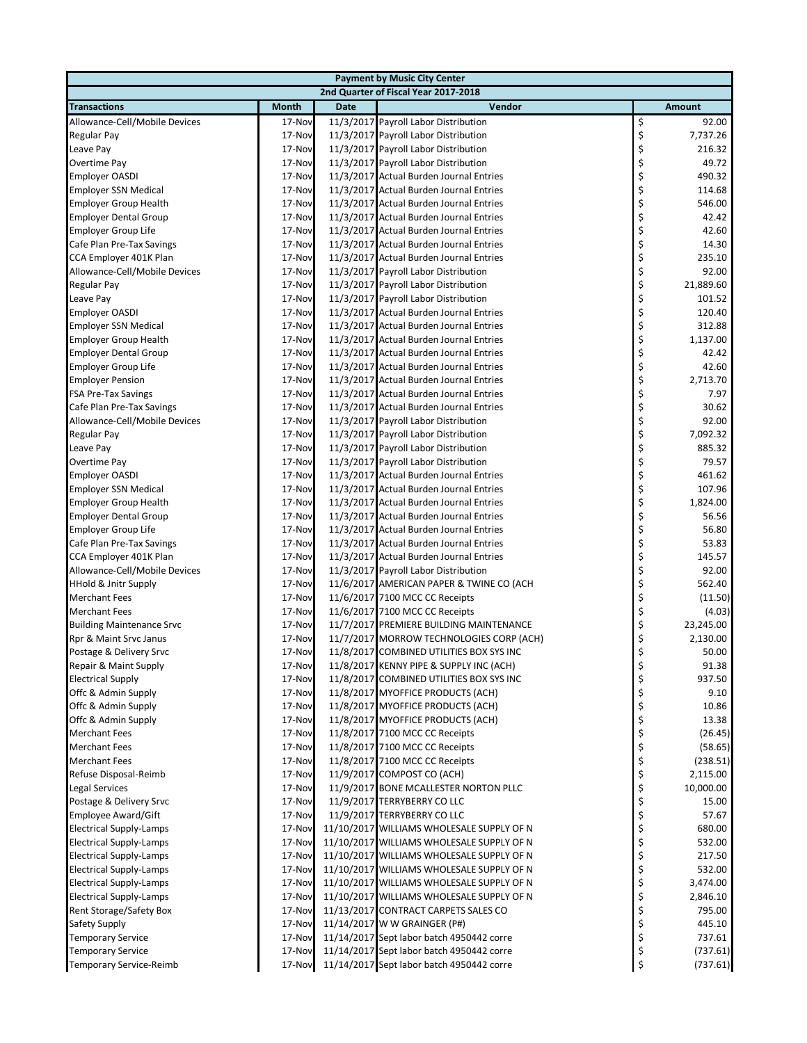| <b>Payment by Music City Center</b> |              |             |                                           |    |           |  |  |
|-------------------------------------|--------------|-------------|-------------------------------------------|----|-----------|--|--|
|                                     |              |             | 2nd Quarter of Fiscal Year 2017-2018      |    |           |  |  |
| <b>Transactions</b>                 | <b>Month</b> | <b>Date</b> | Vendor                                    |    | Amount    |  |  |
| Allowance-Cell/Mobile Devices       | 17-Nov       |             | 11/3/2017 Payroll Labor Distribution      | \$ | 92.00     |  |  |
| Regular Pay                         | 17-Nov       |             | 11/3/2017 Payroll Labor Distribution      | \$ | 7,737.26  |  |  |
| Leave Pay                           | 17-Nov       |             | 11/3/2017 Payroll Labor Distribution      | \$ | 216.32    |  |  |
| Overtime Pay                        | 17-Nov       |             | 11/3/2017 Payroll Labor Distribution      | \$ | 49.72     |  |  |
| <b>Employer OASDI</b>               | 17-Nov       |             | 11/3/2017 Actual Burden Journal Entries   | \$ | 490.32    |  |  |
| <b>Employer SSN Medical</b>         | 17-Nov       |             | 11/3/2017 Actual Burden Journal Entries   | \$ | 114.68    |  |  |
| <b>Employer Group Health</b>        | 17-Nov       |             | 11/3/2017 Actual Burden Journal Entries   | \$ | 546.00    |  |  |
| <b>Employer Dental Group</b>        | 17-Nov       |             | 11/3/2017 Actual Burden Journal Entries   | \$ | 42.42     |  |  |
| Employer Group Life                 | 17-Nov       |             | 11/3/2017 Actual Burden Journal Entries   | \$ | 42.60     |  |  |
| Cafe Plan Pre-Tax Savings           | 17-Nov       |             | 11/3/2017 Actual Burden Journal Entries   | \$ | 14.30     |  |  |
| CCA Employer 401K Plan              | 17-Nov       |             | 11/3/2017 Actual Burden Journal Entries   | \$ | 235.10    |  |  |
| Allowance-Cell/Mobile Devices       | 17-Nov       |             | 11/3/2017 Payroll Labor Distribution      | \$ | 92.00     |  |  |
| Regular Pay                         | 17-Nov       |             | 11/3/2017 Payroll Labor Distribution      | \$ | 21,889.60 |  |  |
| Leave Pay                           | 17-Nov       |             | 11/3/2017 Payroll Labor Distribution      | \$ | 101.52    |  |  |
| <b>Employer OASDI</b>               | 17-Nov       |             | 11/3/2017 Actual Burden Journal Entries   | \$ | 120.40    |  |  |
| <b>Employer SSN Medical</b>         | 17-Nov       |             | 11/3/2017 Actual Burden Journal Entries   | \$ | 312.88    |  |  |
| <b>Employer Group Health</b>        | 17-Nov       |             | 11/3/2017 Actual Burden Journal Entries   | \$ | 1,137.00  |  |  |
| <b>Employer Dental Group</b>        | 17-Nov       |             | 11/3/2017 Actual Burden Journal Entries   | \$ | 42.42     |  |  |
| Employer Group Life                 | 17-Nov       |             | 11/3/2017 Actual Burden Journal Entries   | \$ | 42.60     |  |  |
| <b>Employer Pension</b>             | 17-Nov       |             | 11/3/2017 Actual Burden Journal Entries   | \$ | 2,713.70  |  |  |
| <b>FSA Pre-Tax Savings</b>          | 17-Nov       |             | 11/3/2017 Actual Burden Journal Entries   | \$ | 7.97      |  |  |
| Cafe Plan Pre-Tax Savings           | 17-Nov       |             | 11/3/2017 Actual Burden Journal Entries   | \$ | 30.62     |  |  |
| Allowance-Cell/Mobile Devices       | 17-Nov       |             | 11/3/2017 Payroll Labor Distribution      | \$ | 92.00     |  |  |
| <b>Regular Pay</b>                  | 17-Nov       |             | 11/3/2017 Payroll Labor Distribution      | \$ | 7,092.32  |  |  |
| Leave Pay                           | 17-Nov       |             | 11/3/2017 Payroll Labor Distribution      | \$ | 885.32    |  |  |
| Overtime Pay                        | 17-Nov       |             | 11/3/2017 Payroll Labor Distribution      | \$ | 79.57     |  |  |
| <b>Employer OASDI</b>               | 17-Nov       |             | 11/3/2017 Actual Burden Journal Entries   | \$ | 461.62    |  |  |
| <b>Employer SSN Medical</b>         | 17-Nov       |             | 11/3/2017 Actual Burden Journal Entries   | \$ | 107.96    |  |  |
| <b>Employer Group Health</b>        | 17-Nov       |             | 11/3/2017 Actual Burden Journal Entries   | \$ | 1,824.00  |  |  |
| <b>Employer Dental Group</b>        | 17-Nov       |             | 11/3/2017 Actual Burden Journal Entries   | \$ | 56.56     |  |  |
| <b>Employer Group Life</b>          | 17-Nov       |             | 11/3/2017 Actual Burden Journal Entries   | \$ | 56.80     |  |  |
| Cafe Plan Pre-Tax Savings           | 17-Nov       |             | 11/3/2017 Actual Burden Journal Entries   | \$ | 53.83     |  |  |
| CCA Employer 401K Plan              | 17-Nov       |             | 11/3/2017 Actual Burden Journal Entries   | \$ | 145.57    |  |  |
| Allowance-Cell/Mobile Devices       | 17-Nov       |             | 11/3/2017 Payroll Labor Distribution      | \$ | 92.00     |  |  |
| <b>HHold &amp; Jnitr Supply</b>     | 17-Nov       |             | 11/6/2017 AMERICAN PAPER & TWINE CO (ACH  | \$ | 562.40    |  |  |
| <b>Merchant Fees</b>                | 17-Nov       |             | 11/6/2017 7100 MCC CC Receipts            | \$ | (11.50)   |  |  |
| <b>Merchant Fees</b>                | 17-Nov       |             | 11/6/2017 7100 MCC CC Receipts            | \$ | (4.03)    |  |  |
| <b>Building Maintenance Srvc</b>    | 17-Nov       |             | 11/7/2017 PREMIERE BUILDING MAINTENANCE   | \$ | 23,245.00 |  |  |
| Rpr & Maint Srvc Janus              | 17-Nov       |             | 11/7/2017 MORROW TECHNOLOGIES CORP (ACH)  | \$ | 2,130.00  |  |  |
| Postage & Delivery Srvc             | 17-Nov       |             | 11/8/2017 COMBINED UTILITIES BOX SYS INC  | \$ | 50.00     |  |  |
| Repair & Maint Supply               | 17-Nov       |             | 11/8/2017 KENNY PIPE & SUPPLY INC (ACH)   | Ş  | 91.38     |  |  |
| <b>Electrical Supply</b>            | 17-Nov       |             | 11/8/2017 COMBINED UTILITIES BOX SYS INC  | \$ | 937.50    |  |  |
| Offc & Admin Supply                 | 17-Nov       |             | 11/8/2017 MYOFFICE PRODUCTS (ACH)         | \$ | 9.10      |  |  |
| Offc & Admin Supply                 | 17-Nov       |             | 11/8/2017 MYOFFICE PRODUCTS (ACH)         | \$ | 10.86     |  |  |
| Offc & Admin Supply                 | 17-Nov       |             | 11/8/2017 MYOFFICE PRODUCTS (ACH)         | \$ | 13.38     |  |  |
| <b>Merchant Fees</b>                | 17-Nov       |             | 11/8/2017 7100 MCC CC Receipts            | \$ | (26.45)   |  |  |
| <b>Merchant Fees</b>                | 17-Nov       |             | 11/8/2017 7100 MCC CC Receipts            | \$ | (58.65)   |  |  |
| <b>Merchant Fees</b>                | 17-Nov       |             | 11/8/2017 7100 MCC CC Receipts            | \$ | (238.51)  |  |  |
| Refuse Disposal-Reimb               | 17-Nov       |             | 11/9/2017 COMPOST CO (ACH)                | \$ | 2,115.00  |  |  |
| <b>Legal Services</b>               | 17-Nov       |             | 11/9/2017 BONE MCALLESTER NORTON PLLC     | \$ | 10,000.00 |  |  |
| Postage & Delivery Srvc             | 17-Nov       |             | 11/9/2017 TERRYBERRY CO LLC               | \$ | 15.00     |  |  |
| Employee Award/Gift                 | 17-Nov       |             | 11/9/2017 TERRYBERRY CO LLC               | \$ | 57.67     |  |  |
| <b>Electrical Supply-Lamps</b>      | 17-Nov       |             | 11/10/2017 WILLIAMS WHOLESALE SUPPLY OF N | \$ | 680.00    |  |  |
| <b>Electrical Supply-Lamps</b>      | 17-Nov       |             | 11/10/2017 WILLIAMS WHOLESALE SUPPLY OF N | \$ | 532.00    |  |  |
| <b>Electrical Supply-Lamps</b>      | 17-Nov       |             | 11/10/2017 WILLIAMS WHOLESALE SUPPLY OF N | \$ | 217.50    |  |  |
| <b>Electrical Supply-Lamps</b>      | 17-Nov       |             | 11/10/2017 WILLIAMS WHOLESALE SUPPLY OF N | \$ | 532.00    |  |  |
| <b>Electrical Supply-Lamps</b>      | 17-Nov       |             | 11/10/2017 WILLIAMS WHOLESALE SUPPLY OF N | \$ | 3,474.00  |  |  |
| <b>Electrical Supply-Lamps</b>      | 17-Nov       |             | 11/10/2017 WILLIAMS WHOLESALE SUPPLY OF N | \$ | 2,846.10  |  |  |
| Rent Storage/Safety Box             | 17-Nov       |             | 11/13/2017 CONTRACT CARPETS SALES CO      | \$ | 795.00    |  |  |
| Safety Supply                       | 17-Nov       |             | 11/14/2017 W W GRAINGER (P#)              | \$ | 445.10    |  |  |
| <b>Temporary Service</b>            | 17-Nov       |             | 11/14/2017 Sept labor batch 4950442 corre | \$ | 737.61    |  |  |
| <b>Temporary Service</b>            | 17-Nov       |             | 11/14/2017 Sept labor batch 4950442 corre | \$ | (737.61)  |  |  |
| Temporary Service-Reimb             | 17-Nov       |             | 11/14/2017 Sept labor batch 4950442 corre | \$ | (737.61)  |  |  |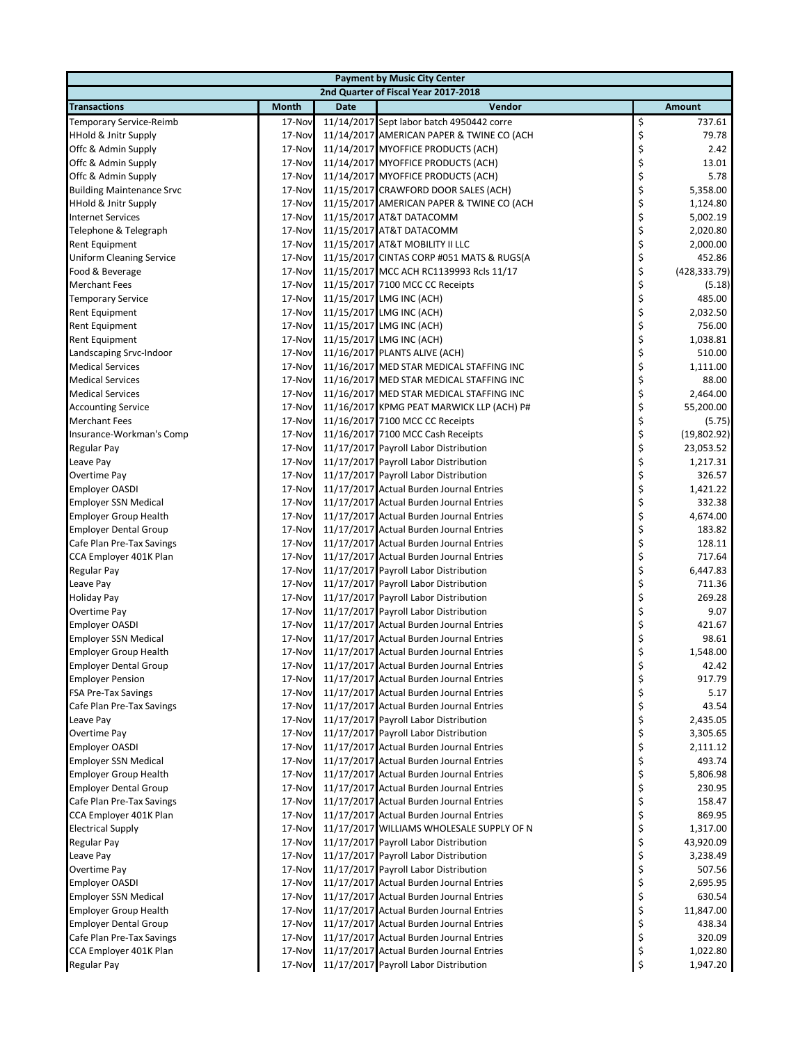| <b>Payment by Music City Center</b> |              |             |                                           |    |               |  |  |  |
|-------------------------------------|--------------|-------------|-------------------------------------------|----|---------------|--|--|--|
|                                     |              |             | 2nd Quarter of Fiscal Year 2017-2018      |    |               |  |  |  |
| <b>Transactions</b>                 | <b>Month</b> | <b>Date</b> | Vendor                                    |    | Amount        |  |  |  |
| Temporary Service-Reimb             | 17-Nov       |             | 11/14/2017 Sept labor batch 4950442 corre | \$ | 737.61        |  |  |  |
| <b>HHold &amp; Jnitr Supply</b>     | 17-Nov       |             | 11/14/2017 AMERICAN PAPER & TWINE CO (ACH | \$ | 79.78         |  |  |  |
| Offc & Admin Supply                 | 17-Nov       |             | 11/14/2017 MYOFFICE PRODUCTS (ACH)        | \$ | 2.42          |  |  |  |
| Offc & Admin Supply                 | 17-Nov       |             | 11/14/2017 MYOFFICE PRODUCTS (ACH)        | \$ | 13.01         |  |  |  |
| Offc & Admin Supply                 | 17-Nov       |             | 11/14/2017 MYOFFICE PRODUCTS (ACH)        | \$ | 5.78          |  |  |  |
| <b>Building Maintenance Srvc</b>    | 17-Nov       |             | 11/15/2017 CRAWFORD DOOR SALES (ACH)      | \$ | 5,358.00      |  |  |  |
| <b>HHold &amp; Jnitr Supply</b>     | 17-Nov       |             | 11/15/2017 AMERICAN PAPER & TWINE CO (ACH | \$ | 1,124.80      |  |  |  |
| <b>Internet Services</b>            | 17-Nov       |             | 11/15/2017 AT&T DATACOMM                  | \$ | 5,002.19      |  |  |  |
| Telephone & Telegraph               | 17-Nov       |             | 11/15/2017 AT&T DATACOMM                  | \$ | 2,020.80      |  |  |  |
| Rent Equipment                      | 17-Nov       |             | 11/15/2017 AT&T MOBILITY II LLC           | \$ | 2,000.00      |  |  |  |
| <b>Uniform Cleaning Service</b>     | 17-Nov       |             | 11/15/2017 CINTAS CORP #051 MATS & RUGS(A | \$ | 452.86        |  |  |  |
| Food & Beverage                     | 17-Nov       |             | 11/15/2017 MCC ACH RC1139993 Rcls 11/17   | \$ | (428, 333.79) |  |  |  |
| <b>Merchant Fees</b>                | 17-Nov       |             | 11/15/2017 7100 MCC CC Receipts           | \$ | (5.18)        |  |  |  |
|                                     | 17-Nov       |             | 11/15/2017 LMG INC (ACH)                  | \$ | 485.00        |  |  |  |
| <b>Temporary Service</b>            | 17-Nov       |             |                                           | \$ | 2,032.50      |  |  |  |
| Rent Equipment                      |              |             | 11/15/2017 LMG INC (ACH)                  |    |               |  |  |  |
| <b>Rent Equipment</b>               | 17-Nov       |             | 11/15/2017 LMG INC (ACH)                  | \$ | 756.00        |  |  |  |
| Rent Equipment                      | 17-Nov       |             | 11/15/2017 LMG INC (ACH)                  | \$ | 1,038.81      |  |  |  |
| Landscaping Srvc-Indoor             | 17-Nov       |             | 11/16/2017 PLANTS ALIVE (ACH)             | \$ | 510.00        |  |  |  |
| <b>Medical Services</b>             | 17-Nov       |             | 11/16/2017 MED STAR MEDICAL STAFFING INC  | \$ | 1,111.00      |  |  |  |
| <b>Medical Services</b>             | 17-Nov       |             | 11/16/2017 MED STAR MEDICAL STAFFING INC  | \$ | 88.00         |  |  |  |
| <b>Medical Services</b>             | 17-Nov       |             | 11/16/2017 MED STAR MEDICAL STAFFING INC  | \$ | 2,464.00      |  |  |  |
| <b>Accounting Service</b>           | 17-Nov       |             | 11/16/2017 KPMG PEAT MARWICK LLP (ACH) P# | \$ | 55,200.00     |  |  |  |
| <b>Merchant Fees</b>                | 17-Nov       |             | 11/16/2017 7100 MCC CC Receipts           | \$ | (5.75)        |  |  |  |
| Insurance-Workman's Comp            | 17-Nov       |             | 11/16/2017 7100 MCC Cash Receipts         | \$ | (19,802.92)   |  |  |  |
| <b>Regular Pay</b>                  | 17-Nov       |             | 11/17/2017 Payroll Labor Distribution     | \$ | 23,053.52     |  |  |  |
| Leave Pay                           | 17-Nov       |             | 11/17/2017 Payroll Labor Distribution     | \$ | 1,217.31      |  |  |  |
| Overtime Pay                        | 17-Nov       |             | 11/17/2017 Payroll Labor Distribution     | \$ | 326.57        |  |  |  |
| <b>Employer OASDI</b>               | 17-Nov       |             | 11/17/2017 Actual Burden Journal Entries  | \$ | 1,421.22      |  |  |  |
| <b>Employer SSN Medical</b>         | 17-Nov       |             | 11/17/2017 Actual Burden Journal Entries  | \$ | 332.38        |  |  |  |
| <b>Employer Group Health</b>        | 17-Nov       |             | 11/17/2017 Actual Burden Journal Entries  | \$ | 4,674.00      |  |  |  |
| <b>Employer Dental Group</b>        | 17-Nov       |             | 11/17/2017 Actual Burden Journal Entries  | \$ | 183.82        |  |  |  |
| Cafe Plan Pre-Tax Savings           | 17-Nov       |             | 11/17/2017 Actual Burden Journal Entries  | \$ | 128.11        |  |  |  |
| CCA Employer 401K Plan              | 17-Nov       |             | 11/17/2017 Actual Burden Journal Entries  | \$ | 717.64        |  |  |  |
| <b>Regular Pay</b>                  | 17-Nov       |             | 11/17/2017 Payroll Labor Distribution     | \$ | 6,447.83      |  |  |  |
| Leave Pay                           | 17-Nov       |             | 11/17/2017 Payroll Labor Distribution     | \$ | 711.36        |  |  |  |
| <b>Holiday Pay</b>                  | 17-Nov       |             | 11/17/2017 Payroll Labor Distribution     | \$ | 269.28        |  |  |  |
| Overtime Pay                        | 17-Nov       |             | 11/17/2017 Payroll Labor Distribution     | \$ | 9.07          |  |  |  |
| <b>Employer OASDI</b>               | 17-Nov       |             | 11/17/2017 Actual Burden Journal Entries  | \$ | 421.67        |  |  |  |
| <b>Employer SSN Medical</b>         | 17-Nov       |             | 11/17/2017 Actual Burden Journal Entries  | \$ | 98.61         |  |  |  |
| <b>Employer Group Health</b>        | 17-Nov       |             | 11/17/2017 Actual Burden Journal Entries  | \$ | 1,548.00      |  |  |  |
| <b>Employer Dental Group</b>        | 17-Nov       |             | 11/17/2017 Actual Burden Journal Entries  | Ş  | 42.42         |  |  |  |
| <b>Employer Pension</b>             | 17-Nov       |             | 11/17/2017 Actual Burden Journal Entries  | \$ | 917.79        |  |  |  |
| <b>FSA Pre-Tax Savings</b>          | 17-Nov       |             | 11/17/2017 Actual Burden Journal Entries  | \$ | 5.17          |  |  |  |
| Cafe Plan Pre-Tax Savings           | 17-Nov       |             | 11/17/2017 Actual Burden Journal Entries  | \$ | 43.54         |  |  |  |
| Leave Pay                           | 17-Nov       |             | 11/17/2017 Payroll Labor Distribution     | \$ | 2,435.05      |  |  |  |
| Overtime Pay                        | 17-Nov       |             | 11/17/2017 Payroll Labor Distribution     | \$ | 3,305.65      |  |  |  |
| <b>Employer OASDI</b>               | 17-Nov       |             | 11/17/2017 Actual Burden Journal Entries  | \$ | 2,111.12      |  |  |  |
| <b>Employer SSN Medical</b>         | 17-Nov       |             | 11/17/2017 Actual Burden Journal Entries  | \$ | 493.74        |  |  |  |
| <b>Employer Group Health</b>        | 17-Nov       |             | 11/17/2017 Actual Burden Journal Entries  | \$ | 5,806.98      |  |  |  |
| <b>Employer Dental Group</b>        | 17-Nov       |             | 11/17/2017 Actual Burden Journal Entries  | \$ | 230.95        |  |  |  |
| Cafe Plan Pre-Tax Savings           | 17-Nov       |             | 11/17/2017 Actual Burden Journal Entries  | \$ | 158.47        |  |  |  |
| CCA Employer 401K Plan              | 17-Nov       |             | 11/17/2017 Actual Burden Journal Entries  | \$ | 869.95        |  |  |  |
| <b>Electrical Supply</b>            | 17-Nov       |             | 11/17/2017 WILLIAMS WHOLESALE SUPPLY OF N | \$ | 1,317.00      |  |  |  |
|                                     | 17-Nov       |             | 11/17/2017 Payroll Labor Distribution     | \$ | 43,920.09     |  |  |  |
| <b>Regular Pay</b>                  |              |             |                                           |    |               |  |  |  |
| Leave Pay                           | 17-Nov       |             | 11/17/2017 Payroll Labor Distribution     | \$ | 3,238.49      |  |  |  |
| Overtime Pay                        | 17-Nov       |             | 11/17/2017 Payroll Labor Distribution     | \$ | 507.56        |  |  |  |
| <b>Employer OASDI</b>               | 17-Nov       |             | 11/17/2017 Actual Burden Journal Entries  | \$ | 2,695.95      |  |  |  |
| <b>Employer SSN Medical</b>         | 17-Nov       |             | 11/17/2017 Actual Burden Journal Entries  | \$ | 630.54        |  |  |  |
| <b>Employer Group Health</b>        | 17-Nov       |             | 11/17/2017 Actual Burden Journal Entries  | \$ | 11,847.00     |  |  |  |
| <b>Employer Dental Group</b>        | 17-Nov       |             | 11/17/2017 Actual Burden Journal Entries  | \$ | 438.34        |  |  |  |
| Cafe Plan Pre-Tax Savings           | 17-Nov       |             | 11/17/2017 Actual Burden Journal Entries  | \$ | 320.09        |  |  |  |
| CCA Employer 401K Plan              | 17-Nov       |             | 11/17/2017 Actual Burden Journal Entries  | \$ | 1,022.80      |  |  |  |
| <b>Regular Pay</b>                  | 17-Nov       |             | 11/17/2017 Payroll Labor Distribution     | \$ | 1,947.20      |  |  |  |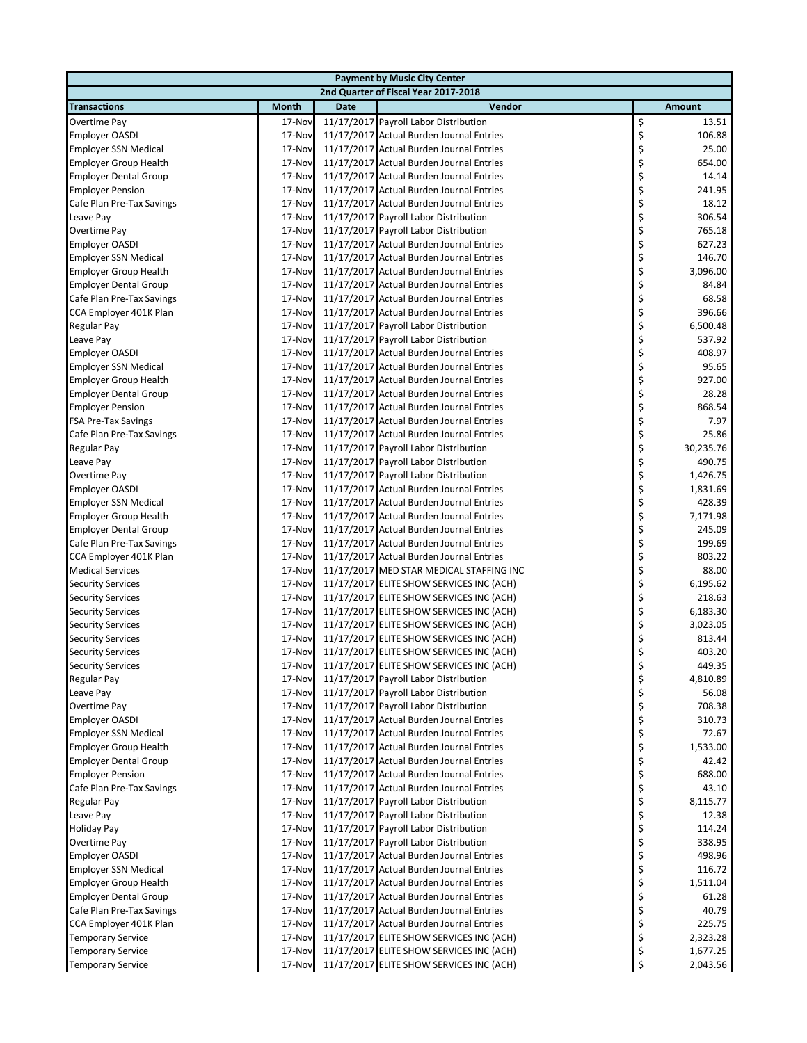| <b>Payment by Music City Center</b> |              |             |                                          |    |               |  |  |  |
|-------------------------------------|--------------|-------------|------------------------------------------|----|---------------|--|--|--|
|                                     |              |             | 2nd Quarter of Fiscal Year 2017-2018     |    |               |  |  |  |
| <b>Transactions</b>                 | <b>Month</b> | <b>Date</b> | Vendor                                   |    | <b>Amount</b> |  |  |  |
| Overtime Pay                        | 17-Nov       |             | 11/17/2017 Payroll Labor Distribution    | \$ | 13.51         |  |  |  |
| <b>Employer OASDI</b>               | 17-Nov       |             | 11/17/2017 Actual Burden Journal Entries | \$ | 106.88        |  |  |  |
| <b>Employer SSN Medical</b>         | 17-Nov       |             | 11/17/2017 Actual Burden Journal Entries | \$ | 25.00         |  |  |  |
| <b>Employer Group Health</b>        | 17-Nov       |             | 11/17/2017 Actual Burden Journal Entries | \$ | 654.00        |  |  |  |
| <b>Employer Dental Group</b>        | 17-Nov       |             | 11/17/2017 Actual Burden Journal Entries | \$ | 14.14         |  |  |  |
| <b>Employer Pension</b>             | 17-Nov       |             | 11/17/2017 Actual Burden Journal Entries | \$ | 241.95        |  |  |  |
| Cafe Plan Pre-Tax Savings           | 17-Nov       |             | 11/17/2017 Actual Burden Journal Entries | \$ | 18.12         |  |  |  |
| Leave Pay                           | 17-Nov       |             | 11/17/2017 Payroll Labor Distribution    | \$ | 306.54        |  |  |  |
| Overtime Pay                        | 17-Nov       |             | 11/17/2017 Payroll Labor Distribution    | \$ | 765.18        |  |  |  |
| <b>Employer OASDI</b>               | 17-Nov       |             | 11/17/2017 Actual Burden Journal Entries | \$ | 627.23        |  |  |  |
| <b>Employer SSN Medical</b>         | 17-Nov       |             | 11/17/2017 Actual Burden Journal Entries | \$ | 146.70        |  |  |  |
| <b>Employer Group Health</b>        | 17-Nov       |             | 11/17/2017 Actual Burden Journal Entries | \$ | 3,096.00      |  |  |  |
| <b>Employer Dental Group</b>        | 17-Nov       |             | 11/17/2017 Actual Burden Journal Entries | \$ | 84.84         |  |  |  |
| Cafe Plan Pre-Tax Savings           | 17-Nov       |             | 11/17/2017 Actual Burden Journal Entries | \$ | 68.58         |  |  |  |
| CCA Employer 401K Plan              | 17-Nov       |             | 11/17/2017 Actual Burden Journal Entries | \$ | 396.66        |  |  |  |
| Regular Pay                         | 17-Nov       |             | 11/17/2017 Payroll Labor Distribution    | \$ | 6,500.48      |  |  |  |
| Leave Pay                           | 17-Nov       |             | 11/17/2017 Payroll Labor Distribution    | \$ | 537.92        |  |  |  |
| <b>Employer OASDI</b>               | 17-Nov       |             | 11/17/2017 Actual Burden Journal Entries | \$ | 408.97        |  |  |  |
| <b>Employer SSN Medical</b>         | 17-Nov       |             | 11/17/2017 Actual Burden Journal Entries | \$ | 95.65         |  |  |  |
| <b>Employer Group Health</b>        | 17-Nov       |             | 11/17/2017 Actual Burden Journal Entries | \$ | 927.00        |  |  |  |
| <b>Employer Dental Group</b>        | 17-Nov       |             | 11/17/2017 Actual Burden Journal Entries | \$ | 28.28         |  |  |  |
| <b>Employer Pension</b>             | 17-Nov       |             | 11/17/2017 Actual Burden Journal Entries | \$ | 868.54        |  |  |  |
| <b>FSA Pre-Tax Savings</b>          | 17-Nov       |             | 11/17/2017 Actual Burden Journal Entries | \$ | 7.97          |  |  |  |
| Cafe Plan Pre-Tax Savings           | 17-Nov       |             | 11/17/2017 Actual Burden Journal Entries | \$ | 25.86         |  |  |  |
| Regular Pay                         | 17-Nov       |             | 11/17/2017 Payroll Labor Distribution    | \$ | 30,235.76     |  |  |  |
| Leave Pay                           | 17-Nov       |             | 11/17/2017 Payroll Labor Distribution    | \$ | 490.75        |  |  |  |
| Overtime Pay                        | 17-Nov       |             | 11/17/2017 Payroll Labor Distribution    | \$ | 1,426.75      |  |  |  |
| <b>Employer OASDI</b>               | 17-Nov       |             | 11/17/2017 Actual Burden Journal Entries | \$ | 1,831.69      |  |  |  |
| <b>Employer SSN Medical</b>         | 17-Nov       |             | 11/17/2017 Actual Burden Journal Entries | \$ | 428.39        |  |  |  |
| <b>Employer Group Health</b>        | 17-Nov       |             | 11/17/2017 Actual Burden Journal Entries | \$ | 7,171.98      |  |  |  |
| <b>Employer Dental Group</b>        | 17-Nov       |             | 11/17/2017 Actual Burden Journal Entries | \$ | 245.09        |  |  |  |
| Cafe Plan Pre-Tax Savings           | 17-Nov       |             | 11/17/2017 Actual Burden Journal Entries | \$ | 199.69        |  |  |  |
| CCA Employer 401K Plan              | 17-Nov       |             | 11/17/2017 Actual Burden Journal Entries | \$ | 803.22        |  |  |  |
| <b>Medical Services</b>             | 17-Nov       |             | 11/17/2017 MED STAR MEDICAL STAFFING INC | \$ | 88.00         |  |  |  |
| <b>Security Services</b>            | 17-Nov       |             | 11/17/2017 ELITE SHOW SERVICES INC (ACH) | \$ | 6,195.62      |  |  |  |
| <b>Security Services</b>            | 17-Nov       |             | 11/17/2017 ELITE SHOW SERVICES INC (ACH) | \$ | 218.63        |  |  |  |
| <b>Security Services</b>            | 17-Nov       |             | 11/17/2017 ELITE SHOW SERVICES INC (ACH) | \$ | 6,183.30      |  |  |  |
| <b>Security Services</b>            | 17-Nov       |             | 11/17/2017 ELITE SHOW SERVICES INC (ACH) | \$ | 3,023.05      |  |  |  |
| <b>Security Services</b>            | 17-Nov       |             | 11/17/2017 ELITE SHOW SERVICES INC (ACH) | \$ | 813.44        |  |  |  |
| <b>Security Services</b>            | 17-Nov       |             | 11/17/2017 ELITE SHOW SERVICES INC (ACH) | \$ | 403.20        |  |  |  |
| <b>Security Services</b>            | 17-Nov       |             | 11/17/2017 ELITE SHOW SERVICES INC (ACH) | Ş  | 449.35        |  |  |  |
| Regular Pay                         | 17-Nov       |             | 11/17/2017 Payroll Labor Distribution    | \$ | 4,810.89      |  |  |  |
| Leave Pay                           | 17-Nov       |             | 11/17/2017 Payroll Labor Distribution    | \$ | 56.08         |  |  |  |
| Overtime Pay                        | 17-Nov       |             | 11/17/2017 Payroll Labor Distribution    | \$ | 708.38        |  |  |  |
| <b>Employer OASDI</b>               | 17-Nov       |             | 11/17/2017 Actual Burden Journal Entries | \$ | 310.73        |  |  |  |
| <b>Employer SSN Medical</b>         | 17-Nov       |             | 11/17/2017 Actual Burden Journal Entries | \$ | 72.67         |  |  |  |
| <b>Employer Group Health</b>        | 17-Nov       |             | 11/17/2017 Actual Burden Journal Entries | \$ | 1,533.00      |  |  |  |
| <b>Employer Dental Group</b>        | 17-Nov       |             | 11/17/2017 Actual Burden Journal Entries | \$ | 42.42         |  |  |  |
| <b>Employer Pension</b>             | 17-Nov       |             | 11/17/2017 Actual Burden Journal Entries | \$ | 688.00        |  |  |  |
| Cafe Plan Pre-Tax Savings           | 17-Nov       |             | 11/17/2017 Actual Burden Journal Entries | \$ | 43.10         |  |  |  |
| Regular Pay                         | 17-Nov       |             | 11/17/2017 Payroll Labor Distribution    | \$ | 8,115.77      |  |  |  |
| Leave Pay                           | 17-Nov       |             | 11/17/2017 Payroll Labor Distribution    | \$ | 12.38         |  |  |  |
| <b>Holiday Pay</b>                  | 17-Nov       |             | 11/17/2017 Payroll Labor Distribution    | \$ | 114.24        |  |  |  |
| Overtime Pay                        | 17-Nov       |             | 11/17/2017 Payroll Labor Distribution    | \$ | 338.95        |  |  |  |
| <b>Employer OASDI</b>               | 17-Nov       |             | 11/17/2017 Actual Burden Journal Entries | \$ | 498.96        |  |  |  |
| <b>Employer SSN Medical</b>         | 17-Nov       |             | 11/17/2017 Actual Burden Journal Entries | \$ | 116.72        |  |  |  |
| <b>Employer Group Health</b>        | 17-Nov       |             | 11/17/2017 Actual Burden Journal Entries | \$ | 1,511.04      |  |  |  |
| <b>Employer Dental Group</b>        | 17-Nov       |             | 11/17/2017 Actual Burden Journal Entries | \$ | 61.28         |  |  |  |
| Cafe Plan Pre-Tax Savings           | 17-Nov       |             | 11/17/2017 Actual Burden Journal Entries | \$ | 40.79         |  |  |  |
| CCA Employer 401K Plan              | 17-Nov       |             | 11/17/2017 Actual Burden Journal Entries | \$ | 225.75        |  |  |  |
| <b>Temporary Service</b>            | 17-Nov       |             | 11/17/2017 ELITE SHOW SERVICES INC (ACH) | \$ | 2,323.28      |  |  |  |
| <b>Temporary Service</b>            | 17-Nov       |             | 11/17/2017 ELITE SHOW SERVICES INC (ACH) | \$ | 1,677.25      |  |  |  |
| <b>Temporary Service</b>            | 17-Nov       |             | 11/17/2017 ELITE SHOW SERVICES INC (ACH) | \$ | 2,043.56      |  |  |  |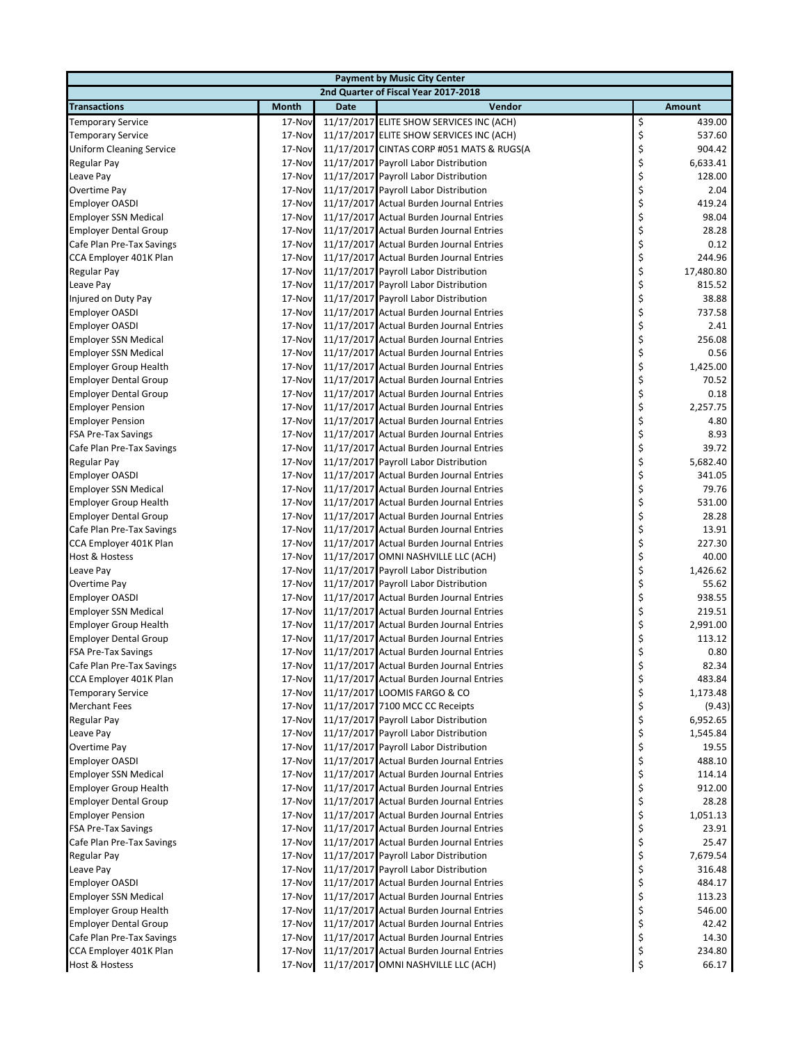|                                 | <b>Payment by Music City Center</b> |             |                                           |    |           |  |  |  |
|---------------------------------|-------------------------------------|-------------|-------------------------------------------|----|-----------|--|--|--|
|                                 |                                     |             | 2nd Quarter of Fiscal Year 2017-2018      |    |           |  |  |  |
| <b>Transactions</b>             | Month                               | <b>Date</b> | Vendor                                    |    | Amount    |  |  |  |
| <b>Temporary Service</b>        | 17-Nov                              |             | 11/17/2017 ELITE SHOW SERVICES INC (ACH)  | \$ | 439.00    |  |  |  |
| <b>Temporary Service</b>        | 17-Nov                              |             | 11/17/2017 ELITE SHOW SERVICES INC (ACH)  | \$ | 537.60    |  |  |  |
| <b>Uniform Cleaning Service</b> | 17-Nov                              |             | 11/17/2017 CINTAS CORP #051 MATS & RUGS(A | \$ | 904.42    |  |  |  |
| Regular Pay                     | 17-Nov                              |             | 11/17/2017 Payroll Labor Distribution     | \$ | 6,633.41  |  |  |  |
| Leave Pay                       | 17-Nov                              |             | 11/17/2017 Payroll Labor Distribution     | \$ | 128.00    |  |  |  |
| Overtime Pay                    | 17-Nov                              |             | 11/17/2017 Payroll Labor Distribution     | \$ | 2.04      |  |  |  |
| <b>Employer OASDI</b>           | 17-Nov                              |             | 11/17/2017 Actual Burden Journal Entries  | \$ | 419.24    |  |  |  |
| <b>Employer SSN Medical</b>     | 17-Nov                              |             | 11/17/2017 Actual Burden Journal Entries  | \$ | 98.04     |  |  |  |
| <b>Employer Dental Group</b>    | 17-Nov                              |             | 11/17/2017 Actual Burden Journal Entries  | \$ | 28.28     |  |  |  |
| Cafe Plan Pre-Tax Savings       | 17-Nov                              |             | 11/17/2017 Actual Burden Journal Entries  | \$ | 0.12      |  |  |  |
| CCA Employer 401K Plan          | 17-Nov                              |             | 11/17/2017 Actual Burden Journal Entries  | \$ | 244.96    |  |  |  |
| Regular Pay                     | 17-Nov                              |             | 11/17/2017 Payroll Labor Distribution     | \$ | 17,480.80 |  |  |  |
| Leave Pay                       | 17-Nov                              |             | 11/17/2017 Payroll Labor Distribution     | \$ | 815.52    |  |  |  |
| Injured on Duty Pay             | 17-Nov                              |             | 11/17/2017 Payroll Labor Distribution     | \$ | 38.88     |  |  |  |
| <b>Employer OASDI</b>           | 17-Nov                              |             | 11/17/2017 Actual Burden Journal Entries  | \$ | 737.58    |  |  |  |
| Employer OASDI                  | 17-Nov                              |             | 11/17/2017 Actual Burden Journal Entries  | \$ | 2.41      |  |  |  |
| <b>Employer SSN Medical</b>     | 17-Nov                              |             | 11/17/2017 Actual Burden Journal Entries  | \$ | 256.08    |  |  |  |
| <b>Employer SSN Medical</b>     | 17-Nov                              |             | 11/17/2017 Actual Burden Journal Entries  | \$ | 0.56      |  |  |  |
| <b>Employer Group Health</b>    | 17-Nov                              |             | 11/17/2017 Actual Burden Journal Entries  | \$ | 1,425.00  |  |  |  |
| <b>Employer Dental Group</b>    | 17-Nov                              |             | 11/17/2017 Actual Burden Journal Entries  | \$ | 70.52     |  |  |  |
| <b>Employer Dental Group</b>    | 17-Nov                              |             | 11/17/2017 Actual Burden Journal Entries  | \$ | 0.18      |  |  |  |
| <b>Employer Pension</b>         | 17-Nov                              |             | 11/17/2017 Actual Burden Journal Entries  | \$ | 2,257.75  |  |  |  |
| <b>Employer Pension</b>         | 17-Nov                              |             | 11/17/2017 Actual Burden Journal Entries  | \$ | 4.80      |  |  |  |
| <b>FSA Pre-Tax Savings</b>      | 17-Nov                              |             | 11/17/2017 Actual Burden Journal Entries  | \$ | 8.93      |  |  |  |
| Cafe Plan Pre-Tax Savings       | 17-Nov                              |             | 11/17/2017 Actual Burden Journal Entries  | \$ | 39.72     |  |  |  |
| Regular Pay                     | 17-Nov                              |             | 11/17/2017 Payroll Labor Distribution     | \$ | 5,682.40  |  |  |  |
| Employer OASDI                  | 17-Nov                              |             | 11/17/2017 Actual Burden Journal Entries  | \$ | 341.05    |  |  |  |
| <b>Employer SSN Medical</b>     | 17-Nov                              |             | 11/17/2017 Actual Burden Journal Entries  | \$ | 79.76     |  |  |  |
| <b>Employer Group Health</b>    | 17-Nov                              |             | 11/17/2017 Actual Burden Journal Entries  | \$ | 531.00    |  |  |  |
| <b>Employer Dental Group</b>    | 17-Nov                              |             | 11/17/2017 Actual Burden Journal Entries  | \$ | 28.28     |  |  |  |
| Cafe Plan Pre-Tax Savings       | 17-Nov                              |             | 11/17/2017 Actual Burden Journal Entries  | \$ | 13.91     |  |  |  |
| CCA Employer 401K Plan          | 17-Nov                              |             | 11/17/2017 Actual Burden Journal Entries  | \$ | 227.30    |  |  |  |
| Host & Hostess                  | 17-Nov                              |             | 11/17/2017 OMNI NASHVILLE LLC (ACH)       | \$ | 40.00     |  |  |  |
| Leave Pay                       | 17-Nov                              |             | 11/17/2017 Payroll Labor Distribution     | \$ | 1,426.62  |  |  |  |
| Overtime Pay                    | 17-Nov                              |             | 11/17/2017 Payroll Labor Distribution     | \$ | 55.62     |  |  |  |
| <b>Employer OASDI</b>           | 17-Nov                              |             | 11/17/2017 Actual Burden Journal Entries  | \$ | 938.55    |  |  |  |
| <b>Employer SSN Medical</b>     | 17-Nov                              |             | 11/17/2017 Actual Burden Journal Entries  | \$ | 219.51    |  |  |  |
| <b>Employer Group Health</b>    | 17-Nov                              |             | 11/17/2017 Actual Burden Journal Entries  | \$ | 2,991.00  |  |  |  |
| <b>Employer Dental Group</b>    | 17-Nov                              |             | 11/17/2017 Actual Burden Journal Entries  | \$ | 113.12    |  |  |  |
| <b>FSA Pre-Tax Savings</b>      | 17-Nov                              |             | 11/17/2017 Actual Burden Journal Entries  | \$ | 0.80      |  |  |  |
| Cafe Plan Pre-Tax Savings       | 17-Nov                              |             | 11/17/2017 Actual Burden Journal Entries  | Ş  | 82.34     |  |  |  |
| CCA Employer 401K Plan          | 17-Nov                              |             | 11/17/2017 Actual Burden Journal Entries  | \$ | 483.84    |  |  |  |
| <b>Temporary Service</b>        | 17-Nov                              |             | 11/17/2017 LOOMIS FARGO & CO              | \$ | 1,173.48  |  |  |  |
| <b>Merchant Fees</b>            | 17-Nov                              |             | 11/17/2017 7100 MCC CC Receipts           | \$ | (9.43)    |  |  |  |
| Regular Pay                     | 17-Nov                              |             | 11/17/2017 Payroll Labor Distribution     | \$ | 6,952.65  |  |  |  |
| Leave Pay                       | 17-Nov                              |             | 11/17/2017 Payroll Labor Distribution     | \$ | 1,545.84  |  |  |  |
| Overtime Pay                    | 17-Nov                              |             | 11/17/2017 Payroll Labor Distribution     | \$ | 19.55     |  |  |  |
| <b>Employer OASDI</b>           | 17-Nov                              |             | 11/17/2017 Actual Burden Journal Entries  | \$ | 488.10    |  |  |  |
| <b>Employer SSN Medical</b>     | 17-Nov                              |             | 11/17/2017 Actual Burden Journal Entries  | \$ | 114.14    |  |  |  |
| <b>Employer Group Health</b>    | 17-Nov                              |             | 11/17/2017 Actual Burden Journal Entries  | \$ | 912.00    |  |  |  |
| <b>Employer Dental Group</b>    | 17-Nov                              |             | 11/17/2017 Actual Burden Journal Entries  | \$ | 28.28     |  |  |  |
| <b>Employer Pension</b>         | 17-Nov                              |             | 11/17/2017 Actual Burden Journal Entries  | \$ | 1,051.13  |  |  |  |
| <b>FSA Pre-Tax Savings</b>      | 17-Nov                              |             | 11/17/2017 Actual Burden Journal Entries  | \$ | 23.91     |  |  |  |
| Cafe Plan Pre-Tax Savings       | 17-Nov                              |             | 11/17/2017 Actual Burden Journal Entries  | \$ | 25.47     |  |  |  |
| Regular Pay                     | 17-Nov                              |             | 11/17/2017 Payroll Labor Distribution     | \$ | 7,679.54  |  |  |  |
| Leave Pay                       | 17-Nov                              |             | 11/17/2017 Payroll Labor Distribution     | \$ | 316.48    |  |  |  |
| <b>Employer OASDI</b>           | 17-Nov                              |             | 11/17/2017 Actual Burden Journal Entries  | \$ | 484.17    |  |  |  |
| <b>Employer SSN Medical</b>     | 17-Nov                              |             | 11/17/2017 Actual Burden Journal Entries  | \$ | 113.23    |  |  |  |
| <b>Employer Group Health</b>    | 17-Nov                              |             | 11/17/2017 Actual Burden Journal Entries  | \$ | 546.00    |  |  |  |
| <b>Employer Dental Group</b>    | 17-Nov                              |             | 11/17/2017 Actual Burden Journal Entries  | \$ | 42.42     |  |  |  |
| Cafe Plan Pre-Tax Savings       | 17-Nov                              |             | 11/17/2017 Actual Burden Journal Entries  | \$ | 14.30     |  |  |  |
| CCA Employer 401K Plan          | 17-Nov                              |             | 11/17/2017 Actual Burden Journal Entries  | \$ | 234.80    |  |  |  |
| Host & Hostess                  | 17-Nov                              |             | 11/17/2017 OMNI NASHVILLE LLC (ACH)       | \$ | 66.17     |  |  |  |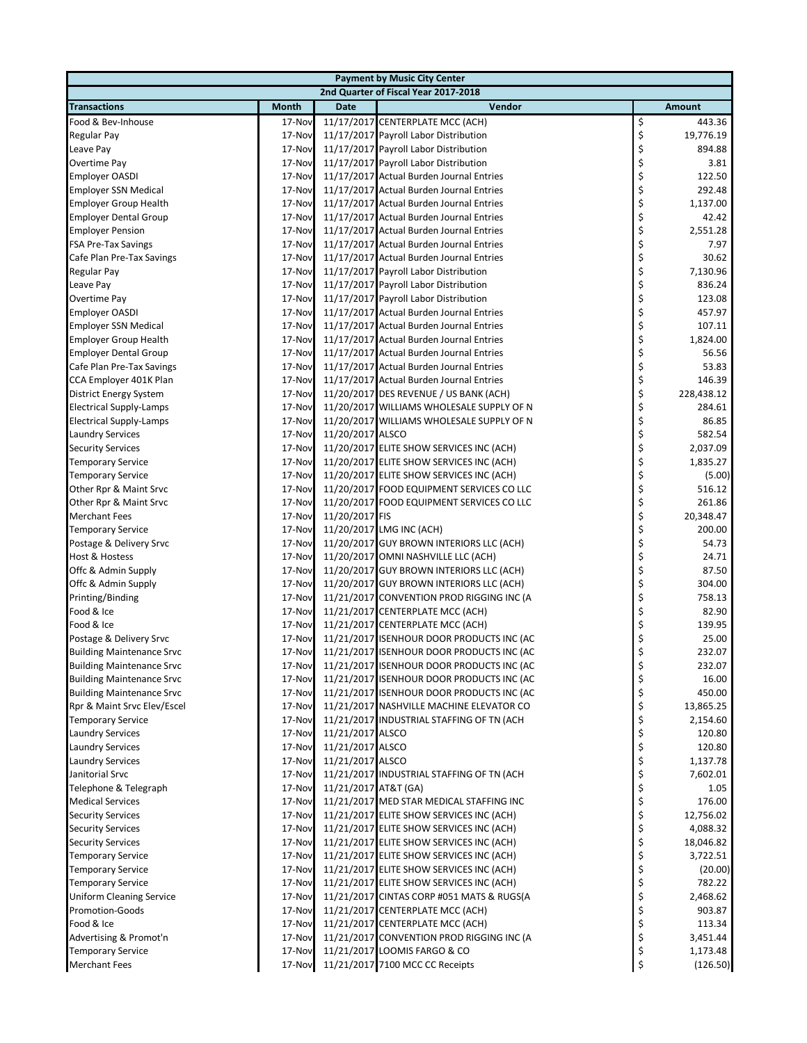| <b>Payment by Music City Center</b> |              |                      |                                           |    |            |  |  |
|-------------------------------------|--------------|----------------------|-------------------------------------------|----|------------|--|--|
|                                     |              |                      | 2nd Quarter of Fiscal Year 2017-2018      |    |            |  |  |
| <b>Transactions</b>                 | <b>Month</b> | <b>Date</b>          | Vendor                                    |    | Amount     |  |  |
| Food & Bev-Inhouse                  | 17-Nov       |                      | 11/17/2017 CENTERPLATE MCC (ACH)          | \$ | 443.36     |  |  |
| Regular Pay                         | 17-Nov       |                      | 11/17/2017 Payroll Labor Distribution     | \$ | 19,776.19  |  |  |
| Leave Pay                           | 17-Nov       |                      | 11/17/2017 Payroll Labor Distribution     | \$ | 894.88     |  |  |
| <b>Overtime Pay</b>                 | 17-Nov       |                      | 11/17/2017 Payroll Labor Distribution     | \$ | 3.81       |  |  |
| <b>Employer OASDI</b>               | 17-Nov       |                      | 11/17/2017 Actual Burden Journal Entries  | \$ | 122.50     |  |  |
| <b>Employer SSN Medical</b>         | 17-Nov       |                      | 11/17/2017 Actual Burden Journal Entries  | \$ | 292.48     |  |  |
| <b>Employer Group Health</b>        | 17-Nov       |                      | 11/17/2017 Actual Burden Journal Entries  | \$ | 1,137.00   |  |  |
| <b>Employer Dental Group</b>        | 17-Nov       |                      | 11/17/2017 Actual Burden Journal Entries  | \$ | 42.42      |  |  |
| <b>Employer Pension</b>             | 17-Nov       |                      | 11/17/2017 Actual Burden Journal Entries  | \$ | 2,551.28   |  |  |
| <b>FSA Pre-Tax Savings</b>          | 17-Nov       |                      | 11/17/2017 Actual Burden Journal Entries  | \$ | 7.97       |  |  |
| Cafe Plan Pre-Tax Savings           | 17-Nov       |                      | 11/17/2017 Actual Burden Journal Entries  | \$ | 30.62      |  |  |
| Regular Pay                         | 17-Nov       |                      | 11/17/2017 Payroll Labor Distribution     | \$ | 7,130.96   |  |  |
| Leave Pay                           | 17-Nov       |                      | 11/17/2017 Payroll Labor Distribution     | \$ | 836.24     |  |  |
| Overtime Pay                        | 17-Nov       |                      | 11/17/2017 Payroll Labor Distribution     | \$ | 123.08     |  |  |
| <b>Employer OASDI</b>               | 17-Nov       |                      | 11/17/2017 Actual Burden Journal Entries  | \$ | 457.97     |  |  |
| <b>Employer SSN Medical</b>         | 17-Nov       |                      | 11/17/2017 Actual Burden Journal Entries  | \$ | 107.11     |  |  |
| <b>Employer Group Health</b>        | 17-Nov       |                      | 11/17/2017 Actual Burden Journal Entries  | \$ | 1,824.00   |  |  |
| <b>Employer Dental Group</b>        | 17-Nov       |                      | 11/17/2017 Actual Burden Journal Entries  | \$ | 56.56      |  |  |
| Cafe Plan Pre-Tax Savings           | 17-Nov       |                      | 11/17/2017 Actual Burden Journal Entries  | \$ | 53.83      |  |  |
| CCA Employer 401K Plan              | 17-Nov       |                      | 11/17/2017 Actual Burden Journal Entries  | \$ | 146.39     |  |  |
| District Energy System              | 17-Nov       |                      | 11/20/2017 DES REVENUE / US BANK (ACH)    | \$ | 228,438.12 |  |  |
| <b>Electrical Supply-Lamps</b>      | 17-Nov       |                      | 11/20/2017 WILLIAMS WHOLESALE SUPPLY OF N | \$ | 284.61     |  |  |
| <b>Electrical Supply-Lamps</b>      | 17-Nov       |                      | 11/20/2017 WILLIAMS WHOLESALE SUPPLY OF N | \$ | 86.85      |  |  |
| <b>Laundry Services</b>             | 17-Nov       | 11/20/2017 ALSCO     |                                           | \$ | 582.54     |  |  |
| <b>Security Services</b>            | 17-Nov       |                      | 11/20/2017 ELITE SHOW SERVICES INC (ACH)  | \$ | 2,037.09   |  |  |
| <b>Temporary Service</b>            | 17-Nov       |                      | 11/20/2017 ELITE SHOW SERVICES INC (ACH)  | \$ | 1,835.27   |  |  |
| <b>Temporary Service</b>            | 17-Nov       |                      | 11/20/2017 ELITE SHOW SERVICES INC (ACH)  | \$ | (5.00)     |  |  |
| Other Rpr & Maint Srvc              | 17-Nov       |                      | 11/20/2017 FOOD EQUIPMENT SERVICES CO LLC | \$ | 516.12     |  |  |
| Other Rpr & Maint Srvc              | 17-Nov       |                      | 11/20/2017 FOOD EQUIPMENT SERVICES CO LLC | \$ | 261.86     |  |  |
| <b>Merchant Fees</b>                | 17-Nov       | 11/20/2017 FIS       |                                           | \$ | 20,348.47  |  |  |
| <b>Temporary Service</b>            | 17-Nov       |                      | 11/20/2017 LMG INC (ACH)                  | \$ | 200.00     |  |  |
| Postage & Delivery Srvc             | 17-Nov       |                      | 11/20/2017 GUY BROWN INTERIORS LLC (ACH)  | \$ | 54.73      |  |  |
| Host & Hostess                      | 17-Nov       |                      | 11/20/2017 OMNI NASHVILLE LLC (ACH)       | \$ | 24.71      |  |  |
| Offc & Admin Supply                 | 17-Nov       |                      | 11/20/2017 GUY BROWN INTERIORS LLC (ACH)  | \$ | 87.50      |  |  |
| Offc & Admin Supply                 | 17-Nov       |                      | 11/20/2017 GUY BROWN INTERIORS LLC (ACH)  | \$ | 304.00     |  |  |
| Printing/Binding                    | 17-Nov       |                      | 11/21/2017 CONVENTION PROD RIGGING INC (A | \$ | 758.13     |  |  |
| Food & Ice                          | 17-Nov       |                      | 11/21/2017 CENTERPLATE MCC (ACH)          | \$ | 82.90      |  |  |
| Food & Ice                          | 17-Nov       |                      | 11/21/2017 CENTERPLATE MCC (ACH)          | \$ | 139.95     |  |  |
| Postage & Delivery Srvc             | 17-Nov       |                      | 11/21/2017 ISENHOUR DOOR PRODUCTS INC (AC | \$ | 25.00      |  |  |
| <b>Building Maintenance Srvc</b>    | 17-Nov       |                      | 11/21/2017 ISENHOUR DOOR PRODUCTS INC (AC | \$ | 232.07     |  |  |
| <b>Building Maintenance Srvc</b>    | 17-Nov       |                      | 11/21/2017 ISENHOUR DOOR PRODUCTS INC (AC | Ş  | 232.07     |  |  |
| <b>Building Maintenance Srvc</b>    | 17-Nov       |                      | 11/21/2017 ISENHOUR DOOR PRODUCTS INC (AC | \$ | 16.00      |  |  |
| <b>Building Maintenance Srvc</b>    | 17-Nov       |                      | 11/21/2017 ISENHOUR DOOR PRODUCTS INC (AC | \$ | 450.00     |  |  |
| Rpr & Maint Srvc Elev/Escel         | 17-Nov       |                      | 11/21/2017 NASHVILLE MACHINE ELEVATOR CO  | \$ | 13,865.25  |  |  |
| <b>Temporary Service</b>            | 17-Nov       |                      | 11/21/2017 INDUSTRIAL STAFFING OF TN (ACH | \$ | 2,154.60   |  |  |
| <b>Laundry Services</b>             | 17-Nov       | 11/21/2017 ALSCO     |                                           | \$ | 120.80     |  |  |
| <b>Laundry Services</b>             | 17-Nov       | 11/21/2017 ALSCO     |                                           | \$ | 120.80     |  |  |
| <b>Laundry Services</b>             | 17-Nov       | 11/21/2017 ALSCO     |                                           | \$ | 1,137.78   |  |  |
| Janitorial Srvc                     | 17-Nov       |                      | 11/21/2017 INDUSTRIAL STAFFING OF TN (ACH | \$ | 7,602.01   |  |  |
| Telephone & Telegraph               | 17-Nov       | 11/21/2017 AT&T (GA) |                                           | \$ | 1.05       |  |  |
| <b>Medical Services</b>             | 17-Nov       |                      | 11/21/2017 MED STAR MEDICAL STAFFING INC  | \$ | 176.00     |  |  |
| <b>Security Services</b>            | 17-Nov       |                      | 11/21/2017 ELITE SHOW SERVICES INC (ACH)  | \$ | 12,756.02  |  |  |
| <b>Security Services</b>            | 17-Nov       |                      | 11/21/2017 ELITE SHOW SERVICES INC (ACH)  | \$ | 4,088.32   |  |  |
| <b>Security Services</b>            | 17-Nov       |                      | 11/21/2017 ELITE SHOW SERVICES INC (ACH)  | \$ | 18,046.82  |  |  |
| <b>Temporary Service</b>            | 17-Nov       |                      | 11/21/2017 ELITE SHOW SERVICES INC (ACH)  | \$ | 3,722.51   |  |  |
| <b>Temporary Service</b>            | 17-Nov       |                      | 11/21/2017 ELITE SHOW SERVICES INC (ACH)  | \$ | (20.00)    |  |  |
| <b>Temporary Service</b>            | 17-Nov       |                      | 11/21/2017 ELITE SHOW SERVICES INC (ACH)  | \$ | 782.22     |  |  |
| <b>Uniform Cleaning Service</b>     | 17-Nov       |                      | 11/21/2017 CINTAS CORP #051 MATS & RUGS(A | \$ | 2,468.62   |  |  |
| Promotion-Goods                     | 17-Nov       |                      | 11/21/2017 CENTERPLATE MCC (ACH)          | \$ | 903.87     |  |  |
| Food & Ice                          | 17-Nov       |                      | 11/21/2017 CENTERPLATE MCC (ACH)          | \$ | 113.34     |  |  |
| Advertising & Promot'n              | 17-Nov       |                      | 11/21/2017 CONVENTION PROD RIGGING INC (A | \$ | 3,451.44   |  |  |
| <b>Temporary Service</b>            | 17-Nov       |                      | 11/21/2017 LOOMIS FARGO & CO              | \$ | 1,173.48   |  |  |
| <b>Merchant Fees</b>                | 17-Nov       |                      | 11/21/2017 7100 MCC CC Receipts           | \$ | (126.50)   |  |  |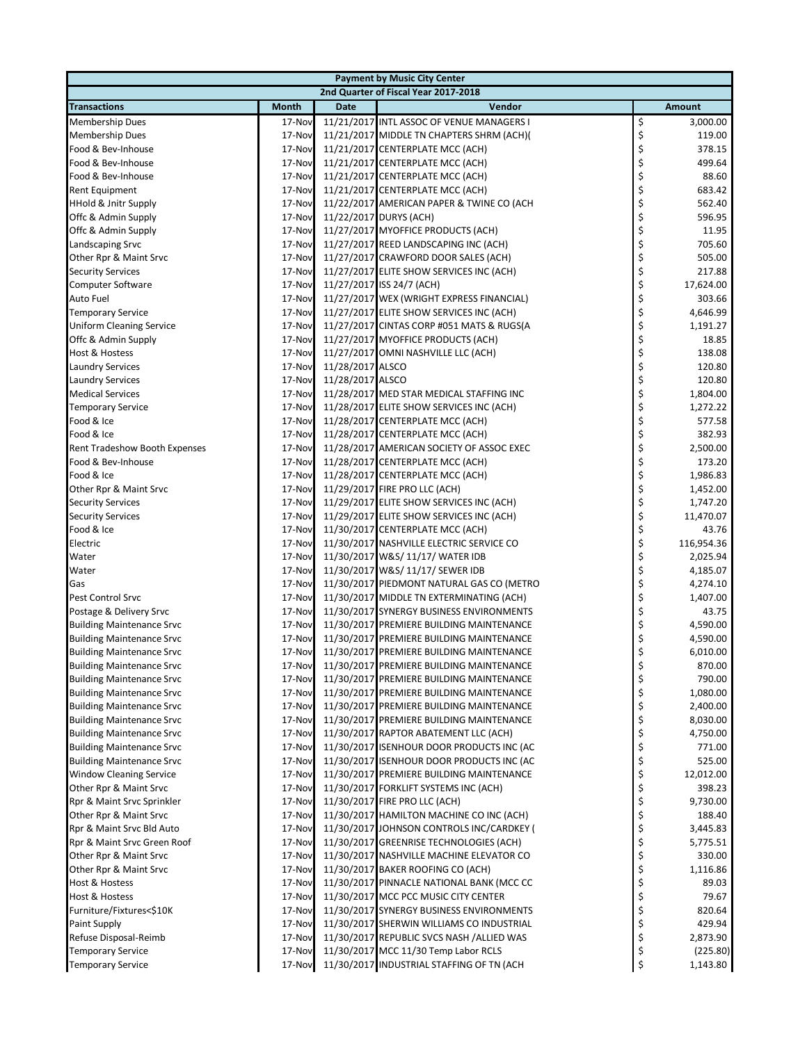| <b>Payment by Music City Center</b>  |              |                  |                                           |    |               |  |  |  |
|--------------------------------------|--------------|------------------|-------------------------------------------|----|---------------|--|--|--|
| 2nd Quarter of Fiscal Year 2017-2018 |              |                  |                                           |    |               |  |  |  |
| <b>Transactions</b>                  | <b>Month</b> | <b>Date</b>      | Vendor                                    |    | <b>Amount</b> |  |  |  |
| Membership Dues                      | 17-Nov       |                  | 11/21/2017 INTL ASSOC OF VENUE MANAGERS I | \$ | 3,000.00      |  |  |  |
| <b>Membership Dues</b>               | 17-Nov       |                  | 11/21/2017 MIDDLE TN CHAPTERS SHRM (ACH)( | \$ | 119.00        |  |  |  |
| Food & Bev-Inhouse                   | 17-Nov       |                  | 11/21/2017 CENTERPLATE MCC (ACH)          | \$ | 378.15        |  |  |  |
| Food & Bev-Inhouse                   | 17-Nov       |                  | 11/21/2017 CENTERPLATE MCC (ACH)          | \$ | 499.64        |  |  |  |
| Food & Bev-Inhouse                   | 17-Nov       |                  | 11/21/2017 CENTERPLATE MCC (ACH)          | \$ | 88.60         |  |  |  |
| Rent Equipment                       | 17-Nov       |                  | 11/21/2017 CENTERPLATE MCC (ACH)          | \$ | 683.42        |  |  |  |
| HHold & Jnitr Supply                 | 17-Nov       |                  | 11/22/2017 AMERICAN PAPER & TWINE CO (ACH | \$ | 562.40        |  |  |  |
| Offc & Admin Supply                  | 17-Nov       |                  | 11/22/2017 DURYS (ACH)                    | \$ | 596.95        |  |  |  |
| Offc & Admin Supply                  | 17-Nov       |                  | 11/27/2017 MYOFFICE PRODUCTS (ACH)        | \$ | 11.95         |  |  |  |
| <b>Landscaping Srvc</b>              | 17-Nov       |                  | 11/27/2017 REED LANDSCAPING INC (ACH)     | \$ | 705.60        |  |  |  |
| Other Rpr & Maint Srvc               | 17-Nov       |                  | 11/27/2017 CRAWFORD DOOR SALES (ACH)      | \$ | 505.00        |  |  |  |
| <b>Security Services</b>             | 17-Nov       |                  | 11/27/2017 ELITE SHOW SERVICES INC (ACH)  | \$ | 217.88        |  |  |  |
| Computer Software                    | 17-Nov       |                  | 11/27/2017 ISS 24/7 (ACH)                 | \$ | 17,624.00     |  |  |  |
| Auto Fuel                            | 17-Nov       |                  | 11/27/2017 WEX (WRIGHT EXPRESS FINANCIAL) | \$ | 303.66        |  |  |  |
| <b>Temporary Service</b>             | 17-Nov       |                  | 11/27/2017 ELITE SHOW SERVICES INC (ACH)  | \$ | 4,646.99      |  |  |  |
| <b>Uniform Cleaning Service</b>      | 17-Nov       |                  | 11/27/2017 CINTAS CORP #051 MATS & RUGS(A | \$ | 1,191.27      |  |  |  |
| Offc & Admin Supply                  | 17-Nov       |                  | 11/27/2017 MYOFFICE PRODUCTS (ACH)        | \$ | 18.85         |  |  |  |
| Host & Hostess                       | 17-Nov       |                  | 11/27/2017 OMNI NASHVILLE LLC (ACH)       | \$ | 138.08        |  |  |  |
| <b>Laundry Services</b>              | 17-Nov       | 11/28/2017 ALSCO |                                           | \$ | 120.80        |  |  |  |
| <b>Laundry Services</b>              | 17-Nov       | 11/28/2017 ALSCO |                                           | \$ | 120.80        |  |  |  |
| <b>Medical Services</b>              | 17-Nov       |                  | 11/28/2017 MED STAR MEDICAL STAFFING INC  | \$ | 1,804.00      |  |  |  |
| <b>Temporary Service</b>             | 17-Nov       |                  | 11/28/2017 ELITE SHOW SERVICES INC (ACH)  | \$ | 1,272.22      |  |  |  |
| Food & Ice                           | 17-Nov       |                  | 11/28/2017 CENTERPLATE MCC (ACH)          | \$ | 577.58        |  |  |  |
| Food & Ice                           | 17-Nov       |                  | 11/28/2017 CENTERPLATE MCC (ACH)          | \$ | 382.93        |  |  |  |
| Rent Tradeshow Booth Expenses        | 17-Nov       |                  | 11/28/2017 AMERICAN SOCIETY OF ASSOC EXEC | \$ | 2,500.00      |  |  |  |
| Food & Bev-Inhouse                   | 17-Nov       |                  | 11/28/2017 CENTERPLATE MCC (ACH)          | \$ | 173.20        |  |  |  |
| Food & Ice                           | 17-Nov       |                  | 11/28/2017 CENTERPLATE MCC (ACH)          | \$ | 1,986.83      |  |  |  |
| Other Rpr & Maint Srvc               | 17-Nov       |                  | 11/29/2017 FIRE PRO LLC (ACH)             | \$ | 1,452.00      |  |  |  |
| <b>Security Services</b>             | 17-Nov       |                  | 11/29/2017 ELITE SHOW SERVICES INC (ACH)  | \$ | 1,747.20      |  |  |  |
| <b>Security Services</b>             | 17-Nov       |                  | 11/29/2017 ELITE SHOW SERVICES INC (ACH)  | \$ | 11,470.07     |  |  |  |
| Food & Ice                           | 17-Nov       |                  | 11/30/2017 CENTERPLATE MCC (ACH)          | \$ | 43.76         |  |  |  |
| Electric                             | 17-Nov       |                  | 11/30/2017 NASHVILLE ELECTRIC SERVICE CO  | \$ | 116,954.36    |  |  |  |
| Water                                | 17-Nov       |                  | 11/30/2017 W&S/ 11/17/ WATER IDB          | \$ | 2,025.94      |  |  |  |
| Water                                | 17-Nov       |                  | 11/30/2017 W&S/ 11/17/ SEWER IDB          | \$ | 4,185.07      |  |  |  |
| Gas                                  | 17-Nov       |                  | 11/30/2017 PIEDMONT NATURAL GAS CO (METRO | \$ | 4,274.10      |  |  |  |
| Pest Control Srvc                    | 17-Nov       |                  | 11/30/2017 MIDDLE TN EXTERMINATING (ACH)  | \$ | 1,407.00      |  |  |  |
| Postage & Delivery Srvc              | 17-Nov       |                  | 11/30/2017 SYNERGY BUSINESS ENVIRONMENTS  | \$ | 43.75         |  |  |  |
| <b>Building Maintenance Srvc</b>     | 17-Nov       |                  | 11/30/2017 PREMIERE BUILDING MAINTENANCE  | \$ | 4,590.00      |  |  |  |
| <b>Building Maintenance Srvc</b>     | 17-Nov       |                  | 11/30/2017 PREMIERE BUILDING MAINTENANCE  | \$ | 4,590.00      |  |  |  |
| <b>Building Maintenance Srvc</b>     | 17-Nov       |                  | 11/30/2017 PREMIERE BUILDING MAINTENANCE  | \$ | 6,010.00      |  |  |  |
| <b>Building Maintenance Srvc</b>     | 17-Nov       |                  | 11/30/2017 PREMIERE BUILDING MAINTENANCE  | Ş  | 870.00        |  |  |  |
| <b>Building Maintenance Srvc</b>     | 17-Nov       |                  | 11/30/2017 PREMIERE BUILDING MAINTENANCE  | \$ | 790.00        |  |  |  |
| <b>Building Maintenance Srvc</b>     | 17-Nov       |                  | 11/30/2017 PREMIERE BUILDING MAINTENANCE  | \$ | 1,080.00      |  |  |  |
| <b>Building Maintenance Srvc</b>     | 17-Nov       |                  | 11/30/2017 PREMIERE BUILDING MAINTENANCE  | \$ | 2,400.00      |  |  |  |
| <b>Building Maintenance Srvc</b>     | 17-Nov       |                  | 11/30/2017 PREMIERE BUILDING MAINTENANCE  | \$ | 8,030.00      |  |  |  |
| <b>Building Maintenance Srvc</b>     | 17-Nov       |                  | 11/30/2017 RAPTOR ABATEMENT LLC (ACH)     | \$ | 4,750.00      |  |  |  |
| <b>Building Maintenance Srvc</b>     | 17-Nov       |                  | 11/30/2017 ISENHOUR DOOR PRODUCTS INC (AC | \$ | 771.00        |  |  |  |
| <b>Building Maintenance Srvc</b>     | 17-Nov       |                  | 11/30/2017 ISENHOUR DOOR PRODUCTS INC (AC | \$ | 525.00        |  |  |  |
| <b>Window Cleaning Service</b>       | 17-Nov       |                  | 11/30/2017 PREMIERE BUILDING MAINTENANCE  | \$ | 12,012.00     |  |  |  |
| Other Rpr & Maint Srvc               | 17-Nov       |                  | 11/30/2017 FORKLIFT SYSTEMS INC (ACH)     | \$ | 398.23        |  |  |  |
| Rpr & Maint Srvc Sprinkler           | 17-Nov       |                  | 11/30/2017 FIRE PRO LLC (ACH)             | \$ | 9,730.00      |  |  |  |
| Other Rpr & Maint Srvc               | 17-Nov       |                  | 11/30/2017 HAMILTON MACHINE CO INC (ACH)  | \$ | 188.40        |  |  |  |
| Rpr & Maint Srvc Bld Auto            | 17-Nov       |                  | 11/30/2017 JOHNSON CONTROLS INC/CARDKEY ( | \$ | 3,445.83      |  |  |  |
| Rpr & Maint Srvc Green Roof          | 17-Nov       |                  | 11/30/2017 GREENRISE TECHNOLOGIES (ACH)   | \$ | 5,775.51      |  |  |  |
| Other Rpr & Maint Srvc               | 17-Nov       |                  | 11/30/2017 NASHVILLE MACHINE ELEVATOR CO  | \$ | 330.00        |  |  |  |
| Other Rpr & Maint Srvc               | 17-Nov       |                  | 11/30/2017 BAKER ROOFING CO (ACH)         | \$ | 1,116.86      |  |  |  |
| Host & Hostess                       | 17-Nov       |                  | 11/30/2017 PINNACLE NATIONAL BANK (MCC CC | \$ | 89.03         |  |  |  |
| Host & Hostess                       | 17-Nov       |                  | 11/30/2017 MCC PCC MUSIC CITY CENTER      | \$ | 79.67         |  |  |  |
| Furniture/Fixtures<\$10K             | 17-Nov       |                  | 11/30/2017 SYNERGY BUSINESS ENVIRONMENTS  | \$ | 820.64        |  |  |  |
| Paint Supply                         | 17-Nov       |                  | 11/30/2017 SHERWIN WILLIAMS CO INDUSTRIAL | \$ | 429.94        |  |  |  |
| Refuse Disposal-Reimb                | 17-Nov       |                  | 11/30/2017 REPUBLIC SVCS NASH /ALLIED WAS | \$ | 2,873.90      |  |  |  |
| Temporary Service                    | 17-Nov       |                  | 11/30/2017 MCC 11/30 Temp Labor RCLS      | \$ | (225.80)      |  |  |  |
| <b>Temporary Service</b>             | 17-Nov       |                  | 11/30/2017 INDUSTRIAL STAFFING OF TN (ACH | \$ | 1,143.80      |  |  |  |
|                                      |              |                  |                                           |    |               |  |  |  |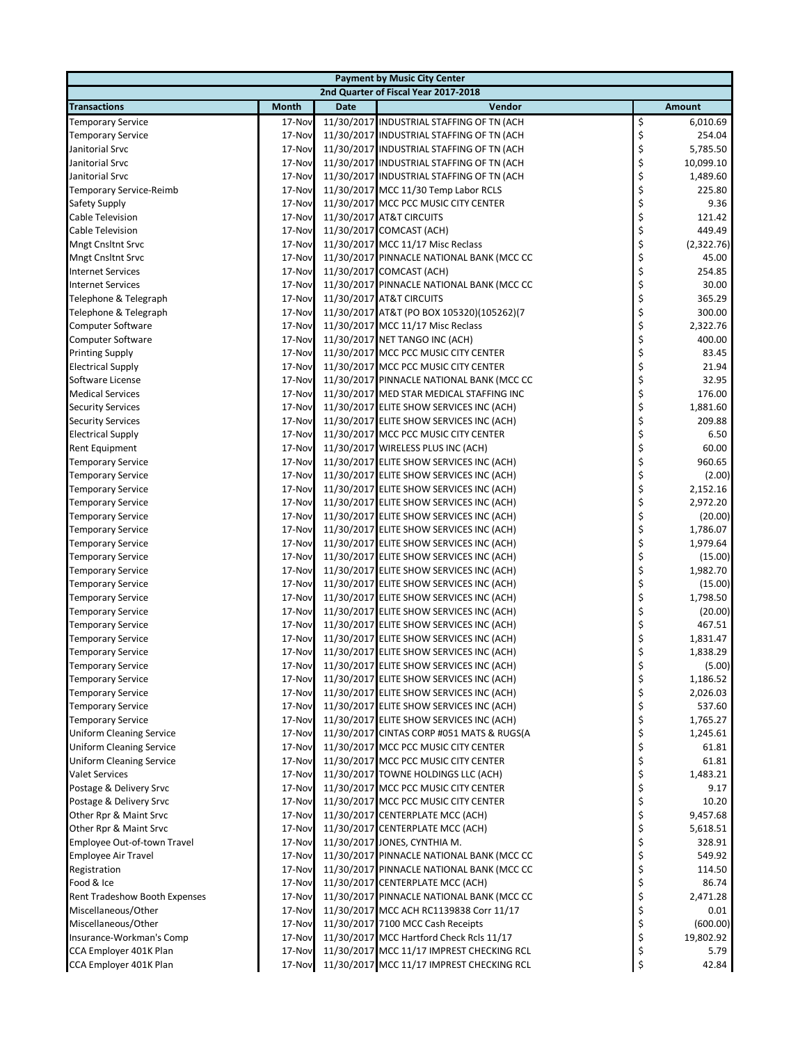| <b>Payment by Music City Center</b> |              |             |                                           |    |               |  |  |  |
|-------------------------------------|--------------|-------------|-------------------------------------------|----|---------------|--|--|--|
|                                     |              |             | 2nd Quarter of Fiscal Year 2017-2018      |    |               |  |  |  |
| <b>Transactions</b>                 | <b>Month</b> | <b>Date</b> | Vendor                                    |    | <b>Amount</b> |  |  |  |
| <b>Temporary Service</b>            | 17-Nov       |             | 11/30/2017 INDUSTRIAL STAFFING OF TN (ACH | \$ | 6,010.69      |  |  |  |
| <b>Temporary Service</b>            | 17-Nov       |             | 11/30/2017 INDUSTRIAL STAFFING OF TN (ACH | \$ | 254.04        |  |  |  |
| Janitorial Srvc                     | 17-Nov       |             | 11/30/2017 INDUSTRIAL STAFFING OF TN (ACH | \$ | 5,785.50      |  |  |  |
| Janitorial Srvc                     | 17-Nov       |             | 11/30/2017 INDUSTRIAL STAFFING OF TN (ACH | \$ | 10,099.10     |  |  |  |
| Janitorial Srvc                     | 17-Nov       |             | 11/30/2017 INDUSTRIAL STAFFING OF TN (ACH | \$ | 1,489.60      |  |  |  |
| Temporary Service-Reimb             | 17-Nov       |             | 11/30/2017 MCC 11/30 Temp Labor RCLS      | \$ | 225.80        |  |  |  |
| Safety Supply                       | 17-Nov       |             | 11/30/2017 MCC PCC MUSIC CITY CENTER      | \$ | 9.36          |  |  |  |
| Cable Television                    | 17-Nov       |             | 11/30/2017 AT&T CIRCUITS                  | \$ | 121.42        |  |  |  |
| Cable Television                    | 17-Nov       |             | 11/30/2017 COMCAST (ACH)                  | \$ | 449.49        |  |  |  |
| <b>Mngt Cnsltnt Srvc</b>            | 17-Nov       |             | 11/30/2017 MCC 11/17 Misc Reclass         | \$ | (2,322.76)    |  |  |  |
| <b>Mngt Cnsltnt Srvc</b>            | 17-Nov       |             | 11/30/2017 PINNACLE NATIONAL BANK (MCC CC | \$ | 45.00         |  |  |  |
| <b>Internet Services</b>            | 17-Nov       |             | 11/30/2017 COMCAST (ACH)                  | \$ | 254.85        |  |  |  |
| <b>Internet Services</b>            | 17-Nov       |             | 11/30/2017 PINNACLE NATIONAL BANK (MCC CC | \$ | 30.00         |  |  |  |
| Telephone & Telegraph               | 17-Nov       |             | 11/30/2017 AT&T CIRCUITS                  | \$ | 365.29        |  |  |  |
| Telephone & Telegraph               | 17-Nov       |             | 11/30/2017 AT&T (PO BOX 105320)(105262)(7 | \$ | 300.00        |  |  |  |
| Computer Software                   | 17-Nov       |             | 11/30/2017 MCC 11/17 Misc Reclass         | \$ | 2,322.76      |  |  |  |
| <b>Computer Software</b>            | 17-Nov       |             | 11/30/2017 NET TANGO INC (ACH)            | \$ | 400.00        |  |  |  |
| <b>Printing Supply</b>              | 17-Nov       |             | 11/30/2017 MCC PCC MUSIC CITY CENTER      | \$ | 83.45         |  |  |  |
| <b>Electrical Supply</b>            | 17-Nov       |             | 11/30/2017 MCC PCC MUSIC CITY CENTER      | \$ | 21.94         |  |  |  |
| Software License                    | 17-Nov       |             | 11/30/2017 PINNACLE NATIONAL BANK (MCC CC | \$ | 32.95         |  |  |  |
| <b>Medical Services</b>             | 17-Nov       |             | 11/30/2017 MED STAR MEDICAL STAFFING INC  | \$ | 176.00        |  |  |  |
| <b>Security Services</b>            | 17-Nov       |             | 11/30/2017 ELITE SHOW SERVICES INC (ACH)  | \$ | 1,881.60      |  |  |  |
| <b>Security Services</b>            | 17-Nov       |             | 11/30/2017 ELITE SHOW SERVICES INC (ACH)  | \$ | 209.88        |  |  |  |
| <b>Electrical Supply</b>            | 17-Nov       |             | 11/30/2017 MCC PCC MUSIC CITY CENTER      | \$ | 6.50          |  |  |  |
| <b>Rent Equipment</b>               | 17-Nov       |             | 11/30/2017 WIRELESS PLUS INC (ACH)        | \$ | 60.00         |  |  |  |
| <b>Temporary Service</b>            | 17-Nov       |             | 11/30/2017 ELITE SHOW SERVICES INC (ACH)  | \$ | 960.65        |  |  |  |
| <b>Temporary Service</b>            | 17-Nov       |             | 11/30/2017 ELITE SHOW SERVICES INC (ACH)  | \$ | (2.00)        |  |  |  |
| <b>Temporary Service</b>            | 17-Nov       |             | 11/30/2017 ELITE SHOW SERVICES INC (ACH)  | \$ | 2,152.16      |  |  |  |
| <b>Temporary Service</b>            | 17-Nov       |             | 11/30/2017 ELITE SHOW SERVICES INC (ACH)  | \$ | 2,972.20      |  |  |  |
| <b>Temporary Service</b>            | 17-Nov       |             | 11/30/2017 ELITE SHOW SERVICES INC (ACH)  | \$ | (20.00)       |  |  |  |
| <b>Temporary Service</b>            | 17-Nov       |             | 11/30/2017 ELITE SHOW SERVICES INC (ACH)  | \$ | 1,786.07      |  |  |  |
| <b>Temporary Service</b>            | 17-Nov       |             | 11/30/2017 ELITE SHOW SERVICES INC (ACH)  | \$ | 1,979.64      |  |  |  |
| <b>Temporary Service</b>            | 17-Nov       |             | 11/30/2017 ELITE SHOW SERVICES INC (ACH)  | \$ | (15.00)       |  |  |  |
| <b>Temporary Service</b>            | 17-Nov       |             | 11/30/2017 ELITE SHOW SERVICES INC (ACH)  | \$ | 1,982.70      |  |  |  |
| <b>Temporary Service</b>            | 17-Nov       |             | 11/30/2017 ELITE SHOW SERVICES INC (ACH)  | \$ | (15.00)       |  |  |  |
| <b>Temporary Service</b>            | 17-Nov       |             | 11/30/2017 ELITE SHOW SERVICES INC (ACH)  | \$ | 1,798.50      |  |  |  |
| <b>Temporary Service</b>            | 17-Nov       |             | 11/30/2017 ELITE SHOW SERVICES INC (ACH)  | \$ | (20.00)       |  |  |  |
| <b>Temporary Service</b>            | 17-Nov       |             | 11/30/2017 ELITE SHOW SERVICES INC (ACH)  | \$ | 467.51        |  |  |  |
| <b>Temporary Service</b>            | 17-Nov       |             | 11/30/2017 ELITE SHOW SERVICES INC (ACH)  | \$ | 1,831.47      |  |  |  |
| <b>Temporary Service</b>            | 17-Nov       |             | 11/30/2017 ELITE SHOW SERVICES INC (ACH)  | \$ | 1,838.29      |  |  |  |
| <b>Temporary Service</b>            | 17-Nov       |             | 11/30/2017 ELITE SHOW SERVICES INC (ACH)  | Ş  | (5.00)        |  |  |  |
| <b>Temporary Service</b>            | 17-Nov       |             | 11/30/2017 ELITE SHOW SERVICES INC (ACH)  | \$ | 1,186.52      |  |  |  |
| <b>Temporary Service</b>            | 17-Nov       |             | 11/30/2017 ELITE SHOW SERVICES INC (ACH)  | \$ | 2,026.03      |  |  |  |
| <b>Temporary Service</b>            | 17-Nov       |             | 11/30/2017 ELITE SHOW SERVICES INC (ACH)  | \$ | 537.60        |  |  |  |
| <b>Temporary Service</b>            | 17-Nov       |             | 11/30/2017 ELITE SHOW SERVICES INC (ACH)  | \$ | 1,765.27      |  |  |  |
| <b>Uniform Cleaning Service</b>     | 17-Nov       |             | 11/30/2017 CINTAS CORP #051 MATS & RUGS(A | \$ | 1,245.61      |  |  |  |
| <b>Uniform Cleaning Service</b>     | 17-Nov       |             | 11/30/2017 MCC PCC MUSIC CITY CENTER      | \$ | 61.81         |  |  |  |
| <b>Uniform Cleaning Service</b>     | 17-Nov       |             | 11/30/2017 MCC PCC MUSIC CITY CENTER      | \$ | 61.81         |  |  |  |
| <b>Valet Services</b>               | 17-Nov       |             | 11/30/2017 TOWNE HOLDINGS LLC (ACH)       | \$ | 1,483.21      |  |  |  |
| Postage & Delivery Srvc             | 17-Nov       |             | 11/30/2017 MCC PCC MUSIC CITY CENTER      | \$ | 9.17          |  |  |  |
| Postage & Delivery Srvc             | 17-Nov       |             | 11/30/2017 MCC PCC MUSIC CITY CENTER      | \$ | 10.20         |  |  |  |
| Other Rpr & Maint Srvc              | 17-Nov       |             | 11/30/2017 CENTERPLATE MCC (ACH)          | \$ | 9,457.68      |  |  |  |
| Other Rpr & Maint Srvc              | 17-Nov       |             | 11/30/2017 CENTERPLATE MCC (ACH)          | \$ | 5,618.51      |  |  |  |
| Employee Out-of-town Travel         | 17-Nov       |             | 11/30/2017 JONES, CYNTHIA M.              | \$ | 328.91        |  |  |  |
| Employee Air Travel                 | 17-Nov       |             | 11/30/2017 PINNACLE NATIONAL BANK (MCC CC | \$ | 549.92        |  |  |  |
| Registration                        | 17-Nov       |             | 11/30/2017 PINNACLE NATIONAL BANK (MCC CC | \$ | 114.50        |  |  |  |
| Food & Ice                          | 17-Nov       |             | 11/30/2017 CENTERPLATE MCC (ACH)          | \$ | 86.74         |  |  |  |
| Rent Tradeshow Booth Expenses       | 17-Nov       |             | 11/30/2017 PINNACLE NATIONAL BANK (MCC CC | \$ | 2,471.28      |  |  |  |
| Miscellaneous/Other                 | 17-Nov       |             | 11/30/2017 MCC ACH RC1139838 Corr 11/17   | \$ | 0.01          |  |  |  |
| Miscellaneous/Other                 | 17-Nov       |             | 11/30/2017 7100 MCC Cash Receipts         | \$ | (600.00)      |  |  |  |
| Insurance-Workman's Comp            | 17-Nov       |             | 11/30/2017 MCC Hartford Check Rcls 11/17  | \$ | 19,802.92     |  |  |  |
| CCA Employer 401K Plan              | 17-Nov       |             | 11/30/2017 MCC 11/17 IMPREST CHECKING RCL | \$ | 5.79          |  |  |  |
| CCA Employer 401K Plan              | 17-Nov       |             | 11/30/2017 MCC 11/17 IMPREST CHECKING RCL | \$ | 42.84         |  |  |  |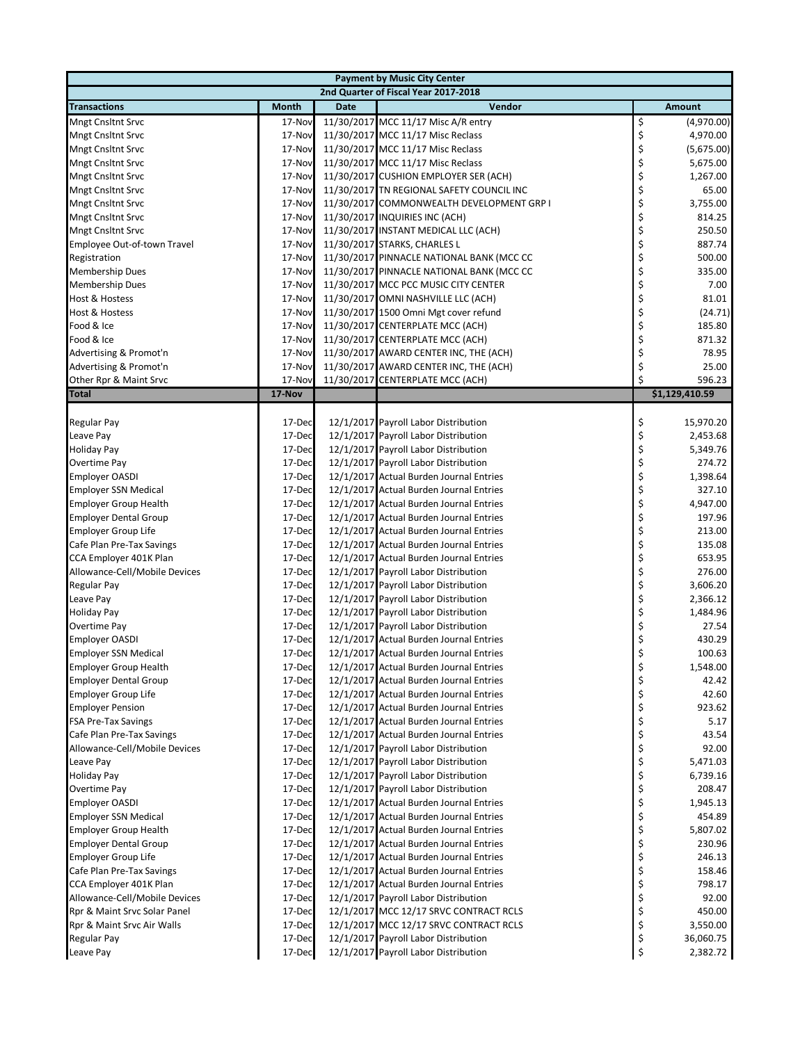| <b>Payment by Music City Center</b>  |                  |             |                                                                              |          |                    |  |  |  |
|--------------------------------------|------------------|-------------|------------------------------------------------------------------------------|----------|--------------------|--|--|--|
| 2nd Quarter of Fiscal Year 2017-2018 |                  |             |                                                                              |          |                    |  |  |  |
| <b>Transactions</b>                  | <b>Month</b>     | <b>Date</b> | Vendor                                                                       |          | Amount             |  |  |  |
| <b>Mngt Cnsltnt Srvc</b>             | 17-Nov           |             | 11/30/2017 MCC 11/17 Misc A/R entry                                          | \$       | (4,970.00)         |  |  |  |
| <b>Mngt Cnsltnt Srvc</b>             | 17-Nov           |             | 11/30/2017 MCC 11/17 Misc Reclass                                            | \$       | 4,970.00           |  |  |  |
| <b>Mngt Cnsltnt Srvc</b>             | 17-Nov           |             | 11/30/2017 MCC 11/17 Misc Reclass                                            | \$       | (5,675.00)         |  |  |  |
| <b>Mngt Cnsltnt Srvc</b>             | 17-Nov           |             | 11/30/2017 MCC 11/17 Misc Reclass                                            | \$       | 5,675.00           |  |  |  |
| <b>Mngt Cnsltnt Srvc</b>             | 17-Nov           |             | 11/30/2017 CUSHION EMPLOYER SER (ACH)                                        | \$       | 1,267.00           |  |  |  |
| <b>Mngt Cnsltnt Srvc</b>             | 17-Nov           |             | 11/30/2017 TN REGIONAL SAFETY COUNCIL INC                                    | \$       | 65.00              |  |  |  |
| <b>Mngt Cnsltnt Srvc</b>             | 17-Nov           |             | 11/30/2017 COMMONWEALTH DEVELOPMENT GRP I                                    | \$       | 3,755.00           |  |  |  |
| <b>Mngt Cnsltnt Srvc</b>             | 17-Nov           |             | 11/30/2017 INQUIRIES INC (ACH)                                               | \$       | 814.25             |  |  |  |
| <b>Mngt Cnsltnt Srvc</b>             | 17-Nov           |             | 11/30/2017 INSTANT MEDICAL LLC (ACH)                                         | \$       | 250.50             |  |  |  |
| Employee Out-of-town Travel          | 17-Nov           |             | 11/30/2017 STARKS, CHARLES L                                                 | \$       | 887.74             |  |  |  |
| Registration                         | 17-Nov           |             | 11/30/2017 PINNACLE NATIONAL BANK (MCC CC                                    | \$       | 500.00             |  |  |  |
| Membership Dues                      | 17-Nov           |             | 11/30/2017 PINNACLE NATIONAL BANK (MCC CC                                    | \$       | 335.00             |  |  |  |
| <b>Membership Dues</b>               | 17-Nov           |             | 11/30/2017 MCC PCC MUSIC CITY CENTER                                         | \$       | 7.00               |  |  |  |
| Host & Hostess                       | 17-Nov           |             | 11/30/2017 OMNI NASHVILLE LLC (ACH)                                          | \$       | 81.01              |  |  |  |
| Host & Hostess                       | 17-Nov           |             | 11/30/2017 1500 Omni Mgt cover refund                                        | \$       | (24.71)            |  |  |  |
| Food & Ice                           | 17-Nov           |             | 11/30/2017 CENTERPLATE MCC (ACH)                                             | \$       | 185.80             |  |  |  |
| Food & Ice                           | 17-Nov           |             | 11/30/2017 CENTERPLATE MCC (ACH)                                             | \$       | 871.32             |  |  |  |
| Advertising & Promot'n               | 17-Nov           |             | 11/30/2017 AWARD CENTER INC, THE (ACH)                                       | \$       | 78.95              |  |  |  |
| Advertising & Promot'n               | 17-Nov           |             | 11/30/2017 AWARD CENTER INC, THE (ACH)                                       | \$       | 25.00              |  |  |  |
| Other Rpr & Maint Srvc               | 17-Nov           |             | 11/30/2017 CENTERPLATE MCC (ACH)                                             | \$       | 596.23             |  |  |  |
| <b>Total</b>                         | <b>17-Nov</b>    |             |                                                                              |          | \$1,129,410.59     |  |  |  |
|                                      |                  |             |                                                                              |          |                    |  |  |  |
| <b>Regular Pay</b>                   | 17-Dec           |             | 12/1/2017 Payroll Labor Distribution                                         | \$       | 15,970.20          |  |  |  |
| Leave Pay                            | 17-Dec           |             | 12/1/2017 Payroll Labor Distribution                                         | \$       | 2,453.68           |  |  |  |
| <b>Holiday Pay</b>                   | 17-Dec           |             | 12/1/2017 Payroll Labor Distribution                                         | \$       | 5,349.76           |  |  |  |
| Overtime Pay                         | 17-Dec           |             | 12/1/2017 Payroll Labor Distribution                                         | \$       | 274.72             |  |  |  |
| <b>Employer OASDI</b>                | 17-Dec           |             | 12/1/2017 Actual Burden Journal Entries                                      | \$       | 1,398.64           |  |  |  |
| <b>Employer SSN Medical</b>          | 17-Dec           |             | 12/1/2017 Actual Burden Journal Entries                                      | \$       | 327.10             |  |  |  |
| <b>Employer Group Health</b>         | 17-Dec           |             | 12/1/2017 Actual Burden Journal Entries                                      | \$       | 4,947.00           |  |  |  |
| <b>Employer Dental Group</b>         | 17-Dec           |             | 12/1/2017 Actual Burden Journal Entries                                      | \$       | 197.96             |  |  |  |
| <b>Employer Group Life</b>           | 17-Dec           |             | 12/1/2017 Actual Burden Journal Entries                                      | \$       | 213.00             |  |  |  |
| Cafe Plan Pre-Tax Savings            | 17-Dec           |             | 12/1/2017 Actual Burden Journal Entries                                      | \$       | 135.08             |  |  |  |
| CCA Employer 401K Plan               | 17-Dec           |             | 12/1/2017 Actual Burden Journal Entries                                      | \$       | 653.95             |  |  |  |
| Allowance-Cell/Mobile Devices        | 17-Dec           |             | 12/1/2017 Payroll Labor Distribution                                         | \$       | 276.00             |  |  |  |
| Regular Pay                          | 17-Dec           |             | 12/1/2017 Payroll Labor Distribution                                         | \$       | 3,606.20           |  |  |  |
| Leave Pay                            | 17-Dec           |             | 12/1/2017 Payroll Labor Distribution                                         | \$       | 2,366.12           |  |  |  |
| <b>Holiday Pay</b>                   | 17-Dec           |             | 12/1/2017 Payroll Labor Distribution                                         | \$       | 1,484.96           |  |  |  |
| Overtime Pay                         | 17-Dec           |             | 12/1/2017 Payroll Labor Distribution                                         | \$       | 27.54              |  |  |  |
| <b>Employer OASDI</b>                | 17-Dec           |             | 12/1/2017 Actual Burden Journal Entries                                      | \$       | 430.29             |  |  |  |
| <b>Employer SSN Medical</b>          | 17-Dec           |             | 12/1/2017 Actual Burden Journal Entries                                      | \$       | 100.63             |  |  |  |
| <b>Employer Group Health</b>         | 17-Dec           |             | 12/1/2017 Actual Burden Journal Entries                                      | \$       | 1,548.00           |  |  |  |
| <b>Employer Dental Group</b>         | 17-Dec           |             | 12/1/2017 Actual Burden Journal Entries                                      | \$       | 42.42              |  |  |  |
| <b>Employer Group Life</b>           | 17-Dec           |             | 12/1/2017 Actual Burden Journal Entries                                      | \$       | 42.60              |  |  |  |
| <b>Employer Pension</b>              | 17-Dec           |             | 12/1/2017 Actual Burden Journal Entries                                      | \$       | 923.62             |  |  |  |
| <b>FSA Pre-Tax Savings</b>           | 17-Dec           |             | 12/1/2017 Actual Burden Journal Entries                                      | \$       | 5.17               |  |  |  |
| Cafe Plan Pre-Tax Savings            | 17-Dec           |             | 12/1/2017 Actual Burden Journal Entries                                      | \$       | 43.54              |  |  |  |
| Allowance-Cell/Mobile Devices        | 17-Dec           |             | 12/1/2017 Payroll Labor Distribution                                         | \$       | 92.00              |  |  |  |
| Leave Pay<br><b>Holiday Pay</b>      | 17-Dec<br>17-Dec |             | 12/1/2017 Payroll Labor Distribution<br>12/1/2017 Payroll Labor Distribution | \$<br>\$ | 5,471.03           |  |  |  |
| Overtime Pay                         | 17-Dec           |             | 12/1/2017 Payroll Labor Distribution                                         | \$       | 6,739.16<br>208.47 |  |  |  |
| <b>Employer OASDI</b>                | 17-Dec           |             | 12/1/2017 Actual Burden Journal Entries                                      | \$       | 1,945.13           |  |  |  |
| <b>Employer SSN Medical</b>          | 17-Dec           |             | 12/1/2017 Actual Burden Journal Entries                                      | \$       | 454.89             |  |  |  |
| <b>Employer Group Health</b>         | 17-Dec           |             | 12/1/2017 Actual Burden Journal Entries                                      | \$       | 5,807.02           |  |  |  |
| <b>Employer Dental Group</b>         | 17-Dec           |             | 12/1/2017 Actual Burden Journal Entries                                      | \$       | 230.96             |  |  |  |
| Employer Group Life                  | 17-Dec           |             | 12/1/2017 Actual Burden Journal Entries                                      | \$       | 246.13             |  |  |  |
| Cafe Plan Pre-Tax Savings            | 17-Dec           |             | 12/1/2017 Actual Burden Journal Entries                                      | \$       | 158.46             |  |  |  |
| CCA Employer 401K Plan               | 17-Dec           |             | 12/1/2017 Actual Burden Journal Entries                                      | \$       | 798.17             |  |  |  |
| Allowance-Cell/Mobile Devices        | 17-Dec           |             | 12/1/2017 Payroll Labor Distribution                                         | \$       | 92.00              |  |  |  |
| Rpr & Maint Srvc Solar Panel         | 17-Dec           |             | 12/1/2017 MCC 12/17 SRVC CONTRACT RCLS                                       | \$       | 450.00             |  |  |  |
| Rpr & Maint Srvc Air Walls           | 17-Dec           |             | 12/1/2017 MCC 12/17 SRVC CONTRACT RCLS                                       | \$       | 3,550.00           |  |  |  |
| Regular Pay                          | 17-Dec           |             | 12/1/2017 Payroll Labor Distribution                                         | \$       | 36,060.75          |  |  |  |
| Leave Pay                            | 17-Dec           |             | 12/1/2017 Payroll Labor Distribution                                         | \$       | 2,382.72           |  |  |  |
|                                      |                  |             |                                                                              |          |                    |  |  |  |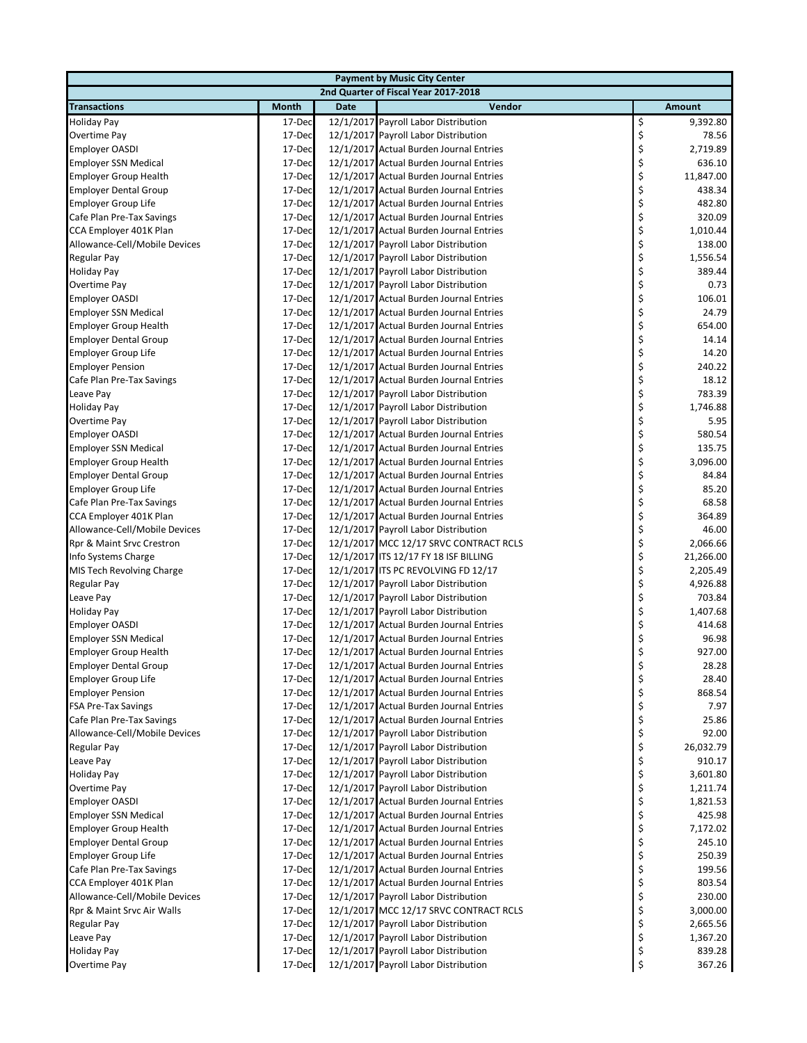| <b>Payment by Music City Center</b> |              |             |                                         |    |           |  |  |  |
|-------------------------------------|--------------|-------------|-----------------------------------------|----|-----------|--|--|--|
|                                     |              |             | 2nd Quarter of Fiscal Year 2017-2018    |    |           |  |  |  |
| <b>Transactions</b>                 | <b>Month</b> | <b>Date</b> | Vendor                                  |    | Amount    |  |  |  |
| <b>Holiday Pay</b>                  | 17-Dec       |             | 12/1/2017 Payroll Labor Distribution    | \$ | 9,392.80  |  |  |  |
| Overtime Pay                        | 17-Dec       |             | 12/1/2017 Payroll Labor Distribution    | \$ | 78.56     |  |  |  |
| <b>Employer OASDI</b>               | 17-Dec       |             | 12/1/2017 Actual Burden Journal Entries | \$ | 2,719.89  |  |  |  |
| <b>Employer SSN Medical</b>         | 17-Dec       |             | 12/1/2017 Actual Burden Journal Entries | \$ | 636.10    |  |  |  |
| <b>Employer Group Health</b>        | 17-Dec       |             | 12/1/2017 Actual Burden Journal Entries | \$ | 11,847.00 |  |  |  |
| <b>Employer Dental Group</b>        | 17-Dec       |             | 12/1/2017 Actual Burden Journal Entries | \$ | 438.34    |  |  |  |
| <b>Employer Group Life</b>          | 17-Dec       |             | 12/1/2017 Actual Burden Journal Entries | \$ | 482.80    |  |  |  |
| Cafe Plan Pre-Tax Savings           | 17-Dec       |             | 12/1/2017 Actual Burden Journal Entries | \$ | 320.09    |  |  |  |
| CCA Employer 401K Plan              | 17-Dec       |             | 12/1/2017 Actual Burden Journal Entries | \$ | 1,010.44  |  |  |  |
| Allowance-Cell/Mobile Devices       | 17-Dec       |             | 12/1/2017 Payroll Labor Distribution    | \$ | 138.00    |  |  |  |
| Regular Pay                         | 17-Dec       |             | 12/1/2017 Payroll Labor Distribution    | \$ | 1,556.54  |  |  |  |
| <b>Holiday Pay</b>                  | 17-Dec       |             | 12/1/2017 Payroll Labor Distribution    | \$ | 389.44    |  |  |  |
| Overtime Pay                        | 17-Dec       |             | 12/1/2017 Payroll Labor Distribution    | \$ | 0.73      |  |  |  |
| <b>Employer OASDI</b>               | 17-Dec       |             | 12/1/2017 Actual Burden Journal Entries | \$ | 106.01    |  |  |  |
| <b>Employer SSN Medical</b>         | 17-Dec       |             | 12/1/2017 Actual Burden Journal Entries | \$ | 24.79     |  |  |  |
| <b>Employer Group Health</b>        | 17-Dec       |             | 12/1/2017 Actual Burden Journal Entries | \$ | 654.00    |  |  |  |
| <b>Employer Dental Group</b>        | 17-Dec       |             | 12/1/2017 Actual Burden Journal Entries | \$ | 14.14     |  |  |  |
| Employer Group Life                 | 17-Dec       |             | 12/1/2017 Actual Burden Journal Entries | \$ | 14.20     |  |  |  |
| <b>Employer Pension</b>             | 17-Dec       |             | 12/1/2017 Actual Burden Journal Entries | \$ | 240.22    |  |  |  |
| Cafe Plan Pre-Tax Savings           | 17-Dec       |             | 12/1/2017 Actual Burden Journal Entries | \$ | 18.12     |  |  |  |
| Leave Pay                           | 17-Dec       |             | 12/1/2017 Payroll Labor Distribution    | \$ | 783.39    |  |  |  |
| <b>Holiday Pay</b>                  | 17-Dec       |             | 12/1/2017 Payroll Labor Distribution    | \$ | 1,746.88  |  |  |  |
| Overtime Pay                        | 17-Dec       |             | 12/1/2017 Payroll Labor Distribution    | \$ | 5.95      |  |  |  |
| <b>Employer OASDI</b>               | 17-Dec       |             | 12/1/2017 Actual Burden Journal Entries | \$ | 580.54    |  |  |  |
| <b>Employer SSN Medical</b>         | 17-Dec       |             | 12/1/2017 Actual Burden Journal Entries | \$ | 135.75    |  |  |  |
| <b>Employer Group Health</b>        | 17-Dec       |             | 12/1/2017 Actual Burden Journal Entries | \$ | 3,096.00  |  |  |  |
| <b>Employer Dental Group</b>        | 17-Dec       |             | 12/1/2017 Actual Burden Journal Entries | \$ | 84.84     |  |  |  |
| Employer Group Life                 | 17-Dec       |             | 12/1/2017 Actual Burden Journal Entries | \$ | 85.20     |  |  |  |
| Cafe Plan Pre-Tax Savings           | 17-Dec       |             | 12/1/2017 Actual Burden Journal Entries | \$ | 68.58     |  |  |  |
| CCA Employer 401K Plan              | 17-Dec       |             | 12/1/2017 Actual Burden Journal Entries | \$ | 364.89    |  |  |  |
| Allowance-Cell/Mobile Devices       | 17-Dec       |             | 12/1/2017 Payroll Labor Distribution    | \$ | 46.00     |  |  |  |
| Rpr & Maint Srvc Crestron           | 17-Dec       |             | 12/1/2017 MCC 12/17 SRVC CONTRACT RCLS  | \$ | 2,066.66  |  |  |  |
| Info Systems Charge                 | 17-Dec       |             | 12/1/2017 ITS 12/17 FY 18 ISF BILLING   | \$ | 21,266.00 |  |  |  |
| MIS Tech Revolving Charge           | 17-Dec       |             | 12/1/2017 ITS PC REVOLVING FD 12/17     | \$ | 2,205.49  |  |  |  |
| Regular Pay                         | 17-Dec       |             | 12/1/2017 Payroll Labor Distribution    | \$ | 4,926.88  |  |  |  |
| Leave Pay                           | 17-Dec       |             | 12/1/2017 Payroll Labor Distribution    | \$ | 703.84    |  |  |  |
| <b>Holiday Pay</b>                  | 17-Dec       |             | 12/1/2017 Payroll Labor Distribution    | \$ | 1,407.68  |  |  |  |
| <b>Employer OASDI</b>               | 17-Dec       |             | 12/1/2017 Actual Burden Journal Entries | \$ | 414.68    |  |  |  |
| <b>Employer SSN Medical</b>         | 17-Dec       |             | 12/1/2017 Actual Burden Journal Entries | \$ | 96.98     |  |  |  |
| <b>Employer Group Health</b>        | 17-Dec       |             | 12/1/2017 Actual Burden Journal Entries | \$ | 927.00    |  |  |  |
| <b>Employer Dental Group</b>        | 17-Dec       |             | 12/1/2017 Actual Burden Journal Entries | Ş  | 28.28     |  |  |  |
| <b>Employer Group Life</b>          | 17-Dec       |             | 12/1/2017 Actual Burden Journal Entries | \$ | 28.40     |  |  |  |
| <b>Employer Pension</b>             | 17-Dec       |             | 12/1/2017 Actual Burden Journal Entries | \$ | 868.54    |  |  |  |
| <b>FSA Pre-Tax Savings</b>          | 17-Dec       |             | 12/1/2017 Actual Burden Journal Entries | \$ | 7.97      |  |  |  |
| Cafe Plan Pre-Tax Savings           | 17-Dec       |             | 12/1/2017 Actual Burden Journal Entries | \$ | 25.86     |  |  |  |
| Allowance-Cell/Mobile Devices       | 17-Dec       |             | 12/1/2017 Payroll Labor Distribution    | \$ | 92.00     |  |  |  |
| Regular Pay                         | 17-Dec       |             | 12/1/2017 Payroll Labor Distribution    | \$ | 26,032.79 |  |  |  |
| Leave Pay                           | 17-Dec       |             | 12/1/2017 Payroll Labor Distribution    | \$ | 910.17    |  |  |  |
| <b>Holiday Pay</b>                  | 17-Dec       |             | 12/1/2017 Payroll Labor Distribution    | \$ | 3,601.80  |  |  |  |
| Overtime Pay                        | 17-Dec       |             | 12/1/2017 Payroll Labor Distribution    | \$ | 1,211.74  |  |  |  |
| <b>Employer OASDI</b>               | 17-Dec       |             | 12/1/2017 Actual Burden Journal Entries | \$ | 1,821.53  |  |  |  |
| <b>Employer SSN Medical</b>         | 17-Dec       |             | 12/1/2017 Actual Burden Journal Entries | \$ | 425.98    |  |  |  |
| <b>Employer Group Health</b>        | 17-Dec       |             | 12/1/2017 Actual Burden Journal Entries | \$ | 7,172.02  |  |  |  |
| <b>Employer Dental Group</b>        | 17-Dec       |             | 12/1/2017 Actual Burden Journal Entries | \$ | 245.10    |  |  |  |
| Employer Group Life                 | 17-Dec       |             | 12/1/2017 Actual Burden Journal Entries | \$ | 250.39    |  |  |  |
| Cafe Plan Pre-Tax Savings           | 17-Dec       |             | 12/1/2017 Actual Burden Journal Entries | \$ | 199.56    |  |  |  |
| CCA Employer 401K Plan              | 17-Dec       |             | 12/1/2017 Actual Burden Journal Entries | \$ | 803.54    |  |  |  |
| Allowance-Cell/Mobile Devices       | 17-Dec       |             | 12/1/2017 Payroll Labor Distribution    | \$ | 230.00    |  |  |  |
| Rpr & Maint Srvc Air Walls          | 17-Dec       |             | 12/1/2017 MCC 12/17 SRVC CONTRACT RCLS  | \$ | 3,000.00  |  |  |  |
| Regular Pay                         | 17-Dec       |             | 12/1/2017 Payroll Labor Distribution    | \$ | 2,665.56  |  |  |  |
| Leave Pay                           | 17-Dec       |             | 12/1/2017 Payroll Labor Distribution    | \$ | 1,367.20  |  |  |  |
| <b>Holiday Pay</b>                  | 17-Dec       |             | 12/1/2017 Payroll Labor Distribution    | \$ | 839.28    |  |  |  |
| Overtime Pay                        | 17-Dec       |             | 12/1/2017 Payroll Labor Distribution    | \$ | 367.26    |  |  |  |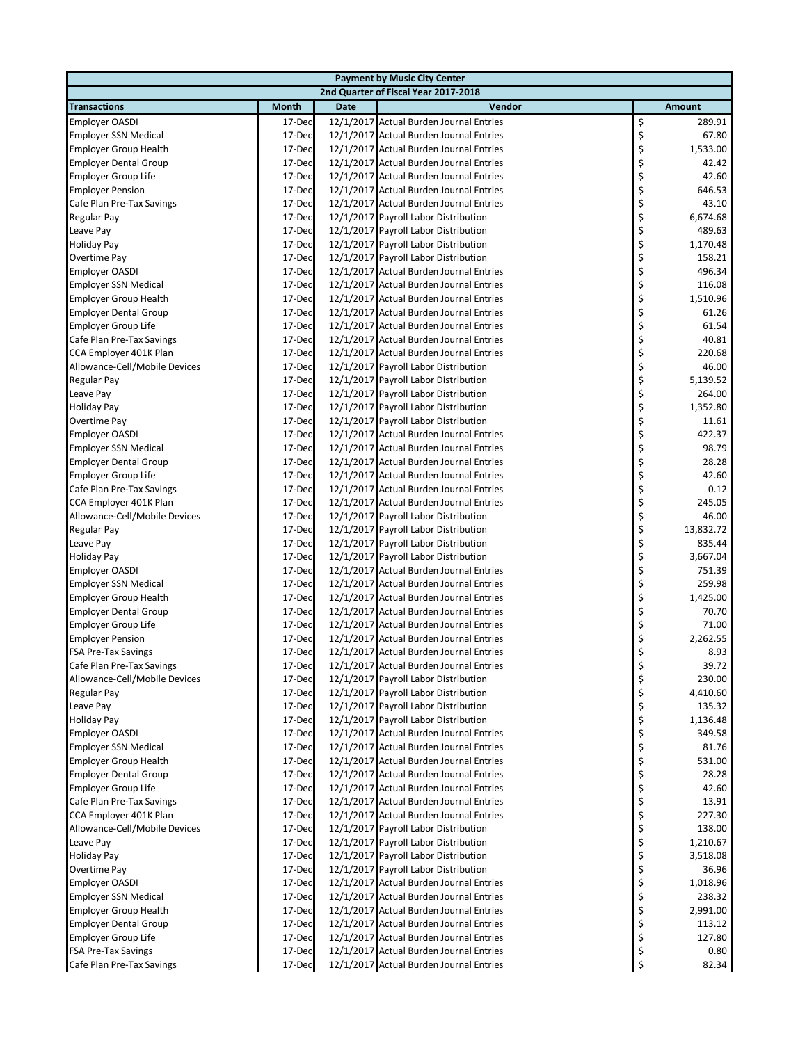| <b>Payment by Music City Center</b> |              |             |                                         |    |           |  |  |
|-------------------------------------|--------------|-------------|-----------------------------------------|----|-----------|--|--|
|                                     |              |             | 2nd Quarter of Fiscal Year 2017-2018    |    |           |  |  |
| <b>Transactions</b>                 | <b>Month</b> | <b>Date</b> | Vendor                                  |    | Amount    |  |  |
| <b>Employer OASDI</b>               | 17-Dec       |             | 12/1/2017 Actual Burden Journal Entries | \$ | 289.91    |  |  |
| <b>Employer SSN Medical</b>         | 17-Dec       |             | 12/1/2017 Actual Burden Journal Entries | \$ | 67.80     |  |  |
| <b>Employer Group Health</b>        | 17-Dec       |             | 12/1/2017 Actual Burden Journal Entries | \$ | 1,533.00  |  |  |
| <b>Employer Dental Group</b>        | 17-Dec       |             | 12/1/2017 Actual Burden Journal Entries | \$ | 42.42     |  |  |
| Employer Group Life                 | 17-Dec       |             | 12/1/2017 Actual Burden Journal Entries | \$ | 42.60     |  |  |
| <b>Employer Pension</b>             | 17-Dec       |             | 12/1/2017 Actual Burden Journal Entries | \$ | 646.53    |  |  |
| Cafe Plan Pre-Tax Savings           | 17-Dec       |             | 12/1/2017 Actual Burden Journal Entries | \$ | 43.10     |  |  |
| Regular Pay                         | 17-Dec       |             | 12/1/2017 Payroll Labor Distribution    | \$ | 6,674.68  |  |  |
| Leave Pay                           | 17-Dec       |             | 12/1/2017 Payroll Labor Distribution    | \$ | 489.63    |  |  |
| <b>Holiday Pay</b>                  | 17-Dec       |             | 12/1/2017 Payroll Labor Distribution    | \$ | 1,170.48  |  |  |
| Overtime Pay                        | 17-Dec       |             | 12/1/2017 Payroll Labor Distribution    | \$ | 158.21    |  |  |
| <b>Employer OASDI</b>               | 17-Dec       |             | 12/1/2017 Actual Burden Journal Entries | \$ | 496.34    |  |  |
| <b>Employer SSN Medical</b>         | 17-Dec       |             | 12/1/2017 Actual Burden Journal Entries | \$ | 116.08    |  |  |
| <b>Employer Group Health</b>        | 17-Dec       |             | 12/1/2017 Actual Burden Journal Entries | \$ | 1,510.96  |  |  |
| <b>Employer Dental Group</b>        | 17-Dec       |             | 12/1/2017 Actual Burden Journal Entries | \$ | 61.26     |  |  |
| Employer Group Life                 | 17-Dec       |             | 12/1/2017 Actual Burden Journal Entries | \$ | 61.54     |  |  |
|                                     | 17-Dec       |             | 12/1/2017 Actual Burden Journal Entries |    | 40.81     |  |  |
| Cafe Plan Pre-Tax Savings           |              |             |                                         | \$ | 220.68    |  |  |
| CCA Employer 401K Plan              | 17-Dec       |             | 12/1/2017 Actual Burden Journal Entries | \$ |           |  |  |
| Allowance-Cell/Mobile Devices       | 17-Dec       |             | 12/1/2017 Payroll Labor Distribution    | \$ | 46.00     |  |  |
| Regular Pay                         | 17-Dec       |             | 12/1/2017 Payroll Labor Distribution    | \$ | 5,139.52  |  |  |
| Leave Pay                           | 17-Dec       |             | 12/1/2017 Payroll Labor Distribution    | \$ | 264.00    |  |  |
| <b>Holiday Pay</b>                  | 17-Dec       |             | 12/1/2017 Payroll Labor Distribution    | \$ | 1,352.80  |  |  |
| Overtime Pay                        | 17-Dec       |             | 12/1/2017 Payroll Labor Distribution    | \$ | 11.61     |  |  |
| <b>Employer OASDI</b>               | 17-Dec       |             | 12/1/2017 Actual Burden Journal Entries | \$ | 422.37    |  |  |
| <b>Employer SSN Medical</b>         | 17-Dec       |             | 12/1/2017 Actual Burden Journal Entries | \$ | 98.79     |  |  |
| <b>Employer Dental Group</b>        | 17-Dec       |             | 12/1/2017 Actual Burden Journal Entries | \$ | 28.28     |  |  |
| Employer Group Life                 | 17-Dec       |             | 12/1/2017 Actual Burden Journal Entries | \$ | 42.60     |  |  |
| Cafe Plan Pre-Tax Savings           | 17-Dec       |             | 12/1/2017 Actual Burden Journal Entries | \$ | 0.12      |  |  |
| CCA Employer 401K Plan              | 17-Dec       |             | 12/1/2017 Actual Burden Journal Entries | \$ | 245.05    |  |  |
| Allowance-Cell/Mobile Devices       | 17-Dec       |             | 12/1/2017 Payroll Labor Distribution    | \$ | 46.00     |  |  |
| Regular Pay                         | 17-Dec       |             | 12/1/2017 Payroll Labor Distribution    | \$ | 13,832.72 |  |  |
| Leave Pay                           | 17-Dec       |             | 12/1/2017 Payroll Labor Distribution    | \$ | 835.44    |  |  |
| <b>Holiday Pay</b>                  | 17-Dec       |             | 12/1/2017 Payroll Labor Distribution    | \$ | 3,667.04  |  |  |
| <b>Employer OASDI</b>               | 17-Dec       |             | 12/1/2017 Actual Burden Journal Entries | \$ | 751.39    |  |  |
| <b>Employer SSN Medical</b>         | 17-Dec       |             | 12/1/2017 Actual Burden Journal Entries | \$ | 259.98    |  |  |
| <b>Employer Group Health</b>        | 17-Dec       |             | 12/1/2017 Actual Burden Journal Entries | \$ | 1,425.00  |  |  |
| <b>Employer Dental Group</b>        | 17-Dec       |             | 12/1/2017 Actual Burden Journal Entries | \$ | 70.70     |  |  |
| Employer Group Life                 | 17-Dec       |             | 12/1/2017 Actual Burden Journal Entries | \$ | 71.00     |  |  |
| <b>Employer Pension</b>             | 17-Dec       |             | 12/1/2017 Actual Burden Journal Entries | \$ | 2,262.55  |  |  |
| <b>FSA Pre-Tax Savings</b>          | 17-Dec       |             | 12/1/2017 Actual Burden Journal Entries | \$ | 8.93      |  |  |
| Cafe Plan Pre-Tax Savings           | 17-Dec       |             | 12/1/2017 Actual Burden Journal Entries | Ş  | 39.72     |  |  |
| Allowance-Cell/Mobile Devices       | 17-Dec       |             | 12/1/2017 Payroll Labor Distribution    | \$ | 230.00    |  |  |
| <b>Regular Pay</b>                  | 17-Dec       |             | 12/1/2017 Payroll Labor Distribution    | \$ | 4,410.60  |  |  |
| Leave Pay                           | 17-Dec       |             | 12/1/2017 Payroll Labor Distribution    | \$ | 135.32    |  |  |
| <b>Holiday Pay</b>                  | 17-Dec       |             | 12/1/2017 Payroll Labor Distribution    | \$ | 1,136.48  |  |  |
| <b>Employer OASDI</b>               | 17-Dec       |             | 12/1/2017 Actual Burden Journal Entries | \$ | 349.58    |  |  |
| <b>Employer SSN Medical</b>         | 17-Dec       |             | 12/1/2017 Actual Burden Journal Entries | \$ | 81.76     |  |  |
| <b>Employer Group Health</b>        | 17-Dec       |             | 12/1/2017 Actual Burden Journal Entries | \$ | 531.00    |  |  |
| <b>Employer Dental Group</b>        | 17-Dec       |             | 12/1/2017 Actual Burden Journal Entries | \$ | 28.28     |  |  |
| Employer Group Life                 | 17-Dec       |             | 12/1/2017 Actual Burden Journal Entries | \$ | 42.60     |  |  |
| Cafe Plan Pre-Tax Savings           | 17-Dec       |             | 12/1/2017 Actual Burden Journal Entries | \$ | 13.91     |  |  |
|                                     |              |             |                                         |    | 227.30    |  |  |
| CCA Employer 401K Plan              | 17-Dec       |             | 12/1/2017 Actual Burden Journal Entries | \$ |           |  |  |
| Allowance-Cell/Mobile Devices       | 17-Dec       |             | 12/1/2017 Payroll Labor Distribution    | \$ | 138.00    |  |  |
| Leave Pay                           | 17-Dec       |             | 12/1/2017 Payroll Labor Distribution    | \$ | 1,210.67  |  |  |
| <b>Holiday Pay</b>                  | 17-Dec       |             | 12/1/2017 Payroll Labor Distribution    | \$ | 3,518.08  |  |  |
| Overtime Pay                        | 17-Dec       |             | 12/1/2017 Payroll Labor Distribution    | \$ | 36.96     |  |  |
| <b>Employer OASDI</b>               | 17-Dec       |             | 12/1/2017 Actual Burden Journal Entries | \$ | 1,018.96  |  |  |
| <b>Employer SSN Medical</b>         | 17-Dec       |             | 12/1/2017 Actual Burden Journal Entries | \$ | 238.32    |  |  |
| <b>Employer Group Health</b>        | 17-Dec       |             | 12/1/2017 Actual Burden Journal Entries | \$ | 2,991.00  |  |  |
| <b>Employer Dental Group</b>        | 17-Dec       |             | 12/1/2017 Actual Burden Journal Entries | \$ | 113.12    |  |  |
| Employer Group Life                 | 17-Dec       |             | 12/1/2017 Actual Burden Journal Entries | \$ | 127.80    |  |  |
| <b>FSA Pre-Tax Savings</b>          | 17-Dec       |             | 12/1/2017 Actual Burden Journal Entries | \$ | $0.80\,$  |  |  |
| Cafe Plan Pre-Tax Savings           | 17-Dec       |             | 12/1/2017 Actual Burden Journal Entries | \$ | 82.34     |  |  |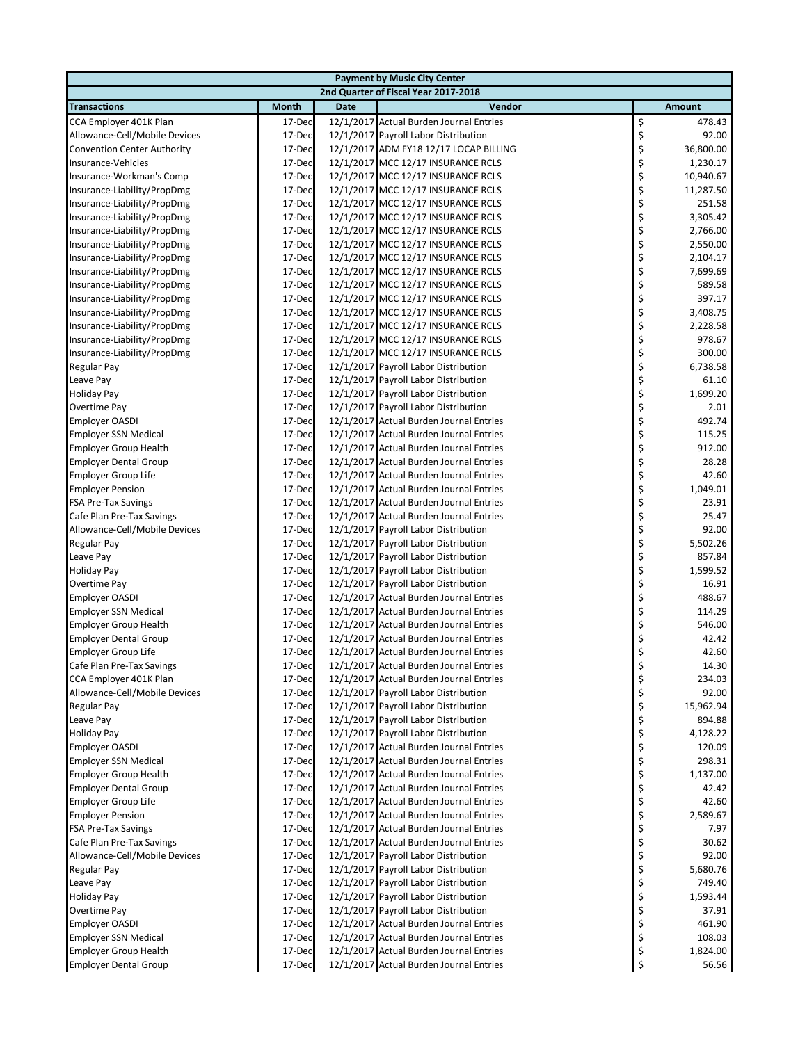| <b>Payment by Music City Center</b> |              |             |                                         |    |           |  |  |
|-------------------------------------|--------------|-------------|-----------------------------------------|----|-----------|--|--|
|                                     |              |             | 2nd Quarter of Fiscal Year 2017-2018    |    |           |  |  |
| <b>Transactions</b>                 | <b>Month</b> | <b>Date</b> | Vendor                                  |    | Amount    |  |  |
| CCA Employer 401K Plan              | 17-Dec       |             | 12/1/2017 Actual Burden Journal Entries | \$ | 478.43    |  |  |
| Allowance-Cell/Mobile Devices       | 17-Dec       |             | 12/1/2017 Payroll Labor Distribution    | \$ | 92.00     |  |  |
| <b>Convention Center Authority</b>  | 17-Dec       |             | 12/1/2017 ADM FY18 12/17 LOCAP BILLING  | \$ | 36,800.00 |  |  |
| Insurance-Vehicles                  | 17-Dec       |             | 12/1/2017 MCC 12/17 INSURANCE RCLS      | \$ | 1,230.17  |  |  |
| Insurance-Workman's Comp            | 17-Dec       |             | 12/1/2017 MCC 12/17 INSURANCE RCLS      | \$ | 10,940.67 |  |  |
| Insurance-Liability/PropDmg         | 17-Dec       |             | 12/1/2017 MCC 12/17 INSURANCE RCLS      | \$ | 11,287.50 |  |  |
| Insurance-Liability/PropDmg         | 17-Dec       |             | 12/1/2017 MCC 12/17 INSURANCE RCLS      | \$ | 251.58    |  |  |
| Insurance-Liability/PropDmg         | 17-Dec       |             | 12/1/2017 MCC 12/17 INSURANCE RCLS      | \$ | 3,305.42  |  |  |
| Insurance-Liability/PropDmg         | 17-Dec       |             | 12/1/2017 MCC 12/17 INSURANCE RCLS      | \$ | 2,766.00  |  |  |
| Insurance-Liability/PropDmg         | 17-Dec       |             | 12/1/2017 MCC 12/17 INSURANCE RCLS      | \$ | 2,550.00  |  |  |
| Insurance-Liability/PropDmg         | 17-Dec       |             | 12/1/2017 MCC 12/17 INSURANCE RCLS      | \$ | 2,104.17  |  |  |
| Insurance-Liability/PropDmg         | 17-Dec       |             | 12/1/2017 MCC 12/17 INSURANCE RCLS      | \$ | 7,699.69  |  |  |
| Insurance-Liability/PropDmg         | 17-Dec       |             | 12/1/2017 MCC 12/17 INSURANCE RCLS      | \$ | 589.58    |  |  |
| Insurance-Liability/PropDmg         | 17-Dec       |             | 12/1/2017 MCC 12/17 INSURANCE RCLS      | \$ | 397.17    |  |  |
| Insurance-Liability/PropDmg         | 17-Dec       |             | 12/1/2017 MCC 12/17 INSURANCE RCLS      | \$ | 3,408.75  |  |  |
| Insurance-Liability/PropDmg         | 17-Dec       |             | 12/1/2017 MCC 12/17 INSURANCE RCLS      | \$ | 2,228.58  |  |  |
| Insurance-Liability/PropDmg         | 17-Dec       |             | 12/1/2017 MCC 12/17 INSURANCE RCLS      | \$ | 978.67    |  |  |
| Insurance-Liability/PropDmg         | 17-Dec       |             | 12/1/2017 MCC 12/17 INSURANCE RCLS      | \$ | 300.00    |  |  |
| Regular Pay                         | 17-Dec       |             | 12/1/2017 Payroll Labor Distribution    | \$ | 6,738.58  |  |  |
| Leave Pay                           | 17-Dec       |             | 12/1/2017 Payroll Labor Distribution    | \$ | 61.10     |  |  |
| <b>Holiday Pay</b>                  | 17-Dec       |             | 12/1/2017 Payroll Labor Distribution    | \$ | 1,699.20  |  |  |
| Overtime Pay                        | 17-Dec       |             | 12/1/2017 Payroll Labor Distribution    | \$ | 2.01      |  |  |
| <b>Employer OASDI</b>               | 17-Dec       |             | 12/1/2017 Actual Burden Journal Entries | \$ | 492.74    |  |  |
| <b>Employer SSN Medical</b>         | 17-Dec       |             | 12/1/2017 Actual Burden Journal Entries | \$ | 115.25    |  |  |
| <b>Employer Group Health</b>        | 17-Dec       |             | 12/1/2017 Actual Burden Journal Entries | \$ | 912.00    |  |  |
| <b>Employer Dental Group</b>        | 17-Dec       |             | 12/1/2017 Actual Burden Journal Entries | \$ | 28.28     |  |  |
| <b>Employer Group Life</b>          | 17-Dec       |             | 12/1/2017 Actual Burden Journal Entries | \$ | 42.60     |  |  |
| <b>Employer Pension</b>             | 17-Dec       |             | 12/1/2017 Actual Burden Journal Entries | \$ | 1,049.01  |  |  |
| <b>FSA Pre-Tax Savings</b>          | 17-Dec       |             | 12/1/2017 Actual Burden Journal Entries | \$ | 23.91     |  |  |
| Cafe Plan Pre-Tax Savings           | 17-Dec       |             | 12/1/2017 Actual Burden Journal Entries | \$ | 25.47     |  |  |
| Allowance-Cell/Mobile Devices       | 17-Dec       |             | 12/1/2017 Payroll Labor Distribution    | \$ | 92.00     |  |  |
| Regular Pay                         | 17-Dec       |             | 12/1/2017 Payroll Labor Distribution    | \$ | 5,502.26  |  |  |
| Leave Pay                           | 17-Dec       |             | 12/1/2017 Payroll Labor Distribution    | \$ | 857.84    |  |  |
| <b>Holiday Pay</b>                  | 17-Dec       |             | 12/1/2017 Payroll Labor Distribution    | \$ | 1,599.52  |  |  |
| Overtime Pay                        | 17-Dec       |             | 12/1/2017 Payroll Labor Distribution    | \$ | 16.91     |  |  |
| <b>Employer OASDI</b>               | 17-Dec       |             | 12/1/2017 Actual Burden Journal Entries | \$ | 488.67    |  |  |
| <b>Employer SSN Medical</b>         | 17-Dec       |             | 12/1/2017 Actual Burden Journal Entries | \$ | 114.29    |  |  |
| <b>Employer Group Health</b>        | 17-Dec       |             | 12/1/2017 Actual Burden Journal Entries | \$ | 546.00    |  |  |
| <b>Employer Dental Group</b>        | 17-Dec       |             | 12/1/2017 Actual Burden Journal Entries | \$ | 42.42     |  |  |
| Employer Group Life                 | 17-Dec       |             | 12/1/2017 Actual Burden Journal Entries | \$ | 42.60     |  |  |
| Cafe Plan Pre-Tax Savings           | 17-Dec       |             | 12/1/2017 Actual Burden Journal Entries | Ş  | 14.30     |  |  |
| CCA Employer 401K Plan              | 17-Dec       |             | 12/1/2017 Actual Burden Journal Entries | \$ | 234.03    |  |  |
| Allowance-Cell/Mobile Devices       | 17-Dec       |             | 12/1/2017 Payroll Labor Distribution    | \$ | 92.00     |  |  |
| Regular Pay                         | 17-Dec       |             | 12/1/2017 Payroll Labor Distribution    | \$ | 15,962.94 |  |  |
| Leave Pay                           | 17-Dec       |             | 12/1/2017 Payroll Labor Distribution    | \$ | 894.88    |  |  |
| <b>Holiday Pay</b>                  | 17-Dec       |             | 12/1/2017 Payroll Labor Distribution    | \$ | 4,128.22  |  |  |
| <b>Employer OASDI</b>               | 17-Dec       |             | 12/1/2017 Actual Burden Journal Entries | \$ | 120.09    |  |  |
| <b>Employer SSN Medical</b>         | 17-Dec       |             | 12/1/2017 Actual Burden Journal Entries | \$ | 298.31    |  |  |
| <b>Employer Group Health</b>        | 17-Dec       |             | 12/1/2017 Actual Burden Journal Entries | \$ | 1,137.00  |  |  |
| <b>Employer Dental Group</b>        | 17-Dec       |             | 12/1/2017 Actual Burden Journal Entries | \$ | 42.42     |  |  |
| Employer Group Life                 | 17-Dec       |             | 12/1/2017 Actual Burden Journal Entries | \$ | 42.60     |  |  |
| <b>Employer Pension</b>             | 17-Dec       |             | 12/1/2017 Actual Burden Journal Entries | \$ | 2,589.67  |  |  |
| <b>FSA Pre-Tax Savings</b>          | 17-Dec       |             | 12/1/2017 Actual Burden Journal Entries | \$ | 7.97      |  |  |
| Cafe Plan Pre-Tax Savings           | 17-Dec       |             | 12/1/2017 Actual Burden Journal Entries | \$ | 30.62     |  |  |
| Allowance-Cell/Mobile Devices       | 17-Dec       |             | 12/1/2017 Payroll Labor Distribution    | \$ | 92.00     |  |  |
| Regular Pay                         | 17-Dec       |             | 12/1/2017 Payroll Labor Distribution    | \$ | 5,680.76  |  |  |
| Leave Pay                           | 17-Dec       |             | 12/1/2017 Payroll Labor Distribution    | \$ | 749.40    |  |  |
| <b>Holiday Pay</b>                  | 17-Dec       |             | 12/1/2017 Payroll Labor Distribution    | \$ | 1,593.44  |  |  |
| Overtime Pay                        | 17-Dec       |             | 12/1/2017 Payroll Labor Distribution    | \$ | 37.91     |  |  |
| <b>Employer OASDI</b>               | 17-Dec       |             | 12/1/2017 Actual Burden Journal Entries | \$ | 461.90    |  |  |
| <b>Employer SSN Medical</b>         | 17-Dec       |             | 12/1/2017 Actual Burden Journal Entries | \$ | 108.03    |  |  |
| <b>Employer Group Health</b>        | 17-Dec       |             | 12/1/2017 Actual Burden Journal Entries | \$ | 1,824.00  |  |  |
| <b>Employer Dental Group</b>        | 17-Dec       |             | 12/1/2017 Actual Burden Journal Entries | \$ | 56.56     |  |  |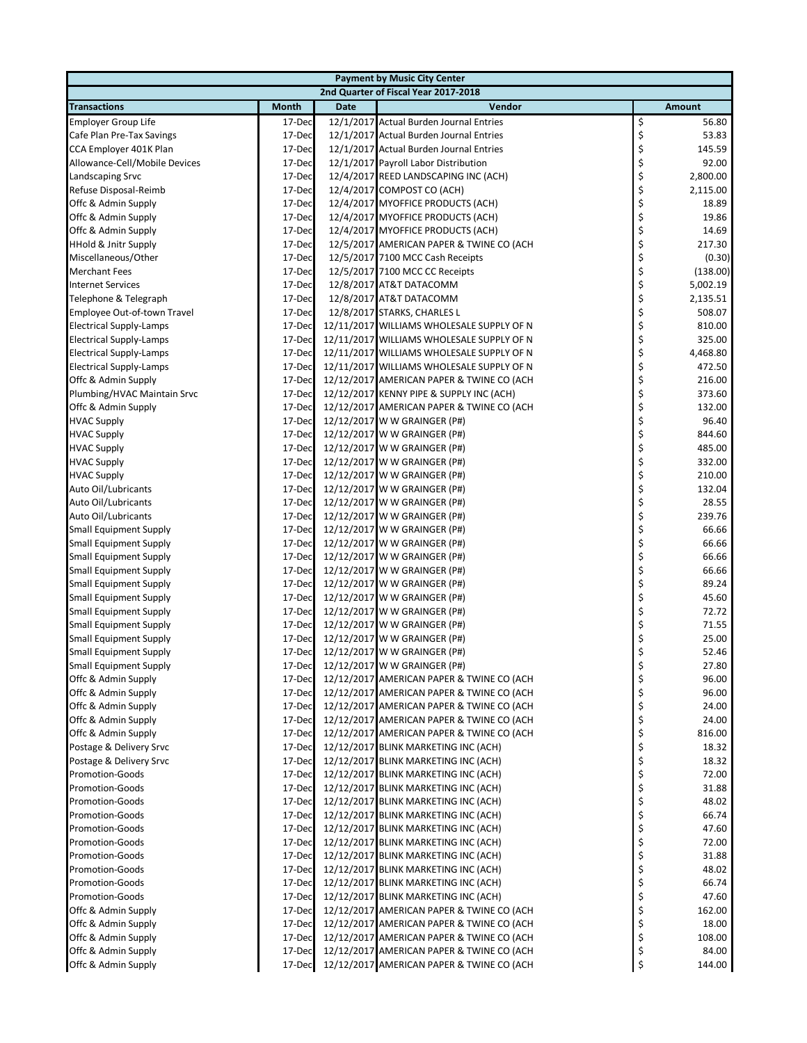| <b>Payment by Music City Center</b> |              |             |                                           |    |               |  |  |  |
|-------------------------------------|--------------|-------------|-------------------------------------------|----|---------------|--|--|--|
|                                     |              |             | 2nd Quarter of Fiscal Year 2017-2018      |    |               |  |  |  |
| <b>Transactions</b>                 | <b>Month</b> | <b>Date</b> | Vendor                                    |    | <b>Amount</b> |  |  |  |
| Employer Group Life                 | 17-Dec       |             | 12/1/2017 Actual Burden Journal Entries   | \$ | 56.80         |  |  |  |
| Cafe Plan Pre-Tax Savings           | 17-Dec       |             | 12/1/2017 Actual Burden Journal Entries   | \$ | 53.83         |  |  |  |
| CCA Employer 401K Plan              | 17-Dec       |             | 12/1/2017 Actual Burden Journal Entries   | \$ | 145.59        |  |  |  |
| Allowance-Cell/Mobile Devices       | 17-Dec       |             | 12/1/2017 Payroll Labor Distribution      | \$ | 92.00         |  |  |  |
| Landscaping Srvc                    | 17-Dec       |             | 12/4/2017 REED LANDSCAPING INC (ACH)      | \$ | 2,800.00      |  |  |  |
| Refuse Disposal-Reimb               | 17-Dec       |             | 12/4/2017 COMPOST CO (ACH)                | \$ | 2,115.00      |  |  |  |
| Offc & Admin Supply                 | 17-Dec       |             | 12/4/2017 MYOFFICE PRODUCTS (ACH)         | \$ | 18.89         |  |  |  |
| Offc & Admin Supply                 | 17-Dec       |             | 12/4/2017 MYOFFICE PRODUCTS (ACH)         | \$ | 19.86         |  |  |  |
| Offc & Admin Supply                 | 17-Dec       |             | 12/4/2017 MYOFFICE PRODUCTS (ACH)         | \$ | 14.69         |  |  |  |
| <b>HHold &amp; Jnitr Supply</b>     | 17-Dec       |             | 12/5/2017 AMERICAN PAPER & TWINE CO (ACH  | \$ | 217.30        |  |  |  |
| Miscellaneous/Other                 | 17-Dec       |             | 12/5/2017 7100 MCC Cash Receipts          | \$ | (0.30)        |  |  |  |
| <b>Merchant Fees</b>                | 17-Dec       |             | 12/5/2017 7100 MCC CC Receipts            | \$ | (138.00)      |  |  |  |
| <b>Internet Services</b>            | 17-Dec       |             | 12/8/2017 AT&T DATACOMM                   | \$ | 5,002.19      |  |  |  |
| Telephone & Telegraph               | 17-Dec       |             | 12/8/2017 AT&T DATACOMM                   | \$ | 2,135.51      |  |  |  |
| Employee Out-of-town Travel         | 17-Dec       |             | 12/8/2017 STARKS, CHARLES L               | \$ | 508.07        |  |  |  |
| <b>Electrical Supply-Lamps</b>      | 17-Dec       |             | 12/11/2017 WILLIAMS WHOLESALE SUPPLY OF N | \$ | 810.00        |  |  |  |
| <b>Electrical Supply-Lamps</b>      | 17-Dec       |             | 12/11/2017 WILLIAMS WHOLESALE SUPPLY OF N | \$ | 325.00        |  |  |  |
| <b>Electrical Supply-Lamps</b>      | 17-Dec       |             | 12/11/2017 WILLIAMS WHOLESALE SUPPLY OF N | \$ | 4,468.80      |  |  |  |
| <b>Electrical Supply-Lamps</b>      | 17-Dec       |             | 12/11/2017 WILLIAMS WHOLESALE SUPPLY OF N | \$ | 472.50        |  |  |  |
| Offc & Admin Supply                 | 17-Dec       |             | 12/12/2017 AMERICAN PAPER & TWINE CO (ACH | \$ | 216.00        |  |  |  |
| Plumbing/HVAC Maintain Srvc         | 17-Dec       |             | 12/12/2017 KENNY PIPE & SUPPLY INC (ACH)  | \$ | 373.60        |  |  |  |
| Offc & Admin Supply                 | 17-Dec       |             | 12/12/2017 AMERICAN PAPER & TWINE CO (ACH | \$ | 132.00        |  |  |  |
| <b>HVAC Supply</b>                  | 17-Dec       |             | 12/12/2017 W W GRAINGER (P#)              | \$ | 96.40         |  |  |  |
| <b>HVAC Supply</b>                  | 17-Dec       |             | 12/12/2017 W W GRAINGER (P#)              | \$ | 844.60        |  |  |  |
| <b>HVAC Supply</b>                  | 17-Dec       |             | 12/12/2017 W W GRAINGER (P#)              | \$ | 485.00        |  |  |  |
| <b>HVAC Supply</b>                  | 17-Dec       |             | 12/12/2017 W W GRAINGER (P#)              | \$ | 332.00        |  |  |  |
| <b>HVAC Supply</b>                  | 17-Dec       |             | 12/12/2017 W W GRAINGER (P#)              | \$ | 210.00        |  |  |  |
| Auto Oil/Lubricants                 | 17-Dec       |             | 12/12/2017 W W GRAINGER (P#)              | \$ | 132.04        |  |  |  |
| Auto Oil/Lubricants                 | 17-Dec       |             | 12/12/2017 W W GRAINGER (P#)              | \$ | 28.55         |  |  |  |
| Auto Oil/Lubricants                 | 17-Dec       |             | 12/12/2017 W W GRAINGER (P#)              | \$ | 239.76        |  |  |  |
| <b>Small Equipment Supply</b>       | 17-Dec       |             | 12/12/2017 W W GRAINGER (P#)              | \$ | 66.66         |  |  |  |
| <b>Small Equipment Supply</b>       | 17-Dec       |             | 12/12/2017 W W GRAINGER (P#)              | \$ | 66.66         |  |  |  |
| Small Equipment Supply              | 17-Dec       |             | 12/12/2017 W W GRAINGER (P#)              | \$ | 66.66         |  |  |  |
| <b>Small Equipment Supply</b>       | 17-Dec       |             | 12/12/2017 W W GRAINGER (P#)              | \$ | 66.66         |  |  |  |
| <b>Small Equipment Supply</b>       | 17-Dec       |             | 12/12/2017 W W GRAINGER (P#)              | \$ | 89.24         |  |  |  |
| <b>Small Equipment Supply</b>       | 17-Dec       |             | 12/12/2017 W W GRAINGER (P#)              | \$ | 45.60         |  |  |  |
| <b>Small Equipment Supply</b>       | 17-Dec       |             | 12/12/2017 W W GRAINGER (P#)              | \$ | 72.72         |  |  |  |
| <b>Small Equipment Supply</b>       | 17-Dec       |             | 12/12/2017 W W GRAINGER (P#)              | \$ | 71.55         |  |  |  |
| <b>Small Equipment Supply</b>       | 17-Dec       |             | 12/12/2017 W W GRAINGER (P#)              | \$ | 25.00         |  |  |  |
| <b>Small Equipment Supply</b>       | 17-Dec       |             | 12/12/2017 W W GRAINGER (P#)              | \$ | 52.46         |  |  |  |
| Small Equipment Supply              | 17-Dec       |             | 12/12/2017 W W GRAINGER (P#)              |    | 27.80         |  |  |  |
| Offc & Admin Supply                 | 17-Dec       |             | 12/12/2017 AMERICAN PAPER & TWINE CO (ACH | \$ | 96.00         |  |  |  |
| Offc & Admin Supply                 | 17-Dec       |             | 12/12/2017 AMERICAN PAPER & TWINE CO (ACH | \$ | 96.00         |  |  |  |
| Offc & Admin Supply                 | 17-Dec       |             | 12/12/2017 AMERICAN PAPER & TWINE CO (ACH | \$ | 24.00         |  |  |  |
| Offc & Admin Supply                 | 17-Dec       |             | 12/12/2017 AMERICAN PAPER & TWINE CO (ACH | \$ | 24.00         |  |  |  |
| Offc & Admin Supply                 | 17-Dec       |             | 12/12/2017 AMERICAN PAPER & TWINE CO (ACH | \$ | 816.00        |  |  |  |
| Postage & Delivery Srvc             | 17-Dec       |             | 12/12/2017 BLINK MARKETING INC (ACH)      | \$ | 18.32         |  |  |  |
| Postage & Delivery Srvc             | 17-Dec       |             | 12/12/2017 BLINK MARKETING INC (ACH)      | \$ | 18.32         |  |  |  |
| <b>Promotion-Goods</b>              | 17-Dec       |             | 12/12/2017 BLINK MARKETING INC (ACH)      | \$ | 72.00         |  |  |  |
| <b>Promotion-Goods</b>              | 17-Dec       |             | 12/12/2017 BLINK MARKETING INC (ACH)      | \$ | 31.88         |  |  |  |
| <b>Promotion-Goods</b>              | 17-Dec       |             | 12/12/2017 BLINK MARKETING INC (ACH)      | \$ | 48.02         |  |  |  |
| <b>Promotion-Goods</b>              | 17-Dec       |             | 12/12/2017 BLINK MARKETING INC (ACH)      | \$ | 66.74         |  |  |  |
| <b>Promotion-Goods</b>              | 17-Dec       |             | 12/12/2017 BLINK MARKETING INC (ACH)      | \$ | 47.60         |  |  |  |
| <b>Promotion-Goods</b>              | 17-Dec       |             | 12/12/2017 BLINK MARKETING INC (ACH)      | \$ | 72.00         |  |  |  |
| <b>Promotion-Goods</b>              | 17-Dec       |             | 12/12/2017 BLINK MARKETING INC (ACH)      | \$ | 31.88         |  |  |  |
| <b>Promotion-Goods</b>              | 17-Dec       |             | 12/12/2017 BLINK MARKETING INC (ACH)      | \$ | 48.02         |  |  |  |
| <b>Promotion-Goods</b>              | 17-Dec       |             | 12/12/2017 BLINK MARKETING INC (ACH)      | \$ | 66.74         |  |  |  |
| <b>Promotion-Goods</b>              | 17-Dec       |             | 12/12/2017 BLINK MARKETING INC (ACH)      | \$ | 47.60         |  |  |  |
| Offc & Admin Supply                 | 17-Dec       |             | 12/12/2017 AMERICAN PAPER & TWINE CO (ACH | \$ | 162.00        |  |  |  |
| Offc & Admin Supply                 | 17-Dec       |             | 12/12/2017 AMERICAN PAPER & TWINE CO (ACH | \$ | 18.00         |  |  |  |
| Offc & Admin Supply                 | 17-Dec       |             | 12/12/2017 AMERICAN PAPER & TWINE CO (ACH | \$ | 108.00        |  |  |  |
| Offc & Admin Supply                 | 17-Dec       |             | 12/12/2017 AMERICAN PAPER & TWINE CO (ACH | \$ | 84.00         |  |  |  |
| Offc & Admin Supply                 | 17-Dec       |             | 12/12/2017 AMERICAN PAPER & TWINE CO (ACH | \$ | 144.00        |  |  |  |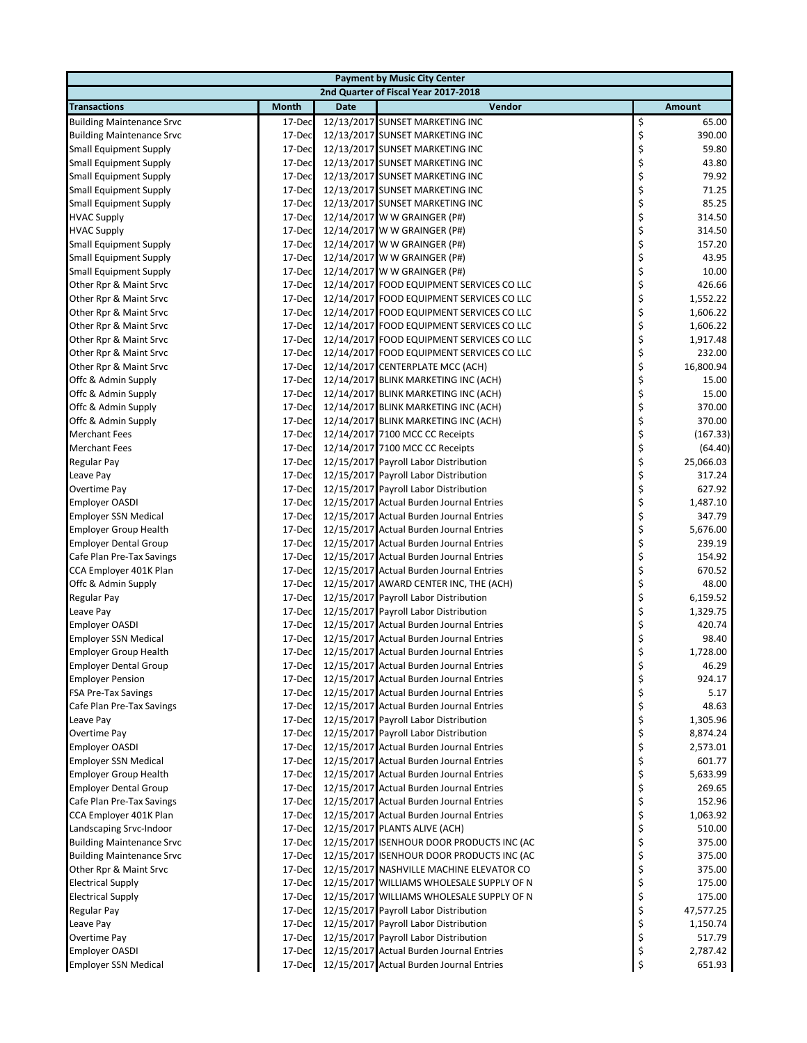| <b>Payment by Music City Center</b> |              |             |                                           |    |               |  |  |  |
|-------------------------------------|--------------|-------------|-------------------------------------------|----|---------------|--|--|--|
|                                     |              |             | 2nd Quarter of Fiscal Year 2017-2018      |    |               |  |  |  |
| <b>Transactions</b>                 | <b>Month</b> | <b>Date</b> | Vendor                                    |    | <b>Amount</b> |  |  |  |
| <b>Building Maintenance Srvc</b>    | 17-Dec       |             | 12/13/2017 SUNSET MARKETING INC           | \$ | 65.00         |  |  |  |
| <b>Building Maintenance Srvc</b>    | 17-Dec       |             | 12/13/2017 SUNSET MARKETING INC           | \$ | 390.00        |  |  |  |
| <b>Small Equipment Supply</b>       | 17-Dec       |             | 12/13/2017 SUNSET MARKETING INC           | \$ | 59.80         |  |  |  |
| <b>Small Equipment Supply</b>       | 17-Dec       |             | 12/13/2017 SUNSET MARKETING INC           | \$ | 43.80         |  |  |  |
| <b>Small Equipment Supply</b>       | 17-Dec       |             | 12/13/2017 SUNSET MARKETING INC           | \$ | 79.92         |  |  |  |
| <b>Small Equipment Supply</b>       | 17-Dec       |             | 12/13/2017 SUNSET MARKETING INC           | \$ | 71.25         |  |  |  |
| <b>Small Equipment Supply</b>       | 17-Dec       |             | 12/13/2017 SUNSET MARKETING INC           | \$ | 85.25         |  |  |  |
| <b>HVAC Supply</b>                  | 17-Dec       |             | 12/14/2017 W W GRAINGER (P#)              | \$ | 314.50        |  |  |  |
| <b>HVAC Supply</b>                  | 17-Dec       |             | 12/14/2017 W W GRAINGER (P#)              | \$ | 314.50        |  |  |  |
| <b>Small Equipment Supply</b>       | 17-Dec       |             | 12/14/2017 W W GRAINGER (P#)              | \$ | 157.20        |  |  |  |
| <b>Small Equipment Supply</b>       | 17-Dec       |             | 12/14/2017 W W GRAINGER (P#)              | \$ | 43.95         |  |  |  |
| <b>Small Equipment Supply</b>       | 17-Dec       |             | 12/14/2017 W W GRAINGER (P#)              | \$ | 10.00         |  |  |  |
| Other Rpr & Maint Srvc              | 17-Dec       |             | 12/14/2017 FOOD EQUIPMENT SERVICES CO LLC | \$ | 426.66        |  |  |  |
| Other Rpr & Maint Srvc              | 17-Dec       |             | 12/14/2017 FOOD EQUIPMENT SERVICES CO LLC | \$ | 1,552.22      |  |  |  |
| Other Rpr & Maint Srvc              | 17-Dec       |             | 12/14/2017 FOOD EQUIPMENT SERVICES CO LLC | \$ | 1,606.22      |  |  |  |
| Other Rpr & Maint Srvc              | 17-Dec       |             | 12/14/2017 FOOD EQUIPMENT SERVICES CO LLC | \$ | 1,606.22      |  |  |  |
| Other Rpr & Maint Srvc              | 17-Dec       |             | 12/14/2017 FOOD EQUIPMENT SERVICES CO LLC | \$ | 1,917.48      |  |  |  |
| Other Rpr & Maint Srvc              | 17-Dec       |             | 12/14/2017 FOOD EQUIPMENT SERVICES CO LLC | \$ | 232.00        |  |  |  |
| Other Rpr & Maint Srvc              | 17-Dec       |             | 12/14/2017 CENTERPLATE MCC (ACH)          | \$ | 16,800.94     |  |  |  |
| Offc & Admin Supply                 | 17-Dec       |             | 12/14/2017 BLINK MARKETING INC (ACH)      | \$ | 15.00         |  |  |  |
| Offc & Admin Supply                 | 17-Dec       |             | 12/14/2017 BLINK MARKETING INC (ACH)      | \$ | 15.00         |  |  |  |
| Offc & Admin Supply                 | 17-Dec       |             | 12/14/2017 BLINK MARKETING INC (ACH)      | \$ | 370.00        |  |  |  |
| Offc & Admin Supply                 | 17-Dec       |             | 12/14/2017 BLINK MARKETING INC (ACH)      | \$ | 370.00        |  |  |  |
| <b>Merchant Fees</b>                | 17-Dec       |             | 12/14/2017 7100 MCC CC Receipts           | \$ | (167.33)      |  |  |  |
| <b>Merchant Fees</b>                | 17-Dec       |             | 12/14/2017 7100 MCC CC Receipts           | \$ | (64.40)       |  |  |  |
| Regular Pay                         | 17-Dec       |             | 12/15/2017 Payroll Labor Distribution     | \$ | 25,066.03     |  |  |  |
| Leave Pay                           | 17-Dec       |             | 12/15/2017 Payroll Labor Distribution     | \$ | 317.24        |  |  |  |
| Overtime Pay                        | 17-Dec       |             | 12/15/2017 Payroll Labor Distribution     | \$ | 627.92        |  |  |  |
| <b>Employer OASDI</b>               | 17-Dec       |             | 12/15/2017 Actual Burden Journal Entries  | \$ | 1,487.10      |  |  |  |
| <b>Employer SSN Medical</b>         | 17-Dec       |             | 12/15/2017 Actual Burden Journal Entries  | \$ | 347.79        |  |  |  |
| <b>Employer Group Health</b>        | 17-Dec       |             | 12/15/2017 Actual Burden Journal Entries  | \$ | 5,676.00      |  |  |  |
| <b>Employer Dental Group</b>        | 17-Dec       |             | 12/15/2017 Actual Burden Journal Entries  | \$ | 239.19        |  |  |  |
| Cafe Plan Pre-Tax Savings           | 17-Dec       |             | 12/15/2017 Actual Burden Journal Entries  | \$ | 154.92        |  |  |  |
| CCA Employer 401K Plan              | 17-Dec       |             | 12/15/2017 Actual Burden Journal Entries  | \$ | 670.52        |  |  |  |
| Offc & Admin Supply                 | 17-Dec       |             | 12/15/2017 AWARD CENTER INC, THE (ACH)    | \$ | 48.00         |  |  |  |
| Regular Pay                         | 17-Dec       |             | 12/15/2017 Payroll Labor Distribution     | \$ | 6,159.52      |  |  |  |
| Leave Pay                           | 17-Dec       |             | 12/15/2017 Payroll Labor Distribution     | \$ | 1,329.75      |  |  |  |
| <b>Employer OASDI</b>               | 17-Dec       |             | 12/15/2017 Actual Burden Journal Entries  | \$ | 420.74        |  |  |  |
| <b>Employer SSN Medical</b>         | 17-Dec       |             | 12/15/2017 Actual Burden Journal Entries  | \$ | 98.40         |  |  |  |
| <b>Employer Group Health</b>        | 17-Dec       |             | 12/15/2017 Actual Burden Journal Entries  | \$ | 1,728.00      |  |  |  |
| Employer Dental Group               | 17-Dec       |             | 12/15/2017 Actual Burden Journal Entries  | Ş  | 46.29         |  |  |  |
| <b>Employer Pension</b>             | 17-Dec       |             | 12/15/2017 Actual Burden Journal Entries  | \$ | 924.17        |  |  |  |
| <b>FSA Pre-Tax Savings</b>          | 17-Dec       |             | 12/15/2017 Actual Burden Journal Entries  | \$ | 5.17          |  |  |  |
| Cafe Plan Pre-Tax Savings           | 17-Dec       |             | 12/15/2017 Actual Burden Journal Entries  | \$ | 48.63         |  |  |  |
| Leave Pay                           | 17-Dec       |             | 12/15/2017 Payroll Labor Distribution     | \$ | 1,305.96      |  |  |  |
| Overtime Pay                        | 17-Dec       |             | 12/15/2017 Payroll Labor Distribution     | \$ | 8,874.24      |  |  |  |
| <b>Employer OASDI</b>               | 17-Dec       |             | 12/15/2017 Actual Burden Journal Entries  | \$ | 2,573.01      |  |  |  |
| <b>Employer SSN Medical</b>         | 17-Dec       |             | 12/15/2017 Actual Burden Journal Entries  | \$ | 601.77        |  |  |  |
| <b>Employer Group Health</b>        | 17-Dec       |             | 12/15/2017 Actual Burden Journal Entries  | \$ | 5,633.99      |  |  |  |
| <b>Employer Dental Group</b>        | 17-Dec       |             | 12/15/2017 Actual Burden Journal Entries  | \$ | 269.65        |  |  |  |
| Cafe Plan Pre-Tax Savings           | 17-Dec       |             | 12/15/2017 Actual Burden Journal Entries  | \$ | 152.96        |  |  |  |
| CCA Employer 401K Plan              | 17-Dec       |             | 12/15/2017 Actual Burden Journal Entries  | \$ | 1,063.92      |  |  |  |
| Landscaping Srvc-Indoor             | 17-Dec       |             | 12/15/2017 PLANTS ALIVE (ACH)             | \$ | 510.00        |  |  |  |
| <b>Building Maintenance Srvc</b>    | 17-Dec       |             | 12/15/2017 ISENHOUR DOOR PRODUCTS INC (AC | \$ | 375.00        |  |  |  |
| <b>Building Maintenance Srvc</b>    | 17-Dec       |             | 12/15/2017 ISENHOUR DOOR PRODUCTS INC (AC | \$ | 375.00        |  |  |  |
| Other Rpr & Maint Srvc              | 17-Dec       |             | 12/15/2017 NASHVILLE MACHINE ELEVATOR CO  | \$ | 375.00        |  |  |  |
| <b>Electrical Supply</b>            | 17-Dec       |             | 12/15/2017 WILLIAMS WHOLESALE SUPPLY OF N | \$ | 175.00        |  |  |  |
| <b>Electrical Supply</b>            | 17-Dec       |             | 12/15/2017 WILLIAMS WHOLESALE SUPPLY OF N | \$ | 175.00        |  |  |  |
| Regular Pay                         | 17-Dec       |             | 12/15/2017 Payroll Labor Distribution     | \$ | 47,577.25     |  |  |  |
| Leave Pay                           | 17-Dec       |             | 12/15/2017 Payroll Labor Distribution     | \$ | 1,150.74      |  |  |  |
| Overtime Pay                        | 17-Dec       |             | 12/15/2017 Payroll Labor Distribution     | \$ | 517.79        |  |  |  |
| <b>Employer OASDI</b>               | 17-Dec       |             | 12/15/2017 Actual Burden Journal Entries  | \$ | 2,787.42      |  |  |  |
| <b>Employer SSN Medical</b>         | 17-Dec       |             | 12/15/2017 Actual Burden Journal Entries  | \$ | 651.93        |  |  |  |
|                                     |              |             |                                           |    |               |  |  |  |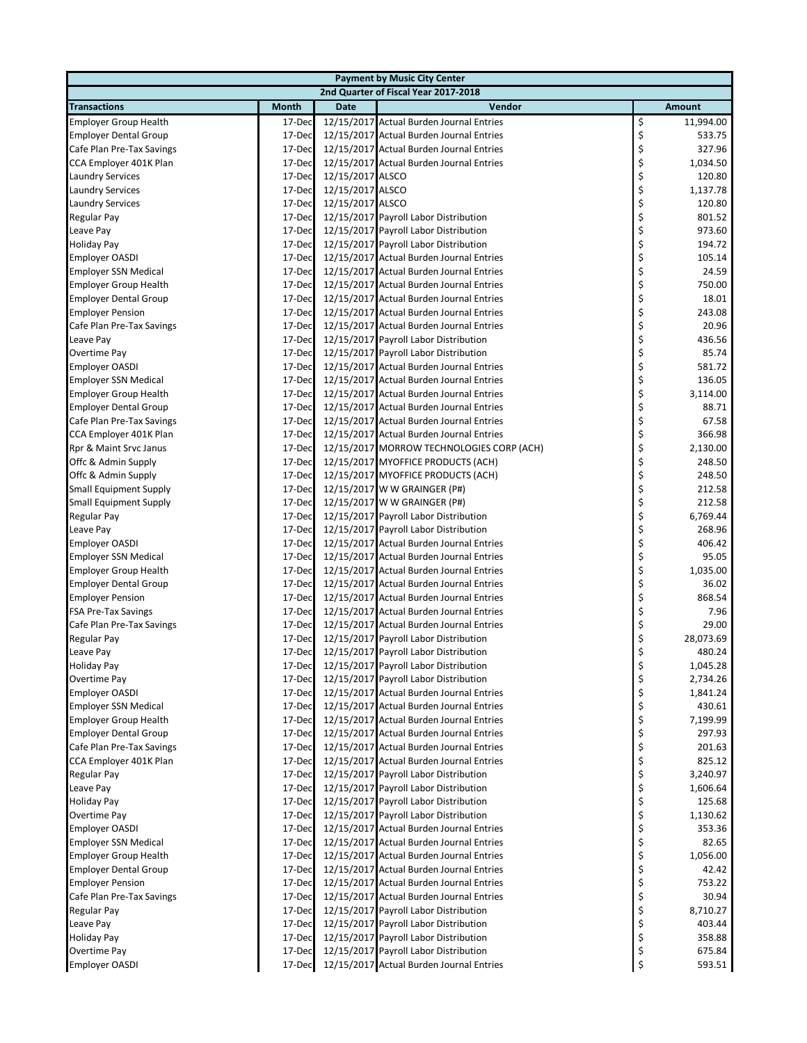| <b>Payment by Music City Center</b> |                  |                  |                                                                                |          |                      |  |  |
|-------------------------------------|------------------|------------------|--------------------------------------------------------------------------------|----------|----------------------|--|--|
|                                     |                  |                  | 2nd Quarter of Fiscal Year 2017-2018                                           |          |                      |  |  |
| <b>Transactions</b>                 | <b>Month</b>     | <b>Date</b>      | Vendor                                                                         |          | <b>Amount</b>        |  |  |
| <b>Employer Group Health</b>        | 17-Dec           |                  | 12/15/2017 Actual Burden Journal Entries                                       | \$       | 11,994.00            |  |  |
| <b>Employer Dental Group</b>        | 17-Dec           |                  | 12/15/2017 Actual Burden Journal Entries                                       | \$       | 533.75               |  |  |
| Cafe Plan Pre-Tax Savings           | 17-Dec           |                  | 12/15/2017 Actual Burden Journal Entries                                       | \$       | 327.96               |  |  |
| CCA Employer 401K Plan              | 17-Dec           |                  | 12/15/2017 Actual Burden Journal Entries                                       | \$       | 1,034.50             |  |  |
| <b>Laundry Services</b>             | 17-Dec           | 12/15/2017 ALSCO |                                                                                | \$       | 120.80               |  |  |
| <b>Laundry Services</b>             | 17-Dec           | 12/15/2017 ALSCO |                                                                                | \$       | 1,137.78             |  |  |
| <b>Laundry Services</b>             | 17-Dec           | 12/15/2017 ALSCO |                                                                                | \$       | 120.80               |  |  |
| <b>Regular Pay</b>                  | 17-Dec           |                  | 12/15/2017 Payroll Labor Distribution                                          | \$       | 801.52               |  |  |
| Leave Pay                           | 17-Dec           |                  | 12/15/2017 Payroll Labor Distribution                                          | \$       | 973.60               |  |  |
| <b>Holiday Pay</b>                  | 17-Dec           |                  | 12/15/2017 Payroll Labor Distribution                                          | \$       | 194.72               |  |  |
| <b>Employer OASDI</b>               | 17-Dec           |                  | 12/15/2017 Actual Burden Journal Entries                                       | \$       | 105.14               |  |  |
| <b>Employer SSN Medical</b>         | 17-Dec           |                  | 12/15/2017 Actual Burden Journal Entries                                       | \$       | 24.59                |  |  |
| <b>Employer Group Health</b>        | 17-Dec           |                  | 12/15/2017 Actual Burden Journal Entries                                       | \$       | 750.00               |  |  |
| <b>Employer Dental Group</b>        | 17-Dec           |                  | 12/15/2017 Actual Burden Journal Entries                                       | \$       | 18.01                |  |  |
| <b>Employer Pension</b>             | 17-Dec           |                  | 12/15/2017 Actual Burden Journal Entries                                       | \$       | 243.08               |  |  |
| Cafe Plan Pre-Tax Savings           | 17-Dec           |                  | 12/15/2017 Actual Burden Journal Entries                                       | \$       | 20.96                |  |  |
| Leave Pay                           | 17-Dec           |                  | 12/15/2017 Payroll Labor Distribution                                          | \$       | 436.56               |  |  |
| Overtime Pay                        | 17-Dec           |                  | 12/15/2017 Payroll Labor Distribution                                          | \$       | 85.74                |  |  |
| <b>Employer OASDI</b>               | 17-Dec           |                  | 12/15/2017 Actual Burden Journal Entries                                       | \$       | 581.72               |  |  |
| <b>Employer SSN Medical</b>         | 17-Dec           |                  | 12/15/2017 Actual Burden Journal Entries                                       | \$       | 136.05               |  |  |
| <b>Employer Group Health</b>        | 17-Dec           |                  | 12/15/2017 Actual Burden Journal Entries                                       | \$       | 3,114.00             |  |  |
| <b>Employer Dental Group</b>        | 17-Dec           |                  | 12/15/2017 Actual Burden Journal Entries                                       | \$       | 88.71                |  |  |
| Cafe Plan Pre-Tax Savings           | 17-Dec           |                  | 12/15/2017 Actual Burden Journal Entries                                       | \$       | 67.58                |  |  |
| CCA Employer 401K Plan              | 17-Dec           |                  | 12/15/2017 Actual Burden Journal Entries                                       | \$       | 366.98               |  |  |
| Rpr & Maint Srvc Janus              | 17-Dec           |                  | 12/15/2017 MORROW TECHNOLOGIES CORP (ACH)                                      | \$       | 2,130.00             |  |  |
| Offc & Admin Supply                 | 17-Dec           |                  | 12/15/2017 MYOFFICE PRODUCTS (ACH)                                             | \$       | 248.50               |  |  |
| Offc & Admin Supply                 | 17-Dec           |                  | 12/15/2017 MYOFFICE PRODUCTS (ACH)                                             | \$       | 248.50               |  |  |
| <b>Small Equipment Supply</b>       | 17-Dec           |                  | 12/15/2017 W W GRAINGER (P#)                                                   | \$       | 212.58               |  |  |
| <b>Small Equipment Supply</b>       | 17-Dec           |                  | 12/15/2017 W W GRAINGER (P#)                                                   | \$       | 212.58               |  |  |
| Regular Pay                         | 17-Dec           |                  | 12/15/2017 Payroll Labor Distribution                                          | \$       | 6,769.44             |  |  |
| Leave Pay                           | 17-Dec           |                  | 12/15/2017 Payroll Labor Distribution                                          | \$       | 268.96               |  |  |
| <b>Employer OASDI</b>               | 17-Dec           |                  | 12/15/2017 Actual Burden Journal Entries                                       | \$       | 406.42               |  |  |
| <b>Employer SSN Medical</b>         | 17-Dec           |                  | 12/15/2017 Actual Burden Journal Entries                                       | \$       | 95.05                |  |  |
| <b>Employer Group Health</b>        | 17-Dec           |                  | 12/15/2017 Actual Burden Journal Entries                                       | \$       | 1,035.00             |  |  |
| <b>Employer Dental Group</b>        | 17-Dec           |                  | 12/15/2017 Actual Burden Journal Entries                                       | \$       | 36.02                |  |  |
| <b>Employer Pension</b>             | 17-Dec           |                  | 12/15/2017 Actual Burden Journal Entries                                       | \$       | 868.54               |  |  |
| <b>FSA Pre-Tax Savings</b>          | 17-Dec           |                  | 12/15/2017 Actual Burden Journal Entries                                       | \$       | 7.96                 |  |  |
| Cafe Plan Pre-Tax Savings           | 17-Dec           |                  | 12/15/2017 Actual Burden Journal Entries                                       | \$       | 29.00                |  |  |
| Regular Pay                         | 17-Dec<br>17-Dec |                  | 12/15/2017 Payroll Labor Distribution<br>12/15/2017 Payroll Labor Distribution | \$<br>\$ | 28,073.69<br>480.24  |  |  |
| Leave Pay                           |                  |                  |                                                                                |          |                      |  |  |
| Holiday Pay<br>Overtime Pay         | 17-Dec<br>17-Dec |                  | 12/15/2017 Payroll Labor Distribution<br>12/15/2017 Payroll Labor Distribution | Ş<br>\$  | 1,045.28<br>2,734.26 |  |  |
| <b>Employer OASDI</b>               | 17-Dec           |                  | 12/15/2017 Actual Burden Journal Entries                                       |          | 1,841.24             |  |  |
| <b>Employer SSN Medical</b>         | 17-Dec           |                  | 12/15/2017 Actual Burden Journal Entries                                       | \$<br>\$ | 430.61               |  |  |
| <b>Employer Group Health</b>        | 17-Dec           |                  | 12/15/2017 Actual Burden Journal Entries                                       | \$       | 7,199.99             |  |  |
| <b>Employer Dental Group</b>        | 17-Dec           |                  | 12/15/2017 Actual Burden Journal Entries                                       | \$       | 297.93               |  |  |
| Cafe Plan Pre-Tax Savings           | 17-Dec           |                  | 12/15/2017 Actual Burden Journal Entries                                       | \$       | 201.63               |  |  |
| CCA Employer 401K Plan              | 17-Dec           |                  | 12/15/2017 Actual Burden Journal Entries                                       | \$       | 825.12               |  |  |
| Regular Pay                         | 17-Dec           |                  | 12/15/2017 Payroll Labor Distribution                                          | \$       | 3,240.97             |  |  |
| Leave Pay                           | 17-Dec           |                  | 12/15/2017 Payroll Labor Distribution                                          | \$       | 1,606.64             |  |  |
| <b>Holiday Pay</b>                  | 17-Dec           |                  | 12/15/2017 Payroll Labor Distribution                                          | \$       | 125.68               |  |  |
| Overtime Pay                        | 17-Dec           |                  | 12/15/2017 Payroll Labor Distribution                                          | \$       | 1,130.62             |  |  |
| <b>Employer OASDI</b>               | 17-Dec           |                  | 12/15/2017 Actual Burden Journal Entries                                       | \$       | 353.36               |  |  |
| <b>Employer SSN Medical</b>         | 17-Dec           |                  | 12/15/2017 Actual Burden Journal Entries                                       | \$       | 82.65                |  |  |
| <b>Employer Group Health</b>        | 17-Dec           |                  | 12/15/2017 Actual Burden Journal Entries                                       | \$       | 1,056.00             |  |  |
| <b>Employer Dental Group</b>        | 17-Dec           |                  | 12/15/2017 Actual Burden Journal Entries                                       | \$       | 42.42                |  |  |
| <b>Employer Pension</b>             | 17-Dec           |                  | 12/15/2017 Actual Burden Journal Entries                                       | \$       | 753.22               |  |  |
| Cafe Plan Pre-Tax Savings           | 17-Dec           |                  | 12/15/2017 Actual Burden Journal Entries                                       | \$       | 30.94                |  |  |
| Regular Pay                         | 17-Dec           |                  | 12/15/2017 Payroll Labor Distribution                                          | \$       | 8,710.27             |  |  |
| Leave Pay                           | 17-Dec           |                  | 12/15/2017 Payroll Labor Distribution                                          | \$       | 403.44               |  |  |
| <b>Holiday Pay</b>                  | 17-Dec           |                  | 12/15/2017 Payroll Labor Distribution                                          | \$       | 358.88               |  |  |
| Overtime Pay                        | 17-Dec           |                  | 12/15/2017 Payroll Labor Distribution                                          | \$       | 675.84               |  |  |
| <b>Employer OASDI</b>               | 17-Dec           |                  | 12/15/2017 Actual Burden Journal Entries                                       | \$       | 593.51               |  |  |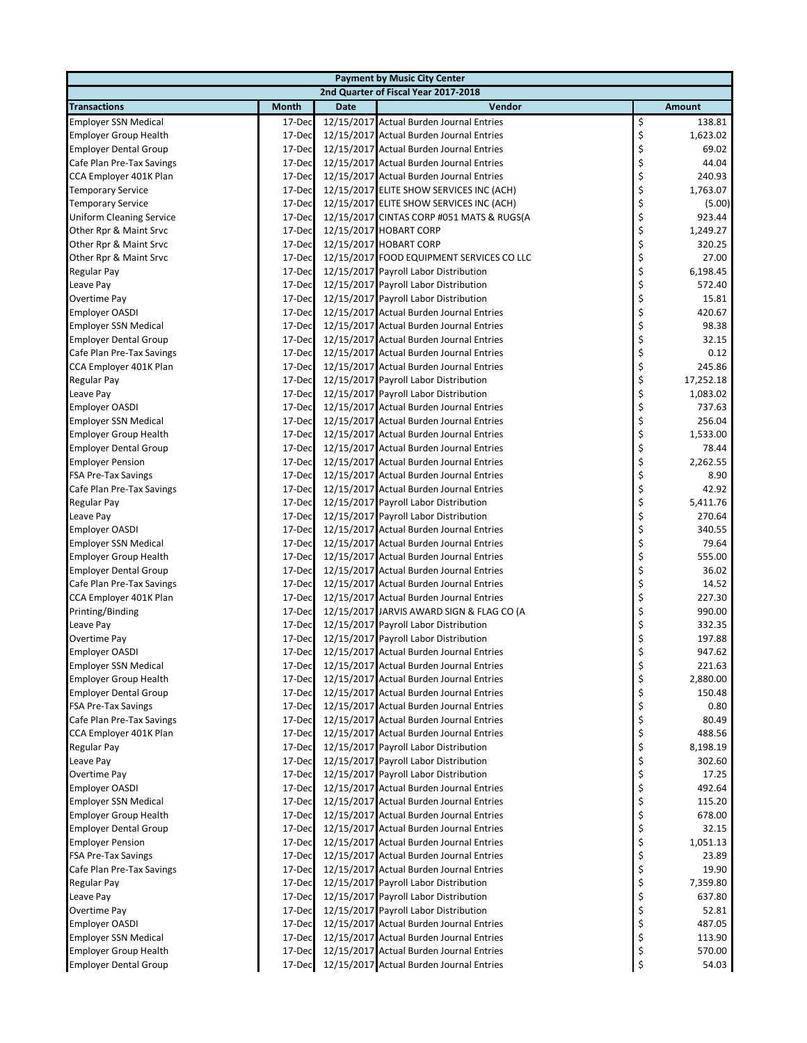| <b>Payment by Music City Center</b> |              |             |                                           |    |           |  |  |
|-------------------------------------|--------------|-------------|-------------------------------------------|----|-----------|--|--|
|                                     |              |             | 2nd Quarter of Fiscal Year 2017-2018      |    |           |  |  |
| <b>Transactions</b>                 | <b>Month</b> | <b>Date</b> | Vendor                                    |    | Amount    |  |  |
| <b>Employer SSN Medical</b>         | 17-Dec       |             | 12/15/2017 Actual Burden Journal Entries  | \$ | 138.81    |  |  |
| <b>Employer Group Health</b>        | 17-Dec       |             | 12/15/2017 Actual Burden Journal Entries  | \$ | 1,623.02  |  |  |
| <b>Employer Dental Group</b>        | 17-Dec       |             | 12/15/2017 Actual Burden Journal Entries  | \$ | 69.02     |  |  |
| Cafe Plan Pre-Tax Savings           | 17-Dec       |             | 12/15/2017 Actual Burden Journal Entries  | \$ | 44.04     |  |  |
| CCA Employer 401K Plan              | 17-Dec       |             | 12/15/2017 Actual Burden Journal Entries  | \$ | 240.93    |  |  |
| <b>Temporary Service</b>            | 17-Dec       |             | 12/15/2017 ELITE SHOW SERVICES INC (ACH)  | \$ | 1,763.07  |  |  |
| <b>Temporary Service</b>            | 17-Dec       |             | 12/15/2017 ELITE SHOW SERVICES INC (ACH)  | \$ | (5.00)    |  |  |
| <b>Uniform Cleaning Service</b>     | 17-Dec       |             | 12/15/2017 CINTAS CORP #051 MATS & RUGS(A | \$ | 923.44    |  |  |
| Other Rpr & Maint Srvc              | 17-Dec       |             | 12/15/2017 HOBART CORP                    | \$ | 1,249.27  |  |  |
| Other Rpr & Maint Srvc              | 17-Dec       |             | 12/15/2017 HOBART CORP                    | \$ | 320.25    |  |  |
| Other Rpr & Maint Srvc              | 17-Dec       |             | 12/15/2017 FOOD EQUIPMENT SERVICES CO LLC | \$ | 27.00     |  |  |
| Regular Pay                         | 17-Dec       |             | 12/15/2017 Payroll Labor Distribution     | \$ | 6,198.45  |  |  |
| Leave Pay                           | 17-Dec       |             | 12/15/2017 Payroll Labor Distribution     | \$ | 572.40    |  |  |
| Overtime Pay                        | 17-Dec       |             | 12/15/2017 Payroll Labor Distribution     | \$ | 15.81     |  |  |
| <b>Employer OASDI</b>               | 17-Dec       |             | 12/15/2017 Actual Burden Journal Entries  | \$ | 420.67    |  |  |
| <b>Employer SSN Medical</b>         | 17-Dec       |             | 12/15/2017 Actual Burden Journal Entries  | \$ | 98.38     |  |  |
| <b>Employer Dental Group</b>        | 17-Dec       |             | 12/15/2017 Actual Burden Journal Entries  | \$ | 32.15     |  |  |
| Cafe Plan Pre-Tax Savings           | 17-Dec       |             | 12/15/2017 Actual Burden Journal Entries  | \$ | 0.12      |  |  |
| CCA Employer 401K Plan              | 17-Dec       |             | 12/15/2017 Actual Burden Journal Entries  | \$ | 245.86    |  |  |
| Regular Pay                         | 17-Dec       |             | 12/15/2017 Payroll Labor Distribution     | \$ | 17,252.18 |  |  |
| Leave Pay                           | 17-Dec       |             | 12/15/2017 Payroll Labor Distribution     | \$ | 1,083.02  |  |  |
| <b>Employer OASDI</b>               | 17-Dec       |             | 12/15/2017 Actual Burden Journal Entries  | \$ | 737.63    |  |  |
| <b>Employer SSN Medical</b>         | 17-Dec       |             | 12/15/2017 Actual Burden Journal Entries  | \$ | 256.04    |  |  |
| <b>Employer Group Health</b>        | 17-Dec       |             | 12/15/2017 Actual Burden Journal Entries  | \$ | 1,533.00  |  |  |
|                                     | 17-Dec       |             | 12/15/2017 Actual Burden Journal Entries  | \$ | 78.44     |  |  |
| <b>Employer Dental Group</b>        |              |             |                                           | \$ |           |  |  |
| <b>Employer Pension</b>             | 17-Dec       |             | 12/15/2017 Actual Burden Journal Entries  |    | 2,262.55  |  |  |
| <b>FSA Pre-Tax Savings</b>          | 17-Dec       |             | 12/15/2017 Actual Burden Journal Entries  | \$ | 8.90      |  |  |
| Cafe Plan Pre-Tax Savings           | 17-Dec       |             | 12/15/2017 Actual Burden Journal Entries  | \$ | 42.92     |  |  |
| Regular Pay                         | 17-Dec       |             | 12/15/2017 Payroll Labor Distribution     | \$ | 5,411.76  |  |  |
| Leave Pay                           | 17-Dec       |             | 12/15/2017 Payroll Labor Distribution     | \$ | 270.64    |  |  |
| <b>Employer OASDI</b>               | 17-Dec       |             | 12/15/2017 Actual Burden Journal Entries  | \$ | 340.55    |  |  |
| <b>Employer SSN Medical</b>         | 17-Dec       |             | 12/15/2017 Actual Burden Journal Entries  | \$ | 79.64     |  |  |
| <b>Employer Group Health</b>        | 17-Dec       |             | 12/15/2017 Actual Burden Journal Entries  | \$ | 555.00    |  |  |
| <b>Employer Dental Group</b>        | 17-Dec       |             | 12/15/2017 Actual Burden Journal Entries  | \$ | 36.02     |  |  |
| Cafe Plan Pre-Tax Savings           | 17-Dec       |             | 12/15/2017 Actual Burden Journal Entries  | \$ | 14.52     |  |  |
| CCA Employer 401K Plan              | 17-Dec       |             | 12/15/2017 Actual Burden Journal Entries  | \$ | 227.30    |  |  |
| Printing/Binding                    | 17-Dec       |             | 12/15/2017 JARVIS AWARD SIGN & FLAG CO (A | \$ | 990.00    |  |  |
| Leave Pay                           | 17-Dec       |             | 12/15/2017 Payroll Labor Distribution     | \$ | 332.35    |  |  |
| Overtime Pay                        | 17-Dec       |             | 12/15/2017 Payroll Labor Distribution     | \$ | 197.88    |  |  |
| <b>Employer OASDI</b>               | 17-Dec       |             | 12/15/2017 Actual Burden Journal Entries  | \$ | 947.62    |  |  |
| <b>Employer SSN Medical</b>         | 17-Dec       |             | 12/15/2017 Actual Burden Journal Entries  | Ş  | 221.63    |  |  |
| <b>Employer Group Health</b>        | 17-Dec       |             | 12/15/2017 Actual Burden Journal Entries  | \$ | 2,880.00  |  |  |
| <b>Employer Dental Group</b>        | 17-Dec       |             | 12/15/2017 Actual Burden Journal Entries  | \$ | 150.48    |  |  |
| <b>FSA Pre-Tax Savings</b>          | 17-Dec       |             | 12/15/2017 Actual Burden Journal Entries  | \$ | 0.80      |  |  |
| Cafe Plan Pre-Tax Savings           | 17-Dec       |             | 12/15/2017 Actual Burden Journal Entries  | \$ | 80.49     |  |  |
| CCA Employer 401K Plan              | 17-Dec       |             | 12/15/2017 Actual Burden Journal Entries  | \$ | 488.56    |  |  |
| Regular Pay                         | 17-Dec       |             | 12/15/2017 Payroll Labor Distribution     | \$ | 8,198.19  |  |  |
| Leave Pay                           | 17-Dec       |             | 12/15/2017 Payroll Labor Distribution     | \$ | 302.60    |  |  |
| Overtime Pay                        | 17-Dec       |             | 12/15/2017 Payroll Labor Distribution     | \$ | 17.25     |  |  |
| <b>Employer OASDI</b>               | 17-Dec       |             | 12/15/2017 Actual Burden Journal Entries  | \$ | 492.64    |  |  |
| <b>Employer SSN Medical</b>         | 17-Dec       |             | 12/15/2017 Actual Burden Journal Entries  | \$ | 115.20    |  |  |
| <b>Employer Group Health</b>        | 17-Dec       |             | 12/15/2017 Actual Burden Journal Entries  | \$ | 678.00    |  |  |
| <b>Employer Dental Group</b>        | 17-Dec       |             | 12/15/2017 Actual Burden Journal Entries  | \$ | 32.15     |  |  |
| <b>Employer Pension</b>             | 17-Dec       |             | 12/15/2017 Actual Burden Journal Entries  | \$ | 1,051.13  |  |  |
| FSA Pre-Tax Savings                 | 17-Dec       |             | 12/15/2017 Actual Burden Journal Entries  | \$ | 23.89     |  |  |
| Cafe Plan Pre-Tax Savings           | 17-Dec       |             | 12/15/2017 Actual Burden Journal Entries  | \$ | 19.90     |  |  |
| Regular Pay                         | 17-Dec       |             | 12/15/2017 Payroll Labor Distribution     | \$ | 7,359.80  |  |  |
| Leave Pay                           | 17-Dec       |             | 12/15/2017 Payroll Labor Distribution     | \$ | 637.80    |  |  |
| Overtime Pay                        | 17-Dec       |             | 12/15/2017 Payroll Labor Distribution     | \$ | 52.81     |  |  |
| <b>Employer OASDI</b>               | 17-Dec       |             | 12/15/2017 Actual Burden Journal Entries  | \$ | 487.05    |  |  |
| <b>Employer SSN Medical</b>         | 17-Dec       |             | 12/15/2017 Actual Burden Journal Entries  | \$ | 113.90    |  |  |
| <b>Employer Group Health</b>        | 17-Dec       |             | 12/15/2017 Actual Burden Journal Entries  | \$ | 570.00    |  |  |
| <b>Employer Dental Group</b>        | 17-Dec       |             | 12/15/2017 Actual Burden Journal Entries  | \$ | 54.03     |  |  |
|                                     |              |             |                                           |    |           |  |  |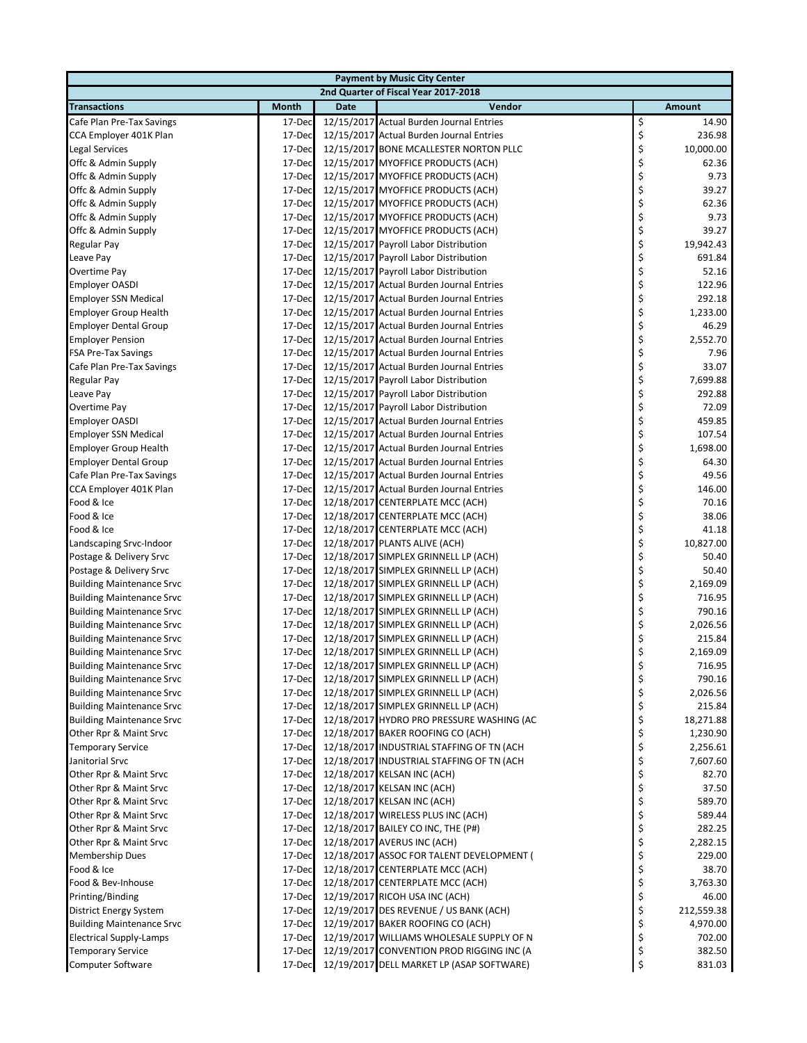| <b>Payment by Music City Center</b> |                  |             |                                                                      |          |                |  |  |  |
|-------------------------------------|------------------|-------------|----------------------------------------------------------------------|----------|----------------|--|--|--|
|                                     |                  |             | 2nd Quarter of Fiscal Year 2017-2018                                 |          |                |  |  |  |
| <b>Transactions</b>                 | <b>Month</b>     | <b>Date</b> | Vendor                                                               |          | Amount         |  |  |  |
| Cafe Plan Pre-Tax Savings           | 17-Dec           |             | 12/15/2017 Actual Burden Journal Entries                             | \$       | 14.90          |  |  |  |
| CCA Employer 401K Plan              | 17-Dec           |             | 12/15/2017 Actual Burden Journal Entries                             | \$       | 236.98         |  |  |  |
| Legal Services                      | 17-Dec           |             | 12/15/2017 BONE MCALLESTER NORTON PLLC                               | \$       | 10,000.00      |  |  |  |
| Offc & Admin Supply                 | 17-Dec           |             | 12/15/2017 MYOFFICE PRODUCTS (ACH)                                   | \$       | 62.36          |  |  |  |
| Offc & Admin Supply                 | 17-Dec           |             | 12/15/2017 MYOFFICE PRODUCTS (ACH)                                   | \$       | 9.73           |  |  |  |
| Offc & Admin Supply                 | 17-Dec           |             | 12/15/2017 MYOFFICE PRODUCTS (ACH)                                   | \$       | 39.27          |  |  |  |
| Offc & Admin Supply                 | 17-Dec           |             | 12/15/2017 MYOFFICE PRODUCTS (ACH)                                   | \$       | 62.36          |  |  |  |
| Offc & Admin Supply                 | 17-Dec           |             | 12/15/2017 MYOFFICE PRODUCTS (ACH)                                   | \$       | 9.73           |  |  |  |
| Offc & Admin Supply                 | 17-Dec           |             | 12/15/2017 MYOFFICE PRODUCTS (ACH)                                   | \$       | 39.27          |  |  |  |
| Regular Pay                         | 17-Dec           |             | 12/15/2017 Payroll Labor Distribution                                | \$       | 19,942.43      |  |  |  |
| Leave Pay                           | 17-Dec           |             | 12/15/2017 Payroll Labor Distribution                                | \$       | 691.84         |  |  |  |
| Overtime Pay                        | 17-Dec           |             | 12/15/2017 Payroll Labor Distribution                                | \$       | 52.16          |  |  |  |
| <b>Employer OASDI</b>               | 17-Dec           |             | 12/15/2017 Actual Burden Journal Entries                             | \$       | 122.96         |  |  |  |
| <b>Employer SSN Medical</b>         | 17-Dec           |             | 12/15/2017 Actual Burden Journal Entries                             | \$       | 292.18         |  |  |  |
| <b>Employer Group Health</b>        | 17-Dec           |             | 12/15/2017 Actual Burden Journal Entries                             | \$       | 1,233.00       |  |  |  |
| <b>Employer Dental Group</b>        | 17-Dec           |             | 12/15/2017 Actual Burden Journal Entries                             | \$       | 46.29          |  |  |  |
| <b>Employer Pension</b>             | 17-Dec           |             | 12/15/2017 Actual Burden Journal Entries                             | \$       | 2,552.70       |  |  |  |
| FSA Pre-Tax Savings                 | 17-Dec           |             | 12/15/2017 Actual Burden Journal Entries                             | \$       | 7.96           |  |  |  |
| Cafe Plan Pre-Tax Savings           | 17-Dec           |             | 12/15/2017 Actual Burden Journal Entries                             | \$       | 33.07          |  |  |  |
| <b>Regular Pay</b>                  | 17-Dec           |             | 12/15/2017 Payroll Labor Distribution                                | \$       | 7,699.88       |  |  |  |
| Leave Pay                           | 17-Dec           |             | 12/15/2017 Payroll Labor Distribution                                | \$       | 292.88         |  |  |  |
| Overtime Pay                        | 17-Dec           |             | 12/15/2017 Payroll Labor Distribution                                | \$       | 72.09          |  |  |  |
| <b>Employer OASDI</b>               | 17-Dec           |             | 12/15/2017 Actual Burden Journal Entries                             | \$       | 459.85         |  |  |  |
| <b>Employer SSN Medical</b>         | 17-Dec           |             | 12/15/2017 Actual Burden Journal Entries                             | \$       | 107.54         |  |  |  |
| <b>Employer Group Health</b>        | 17-Dec           |             | 12/15/2017 Actual Burden Journal Entries                             | \$       | 1,698.00       |  |  |  |
| <b>Employer Dental Group</b>        | 17-Dec           |             | 12/15/2017 Actual Burden Journal Entries                             | \$       | 64.30          |  |  |  |
| Cafe Plan Pre-Tax Savings           | 17-Dec           |             | 12/15/2017 Actual Burden Journal Entries                             | \$       | 49.56          |  |  |  |
| CCA Employer 401K Plan              | 17-Dec           |             | 12/15/2017 Actual Burden Journal Entries                             | \$       | 146.00         |  |  |  |
| Food & Ice<br>Food & Ice            | 17-Dec<br>17-Dec |             | 12/18/2017 CENTERPLATE MCC (ACH)                                     | \$<br>\$ | 70.16<br>38.06 |  |  |  |
| Food & Ice                          | 17-Dec           |             | 12/18/2017 CENTERPLATE MCC (ACH)<br>12/18/2017 CENTERPLATE MCC (ACH) | \$       | 41.18          |  |  |  |
| Landscaping Srvc-Indoor             | 17-Dec           |             | 12/18/2017 PLANTS ALIVE (ACH)                                        | \$       | 10,827.00      |  |  |  |
| Postage & Delivery Srvc             | 17-Dec           |             | 12/18/2017 SIMPLEX GRINNELL LP (ACH)                                 | \$       | 50.40          |  |  |  |
| Postage & Delivery Srvc             | 17-Dec           |             | 12/18/2017 SIMPLEX GRINNELL LP (ACH)                                 | \$       | 50.40          |  |  |  |
| <b>Building Maintenance Srvc</b>    | 17-Dec           |             | 12/18/2017 SIMPLEX GRINNELL LP (ACH)                                 | \$       | 2,169.09       |  |  |  |
| <b>Building Maintenance Srvc</b>    | 17-Dec           |             | 12/18/2017 SIMPLEX GRINNELL LP (ACH)                                 | \$       | 716.95         |  |  |  |
| <b>Building Maintenance Srvc</b>    | 17-Dec           |             | 12/18/2017 SIMPLEX GRINNELL LP (ACH)                                 | \$       | 790.16         |  |  |  |
| <b>Building Maintenance Srvc</b>    | 17-Dec           |             | 12/18/2017 SIMPLEX GRINNELL LP (ACH)                                 | \$       | 2,026.56       |  |  |  |
| <b>Building Maintenance Srvc</b>    | 17-Dec           |             | 12/18/2017 SIMPLEX GRINNELL LP (ACH)                                 | \$       | 215.84         |  |  |  |
| <b>Building Maintenance Srvc</b>    | 17-Dec           |             | 12/18/2017 SIMPLEX GRINNELL LP (ACH)                                 | \$       | 2,169.09       |  |  |  |
| <b>Building Maintenance Srvc</b>    | 17-Dec           |             | 12/18/2017 SIMPLEX GRINNELL LP (ACH)                                 | Ş        | 716.95         |  |  |  |
| <b>Building Maintenance Srvc</b>    | 17-Dec           |             | 12/18/2017 SIMPLEX GRINNELL LP (ACH)                                 | \$       | 790.16         |  |  |  |
| <b>Building Maintenance Srvc</b>    | 17-Dec           |             | 12/18/2017 SIMPLEX GRINNELL LP (ACH)                                 | \$       | 2,026.56       |  |  |  |
| <b>Building Maintenance Srvc</b>    | 17-Dec           |             | 12/18/2017 SIMPLEX GRINNELL LP (ACH)                                 | \$       | 215.84         |  |  |  |
| <b>Building Maintenance Srvc</b>    | 17-Dec           |             | 12/18/2017 HYDRO PRO PRESSURE WASHING (AC                            | \$       | 18,271.88      |  |  |  |
| Other Rpr & Maint Srvc              | 17-Dec           |             | 12/18/2017 BAKER ROOFING CO (ACH)                                    | \$       | 1,230.90       |  |  |  |
| <b>Temporary Service</b>            | 17-Dec           |             | 12/18/2017 INDUSTRIAL STAFFING OF TN (ACH                            | \$       | 2,256.61       |  |  |  |
| Janitorial Srvc                     | 17-Dec           |             | 12/18/2017 INDUSTRIAL STAFFING OF TN (ACH                            | \$       | 7,607.60       |  |  |  |
| Other Rpr & Maint Srvc              | 17-Dec           |             | 12/18/2017 KELSAN INC (ACH)                                          | \$       | 82.70          |  |  |  |
| Other Rpr & Maint Srvc              | 17-Dec           |             | 12/18/2017 KELSAN INC (ACH)                                          | \$       | 37.50          |  |  |  |
| Other Rpr & Maint Srvc              | 17-Dec           |             | 12/18/2017 KELSAN INC (ACH)                                          | \$       | 589.70         |  |  |  |
| Other Rpr & Maint Srvc              | 17-Dec           |             | 12/18/2017 WIRELESS PLUS INC (ACH)                                   | \$       | 589.44         |  |  |  |
| Other Rpr & Maint Srvc              | 17-Dec           |             | 12/18/2017 BAILEY CO INC, THE (P#)                                   | \$       | 282.25         |  |  |  |
| Other Rpr & Maint Srvc              | 17-Dec           |             | 12/18/2017 AVERUS INC (ACH)                                          | \$       | 2,282.15       |  |  |  |
| Membership Dues                     | 17-Dec           |             | 12/18/2017 ASSOC FOR TALENT DEVELOPMENT (                            | \$       | 229.00         |  |  |  |
| Food & Ice                          | 17-Dec           |             | 12/18/2017 CENTERPLATE MCC (ACH)                                     | \$       | 38.70          |  |  |  |
| Food & Bev-Inhouse                  | 17-Dec           |             | 12/18/2017 CENTERPLATE MCC (ACH)                                     | \$       | 3,763.30       |  |  |  |
| Printing/Binding                    | 17-Dec           |             | 12/19/2017 RICOH USA INC (ACH)                                       | \$       | 46.00          |  |  |  |
| District Energy System              | 17-Dec           |             | 12/19/2017 DES REVENUE / US BANK (ACH)                               | \$       | 212,559.38     |  |  |  |
| <b>Building Maintenance Srvc</b>    | 17-Dec           |             | 12/19/2017 BAKER ROOFING CO (ACH)                                    | \$       | 4,970.00       |  |  |  |
| <b>Electrical Supply-Lamps</b>      | 17-Dec           |             | 12/19/2017 WILLIAMS WHOLESALE SUPPLY OF N                            | \$       | 702.00         |  |  |  |
| <b>Temporary Service</b>            | 17-Dec           |             | 12/19/2017 CONVENTION PROD RIGGING INC (A                            | \$       | 382.50         |  |  |  |
| Computer Software                   | 17-Dec           |             | 12/19/2017 DELL MARKET LP (ASAP SOFTWARE)                            | \$       | 831.03         |  |  |  |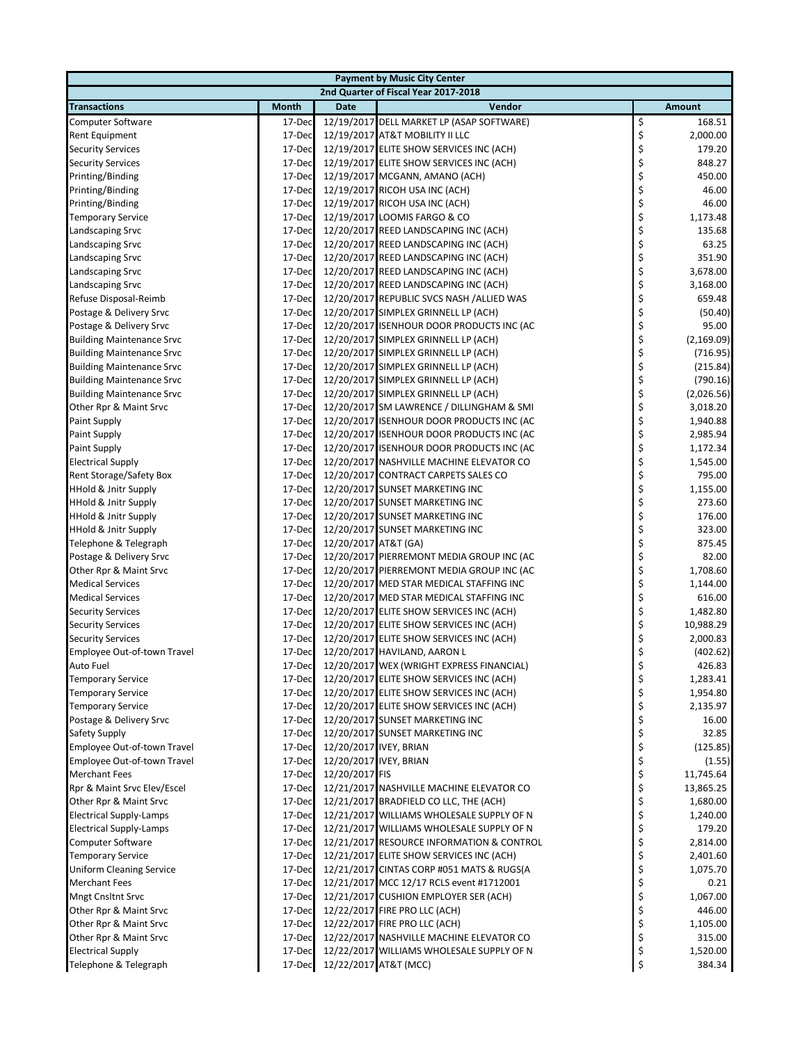| <b>Payment by Music City Center</b>                                |                  |                      |                                                                    |          |                    |  |  |  |
|--------------------------------------------------------------------|------------------|----------------------|--------------------------------------------------------------------|----------|--------------------|--|--|--|
|                                                                    |                  |                      | 2nd Quarter of Fiscal Year 2017-2018                               |          |                    |  |  |  |
| <b>Transactions</b>                                                | <b>Month</b>     | <b>Date</b>          | Vendor                                                             |          | <b>Amount</b>      |  |  |  |
| <b>Computer Software</b>                                           | 17-Dec           |                      | 12/19/2017 DELL MARKET LP (ASAP SOFTWARE)                          | \$       | 168.51             |  |  |  |
| <b>Rent Equipment</b>                                              | 17-Dec           |                      | 12/19/2017 AT&T MOBILITY II LLC                                    | \$       | 2,000.00           |  |  |  |
| <b>Security Services</b>                                           | 17-Dec           |                      | 12/19/2017 ELITE SHOW SERVICES INC (ACH)                           | \$       | 179.20             |  |  |  |
| <b>Security Services</b>                                           | 17-Dec           |                      | 12/19/2017 ELITE SHOW SERVICES INC (ACH)                           | \$       | 848.27             |  |  |  |
| Printing/Binding                                                   | 17-Dec           |                      | 12/19/2017 MCGANN, AMANO (ACH)                                     | \$       | 450.00             |  |  |  |
| Printing/Binding                                                   | 17-Dec           |                      | 12/19/2017 RICOH USA INC (ACH)                                     | \$       | 46.00              |  |  |  |
| Printing/Binding                                                   | 17-Dec           |                      | 12/19/2017 RICOH USA INC (ACH)                                     | \$       | 46.00              |  |  |  |
| <b>Temporary Service</b>                                           | 17-Dec           |                      | 12/19/2017 LOOMIS FARGO & CO                                       | \$       | 1,173.48           |  |  |  |
| Landscaping Srvc                                                   | 17-Dec           |                      | 12/20/2017 REED LANDSCAPING INC (ACH)                              | \$       | 135.68             |  |  |  |
| Landscaping Srvc                                                   | 17-Dec           |                      | 12/20/2017 REED LANDSCAPING INC (ACH)                              | \$       | 63.25              |  |  |  |
| Landscaping Srvc                                                   | 17-Dec           |                      | 12/20/2017 REED LANDSCAPING INC (ACH)                              | \$       | 351.90             |  |  |  |
| Landscaping Srvc                                                   | 17-Dec           |                      | 12/20/2017 REED LANDSCAPING INC (ACH)                              | \$       | 3,678.00           |  |  |  |
| <b>Landscaping Srvc</b>                                            | 17-Dec           |                      | 12/20/2017 REED LANDSCAPING INC (ACH)                              | \$       | 3,168.00           |  |  |  |
| Refuse Disposal-Reimb                                              | 17-Dec           |                      | 12/20/2017 REPUBLIC SVCS NASH /ALLIED WAS                          | \$       | 659.48             |  |  |  |
| Postage & Delivery Srvc                                            | 17-Dec           |                      | 12/20/2017 SIMPLEX GRINNELL LP (ACH)                               | \$       | (50.40)            |  |  |  |
| Postage & Delivery Srvc                                            | 17-Dec           |                      | 12/20/2017 ISENHOUR DOOR PRODUCTS INC (AC                          | \$       | 95.00              |  |  |  |
| <b>Building Maintenance Srvc</b>                                   | 17-Dec           |                      | 12/20/2017 SIMPLEX GRINNELL LP (ACH)                               | \$       | (2, 169.09)        |  |  |  |
| <b>Building Maintenance Srvc</b>                                   | 17-Dec           |                      | 12/20/2017 SIMPLEX GRINNELL LP (ACH)                               | \$       | (716.95)           |  |  |  |
| <b>Building Maintenance Srvc</b>                                   | 17-Dec           |                      | 12/20/2017 SIMPLEX GRINNELL LP (ACH)                               | \$       | (215.84)           |  |  |  |
| <b>Building Maintenance Srvc</b>                                   | 17-Dec           |                      | 12/20/2017 SIMPLEX GRINNELL LP (ACH)                               | \$       | (790.16)           |  |  |  |
| <b>Building Maintenance Srvc</b>                                   | 17-Dec           |                      | 12/20/2017 SIMPLEX GRINNELL LP (ACH)                               | \$       | (2,026.56)         |  |  |  |
| Other Rpr & Maint Srvc                                             | 17-Dec           |                      | 12/20/2017 SM LAWRENCE / DILLINGHAM & SMI                          | \$       | 3,018.20           |  |  |  |
| Paint Supply                                                       | 17-Dec           |                      | 12/20/2017 ISENHOUR DOOR PRODUCTS INC (AC                          | \$       | 1,940.88           |  |  |  |
| Paint Supply                                                       | 17-Dec           |                      | 12/20/2017 ISENHOUR DOOR PRODUCTS INC (AC                          | \$       | 2,985.94           |  |  |  |
| Paint Supply                                                       | 17-Dec           |                      | 12/20/2017 ISENHOUR DOOR PRODUCTS INC (AC                          | \$       | 1,172.34           |  |  |  |
| <b>Electrical Supply</b>                                           | 17-Dec           |                      | 12/20/2017 NASHVILLE MACHINE ELEVATOR CO                           | \$       | 1,545.00           |  |  |  |
| Rent Storage/Safety Box                                            | 17-Dec           |                      | 12/20/2017 CONTRACT CARPETS SALES CO                               | \$       | 795.00             |  |  |  |
| <b>HHold &amp; Jnitr Supply</b>                                    | 17-Dec           |                      | 12/20/2017 SUNSET MARKETING INC                                    | \$       | 1,155.00<br>273.60 |  |  |  |
| <b>HHold &amp; Jnitr Supply</b><br><b>HHold &amp; Jnitr Supply</b> | 17-Dec<br>17-Dec |                      | 12/20/2017 SUNSET MARKETING INC                                    | \$<br>\$ | 176.00             |  |  |  |
| <b>HHold &amp; Jnitr Supply</b>                                    | 17-Dec           |                      | 12/20/2017 SUNSET MARKETING INC<br>12/20/2017 SUNSET MARKETING INC |          | 323.00             |  |  |  |
| Telephone & Telegraph                                              | 17-Dec           | 12/20/2017 AT&T (GA) |                                                                    | \$<br>\$ | 875.45             |  |  |  |
| Postage & Delivery Srvc                                            | 17-Dec           |                      | 12/20/2017 PIERREMONT MEDIA GROUP INC (AC                          | \$       | 82.00              |  |  |  |
| Other Rpr & Maint Srvc                                             | 17-Dec           |                      | 12/20/2017 PIERREMONT MEDIA GROUP INC (AC                          | \$       | 1,708.60           |  |  |  |
| <b>Medical Services</b>                                            | 17-Dec           |                      | 12/20/2017 MED STAR MEDICAL STAFFING INC                           | \$       | 1,144.00           |  |  |  |
| <b>Medical Services</b>                                            | 17-Dec           |                      | 12/20/2017 MED STAR MEDICAL STAFFING INC                           | \$       | 616.00             |  |  |  |
| <b>Security Services</b>                                           | 17-Dec           |                      | 12/20/2017 ELITE SHOW SERVICES INC (ACH)                           | \$       | 1,482.80           |  |  |  |
| <b>Security Services</b>                                           | 17-Dec           |                      | 12/20/2017 ELITE SHOW SERVICES INC (ACH)                           | \$       | 10,988.29          |  |  |  |
| <b>Security Services</b>                                           | 17-Dec           |                      | 12/20/2017 ELITE SHOW SERVICES INC (ACH)                           | \$       | 2,000.83           |  |  |  |
| Employee Out-of-town Travel                                        | 17-Dec           |                      | 12/20/2017 HAVILAND, AARON L                                       | \$       | (402.62)           |  |  |  |
| Auto Fuel                                                          | 17-Dec           |                      | 12/20/2017 WEX (WRIGHT EXPRESS FINANCIAL)                          | Ş        | 426.83             |  |  |  |
| <b>Temporary Service</b>                                           | 17-Dec           |                      | 12/20/2017 ELITE SHOW SERVICES INC (ACH)                           | \$       | 1,283.41           |  |  |  |
| <b>Temporary Service</b>                                           | 17-Dec           |                      | 12/20/2017 ELITE SHOW SERVICES INC (ACH)                           | \$       | 1,954.80           |  |  |  |
| <b>Temporary Service</b>                                           | 17-Dec           |                      | 12/20/2017 ELITE SHOW SERVICES INC (ACH)                           | \$       | 2,135.97           |  |  |  |
| Postage & Delivery Srvc                                            | 17-Dec           |                      | 12/20/2017 SUNSET MARKETING INC                                    | \$       | 16.00              |  |  |  |
| Safety Supply                                                      | 17-Dec           |                      | 12/20/2017 SUNSET MARKETING INC                                    | \$       | 32.85              |  |  |  |
| Employee Out-of-town Travel                                        | 17-Dec           |                      | 12/20/2017 IVEY, BRIAN                                             | \$       | (125.85)           |  |  |  |
| Employee Out-of-town Travel                                        | 17-Dec           |                      | 12/20/2017 IVEY, BRIAN                                             | \$       | (1.55)             |  |  |  |
| <b>Merchant Fees</b>                                               | 17-Dec           | 12/20/2017 FIS       |                                                                    | \$       | 11,745.64          |  |  |  |
| Rpr & Maint Srvc Elev/Escel                                        | 17-Dec           |                      | 12/21/2017 NASHVILLE MACHINE ELEVATOR CO                           | \$       | 13,865.25          |  |  |  |
| Other Rpr & Maint Srvc                                             | 17-Dec           |                      | 12/21/2017 BRADFIELD CO LLC, THE (ACH)                             | \$       | 1,680.00           |  |  |  |
| <b>Electrical Supply-Lamps</b>                                     | 17-Dec           |                      | 12/21/2017 WILLIAMS WHOLESALE SUPPLY OF N                          | \$       | 1,240.00           |  |  |  |
| <b>Electrical Supply-Lamps</b>                                     | 17-Dec           |                      | 12/21/2017 WILLIAMS WHOLESALE SUPPLY OF N                          | \$       | 179.20             |  |  |  |
| <b>Computer Software</b>                                           | 17-Dec           |                      | 12/21/2017 RESOURCE INFORMATION & CONTROL                          | \$       | 2,814.00           |  |  |  |
| <b>Temporary Service</b>                                           | 17-Dec           |                      | 12/21/2017 ELITE SHOW SERVICES INC (ACH)                           | \$       | 2,401.60           |  |  |  |
| <b>Uniform Cleaning Service</b>                                    | 17-Dec           |                      | 12/21/2017 CINTAS CORP #051 MATS & RUGS(A                          | \$       | 1,075.70           |  |  |  |
| <b>Merchant Fees</b>                                               | 17-Dec           |                      | 12/21/2017 MCC 12/17 RCLS event #1712001                           | \$       | 0.21               |  |  |  |
| <b>Mngt Cnsltnt Srvc</b>                                           | 17-Dec           |                      | 12/21/2017 CUSHION EMPLOYER SER (ACH)                              | \$       | 1,067.00           |  |  |  |
| Other Rpr & Maint Srvc                                             | 17-Dec           |                      | 12/22/2017 FIRE PRO LLC (ACH)                                      | \$       | 446.00             |  |  |  |
| Other Rpr & Maint Srvc                                             | 17-Dec           |                      | 12/22/2017 FIRE PRO LLC (ACH)                                      | \$       | 1,105.00           |  |  |  |
| Other Rpr & Maint Srvc                                             | 17-Dec           |                      | 12/22/2017 NASHVILLE MACHINE ELEVATOR CO                           | \$       | 315.00             |  |  |  |
| <b>Electrical Supply</b>                                           | 17-Dec           |                      | 12/22/2017 WILLIAMS WHOLESALE SUPPLY OF N                          | \$       | 1,520.00           |  |  |  |
| Telephone & Telegraph                                              | 17-Dec           |                      | 12/22/2017 AT&T (MCC)                                              | \$       | 384.34             |  |  |  |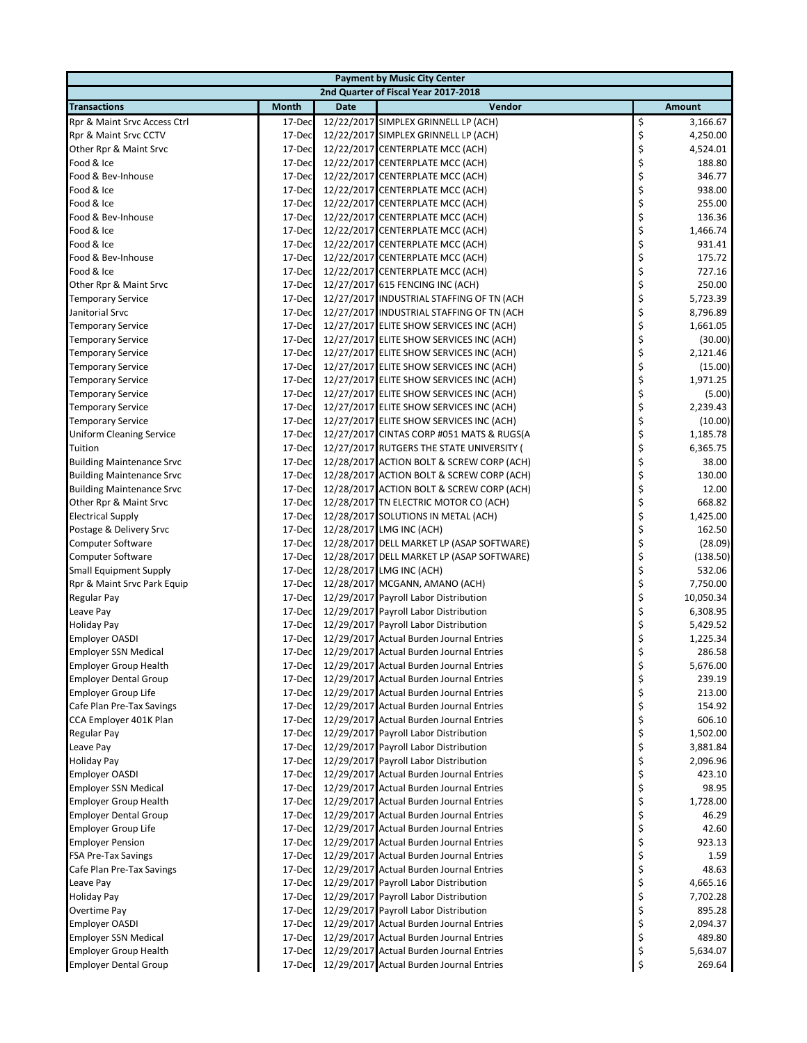|                                  |              |             | <b>Payment by Music City Center</b>       |    |               |
|----------------------------------|--------------|-------------|-------------------------------------------|----|---------------|
|                                  |              |             | 2nd Quarter of Fiscal Year 2017-2018      |    |               |
| <b>Transactions</b>              | <b>Month</b> | <b>Date</b> | Vendor                                    |    | <b>Amount</b> |
| Rpr & Maint Srvc Access Ctrl     | 17-Dec       |             | 12/22/2017 SIMPLEX GRINNELL LP (ACH)      | \$ | 3,166.67      |
| Rpr & Maint Srvc CCTV            | 17-Dec       |             | 12/22/2017 SIMPLEX GRINNELL LP (ACH)      | \$ | 4,250.00      |
| Other Rpr & Maint Srvc           | 17-Dec       |             | 12/22/2017 CENTERPLATE MCC (ACH)          | \$ | 4,524.01      |
| Food & Ice                       | 17-Dec       |             | 12/22/2017 CENTERPLATE MCC (ACH)          | \$ | 188.80        |
| Food & Bev-Inhouse               | 17-Dec       |             | 12/22/2017 CENTERPLATE MCC (ACH)          | \$ | 346.77        |
| Food & Ice                       | 17-Dec       |             | 12/22/2017 CENTERPLATE MCC (ACH)          | \$ | 938.00        |
| Food & Ice                       | 17-Dec       |             | 12/22/2017 CENTERPLATE MCC (ACH)          | \$ | 255.00        |
| Food & Bev-Inhouse               | 17-Dec       |             | 12/22/2017 CENTERPLATE MCC (ACH)          | \$ | 136.36        |
| Food & Ice                       | 17-Dec       |             | 12/22/2017 CENTERPLATE MCC (ACH)          | \$ | 1,466.74      |
| Food & Ice                       | 17-Dec       |             | 12/22/2017 CENTERPLATE MCC (ACH)          | \$ | 931.41        |
| Food & Bev-Inhouse               | 17-Dec       |             | 12/22/2017 CENTERPLATE MCC (ACH)          | \$ | 175.72        |
| Food & Ice                       | 17-Dec       |             | 12/22/2017 CENTERPLATE MCC (ACH)          | \$ | 727.16        |
| Other Rpr & Maint Srvc           | 17-Dec       |             | 12/27/2017 615 FENCING INC (ACH)          | \$ | 250.00        |
| <b>Temporary Service</b>         | 17-Dec       |             | 12/27/2017 INDUSTRIAL STAFFING OF TN (ACH | \$ | 5,723.39      |
| Janitorial Srvc                  | 17-Dec       |             | 12/27/2017 INDUSTRIAL STAFFING OF TN (ACH | \$ | 8,796.89      |
| <b>Temporary Service</b>         | 17-Dec       |             | 12/27/2017 ELITE SHOW SERVICES INC (ACH)  | \$ | 1,661.05      |
| <b>Temporary Service</b>         | 17-Dec       |             | 12/27/2017 ELITE SHOW SERVICES INC (ACH)  | \$ | (30.00)       |
| <b>Temporary Service</b>         | 17-Dec       |             | 12/27/2017 ELITE SHOW SERVICES INC (ACH)  | \$ | 2,121.46      |
| <b>Temporary Service</b>         | 17-Dec       |             | 12/27/2017 ELITE SHOW SERVICES INC (ACH)  | \$ | (15.00)       |
| <b>Temporary Service</b>         | 17-Dec       |             | 12/27/2017 ELITE SHOW SERVICES INC (ACH)  | \$ | 1,971.25      |
| <b>Temporary Service</b>         | 17-Dec       |             | 12/27/2017 ELITE SHOW SERVICES INC (ACH)  | \$ | (5.00)        |
| <b>Temporary Service</b>         | 17-Dec       |             | 12/27/2017 ELITE SHOW SERVICES INC (ACH)  | \$ | 2,239.43      |
| Temporary Service                | 17-Dec       |             | 12/27/2017 ELITE SHOW SERVICES INC (ACH)  | \$ | (10.00)       |
| <b>Uniform Cleaning Service</b>  | 17-Dec       |             | 12/27/2017 CINTAS CORP #051 MATS & RUGS(A | \$ | 1,185.78      |
| Tuition                          | 17-Dec       |             | 12/27/2017 RUTGERS THE STATE UNIVERSITY ( | \$ | 6,365.75      |
| <b>Building Maintenance Srvc</b> | 17-Dec       |             | 12/28/2017 ACTION BOLT & SCREW CORP (ACH) | \$ | 38.00         |
| <b>Building Maintenance Srvc</b> | 17-Dec       |             | 12/28/2017 ACTION BOLT & SCREW CORP (ACH) | \$ | 130.00        |
| <b>Building Maintenance Srvc</b> | 17-Dec       |             | 12/28/2017 ACTION BOLT & SCREW CORP (ACH) | \$ | 12.00         |
| Other Rpr & Maint Srvc           | 17-Dec       |             | 12/28/2017 TN ELECTRIC MOTOR CO (ACH)     | \$ | 668.82        |
| <b>Electrical Supply</b>         | 17-Dec       |             | 12/28/2017 SOLUTIONS IN METAL (ACH)       | \$ | 1,425.00      |
| Postage & Delivery Srvc          | 17-Dec       |             | 12/28/2017 LMG INC (ACH)                  | \$ | 162.50        |
| <b>Computer Software</b>         | 17-Dec       |             | 12/28/2017 DELL MARKET LP (ASAP SOFTWARE) | \$ | (28.09)       |
| <b>Computer Software</b>         | 17-Dec       |             | 12/28/2017 DELL MARKET LP (ASAP SOFTWARE) | \$ | (138.50)      |
| <b>Small Equipment Supply</b>    | 17-Dec       |             | 12/28/2017 LMG INC (ACH)                  | \$ | 532.06        |
| Rpr & Maint Srvc Park Equip      | 17-Dec       |             | 12/28/2017 MCGANN, AMANO (ACH)            | \$ | 7,750.00      |
| <b>Regular Pay</b>               | 17-Dec       |             | 12/29/2017 Payroll Labor Distribution     | \$ | 10,050.34     |
| Leave Pay                        | 17-Dec       |             | 12/29/2017 Payroll Labor Distribution     | \$ | 6,308.95      |
| <b>Holiday Pay</b>               | 17-Dec       |             | 12/29/2017 Payroll Labor Distribution     | \$ | 5,429.52      |
| <b>Employer OASDI</b>            | 17-Dec       |             | 12/29/2017 Actual Burden Journal Entries  | \$ | 1,225.34      |
| <b>Employer SSN Medical</b>      | 17-Dec       |             | 12/29/2017 Actual Burden Journal Entries  | \$ | 286.58        |
| Employer Group Health            | 17-Dec       |             | 12/29/2017 Actual Burden Journal Entries  | Ş  | 5,676.00      |
| <b>Employer Dental Group</b>     | 17-Dec       |             | 12/29/2017 Actual Burden Journal Entries  | \$ | 239.19        |
| <b>Employer Group Life</b>       | 17-Dec       |             | 12/29/2017 Actual Burden Journal Entries  | \$ | 213.00        |
| Cafe Plan Pre-Tax Savings        | 17-Dec       |             | 12/29/2017 Actual Burden Journal Entries  | \$ | 154.92        |
| CCA Employer 401K Plan           | 17-Dec       |             | 12/29/2017 Actual Burden Journal Entries  | \$ | 606.10        |
| Regular Pay                      | 17-Dec       |             | 12/29/2017 Payroll Labor Distribution     | \$ | 1,502.00      |
| Leave Pay                        | 17-Dec       |             | 12/29/2017 Payroll Labor Distribution     | \$ | 3,881.84      |
| <b>Holiday Pay</b>               | 17-Dec       |             | 12/29/2017 Payroll Labor Distribution     | \$ | 2,096.96      |
| <b>Employer OASDI</b>            | 17-Dec       |             | 12/29/2017 Actual Burden Journal Entries  | \$ | 423.10        |
| <b>Employer SSN Medical</b>      | 17-Dec       |             | 12/29/2017 Actual Burden Journal Entries  | \$ | 98.95         |
| <b>Employer Group Health</b>     | 17-Dec       |             | 12/29/2017 Actual Burden Journal Entries  | \$ | 1,728.00      |
| <b>Employer Dental Group</b>     | 17-Dec       |             | 12/29/2017 Actual Burden Journal Entries  | \$ | 46.29         |
| <b>Employer Group Life</b>       | 17-Dec       |             | 12/29/2017 Actual Burden Journal Entries  | \$ | 42.60         |
| <b>Employer Pension</b>          | 17-Dec       |             | 12/29/2017 Actual Burden Journal Entries  | \$ | 923.13        |
| FSA Pre-Tax Savings              | 17-Dec       |             | 12/29/2017 Actual Burden Journal Entries  | \$ | 1.59          |
| Cafe Plan Pre-Tax Savings        | 17-Dec       |             | 12/29/2017 Actual Burden Journal Entries  | \$ | 48.63         |
| Leave Pay                        | 17-Dec       |             | 12/29/2017 Payroll Labor Distribution     | \$ | 4,665.16      |
| <b>Holiday Pay</b>               | 17-Dec       |             | 12/29/2017 Payroll Labor Distribution     | \$ | 7,702.28      |
| Overtime Pay                     | 17-Dec       |             | 12/29/2017 Payroll Labor Distribution     | \$ | 895.28        |
| <b>Employer OASDI</b>            | 17-Dec       |             | 12/29/2017 Actual Burden Journal Entries  | \$ | 2,094.37      |
| <b>Employer SSN Medical</b>      | 17-Dec       |             | 12/29/2017 Actual Burden Journal Entries  | \$ | 489.80        |
| <b>Employer Group Health</b>     | 17-Dec       |             | 12/29/2017 Actual Burden Journal Entries  | \$ | 5,634.07      |
| <b>Employer Dental Group</b>     | 17-Dec       |             | 12/29/2017 Actual Burden Journal Entries  | \$ | 269.64        |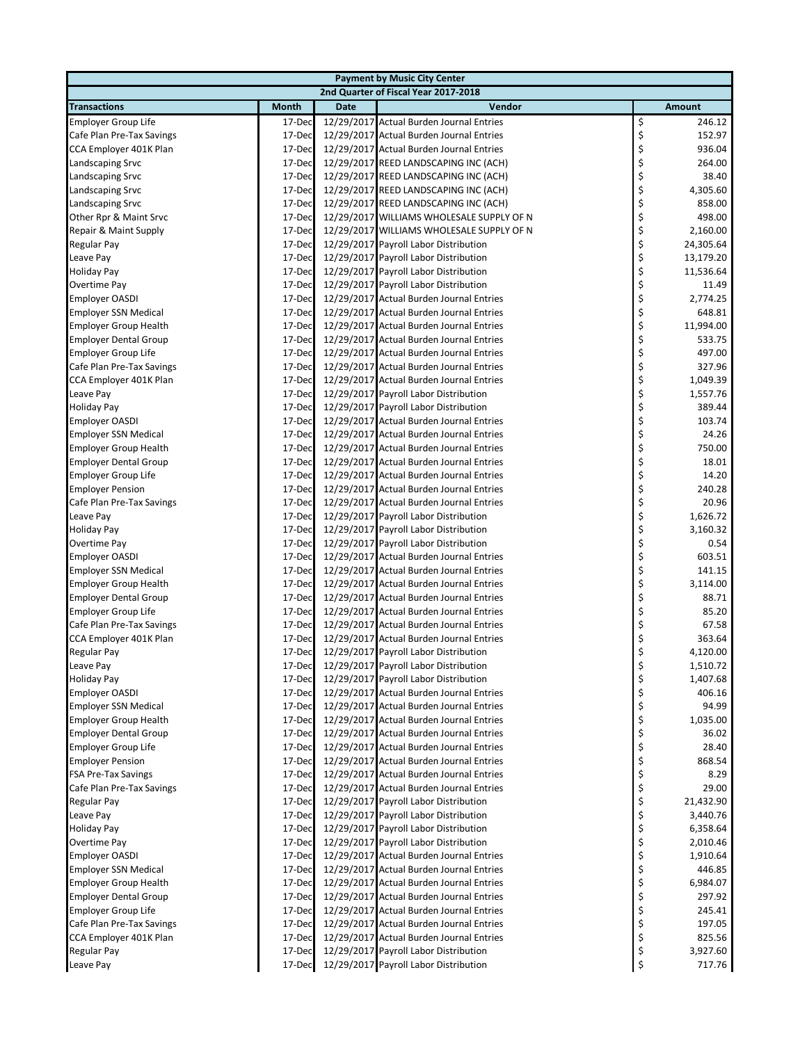|                              |        |             | <b>Payment by Music City Center</b>       |    |               |
|------------------------------|--------|-------------|-------------------------------------------|----|---------------|
|                              |        |             | 2nd Quarter of Fiscal Year 2017-2018      |    |               |
| <b>Transactions</b>          | Month  | <b>Date</b> | Vendor                                    |    | <b>Amount</b> |
| Employer Group Life          | 17-Dec |             | 12/29/2017 Actual Burden Journal Entries  | \$ | 246.12        |
| Cafe Plan Pre-Tax Savings    | 17-Dec |             | 12/29/2017 Actual Burden Journal Entries  | \$ | 152.97        |
| CCA Employer 401K Plan       | 17-Dec |             | 12/29/2017 Actual Burden Journal Entries  | \$ | 936.04        |
| Landscaping Srvc             | 17-Dec |             | 12/29/2017 REED LANDSCAPING INC (ACH)     | \$ | 264.00        |
| Landscaping Srvc             | 17-Dec |             | 12/29/2017 REED LANDSCAPING INC (ACH)     | \$ | 38.40         |
| Landscaping Srvc             | 17-Dec |             | 12/29/2017 REED LANDSCAPING INC (ACH)     | \$ | 4,305.60      |
| Landscaping Srvc             | 17-Dec |             | 12/29/2017 REED LANDSCAPING INC (ACH)     | \$ | 858.00        |
| Other Rpr & Maint Srvc       | 17-Dec |             | 12/29/2017 WILLIAMS WHOLESALE SUPPLY OF N | \$ | 498.00        |
| Repair & Maint Supply        | 17-Dec |             | 12/29/2017 WILLIAMS WHOLESALE SUPPLY OF N | \$ | 2,160.00      |
| Regular Pay                  | 17-Dec |             | 12/29/2017 Payroll Labor Distribution     | \$ | 24,305.64     |
| Leave Pay                    | 17-Dec |             | 12/29/2017 Payroll Labor Distribution     | \$ | 13,179.20     |
| <b>Holiday Pay</b>           | 17-Dec |             | 12/29/2017 Payroll Labor Distribution     | \$ | 11,536.64     |
| Overtime Pay                 | 17-Dec |             | 12/29/2017 Payroll Labor Distribution     | \$ | 11.49         |
| <b>Employer OASDI</b>        | 17-Dec |             | 12/29/2017 Actual Burden Journal Entries  | \$ | 2,774.25      |
| <b>Employer SSN Medical</b>  | 17-Dec |             | 12/29/2017 Actual Burden Journal Entries  | \$ | 648.81        |
| <b>Employer Group Health</b> | 17-Dec |             | 12/29/2017 Actual Burden Journal Entries  | \$ | 11,994.00     |
| <b>Employer Dental Group</b> | 17-Dec |             | 12/29/2017 Actual Burden Journal Entries  | \$ | 533.75        |
| <b>Employer Group Life</b>   | 17-Dec |             | 12/29/2017 Actual Burden Journal Entries  | \$ | 497.00        |
| Cafe Plan Pre-Tax Savings    | 17-Dec |             | 12/29/2017 Actual Burden Journal Entries  | \$ | 327.96        |
| CCA Employer 401K Plan       | 17-Dec |             | 12/29/2017 Actual Burden Journal Entries  | \$ | 1,049.39      |
| Leave Pay                    | 17-Dec |             | 12/29/2017 Payroll Labor Distribution     | \$ | 1,557.76      |
| Holiday Pay                  | 17-Dec |             | 12/29/2017 Payroll Labor Distribution     | \$ | 389.44        |
| <b>Employer OASDI</b>        | 17-Dec |             | 12/29/2017 Actual Burden Journal Entries  | \$ | 103.74        |
| <b>Employer SSN Medical</b>  | 17-Dec |             | 12/29/2017 Actual Burden Journal Entries  | \$ | 24.26         |
| <b>Employer Group Health</b> | 17-Dec |             | 12/29/2017 Actual Burden Journal Entries  | \$ | 750.00        |
| <b>Employer Dental Group</b> | 17-Dec |             | 12/29/2017 Actual Burden Journal Entries  | \$ | 18.01         |
| <b>Employer Group Life</b>   | 17-Dec |             | 12/29/2017 Actual Burden Journal Entries  | \$ | 14.20         |
| <b>Employer Pension</b>      | 17-Dec |             | 12/29/2017 Actual Burden Journal Entries  | \$ | 240.28        |
| Cafe Plan Pre-Tax Savings    | 17-Dec |             | 12/29/2017 Actual Burden Journal Entries  | \$ | 20.96         |
| Leave Pay                    | 17-Dec |             | 12/29/2017 Payroll Labor Distribution     | \$ | 1,626.72      |
| <b>Holiday Pay</b>           | 17-Dec |             | 12/29/2017 Payroll Labor Distribution     | \$ | 3,160.32      |
| Overtime Pay                 | 17-Dec |             | 12/29/2017 Payroll Labor Distribution     | \$ | 0.54          |
| <b>Employer OASDI</b>        | 17-Dec |             | 12/29/2017 Actual Burden Journal Entries  | \$ | 603.51        |
| <b>Employer SSN Medical</b>  | 17-Dec |             | 12/29/2017 Actual Burden Journal Entries  | \$ | 141.15        |
| <b>Employer Group Health</b> | 17-Dec |             | 12/29/2017 Actual Burden Journal Entries  | \$ | 3,114.00      |
| <b>Employer Dental Group</b> | 17-Dec |             | 12/29/2017 Actual Burden Journal Entries  | \$ | 88.71         |
| Employer Group Life          | 17-Dec |             | 12/29/2017 Actual Burden Journal Entries  | \$ | 85.20         |
| Cafe Plan Pre-Tax Savings    | 17-Dec |             | 12/29/2017 Actual Burden Journal Entries  | \$ | 67.58         |
| CCA Employer 401K Plan       | 17-Dec |             | 12/29/2017 Actual Burden Journal Entries  | \$ | 363.64        |
| Regular Pay                  | 17-Dec |             | 12/29/2017 Payroll Labor Distribution     | \$ | 4,120.00      |
| Leave Pay                    | 17-Dec |             | 12/29/2017 Payroll Labor Distribution     | Ş  | 1,510.72      |
| Holiday Pay                  | 17-Dec |             | 12/29/2017 Payroll Labor Distribution     | \$ | 1,407.68      |
| <b>Employer OASDI</b>        | 17-Dec |             | 12/29/2017 Actual Burden Journal Entries  | \$ | 406.16        |
| <b>Employer SSN Medical</b>  | 17-Dec |             | 12/29/2017 Actual Burden Journal Entries  | \$ | 94.99         |
| <b>Employer Group Health</b> | 17-Dec |             | 12/29/2017 Actual Burden Journal Entries  | \$ | 1,035.00      |
| <b>Employer Dental Group</b> | 17-Dec |             | 12/29/2017 Actual Burden Journal Entries  | \$ | 36.02         |
| Employer Group Life          | 17-Dec |             | 12/29/2017 Actual Burden Journal Entries  | \$ | 28.40         |
| <b>Employer Pension</b>      | 17-Dec |             | 12/29/2017 Actual Burden Journal Entries  | \$ | 868.54        |
| <b>FSA Pre-Tax Savings</b>   | 17-Dec |             | 12/29/2017 Actual Burden Journal Entries  | \$ | 8.29          |
| Cafe Plan Pre-Tax Savings    | 17-Dec |             | 12/29/2017 Actual Burden Journal Entries  | \$ | 29.00         |
| Regular Pay                  | 17-Dec |             | 12/29/2017 Payroll Labor Distribution     | \$ | 21,432.90     |
| Leave Pay                    | 17-Dec |             | 12/29/2017 Payroll Labor Distribution     | \$ | 3,440.76      |
| <b>Holiday Pay</b>           | 17-Dec |             | 12/29/2017 Payroll Labor Distribution     | \$ | 6,358.64      |
| Overtime Pay                 | 17-Dec |             | 12/29/2017 Payroll Labor Distribution     | \$ | 2,010.46      |
| <b>Employer OASDI</b>        | 17-Dec |             | 12/29/2017 Actual Burden Journal Entries  | \$ | 1,910.64      |
| <b>Employer SSN Medical</b>  | 17-Dec |             | 12/29/2017 Actual Burden Journal Entries  | \$ | 446.85        |
| <b>Employer Group Health</b> | 17-Dec |             | 12/29/2017 Actual Burden Journal Entries  | \$ | 6,984.07      |
| <b>Employer Dental Group</b> | 17-Dec |             | 12/29/2017 Actual Burden Journal Entries  | \$ | 297.92        |
| Employer Group Life          | 17-Dec |             | 12/29/2017 Actual Burden Journal Entries  | \$ | 245.41        |
| Cafe Plan Pre-Tax Savings    | 17-Dec |             | 12/29/2017 Actual Burden Journal Entries  | \$ | 197.05        |
| CCA Employer 401K Plan       | 17-Dec |             | 12/29/2017 Actual Burden Journal Entries  | \$ | 825.56        |
| Regular Pay                  | 17-Dec |             | 12/29/2017 Payroll Labor Distribution     | \$ | 3,927.60      |
| Leave Pay                    | 17-Dec |             | 12/29/2017 Payroll Labor Distribution     | \$ | 717.76        |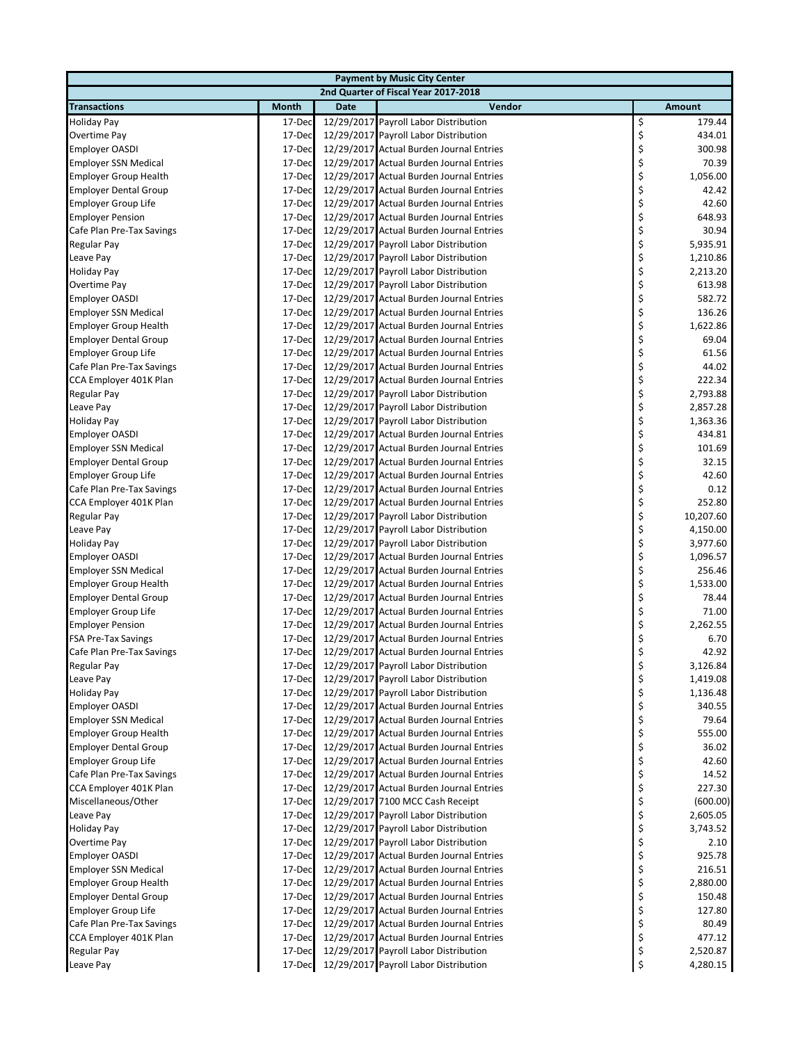|                              | <b>Payment by Music City Center</b> |             |                                          |    |               |  |  |  |
|------------------------------|-------------------------------------|-------------|------------------------------------------|----|---------------|--|--|--|
|                              |                                     |             | 2nd Quarter of Fiscal Year 2017-2018     |    |               |  |  |  |
| <b>Transactions</b>          | Month                               | <b>Date</b> | Vendor                                   |    | <b>Amount</b> |  |  |  |
| <b>Holiday Pay</b>           | 17-Dec                              |             | 12/29/2017 Payroll Labor Distribution    | \$ | 179.44        |  |  |  |
| Overtime Pay                 | 17-Dec                              |             | 12/29/2017 Payroll Labor Distribution    | \$ | 434.01        |  |  |  |
| <b>Employer OASDI</b>        | 17-Dec                              |             | 12/29/2017 Actual Burden Journal Entries | \$ | 300.98        |  |  |  |
| <b>Employer SSN Medical</b>  | 17-Dec                              |             | 12/29/2017 Actual Burden Journal Entries | \$ | 70.39         |  |  |  |
| <b>Employer Group Health</b> | 17-Dec                              |             | 12/29/2017 Actual Burden Journal Entries | \$ | 1,056.00      |  |  |  |
| <b>Employer Dental Group</b> | 17-Dec                              |             | 12/29/2017 Actual Burden Journal Entries | \$ | 42.42         |  |  |  |
| <b>Employer Group Life</b>   | 17-Dec                              |             | 12/29/2017 Actual Burden Journal Entries | \$ | 42.60         |  |  |  |
| <b>Employer Pension</b>      | 17-Dec                              |             | 12/29/2017 Actual Burden Journal Entries | \$ | 648.93        |  |  |  |
| Cafe Plan Pre-Tax Savings    | 17-Dec                              |             | 12/29/2017 Actual Burden Journal Entries | \$ | 30.94         |  |  |  |
| Regular Pay                  | 17-Dec                              |             | 12/29/2017 Payroll Labor Distribution    | \$ | 5,935.91      |  |  |  |
| Leave Pay                    | 17-Dec                              |             | 12/29/2017 Payroll Labor Distribution    | \$ | 1,210.86      |  |  |  |
| <b>Holiday Pay</b>           | 17-Dec                              |             | 12/29/2017 Payroll Labor Distribution    | \$ | 2,213.20      |  |  |  |
| Overtime Pay                 | 17-Dec                              |             | 12/29/2017 Payroll Labor Distribution    | \$ | 613.98        |  |  |  |
| <b>Employer OASDI</b>        | 17-Dec                              |             | 12/29/2017 Actual Burden Journal Entries | \$ | 582.72        |  |  |  |
| <b>Employer SSN Medical</b>  | 17-Dec                              |             | 12/29/2017 Actual Burden Journal Entries | \$ | 136.26        |  |  |  |
| <b>Employer Group Health</b> | 17-Dec                              |             | 12/29/2017 Actual Burden Journal Entries | \$ | 1,622.86      |  |  |  |
| <b>Employer Dental Group</b> | 17-Dec                              |             | 12/29/2017 Actual Burden Journal Entries | \$ | 69.04         |  |  |  |
| <b>Employer Group Life</b>   | 17-Dec                              |             | 12/29/2017 Actual Burden Journal Entries | \$ | 61.56         |  |  |  |
| Cafe Plan Pre-Tax Savings    | 17-Dec                              |             | 12/29/2017 Actual Burden Journal Entries | \$ | 44.02         |  |  |  |
| CCA Employer 401K Plan       | 17-Dec                              |             | 12/29/2017 Actual Burden Journal Entries | \$ | 222.34        |  |  |  |
| Regular Pay                  | 17-Dec                              |             | 12/29/2017 Payroll Labor Distribution    | \$ | 2,793.88      |  |  |  |
| Leave Pay                    | 17-Dec                              |             | 12/29/2017 Payroll Labor Distribution    | \$ | 2,857.28      |  |  |  |
| <b>Holiday Pay</b>           | 17-Dec                              |             | 12/29/2017 Payroll Labor Distribution    | \$ | 1,363.36      |  |  |  |
| <b>Employer OASDI</b>        | 17-Dec                              |             | 12/29/2017 Actual Burden Journal Entries | \$ | 434.81        |  |  |  |
| <b>Employer SSN Medical</b>  | 17-Dec                              |             | 12/29/2017 Actual Burden Journal Entries | \$ | 101.69        |  |  |  |
| <b>Employer Dental Group</b> | 17-Dec                              |             | 12/29/2017 Actual Burden Journal Entries | \$ | 32.15         |  |  |  |
| Employer Group Life          | 17-Dec                              |             | 12/29/2017 Actual Burden Journal Entries | \$ | 42.60         |  |  |  |
| Cafe Plan Pre-Tax Savings    | 17-Dec                              |             | 12/29/2017 Actual Burden Journal Entries | \$ | 0.12          |  |  |  |
| CCA Employer 401K Plan       | 17-Dec                              |             | 12/29/2017 Actual Burden Journal Entries | \$ | 252.80        |  |  |  |
| Regular Pay                  | 17-Dec                              |             | 12/29/2017 Payroll Labor Distribution    | \$ | 10,207.60     |  |  |  |
| Leave Pay                    | 17-Dec                              |             | 12/29/2017 Payroll Labor Distribution    | \$ | 4,150.00      |  |  |  |
| <b>Holiday Pay</b>           | 17-Dec                              |             | 12/29/2017 Payroll Labor Distribution    | \$ | 3,977.60      |  |  |  |
| <b>Employer OASDI</b>        | 17-Dec                              |             | 12/29/2017 Actual Burden Journal Entries | \$ | 1,096.57      |  |  |  |
| <b>Employer SSN Medical</b>  | 17-Dec                              |             | 12/29/2017 Actual Burden Journal Entries | \$ | 256.46        |  |  |  |
| <b>Employer Group Health</b> | 17-Dec                              |             | 12/29/2017 Actual Burden Journal Entries | \$ | 1,533.00      |  |  |  |
| <b>Employer Dental Group</b> | 17-Dec                              |             | 12/29/2017 Actual Burden Journal Entries | \$ | 78.44         |  |  |  |
| Employer Group Life          | 17-Dec                              |             | 12/29/2017 Actual Burden Journal Entries | \$ | 71.00         |  |  |  |
| <b>Employer Pension</b>      | 17-Dec                              |             | 12/29/2017 Actual Burden Journal Entries | \$ | 2,262.55      |  |  |  |
| FSA Pre-Tax Savings          | 17-Dec                              |             | 12/29/2017 Actual Burden Journal Entries | \$ | 6.70          |  |  |  |
| Cafe Plan Pre-Tax Savings    | 17-Dec                              |             | 12/29/2017 Actual Burden Journal Entries | \$ | 42.92         |  |  |  |
| Regular Pay                  | 17-Dec                              |             | 12/29/2017 Payroll Labor Distribution    | Ş  | 3,126.84      |  |  |  |
| Leave Pay                    | 17-Dec                              |             | 12/29/2017 Payroll Labor Distribution    | \$ | 1,419.08      |  |  |  |
| <b>Holiday Pay</b>           | 17-Dec                              |             | 12/29/2017 Payroll Labor Distribution    | \$ | 1,136.48      |  |  |  |
| <b>Employer OASDI</b>        | 17-Dec                              |             | 12/29/2017 Actual Burden Journal Entries | \$ | 340.55        |  |  |  |
| <b>Employer SSN Medical</b>  | 17-Dec                              |             | 12/29/2017 Actual Burden Journal Entries | \$ | 79.64         |  |  |  |
| <b>Employer Group Health</b> | 17-Dec                              |             | 12/29/2017 Actual Burden Journal Entries | \$ | 555.00        |  |  |  |
| <b>Employer Dental Group</b> | 17-Dec                              |             | 12/29/2017 Actual Burden Journal Entries | \$ | 36.02         |  |  |  |
| Employer Group Life          | 17-Dec                              |             | 12/29/2017 Actual Burden Journal Entries | \$ | 42.60         |  |  |  |
| Cafe Plan Pre-Tax Savings    | 17-Dec                              |             | 12/29/2017 Actual Burden Journal Entries | \$ | 14.52         |  |  |  |
| CCA Employer 401K Plan       | 17-Dec                              |             | 12/29/2017 Actual Burden Journal Entries | \$ | 227.30        |  |  |  |
| Miscellaneous/Other          | 17-Dec                              |             | 12/29/2017 7100 MCC Cash Receipt         | \$ | (600.00)      |  |  |  |
| Leave Pay                    | 17-Dec                              |             | 12/29/2017 Payroll Labor Distribution    | \$ | 2,605.05      |  |  |  |
| <b>Holiday Pay</b>           | 17-Dec                              |             | 12/29/2017 Payroll Labor Distribution    | \$ | 3,743.52      |  |  |  |
| Overtime Pay                 | 17-Dec                              |             | 12/29/2017 Payroll Labor Distribution    | \$ | 2.10          |  |  |  |
| <b>Employer OASDI</b>        | 17-Dec                              |             | 12/29/2017 Actual Burden Journal Entries | \$ | 925.78        |  |  |  |
| <b>Employer SSN Medical</b>  | 17-Dec                              |             | 12/29/2017 Actual Burden Journal Entries | \$ | 216.51        |  |  |  |
| <b>Employer Group Health</b> | 17-Dec                              |             | 12/29/2017 Actual Burden Journal Entries | \$ | 2,880.00      |  |  |  |
| <b>Employer Dental Group</b> | 17-Dec                              |             | 12/29/2017 Actual Burden Journal Entries | \$ | 150.48        |  |  |  |
| Employer Group Life          | 17-Dec                              |             | 12/29/2017 Actual Burden Journal Entries | \$ | 127.80        |  |  |  |
| Cafe Plan Pre-Tax Savings    | 17-Dec                              |             | 12/29/2017 Actual Burden Journal Entries | \$ | 80.49         |  |  |  |
| CCA Employer 401K Plan       | 17-Dec                              |             | 12/29/2017 Actual Burden Journal Entries | \$ | 477.12        |  |  |  |
| Regular Pay                  | 17-Dec                              |             | 12/29/2017 Payroll Labor Distribution    | \$ | 2,520.87      |  |  |  |
| Leave Pay                    | 17-Dec                              |             | 12/29/2017 Payroll Labor Distribution    | \$ | 4,280.15      |  |  |  |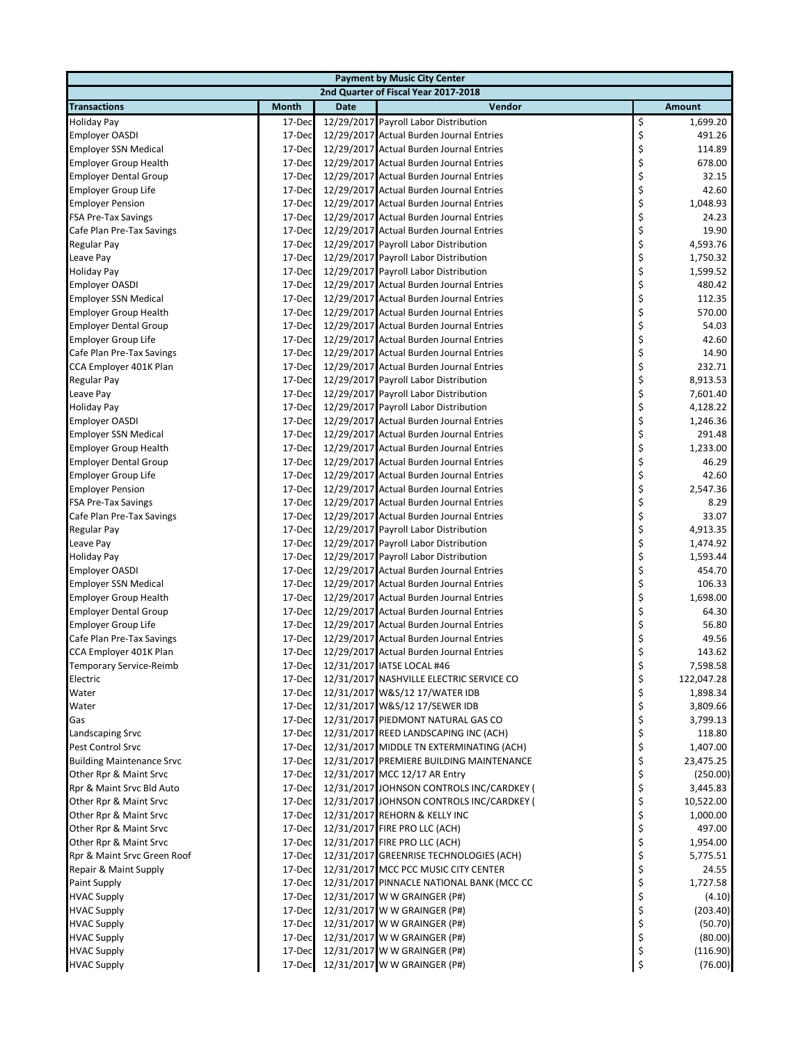| <b>Payment by Music City Center</b>                        |                  |             |                                                                                      |          |                      |  |  |  |
|------------------------------------------------------------|------------------|-------------|--------------------------------------------------------------------------------------|----------|----------------------|--|--|--|
| 2nd Quarter of Fiscal Year 2017-2018                       |                  |             |                                                                                      |          |                      |  |  |  |
| <b>Transactions</b>                                        | <b>Month</b>     | <b>Date</b> | Vendor                                                                               |          | <b>Amount</b>        |  |  |  |
| <b>Holiday Pay</b>                                         | 17-Dec           |             | 12/29/2017 Payroll Labor Distribution                                                | \$       | 1,699.20             |  |  |  |
| <b>Employer OASDI</b>                                      | 17-Dec           |             | 12/29/2017 Actual Burden Journal Entries                                             | \$       | 491.26               |  |  |  |
| <b>Employer SSN Medical</b>                                | 17-Dec           |             | 12/29/2017 Actual Burden Journal Entries                                             | \$       | 114.89               |  |  |  |
| <b>Employer Group Health</b>                               | 17-Dec           |             | 12/29/2017 Actual Burden Journal Entries                                             | \$       | 678.00               |  |  |  |
| <b>Employer Dental Group</b>                               | 17-Dec           |             | 12/29/2017 Actual Burden Journal Entries                                             | \$       | 32.15                |  |  |  |
| Employer Group Life                                        | 17-Dec           |             | 12/29/2017 Actual Burden Journal Entries                                             | \$       | 42.60                |  |  |  |
| <b>Employer Pension</b>                                    | 17-Dec           |             | 12/29/2017 Actual Burden Journal Entries                                             | \$       | 1,048.93             |  |  |  |
| <b>FSA Pre-Tax Savings</b>                                 | 17-Dec           |             | 12/29/2017 Actual Burden Journal Entries                                             | \$       | 24.23                |  |  |  |
| Cafe Plan Pre-Tax Savings                                  | 17-Dec           |             | 12/29/2017 Actual Burden Journal Entries                                             | \$       | 19.90                |  |  |  |
| Regular Pay                                                | 17-Dec           |             | 12/29/2017 Payroll Labor Distribution                                                | \$       | 4,593.76             |  |  |  |
| Leave Pay                                                  | 17-Dec           |             | 12/29/2017 Payroll Labor Distribution                                                | \$       | 1,750.32             |  |  |  |
| <b>Holiday Pay</b>                                         | 17-Dec           |             | 12/29/2017 Payroll Labor Distribution                                                | \$       | 1,599.52             |  |  |  |
| <b>Employer OASDI</b>                                      | 17-Dec           |             | 12/29/2017 Actual Burden Journal Entries                                             | \$       | 480.42               |  |  |  |
| <b>Employer SSN Medical</b>                                | 17-Dec           |             | 12/29/2017 Actual Burden Journal Entries                                             | \$       | 112.35               |  |  |  |
| <b>Employer Group Health</b>                               | 17-Dec           |             | 12/29/2017 Actual Burden Journal Entries                                             | \$       | 570.00               |  |  |  |
| <b>Employer Dental Group</b>                               | 17-Dec           |             | 12/29/2017 Actual Burden Journal Entries                                             | \$       | 54.03                |  |  |  |
| <b>Employer Group Life</b>                                 | 17-Dec           |             | 12/29/2017 Actual Burden Journal Entries                                             | \$       | 42.60                |  |  |  |
| Cafe Plan Pre-Tax Savings                                  | 17-Dec           |             | 12/29/2017 Actual Burden Journal Entries                                             | \$       | 14.90                |  |  |  |
| CCA Employer 401K Plan                                     | 17-Dec           |             | 12/29/2017 Actual Burden Journal Entries                                             | \$       | 232.71               |  |  |  |
| Regular Pay                                                | 17-Dec           |             | 12/29/2017 Payroll Labor Distribution                                                | \$       | 8,913.53             |  |  |  |
| Leave Pay                                                  | 17-Dec           |             | 12/29/2017 Payroll Labor Distribution                                                | \$       | 7,601.40             |  |  |  |
| <b>Holiday Pay</b>                                         | 17-Dec           |             | 12/29/2017 Payroll Labor Distribution                                                | \$       | 4,128.22             |  |  |  |
| <b>Employer OASDI</b>                                      | 17-Dec           |             | 12/29/2017 Actual Burden Journal Entries                                             | \$       | 1,246.36             |  |  |  |
| <b>Employer SSN Medical</b>                                | 17-Dec           |             | 12/29/2017 Actual Burden Journal Entries                                             | \$       | 291.48               |  |  |  |
| <b>Employer Group Health</b>                               | 17-Dec           |             | 12/29/2017 Actual Burden Journal Entries                                             | \$       | 1,233.00             |  |  |  |
| <b>Employer Dental Group</b>                               | 17-Dec           |             | 12/29/2017 Actual Burden Journal Entries                                             | \$       | 46.29                |  |  |  |
| <b>Employer Group Life</b>                                 | 17-Dec           |             | 12/29/2017 Actual Burden Journal Entries                                             | \$       | 42.60                |  |  |  |
| <b>Employer Pension</b>                                    | 17-Dec           |             | 12/29/2017 Actual Burden Journal Entries                                             | \$       | 2,547.36             |  |  |  |
| <b>FSA Pre-Tax Savings</b>                                 | 17-Dec           |             | 12/29/2017 Actual Burden Journal Entries                                             | \$       | 8.29                 |  |  |  |
| Cafe Plan Pre-Tax Savings                                  | 17-Dec           |             | 12/29/2017 Actual Burden Journal Entries                                             | \$       | 33.07                |  |  |  |
| Regular Pay                                                | 17-Dec           |             | 12/29/2017 Payroll Labor Distribution                                                | \$       | 4,913.35             |  |  |  |
| Leave Pay                                                  | 17-Dec           |             | 12/29/2017 Payroll Labor Distribution                                                | \$       | 1,474.92             |  |  |  |
| <b>Holiday Pay</b>                                         | 17-Dec           |             | 12/29/2017 Payroll Labor Distribution                                                | \$       | 1,593.44             |  |  |  |
| <b>Employer OASDI</b>                                      | 17-Dec           |             | 12/29/2017 Actual Burden Journal Entries                                             | \$       | 454.70               |  |  |  |
| <b>Employer SSN Medical</b>                                | 17-Dec           |             | 12/29/2017 Actual Burden Journal Entries                                             | \$       | 106.33               |  |  |  |
| <b>Employer Group Health</b>                               | 17-Dec           |             | 12/29/2017 Actual Burden Journal Entries                                             | \$       | 1,698.00             |  |  |  |
| <b>Employer Dental Group</b>                               | 17-Dec           |             | 12/29/2017 Actual Burden Journal Entries                                             | \$       | 64.30                |  |  |  |
| <b>Employer Group Life</b>                                 | 17-Dec           |             | 12/29/2017 Actual Burden Journal Entries                                             | \$       | 56.80                |  |  |  |
| Cafe Plan Pre-Tax Savings                                  | 17-Dec           |             | 12/29/2017 Actual Burden Journal Entries                                             | \$       | 49.56                |  |  |  |
| CCA Employer 401K Plan                                     | 17-Dec           |             | 12/29/2017 Actual Burden Journal Entries                                             | \$       | 143.62               |  |  |  |
| Temporary Service-Reimb                                    | 17-Dec           |             | 12/31/2017 IATSE LOCAL #46                                                           | \$       | 7,598.58             |  |  |  |
| Electric                                                   | 17-Dec           |             | 12/31/2017 NASHVILLE ELECTRIC SERVICE CO                                             | \$       | 122,047.28           |  |  |  |
| Water                                                      | 17-Dec           |             | 12/31/2017 W&S/12 17/WATER IDB                                                       | \$       | 1,898.34             |  |  |  |
| Water                                                      | 17-Dec           |             | 12/31/2017 W&S/12 17/SEWER IDB                                                       | \$       | 3,809.66             |  |  |  |
| Gas                                                        | 17-Dec           |             | 12/31/2017 PIEDMONT NATURAL GAS CO                                                   | \$       | 3,799.13             |  |  |  |
| Landscaping Srvc                                           | 17-Dec           |             | 12/31/2017 REED LANDSCAPING INC (ACH)                                                | \$<br>\$ | 118.80               |  |  |  |
| Pest Control Srvc                                          | 17-Dec           |             | 12/31/2017 MIDDLE TN EXTERMINATING (ACH)<br>12/31/2017 PREMIERE BUILDING MAINTENANCE | \$       | 1,407.00             |  |  |  |
| <b>Building Maintenance Srvc</b><br>Other Rpr & Maint Srvc | 17-Dec<br>17-Dec |             | 12/31/2017 MCC 12/17 AR Entry                                                        | \$       | 23,475.25            |  |  |  |
| Rpr & Maint Srvc Bld Auto                                  | 17-Dec           |             | 12/31/2017 JOHNSON CONTROLS INC/CARDKEY (                                            | \$       | (250.00)<br>3,445.83 |  |  |  |
| Other Rpr & Maint Srvc                                     | 17-Dec           |             | 12/31/2017 JOHNSON CONTROLS INC/CARDKEY (                                            | \$       | 10,522.00            |  |  |  |
| Other Rpr & Maint Srvc                                     | 17-Dec           |             | 12/31/2017 REHORN & KELLY INC                                                        | \$       | 1,000.00             |  |  |  |
| Other Rpr & Maint Srvc                                     | 17-Dec           |             | 12/31/2017 FIRE PRO LLC (ACH)                                                        | \$       | 497.00               |  |  |  |
| Other Rpr & Maint Srvc                                     | 17-Dec           |             | 12/31/2017 FIRE PRO LLC (ACH)                                                        | \$       | 1,954.00             |  |  |  |
| Rpr & Maint Srvc Green Roof                                | 17-Dec           |             | 12/31/2017 GREENRISE TECHNOLOGIES (ACH)                                              | \$       | 5,775.51             |  |  |  |
| Repair & Maint Supply                                      | 17-Dec           |             | 12/31/2017 MCC PCC MUSIC CITY CENTER                                                 | \$       | 24.55                |  |  |  |
| <b>Paint Supply</b>                                        | 17-Dec           |             | 12/31/2017 PINNACLE NATIONAL BANK (MCC CC                                            | \$       | 1,727.58             |  |  |  |
| <b>HVAC Supply</b>                                         | 17-Dec           |             | 12/31/2017 W W GRAINGER (P#)                                                         | \$       | (4.10)               |  |  |  |
| <b>HVAC Supply</b>                                         | 17-Dec           |             | 12/31/2017 W W GRAINGER (P#)                                                         | \$       | (203.40)             |  |  |  |
| <b>HVAC Supply</b>                                         | 17-Dec           |             | 12/31/2017 W W GRAINGER (P#)                                                         | \$       | (50.70)              |  |  |  |
| <b>HVAC Supply</b>                                         | 17-Dec           |             | 12/31/2017 W W GRAINGER (P#)                                                         | \$       | (80.00)              |  |  |  |
| <b>HVAC Supply</b>                                         | 17-Dec           |             | 12/31/2017 W W GRAINGER (P#)                                                         | \$       | (116.90)             |  |  |  |
| <b>HVAC Supply</b>                                         | 17-Dec           |             | 12/31/2017 W W GRAINGER (P#)                                                         | \$       | (76.00)              |  |  |  |
|                                                            |                  |             |                                                                                      |          |                      |  |  |  |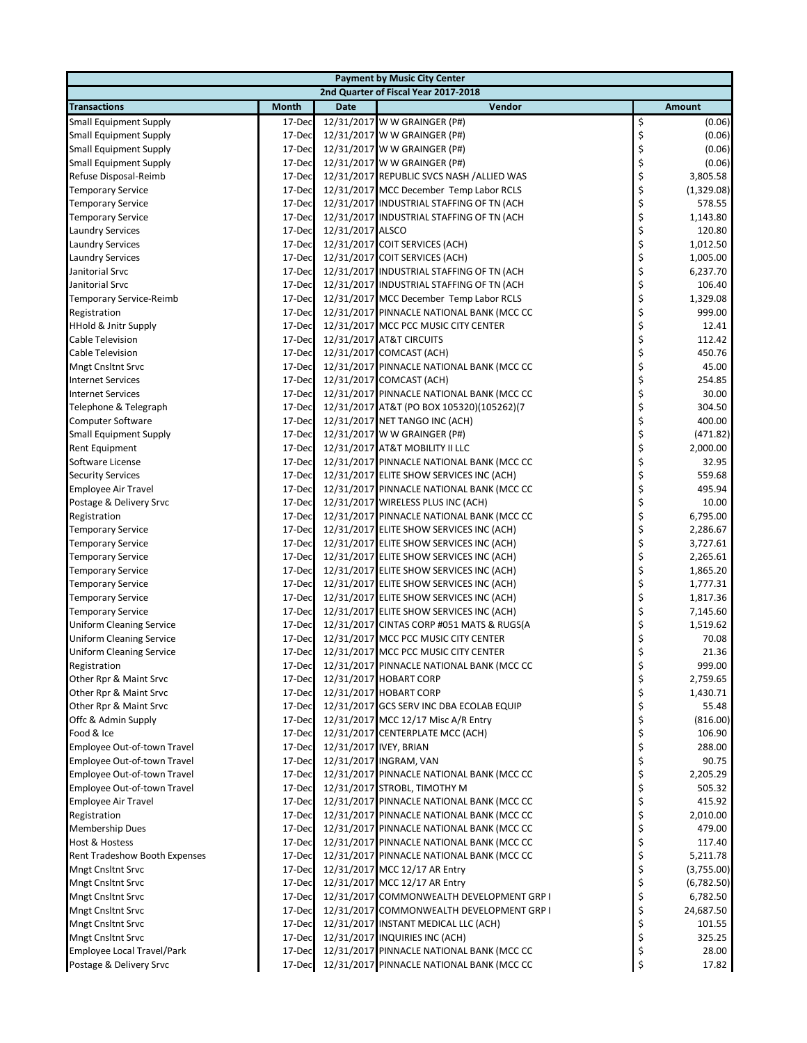| <b>Payment by Music City Center</b>  |              |                  |                                           |    |               |  |  |  |  |
|--------------------------------------|--------------|------------------|-------------------------------------------|----|---------------|--|--|--|--|
| 2nd Quarter of Fiscal Year 2017-2018 |              |                  |                                           |    |               |  |  |  |  |
| <b>Transactions</b>                  | <b>Month</b> | <b>Date</b>      | Vendor                                    |    | <b>Amount</b> |  |  |  |  |
| <b>Small Equipment Supply</b>        | 17-Dec       |                  | 12/31/2017 W W GRAINGER (P#)              | \$ | (0.06)        |  |  |  |  |
| <b>Small Equipment Supply</b>        | 17-Dec       |                  | 12/31/2017 W W GRAINGER (P#)              | \$ | (0.06)        |  |  |  |  |
| <b>Small Equipment Supply</b>        | 17-Dec       |                  | 12/31/2017 W W GRAINGER (P#)              | \$ | (0.06)        |  |  |  |  |
| <b>Small Equipment Supply</b>        | 17-Dec       |                  | 12/31/2017 W W GRAINGER (P#)              | \$ | (0.06)        |  |  |  |  |
| Refuse Disposal-Reimb                | 17-Dec       |                  | 12/31/2017 REPUBLIC SVCS NASH /ALLIED WAS | \$ | 3,805.58      |  |  |  |  |
| <b>Temporary Service</b>             | 17-Dec       |                  | 12/31/2017 MCC December Temp Labor RCLS   | \$ | (1,329.08)    |  |  |  |  |
| <b>Temporary Service</b>             | 17-Dec       |                  | 12/31/2017 INDUSTRIAL STAFFING OF TN (ACH | \$ | 578.55        |  |  |  |  |
| <b>Temporary Service</b>             | 17-Dec       |                  | 12/31/2017 INDUSTRIAL STAFFING OF TN (ACH | \$ | 1,143.80      |  |  |  |  |
| <b>Laundry Services</b>              | 17-Dec       | 12/31/2017 ALSCO |                                           | \$ | 120.80        |  |  |  |  |
| <b>Laundry Services</b>              | 17-Dec       |                  | 12/31/2017 COIT SERVICES (ACH)            | \$ | 1,012.50      |  |  |  |  |
| <b>Laundry Services</b>              | 17-Dec       |                  | 12/31/2017 COIT SERVICES (ACH)            | \$ | 1,005.00      |  |  |  |  |
| Janitorial Srvc                      | 17-Dec       |                  | 12/31/2017 INDUSTRIAL STAFFING OF TN (ACH | \$ | 6,237.70      |  |  |  |  |
| Janitorial Srvc                      | 17-Dec       |                  | 12/31/2017 INDUSTRIAL STAFFING OF TN (ACH | \$ | 106.40        |  |  |  |  |
| Temporary Service-Reimb              | 17-Dec       |                  | 12/31/2017 MCC December Temp Labor RCLS   | \$ | 1,329.08      |  |  |  |  |
| Registration                         | 17-Dec       |                  | 12/31/2017 PINNACLE NATIONAL BANK (MCC CC | \$ | 999.00        |  |  |  |  |
| HHold & Jnitr Supply                 | 17-Dec       |                  | 12/31/2017 MCC PCC MUSIC CITY CENTER      | \$ | 12.41         |  |  |  |  |
| Cable Television                     | 17-Dec       |                  | 12/31/2017 AT&T CIRCUITS                  | \$ | 112.42        |  |  |  |  |
| Cable Television                     | 17-Dec       |                  | 12/31/2017 COMCAST (ACH)                  | \$ | 450.76        |  |  |  |  |
| <b>Mngt Cnsltnt Srvc</b>             | 17-Dec       |                  | 12/31/2017 PINNACLE NATIONAL BANK (MCC CC | \$ | 45.00         |  |  |  |  |
| <b>Internet Services</b>             | 17-Dec       |                  | 12/31/2017 COMCAST (ACH)                  | \$ | 254.85        |  |  |  |  |
| <b>Internet Services</b>             | 17-Dec       |                  | 12/31/2017 PINNACLE NATIONAL BANK (MCC CC | \$ | 30.00         |  |  |  |  |
| Telephone & Telegraph                | 17-Dec       |                  | 12/31/2017 AT&T (PO BOX 105320)(105262)(7 | \$ | 304.50        |  |  |  |  |
| <b>Computer Software</b>             | 17-Dec       |                  | 12/31/2017 NET TANGO INC (ACH)            | \$ | 400.00        |  |  |  |  |
| <b>Small Equipment Supply</b>        | 17-Dec       |                  | 12/31/2017 W W GRAINGER (P#)              | \$ | (471.82)      |  |  |  |  |
| Rent Equipment                       | 17-Dec       |                  | 12/31/2017 AT&T MOBILITY II LLC           | \$ | 2,000.00      |  |  |  |  |
| Software License                     | 17-Dec       |                  | 12/31/2017 PINNACLE NATIONAL BANK (MCC CC | \$ | 32.95         |  |  |  |  |
| <b>Security Services</b>             | 17-Dec       |                  | 12/31/2017 ELITE SHOW SERVICES INC (ACH)  | \$ | 559.68        |  |  |  |  |
| <b>Employee Air Travel</b>           | 17-Dec       |                  | 12/31/2017 PINNACLE NATIONAL BANK (MCC CC | \$ | 495.94        |  |  |  |  |
| Postage & Delivery Srvc              | 17-Dec       |                  | 12/31/2017 WIRELESS PLUS INC (ACH)        | \$ | 10.00         |  |  |  |  |
| Registration                         | 17-Dec       |                  | 12/31/2017 PINNACLE NATIONAL BANK (MCC CC | \$ | 6,795.00      |  |  |  |  |
| <b>Temporary Service</b>             | 17-Dec       |                  | 12/31/2017 ELITE SHOW SERVICES INC (ACH)  | \$ | 2,286.67      |  |  |  |  |
| <b>Temporary Service</b>             | 17-Dec       |                  | 12/31/2017 ELITE SHOW SERVICES INC (ACH)  | \$ | 3,727.61      |  |  |  |  |
| <b>Temporary Service</b>             | 17-Dec       |                  | 12/31/2017 ELITE SHOW SERVICES INC (ACH)  | \$ | 2,265.61      |  |  |  |  |
| <b>Temporary Service</b>             | 17-Dec       |                  | 12/31/2017 ELITE SHOW SERVICES INC (ACH)  | \$ | 1,865.20      |  |  |  |  |
| <b>Temporary Service</b>             | 17-Dec       |                  | 12/31/2017 ELITE SHOW SERVICES INC (ACH)  | \$ | 1,777.31      |  |  |  |  |
| <b>Temporary Service</b>             | 17-Dec       |                  | 12/31/2017 ELITE SHOW SERVICES INC (ACH)  | \$ | 1,817.36      |  |  |  |  |
| <b>Temporary Service</b>             | 17-Dec       |                  | 12/31/2017 ELITE SHOW SERVICES INC (ACH)  | \$ | 7,145.60      |  |  |  |  |
| <b>Uniform Cleaning Service</b>      | 17-Dec       |                  | 12/31/2017 CINTAS CORP #051 MATS & RUGS(A | \$ | 1,519.62      |  |  |  |  |
| <b>Uniform Cleaning Service</b>      | 17-Dec       |                  | 12/31/2017 MCC PCC MUSIC CITY CENTER      | \$ | 70.08         |  |  |  |  |
| <b>Uniform Cleaning Service</b>      | 17-Dec       |                  | 12/31/2017 MCC PCC MUSIC CITY CENTER      | \$ | 21.36         |  |  |  |  |
| Registration                         | 17-Dec       |                  | 12/31/2017 PINNACLE NATIONAL BANK (MCC CC | Ş  | 999.00        |  |  |  |  |
| Other Rpr & Maint Srvc               | 17-Dec       |                  | 12/31/2017 HOBART CORP                    | \$ | 2,759.65      |  |  |  |  |
| Other Rpr & Maint Srvc               | 17-Dec       |                  | 12/31/2017 HOBART CORP                    | \$ | 1,430.71      |  |  |  |  |
| Other Rpr & Maint Srvc               | 17-Dec       |                  | 12/31/2017 GCS SERV INC DBA ECOLAB EQUIP  | \$ | 55.48         |  |  |  |  |
| Offc & Admin Supply                  | 17-Dec       |                  | 12/31/2017 MCC 12/17 Misc A/R Entry       | \$ | (816.00)      |  |  |  |  |
| Food & Ice                           | 17-Dec       |                  | 12/31/2017 CENTERPLATE MCC (ACH)          | \$ | 106.90        |  |  |  |  |
| Employee Out-of-town Travel          | 17-Dec       |                  | 12/31/2017 IVEY, BRIAN                    | \$ | 288.00        |  |  |  |  |
| Employee Out-of-town Travel          | 17-Dec       |                  | 12/31/2017 INGRAM, VAN                    | \$ | 90.75         |  |  |  |  |
| Employee Out-of-town Travel          | 17-Dec       |                  | 12/31/2017 PINNACLE NATIONAL BANK (MCC CC | \$ | 2,205.29      |  |  |  |  |
| Employee Out-of-town Travel          | 17-Dec       |                  | 12/31/2017 STROBL, TIMOTHY M              | \$ | 505.32        |  |  |  |  |
| <b>Employee Air Travel</b>           | 17-Dec       |                  | 12/31/2017 PINNACLE NATIONAL BANK (MCC CC | \$ | 415.92        |  |  |  |  |
| Registration                         | 17-Dec       |                  | 12/31/2017 PINNACLE NATIONAL BANK (MCC CC | \$ | 2,010.00      |  |  |  |  |
| Membership Dues                      | 17-Dec       |                  | 12/31/2017 PINNACLE NATIONAL BANK (MCC CC | \$ | 479.00        |  |  |  |  |
| Host & Hostess                       | 17-Dec       |                  | 12/31/2017 PINNACLE NATIONAL BANK (MCC CC | \$ | 117.40        |  |  |  |  |
| Rent Tradeshow Booth Expenses        | 17-Dec       |                  | 12/31/2017 PINNACLE NATIONAL BANK (MCC CC | \$ | 5,211.78      |  |  |  |  |
| Mngt Cnsltnt Srvc                    | 17-Dec       |                  | 12/31/2017 MCC 12/17 AR Entry             | \$ | (3,755.00)    |  |  |  |  |
| <b>Mngt Cnsltnt Srvc</b>             | 17-Dec       |                  | 12/31/2017 MCC 12/17 AR Entry             | \$ | (6,782.50)    |  |  |  |  |
| Mngt Cnsltnt Srvc                    | 17-Dec       |                  | 12/31/2017 COMMONWEALTH DEVELOPMENT GRP I | \$ | 6,782.50      |  |  |  |  |
| <b>Mngt Cnsltnt Srvc</b>             | 17-Dec       |                  | 12/31/2017 COMMONWEALTH DEVELOPMENT GRP I | \$ | 24,687.50     |  |  |  |  |
| Mngt Cnsltnt Srvc                    | 17-Dec       |                  | 12/31/2017 INSTANT MEDICAL LLC (ACH)      | \$ | 101.55        |  |  |  |  |
| Mngt Cnsltnt Srvc                    | 17-Dec       |                  | 12/31/2017 INQUIRIES INC (ACH)            | \$ | 325.25        |  |  |  |  |
| Employee Local Travel/Park           | 17-Dec       |                  | 12/31/2017 PINNACLE NATIONAL BANK (MCC CC | \$ | 28.00         |  |  |  |  |
| Postage & Delivery Srvc              | 17-Dec       |                  | 12/31/2017 PINNACLE NATIONAL BANK (MCC CC | \$ | 17.82         |  |  |  |  |